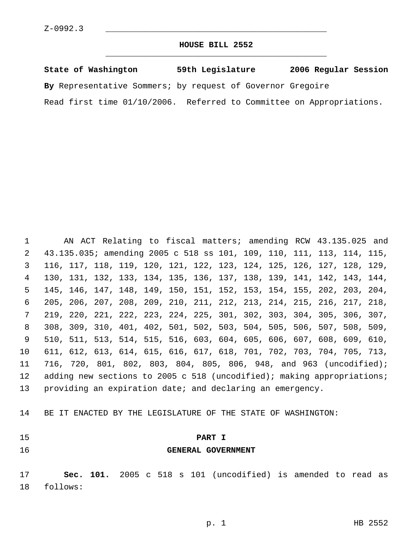### **HOUSE BILL 2552** \_\_\_\_\_\_\_\_\_\_\_\_\_\_\_\_\_\_\_\_\_\_\_\_\_\_\_\_\_\_\_\_\_\_\_\_\_\_\_\_\_\_\_\_\_

| State of Washington                                        | 59th Legislature                         | 2006 Regular Session |
|------------------------------------------------------------|------------------------------------------|----------------------|
| By Representative Sommers; by request of Governor Gregoire |                                          |                      |
| Read first time $01/10/2006$ .                             | Referred to Committee on Appropriations. |                      |

 AN ACT Relating to fiscal matters; amending RCW 43.135.025 and 43.135.035; amending 2005 c 518 ss 101, 109, 110, 111, 113, 114, 115, 116, 117, 118, 119, 120, 121, 122, 123, 124, 125, 126, 127, 128, 129, 130, 131, 132, 133, 134, 135, 136, 137, 138, 139, 141, 142, 143, 144, 145, 146, 147, 148, 149, 150, 151, 152, 153, 154, 155, 202, 203, 204, 205, 206, 207, 208, 209, 210, 211, 212, 213, 214, 215, 216, 217, 218, 219, 220, 221, 222, 223, 224, 225, 301, 302, 303, 304, 305, 306, 307, 308, 309, 310, 401, 402, 501, 502, 503, 504, 505, 506, 507, 508, 509, 510, 511, 513, 514, 515, 516, 603, 604, 605, 606, 607, 608, 609, 610, 611, 612, 613, 614, 615, 616, 617, 618, 701, 702, 703, 704, 705, 713, 716, 720, 801, 802, 803, 804, 805, 806, 948, and 963 (uncodified); 12 adding new sections to 2005 c 518 (uncodified); making appropriations; providing an expiration date; and declaring an emergency.

BE IT ENACTED BY THE LEGISLATURE OF THE STATE OF WASHINGTON:

- 
- 

 **PART I GENERAL GOVERNMENT**

 **Sec. 101.** 2005 c 518 s 101 (uncodified) is amended to read as follows: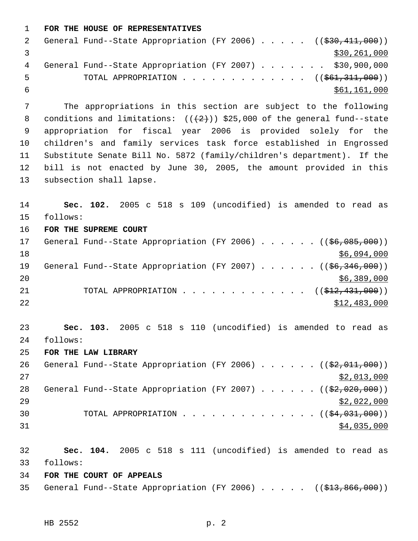```
 1 FOR THE HOUSE OF REPRESENTATIVES
```

|            |                                                          |  | General Fund--State Appropriation (FY 2006) $($ $($ \$30,411,000)) |  |  |  |  |  |              |  |
|------------|----------------------------------------------------------|--|--------------------------------------------------------------------|--|--|--|--|--|--------------|--|
|            |                                                          |  |                                                                    |  |  |  |  |  | \$30,261,000 |  |
| 4          | General Fund--State Appropriation (FY 2007) \$30,900,000 |  |                                                                    |  |  |  |  |  |              |  |
| . 5        |                                                          |  | TOTAL APPROPRIATION $\ldots$ , ( $(\frac{661}{311}, 000)$ )        |  |  |  |  |  |              |  |
| $\sqrt{2}$ |                                                          |  |                                                                    |  |  |  |  |  | \$61,161,000 |  |
|            |                                                          |  |                                                                    |  |  |  |  |  |              |  |

 The appropriations in this section are subject to the following 8 conditions and limitations:  $((+2))$  \$25,000 of the general fund--state appropriation for fiscal year 2006 is provided solely for the children's and family services task force established in Engrossed Substitute Senate Bill No. 5872 (family/children's department). If the bill is not enacted by June 30, 2005, the amount provided in this subsection shall lapse.

 **Sec. 102.** 2005 c 518 s 109 (uncodified) is amended to read as follows: **FOR THE SUPREME COURT**

17 General Fund--State Appropriation (FY 2006) . . . . . . ((\$6,085,000))  $$6,094,000$ 19 General Fund--State Appropriation (FY 2007) . . . . . . ((\$6,346,000)) \$6,389,000 21 TOTAL APPROPRIATION . . . . . . . . . . . . ((<del>\$12,431,000</del>))  $\frac{$12,483,000}{2}$ 

 **Sec. 103.** 2005 c 518 s 110 (uncodified) is amended to read as follows:

**FOR THE LAW LIBRARY**

26 General Fund--State Appropriation (FY 2006) . . . . . . ((\$2,011,000)) \$2,013,000 28 General Fund--State Appropriation (FY 2007) . . . . . ((\$2,020,000)) \$2,022,000 30 TOTAL APPROPRIATION  $\cdots$ ,  $\cdots$ ,  $\cdots$ ,  $\cdots$ ,  $\cdots$ ,  $\cdots$ ,  $\cdots$ ,  $\cdots$ \$4,035,000

 **Sec. 104.** 2005 c 518 s 111 (uncodified) is amended to read as follows:

**FOR THE COURT OF APPEALS**

35 General Fund--State Appropriation (FY 2006) . . . . . ((\$13,866,000))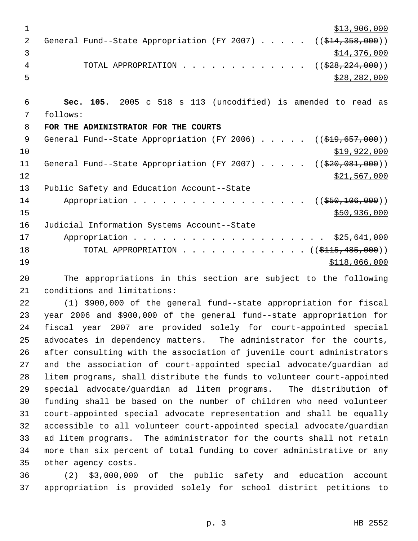| 1              | \$13,906,000                                                                     |
|----------------|----------------------------------------------------------------------------------|
| $\overline{2}$ | General Fund--State Appropriation (FY 2007)<br>((\$414,358,000))                 |
| 3              | \$14,376,000                                                                     |
| 4              | ((\$28, 224, 000))<br>TOTAL APPROPRIATION                                        |
| 5              | \$28, 282, 000                                                                   |
|                |                                                                                  |
| 6              | Sec. 105. 2005 c 518 s 113 (uncodified) is amended to read as                    |
| 7              | follows:                                                                         |
| 8              | FOR THE ADMINISTRATOR FOR THE COURTS                                             |
| 9              | General Fund--State Appropriation (FY 2006) $($ $($ $\frac{2096}{12}, 657, 000)$ |
| 10             | \$19,922,000                                                                     |
| 11             | General Fund--State Appropriation (FY 2007)<br>((\$20,081,000))                  |
| 12             | \$21,567,000                                                                     |
| 13             | Public Safety and Education Account--State                                       |
| 14             | $($ (\$50,106,000))<br>Appropriation                                             |
| 15             | \$50,936,000                                                                     |
| 16             | Judicial Information Systems Account--State                                      |
| 17             | Appropriation \$25,641,000                                                       |
| 18             | TOTAL APPROPRIATION ( $(\frac{\xi}{115}, 485, 000)$ )                            |
| 19             | \$118,066,000                                                                    |
|                |                                                                                  |

 The appropriations in this section are subject to the following conditions and limitations:

 (1) \$900,000 of the general fund--state appropriation for fiscal year 2006 and \$900,000 of the general fund--state appropriation for fiscal year 2007 are provided solely for court-appointed special advocates in dependency matters. The administrator for the courts, after consulting with the association of juvenile court administrators and the association of court-appointed special advocate/guardian ad litem programs, shall distribute the funds to volunteer court-appointed special advocate/guardian ad litem programs. The distribution of funding shall be based on the number of children who need volunteer court-appointed special advocate representation and shall be equally accessible to all volunteer court-appointed special advocate/guardian ad litem programs. The administrator for the courts shall not retain more than six percent of total funding to cover administrative or any other agency costs.

 (2) \$3,000,000 of the public safety and education account appropriation is provided solely for school district petitions to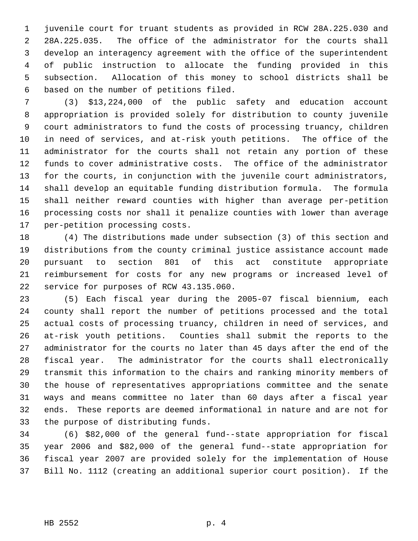juvenile court for truant students as provided in RCW 28A.225.030 and 28A.225.035. The office of the administrator for the courts shall develop an interagency agreement with the office of the superintendent of public instruction to allocate the funding provided in this subsection. Allocation of this money to school districts shall be based on the number of petitions filed.

 (3) \$13,224,000 of the public safety and education account appropriation is provided solely for distribution to county juvenile court administrators to fund the costs of processing truancy, children in need of services, and at-risk youth petitions. The office of the administrator for the courts shall not retain any portion of these funds to cover administrative costs. The office of the administrator for the courts, in conjunction with the juvenile court administrators, shall develop an equitable funding distribution formula. The formula shall neither reward counties with higher than average per-petition processing costs nor shall it penalize counties with lower than average per-petition processing costs.

 (4) The distributions made under subsection (3) of this section and distributions from the county criminal justice assistance account made pursuant to section 801 of this act constitute appropriate reimbursement for costs for any new programs or increased level of service for purposes of RCW 43.135.060.

 (5) Each fiscal year during the 2005-07 fiscal biennium, each county shall report the number of petitions processed and the total actual costs of processing truancy, children in need of services, and at-risk youth petitions. Counties shall submit the reports to the administrator for the courts no later than 45 days after the end of the fiscal year. The administrator for the courts shall electronically transmit this information to the chairs and ranking minority members of the house of representatives appropriations committee and the senate ways and means committee no later than 60 days after a fiscal year ends. These reports are deemed informational in nature and are not for the purpose of distributing funds.

 (6) \$82,000 of the general fund--state appropriation for fiscal year 2006 and \$82,000 of the general fund--state appropriation for fiscal year 2007 are provided solely for the implementation of House Bill No. 1112 (creating an additional superior court position). If the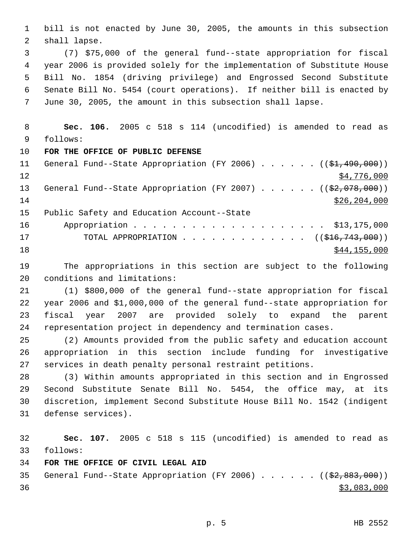bill is not enacted by June 30, 2005, the amounts in this subsection shall lapse.

 (7) \$75,000 of the general fund--state appropriation for fiscal year 2006 is provided solely for the implementation of Substitute House Bill No. 1854 (driving privilege) and Engrossed Second Substitute Senate Bill No. 5454 (court operations). If neither bill is enacted by June 30, 2005, the amount in this subsection shall lapse.

 **Sec. 106.** 2005 c 518 s 114 (uncodified) is amended to read as follows:

**FOR THE OFFICE OF PUBLIC DEFENSE**

11 General Fund--State Appropriation (FY 2006) . . . . . . ((\$1,490,000))  $\frac{12}{ }$   $\frac{12}{ }$   $\frac{12}{ }$   $\frac{12}{ }$   $\frac{12}{ }$   $\frac{12}{ }$   $\frac{12}{ }$   $\frac{12}{ }$   $\frac{12}{ }$   $\frac{12}{ }$   $\frac{12}{ }$   $\frac{12}{ }$   $\frac{12}{ }$   $\frac{12}{ }$   $\frac{12}{ }$   $\frac{12}{ }$   $\frac{12}{ }$   $\frac{12}{ }$   $\frac{12}{ }$   $\frac{12}{ }$   $\frac{12}{ }$   $\frac{12}{ }$  13 General Fund--State Appropriation (FY 2007) . . . . . ((\$2,078,000))  $$26,204,000$  Public Safety and Education Account--State 16 Appropriation . . . . . . . . . . . . . . . . . . \$13,175,000 17 TOTAL APPROPRIATION . . . . . . . . . . . . ((<del>\$16,743,000</del>)) \$44,155,000

 The appropriations in this section are subject to the following conditions and limitations:

 (1) \$800,000 of the general fund--state appropriation for fiscal year 2006 and \$1,000,000 of the general fund--state appropriation for fiscal year 2007 are provided solely to expand the parent representation project in dependency and termination cases.

 (2) Amounts provided from the public safety and education account appropriation in this section include funding for investigative services in death penalty personal restraint petitions.

 (3) Within amounts appropriated in this section and in Engrossed Second Substitute Senate Bill No. 5454, the office may, at its discretion, implement Second Substitute House Bill No. 1542 (indigent defense services).

 **Sec. 107.** 2005 c 518 s 115 (uncodified) is amended to read as follows:

# **FOR THE OFFICE OF CIVIL LEGAL AID**

35 General Fund--State Appropriation (FY 2006)  $\ldots$  . . . . (( $\frac{2}{32}$ , 883, 000))  $\frac{$3,083,000}{2}$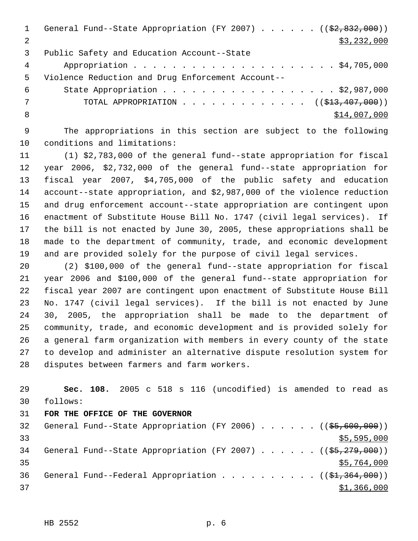1 General Fund--State Appropriation (FY 2007) . . . . . ((\$2,832,000))  $\frac{1}{2}$  \$3,232,000 Public Safety and Education Account--State Appropriation . . . . . . . . . . . . . . . . . . . . . \$4,705,000 Violence Reduction and Drug Enforcement Account-- State Appropriation . . . . . . . . . . . . . . . . . . \$2,987,000 7 TOTAL APPROPRIATION . . . . . . . . . . . . ((\$<del>13,407,000</del>))  $8 \div 14,007,000$ 

 The appropriations in this section are subject to the following conditions and limitations:

 (1) \$2,783,000 of the general fund--state appropriation for fiscal year 2006, \$2,732,000 of the general fund--state appropriation for fiscal year 2007, \$4,705,000 of the public safety and education account--state appropriation, and \$2,987,000 of the violence reduction and drug enforcement account--state appropriation are contingent upon enactment of Substitute House Bill No. 1747 (civil legal services). If the bill is not enacted by June 30, 2005, these appropriations shall be made to the department of community, trade, and economic development and are provided solely for the purpose of civil legal services.

 (2) \$100,000 of the general fund--state appropriation for fiscal year 2006 and \$100,000 of the general fund--state appropriation for fiscal year 2007 are contingent upon enactment of Substitute House Bill No. 1747 (civil legal services). If the bill is not enacted by June 30, 2005, the appropriation shall be made to the department of community, trade, and economic development and is provided solely for a general farm organization with members in every county of the state to develop and administer an alternative dispute resolution system for disputes between farmers and farm workers.

 **Sec. 108.** 2005 c 518 s 116 (uncodified) is amended to read as follows:

## **FOR THE OFFICE OF THE GOVERNOR**

| 32 |  |  |  |  |  | General Fund--State Appropriation (FY 2006) $($ $($ \$5,600,000)) |
|----|--|--|--|--|--|-------------------------------------------------------------------|
| 33 |  |  |  |  |  | \$5,595,000                                                       |
| 34 |  |  |  |  |  | General Fund--State Appropriation (FY 2007) $($ $($ \$5,279,000)) |
| 35 |  |  |  |  |  | \$5,764,000                                                       |
| 36 |  |  |  |  |  | General Fund--Federal Appropriation $($ $($ \$1,364,000) $)$      |
| 37 |  |  |  |  |  | \$1,366,000                                                       |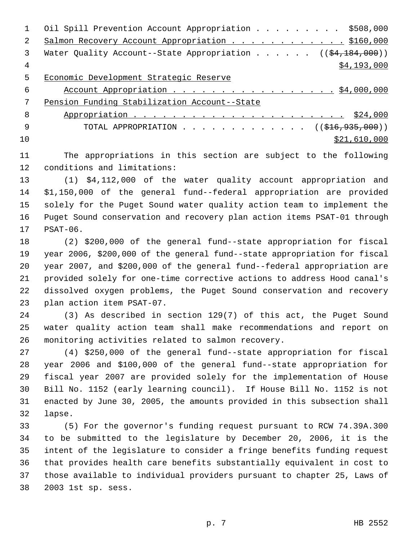|     | Oil Spill Prevention Account Appropriation \$508,000                               |
|-----|------------------------------------------------------------------------------------|
| 2   | Salmon Recovery Account Appropriation \$160,000                                    |
| 3   | Water Quality Account--State Appropriation ( $(\frac{24}{184}, \frac{184}{100})$ ) |
| 4   | \$4,193,000                                                                        |
| 5   | Economic Development Strategic Reserve                                             |
| 6   | Account Appropriation $\frac{54,000,000}{2}$                                       |
| 7   | Pension Funding Stabilization Account--State                                       |
| 8   |                                                                                    |
| - 9 | TOTAL APPROPRIATION ( $(\frac{1616}{935}, 000)$ )                                  |
| 10  | \$21,610,000                                                                       |

 The appropriations in this section are subject to the following conditions and limitations:

 (1) \$4,112,000 of the water quality account appropriation and \$1,150,000 of the general fund--federal appropriation are provided solely for the Puget Sound water quality action team to implement the Puget Sound conservation and recovery plan action items PSAT-01 through PSAT-06.

 (2) \$200,000 of the general fund--state appropriation for fiscal year 2006, \$200,000 of the general fund--state appropriation for fiscal year 2007, and \$200,000 of the general fund--federal appropriation are provided solely for one-time corrective actions to address Hood canal's dissolved oxygen problems, the Puget Sound conservation and recovery plan action item PSAT-07.

 (3) As described in section 129(7) of this act, the Puget Sound water quality action team shall make recommendations and report on monitoring activities related to salmon recovery.

 (4) \$250,000 of the general fund--state appropriation for fiscal year 2006 and \$100,000 of the general fund--state appropriation for fiscal year 2007 are provided solely for the implementation of House Bill No. 1152 (early learning council). If House Bill No. 1152 is not enacted by June 30, 2005, the amounts provided in this subsection shall lapse.

 (5) For the governor's funding request pursuant to RCW 74.39A.300 to be submitted to the legislature by December 20, 2006, it is the intent of the legislature to consider a fringe benefits funding request that provides health care benefits substantially equivalent in cost to those available to individual providers pursuant to chapter 25, Laws of 2003 1st sp. sess.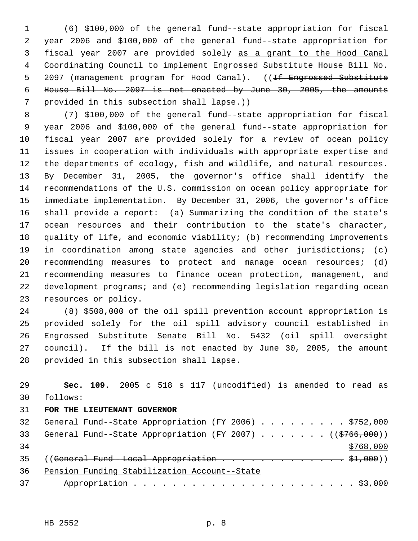(6) \$100,000 of the general fund--state appropriation for fiscal year 2006 and \$100,000 of the general fund--state appropriation for fiscal year 2007 are provided solely as a grant to the Hood Canal Coordinating Council to implement Engrossed Substitute House Bill No. 5 2097 (management program for Hood Canal). ((<del>If Engrossed Substitute</del> House Bill No. 2097 is not enacted by June 30, 2005, the amounts 7 provided in this subsection shall lapse.))

 (7) \$100,000 of the general fund--state appropriation for fiscal year 2006 and \$100,000 of the general fund--state appropriation for fiscal year 2007 are provided solely for a review of ocean policy issues in cooperation with individuals with appropriate expertise and the departments of ecology, fish and wildlife, and natural resources. By December 31, 2005, the governor's office shall identify the recommendations of the U.S. commission on ocean policy appropriate for immediate implementation. By December 31, 2006, the governor's office shall provide a report: (a) Summarizing the condition of the state's ocean resources and their contribution to the state's character, quality of life, and economic viability; (b) recommending improvements in coordination among state agencies and other jurisdictions; (c) recommending measures to protect and manage ocean resources; (d) recommending measures to finance ocean protection, management, and development programs; and (e) recommending legislation regarding ocean resources or policy.

 (8) \$508,000 of the oil spill prevention account appropriation is provided solely for the oil spill advisory council established in Engrossed Substitute Senate Bill No. 5432 (oil spill oversight council). If the bill is not enacted by June 30, 2005, the amount provided in this subsection shall lapse.

 **Sec. 109.** 2005 c 518 s 117 (uncodified) is amended to read as follows: **FOR THE LIEUTENANT GOVERNOR** 32 General Fund--State Appropriation (FY 2006) . . . . . . . . \$752,000 33 General Fund--State Appropriation (FY 2007) . . . . . . ((\$766,000)) 35 ((General Fund--Local Appropriation  $\cdots$ ,  $\cdots$ ,  $\cdots$ ,  $\cdots$ ,  $\sharp$ 1,000)) Pension Funding Stabilization Account--State Appropriation . . . . . . . . . . . . . . . . . . . . . . . \$3,000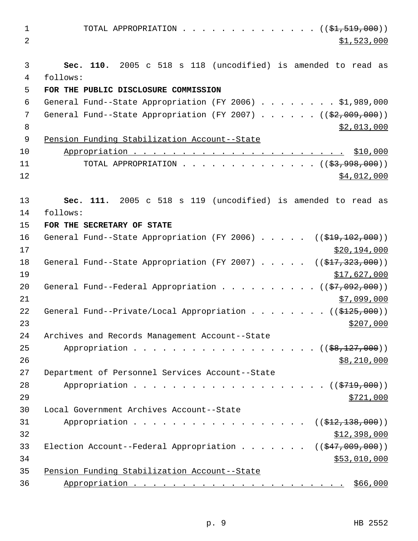| $\mathbf{1}$ | TOTAL APPROPRIATION $($ $(\frac{1}{21}, 519, 000))$                        |
|--------------|----------------------------------------------------------------------------|
| 2            | \$1,523,000                                                                |
| 3            | Sec. 110. 2005 c 518 s 118 (uncodified) is amended to read as              |
| 4            | follows:                                                                   |
| 5            | FOR THE PUBLIC DISCLOSURE COMMISSION                                       |
| $\epsilon$   | General Fund--State Appropriation (FY 2006) \$1,989,000                    |
| 7            | General Fund--State Appropriation (FY 2007) $($ $($ $\frac{209}{100})$     |
| 8            | \$2,013,000                                                                |
| 9            | Pension Funding Stabilization Account--State                               |
| 10           |                                                                            |
| 11           | TOTAL APPROPRIATION ( $(\frac{2}{3}, 998, 000)$ )                          |
| 12           | \$4,012,000                                                                |
| 13           | Sec. 111. 2005 c 518 s 119 (uncodified) is amended to read as              |
| 14           | follows:                                                                   |
| 15           | FOR THE SECRETARY OF STATE                                                 |
| 16           | General Fund--State Appropriation (FY 2006) $($ $($ \$19,102,000))         |
| 17           | \$20,194,000                                                               |
| 18           | General Fund--State Appropriation (FY 2007) $($ $($ \$17,323,000))         |
| 19           | \$17,627,000                                                               |
| 20           | General Fund--Federal Appropriation ( $(\frac{27}{92}, 092, 000)$ )        |
| 21           | \$7,099,000                                                                |
| 22           | General Fund--Private/Local Appropriation ((\$125,000))                    |
| 23           | \$207,000                                                                  |
| 24           | Archives and Records Management Account--State                             |
| 25           | Appropriation $($ $(*8,127,000))$                                          |
| 26           | \$8,210,000                                                                |
| 27           | Department of Personnel Services Account--State                            |
| 28           |                                                                            |
| 29           | \$721,000                                                                  |
| 30           | Local Government Archives Account--State                                   |
| 31           | Appropriation<br>((\$412,138,000))                                         |
| 32           | \$12,398,000                                                               |
| 33           | Election Account--Federal Appropriation ( $(\frac{247,009,000}{\cdots})$ ) |
| 34           | \$53,010,000                                                               |
| 35           | Pension Funding Stabilization Account--State                               |
| 36           |                                                                            |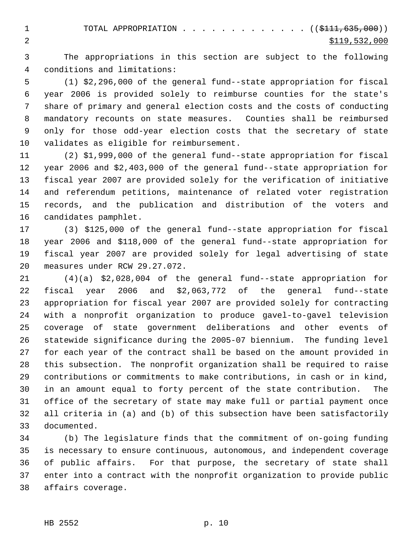1 TOTAL APPROPRIATION . . . . . . . . . . . . (  $(\frac{1111,635,000}{s})$ 2 \$119,532,000

 The appropriations in this section are subject to the following conditions and limitations:

 (1) \$2,296,000 of the general fund--state appropriation for fiscal year 2006 is provided solely to reimburse counties for the state's share of primary and general election costs and the costs of conducting mandatory recounts on state measures. Counties shall be reimbursed only for those odd-year election costs that the secretary of state validates as eligible for reimbursement.

 (2) \$1,999,000 of the general fund--state appropriation for fiscal year 2006 and \$2,403,000 of the general fund--state appropriation for fiscal year 2007 are provided solely for the verification of initiative and referendum petitions, maintenance of related voter registration records, and the publication and distribution of the voters and candidates pamphlet.

 (3) \$125,000 of the general fund--state appropriation for fiscal year 2006 and \$118,000 of the general fund--state appropriation for fiscal year 2007 are provided solely for legal advertising of state measures under RCW 29.27.072.

 (4)(a) \$2,028,004 of the general fund--state appropriation for fiscal year 2006 and \$2,063,772 of the general fund--state appropriation for fiscal year 2007 are provided solely for contracting with a nonprofit organization to produce gavel-to-gavel television coverage of state government deliberations and other events of statewide significance during the 2005-07 biennium. The funding level for each year of the contract shall be based on the amount provided in this subsection. The nonprofit organization shall be required to raise contributions or commitments to make contributions, in cash or in kind, in an amount equal to forty percent of the state contribution. The office of the secretary of state may make full or partial payment once all criteria in (a) and (b) of this subsection have been satisfactorily documented.

 (b) The legislature finds that the commitment of on-going funding is necessary to ensure continuous, autonomous, and independent coverage of public affairs. For that purpose, the secretary of state shall enter into a contract with the nonprofit organization to provide public affairs coverage.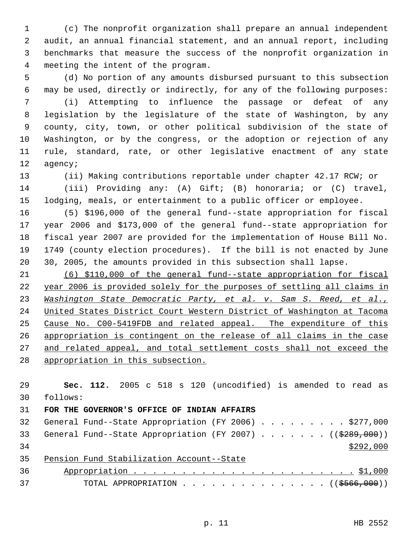(c) The nonprofit organization shall prepare an annual independent audit, an annual financial statement, and an annual report, including benchmarks that measure the success of the nonprofit organization in meeting the intent of the program.

 (d) No portion of any amounts disbursed pursuant to this subsection may be used, directly or indirectly, for any of the following purposes: (i) Attempting to influence the passage or defeat of any legislation by the legislature of the state of Washington, by any county, city, town, or other political subdivision of the state of Washington, or by the congress, or the adoption or rejection of any rule, standard, rate, or other legislative enactment of any state agency;

 (ii) Making contributions reportable under chapter 42.17 RCW; or (iii) Providing any: (A) Gift; (B) honoraria; or (C) travel, lodging, meals, or entertainment to a public officer or employee.

 (5) \$196,000 of the general fund--state appropriation for fiscal year 2006 and \$173,000 of the general fund--state appropriation for fiscal year 2007 are provided for the implementation of House Bill No. 1749 (county election procedures). If the bill is not enacted by June 30, 2005, the amounts provided in this subsection shall lapse.

 (6) \$110,000 of the general fund--state appropriation for fiscal year 2006 is provided solely for the purposes of settling all claims in *Washington State Democratic Party, et al. v. Sam S. Reed, et al.,* United States District Court Western District of Washington at Tacoma Cause No. C00-5419FDB and related appeal. The expenditure of this appropriation is contingent on the release of all claims in the case 27 and related appeal, and total settlement costs shall not exceed the appropriation in this subsection.

 **Sec. 112.** 2005 c 518 s 120 (uncodified) is amended to read as follows: **FOR THE GOVERNOR'S OFFICE OF INDIAN AFFAIRS** 32 General Fund--State Appropriation (FY 2006) . . . . . . . . \$277,000 33 General Fund--State Appropriation (FY 2007) . . . . . . ((\$289,000)) Pension Fund Stabilization Account--State Appropriation . . . . . . . . . . . . . . . . . . . . . . . \$1,000 37 TOTAL APPROPRIATION . . . . . . . . . . . . . . ((\$566,000))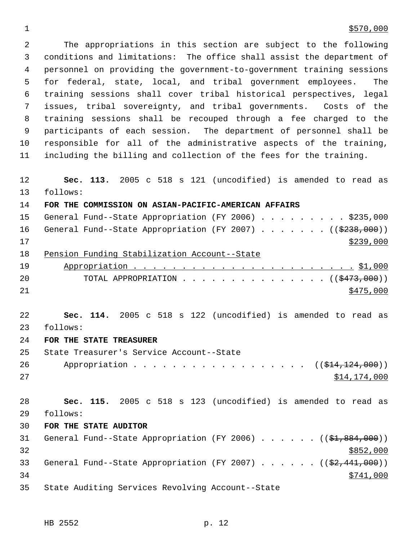### $1 \frac{$570,000}{ }$

 The appropriations in this section are subject to the following conditions and limitations: The office shall assist the department of personnel on providing the government-to-government training sessions for federal, state, local, and tribal government employees. The training sessions shall cover tribal historical perspectives, legal issues, tribal sovereignty, and tribal governments. Costs of the training sessions shall be recouped through a fee charged to the participants of each session. The department of personnel shall be responsible for all of the administrative aspects of the training, including the billing and collection of the fees for the training. **Sec. 113.** 2005 c 518 s 121 (uncodified) is amended to read as follows:

**FOR THE COMMISSION ON ASIAN-PACIFIC-AMERICAN AFFAIRS**

|    | 15 General Fund--State Appropriation (FY 2006) \$235,000             |
|----|----------------------------------------------------------------------|
| 16 | General Fund--State Appropriation (FY 2007) ( $(\frac{2238}{100})$ ) |
| 17 | \$239,000                                                            |
| 18 | Pension Funding Stabilization Account--State                         |
| 19 |                                                                      |
| 20 | TOTAL APPROPRIATION $\ldots$ , ( $(\frac{2473}{100})$ )              |
| 21 | \$475,000                                                            |
|    |                                                                      |
| 22 | Sec. 114. 2005 c 518 s 122 (uncodified) is amended to read as        |

follows:

**FOR THE STATE TREASURER**

 State Treasurer's Service Account--State 26 Appropriation . . . . . . . . . . . . . . . . ((\$14,124,000)) \$14,174,000

 **Sec. 115.** 2005 c 518 s 123 (uncodified) is amended to read as follows:

**FOR THE STATE AUDITOR**

31 General Fund--State Appropriation (FY 2006)  $\ldots$  . . . . ((\$1,884,000)) 33 General Fund--State Appropriation (FY 2007) . . . . . ((\$2,441,000))  $\frac{$741,000}{}$ State Auditing Services Revolving Account--State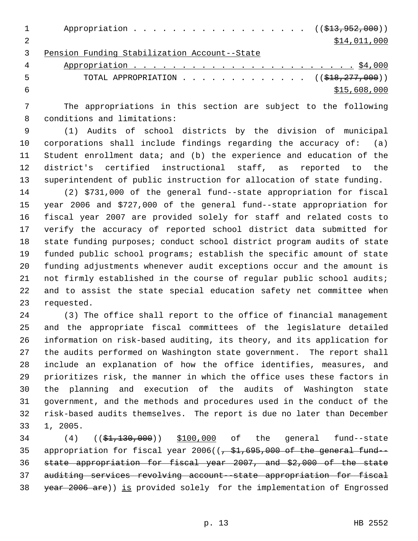| $1 \quad \cdots$ | Appropriation $($ $(\frac{123}{7952}, 960) )$  |              |
|------------------|------------------------------------------------|--------------|
| $\overline{2}$   |                                                | \$14,011,000 |
|                  | 3 Pension Funding Stabilization Account--State |              |

| - 5 | TOTAL APPROPRIATION ( $(\frac{\text{S18}, 277, 000}{\text{F18}, 277, 000})$ ) |
|-----|-------------------------------------------------------------------------------|
|     | \$15,608,000                                                                  |

 The appropriations in this section are subject to the following conditions and limitations:

 (1) Audits of school districts by the division of municipal corporations shall include findings regarding the accuracy of: (a) Student enrollment data; and (b) the experience and education of the district's certified instructional staff, as reported to the superintendent of public instruction for allocation of state funding.

 (2) \$731,000 of the general fund--state appropriation for fiscal year 2006 and \$727,000 of the general fund--state appropriation for fiscal year 2007 are provided solely for staff and related costs to verify the accuracy of reported school district data submitted for state funding purposes; conduct school district program audits of state funded public school programs; establish the specific amount of state funding adjustments whenever audit exceptions occur and the amount is not firmly established in the course of regular public school audits; and to assist the state special education safety net committee when requested.

 (3) The office shall report to the office of financial management and the appropriate fiscal committees of the legislature detailed information on risk-based auditing, its theory, and its application for the audits performed on Washington state government. The report shall include an explanation of how the office identifies, measures, and prioritizes risk, the manner in which the office uses these factors in the planning and execution of the audits of Washington state government, and the methods and procedures used in the conduct of the risk-based audits themselves. The report is due no later than December 1, 2005.

34 (4) ((\$1,130,000)) \$100,000 of the general fund--state 35 appropriation for fiscal year ( $\left(-\frac{1}{2}, 695, 000\right)$  of the general fund-- state appropriation for fiscal year 2007, and \$2,000 of the state auditing services revolving account--state appropriation for fiscal 38 year 2006 are)) is provided solely for the implementation of Engrossed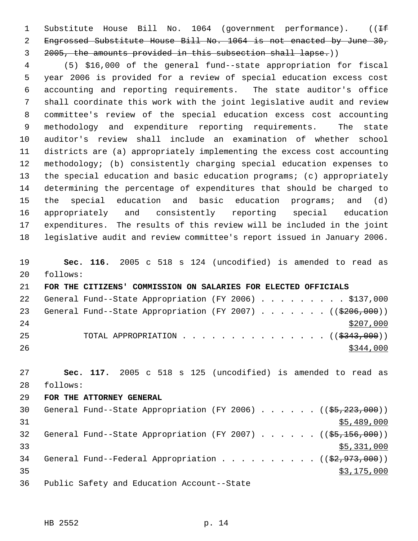1 Substitute House Bill No. 1064 (government performance). ((If Engrossed Substitute House Bill No. 1064 is not enacted by June 30, 2005, the amounts provided in this subsection shall lapse.))

 (5) \$16,000 of the general fund--state appropriation for fiscal year 2006 is provided for a review of special education excess cost accounting and reporting requirements. The state auditor's office shall coordinate this work with the joint legislative audit and review committee's review of the special education excess cost accounting methodology and expenditure reporting requirements. The state auditor's review shall include an examination of whether school districts are (a) appropriately implementing the excess cost accounting methodology; (b) consistently charging special education expenses to the special education and basic education programs; (c) appropriately determining the percentage of expenditures that should be charged to the special education and basic education programs; and (d) appropriately and consistently reporting special education expenditures. The results of this review will be included in the joint legislative audit and review committee's report issued in January 2006.

 **Sec. 116.** 2005 c 518 s 124 (uncodified) is amended to read as follows:

 **FOR THE CITIZENS' COMMISSION ON SALARIES FOR ELECTED OFFICIALS** 22 General Fund--State Appropriation (FY 2006) . . . . . . . . \$137,000 23 General Fund--State Appropriation (FY 2007) . . . . . . ((\$206,000)) 25 TOTAL APPROPRIATION . . . . . . . . . . . . . . . ((\$343,000)) 

 **Sec. 117.** 2005 c 518 s 125 (uncodified) is amended to read as follows:

#### **FOR THE ATTORNEY GENERAL**

30 General Fund--State Appropriation (FY 2006) . . . . . . ((\$5,223,000)) \$5,489,000 32 General Fund--State Appropriation (FY 2007) . . . . . ((\$5,156,000))  $\frac{1}{55}$ , 331, 000 34 General Fund--Federal Appropriation . . . . . . . . . ((\$2,973,000))  $\frac{175,000}{2}$ Public Safety and Education Account--State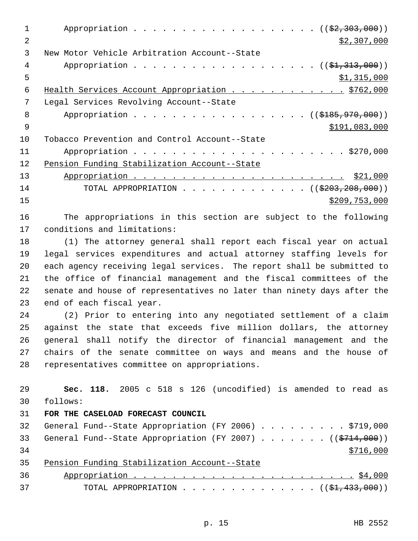1 Appropriation . . . . . . . . . . . . . . . . . (  $(\frac{2}{2}, \frac{303}{100})$  ) 2  $\frac{1}{2}$   $\frac{1}{2}$   $\frac{307}{000}$  New Motor Vehicle Arbitration Account--State 4 Appropriation . . . . . . . . . . . . . . . . . (  $(\frac{21}{21}, \frac{313}{100})$  )  $5 \times 1,315,000$ 6 Health Services Account Appropriation . . . . . . . . . . . \$762,000 Legal Services Revolving Account--State 8 Appropriation . . . . . . . . . . . . . . . . (  $(\frac{18}{3185}, \frac{970}{1000})$  ) \$191,083,000 Tobacco Prevention and Control Account--State Appropriation . . . . . . . . . . . . . . . . . . . . . . \$270,000 Pension Funding Stabilization Account--State Appropriation . . . . . . . . . . . . . . . . . . . . . . \$21,000 14 TOTAL APPROPRIATION . . . . . . . . . . . . ((\$203,208,000)) \$209,753,000

 The appropriations in this section are subject to the following conditions and limitations:

 (1) The attorney general shall report each fiscal year on actual legal services expenditures and actual attorney staffing levels for each agency receiving legal services. The report shall be submitted to the office of financial management and the fiscal committees of the senate and house of representatives no later than ninety days after the end of each fiscal year.

 (2) Prior to entering into any negotiated settlement of a claim against the state that exceeds five million dollars, the attorney general shall notify the director of financial management and the chairs of the senate committee on ways and means and the house of representatives committee on appropriations.

 **Sec. 118.** 2005 c 518 s 126 (uncodified) is amended to read as follows: **FOR THE CASELOAD FORECAST COUNCIL** 32 General Fund--State Appropriation (FY 2006) . . . . . . . . \$719,000 33 General Fund--State Appropriation (FY 2007) . . . . . . ((\$714,000)) Pension Funding Stabilization Account--State Appropriation . . . . . . . . . . . . . . . . . . . . . . . \$4,000 37 TOTAL APPROPRIATION . . . . . . . . . . . . . (  $(\frac{21}{1000})$  )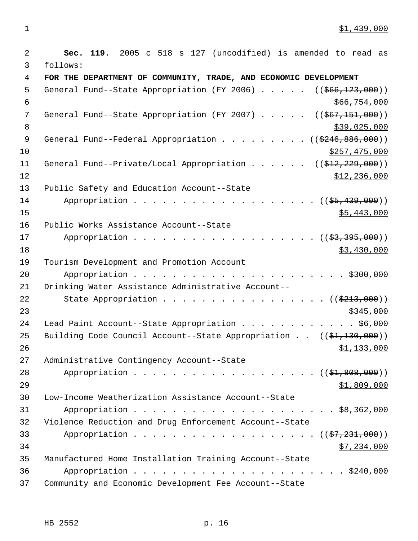1 \$1,439,000

| $\overline{2}$ | Sec. 119. 2005 c 518 s 127 (uncodified) is amended to read as                 |
|----------------|-------------------------------------------------------------------------------|
| 3              | follows:                                                                      |
| 4              | FOR THE DEPARTMENT OF COMMUNITY, TRADE, AND ECONOMIC DEVELOPMENT              |
| 5              | General Fund--State Appropriation (FY 2006) $($ $($ $\frac{666}{123},000)$ )  |
| 6              | \$66,754,000                                                                  |
| 7              | General Fund--State Appropriation (FY 2007) $($ $($ $667, 151, 000)$ )        |
| 8              | \$39,025,000                                                                  |
| 9              | General Fund--Federal Appropriation ( $(\frac{246}{8246}, \frac{886}{100})$ ) |
| 10             | \$257,475,000                                                                 |
| 11             | General Fund--Private/Local Appropriation ( $(\frac{212}{7229}, 000)$ )       |
| 12             | \$12,236,000                                                                  |
| 13             | Public Safety and Education Account--State                                    |
| 14             | Appropriation $($ $(\frac{25}{7}, \frac{439}{100})$                           |
| 15             | \$5,443,000                                                                   |
| 16             | Public Works Assistance Account--State                                        |
| 17             | Appropriation ( (\$3,395,000))                                                |
| 18             | \$3,430,000                                                                   |
| 19             | Tourism Development and Promotion Account                                     |
| 20             |                                                                               |
| 21             | Drinking Water Assistance Administrative Account--                            |
| 22             | State Appropriation $($ $(\frac{2213}{1000}))$                                |
| 23             | \$345,000                                                                     |
| 24             | Lead Paint Account--State Appropriation \$6,000                               |
| 25             | Building Code Council Account--State Appropriation $((\frac{21}{130}, 000))$  |
| 26             | \$1,133,000                                                                   |
| 27             | Administrative Contingency Account--State                                     |
| 28             | Appropriation $($ $(\frac{21}{200}, \frac{200}{200})$                         |
| 29             | \$1,809,000                                                                   |
| 30             | Low-Income Weatherization Assistance Account--State                           |
| 31             |                                                                               |
| 32             | Violence Reduction and Drug Enforcement Account--State                        |
| 33             | Appropriation $($ $(\frac{27}{7231},000))$                                    |
| 34             | \$7,234,000                                                                   |
| 35             | Manufactured Home Installation Training Account--State                        |
| 36             |                                                                               |
| 37             | Community and Economic Development Fee Account--State                         |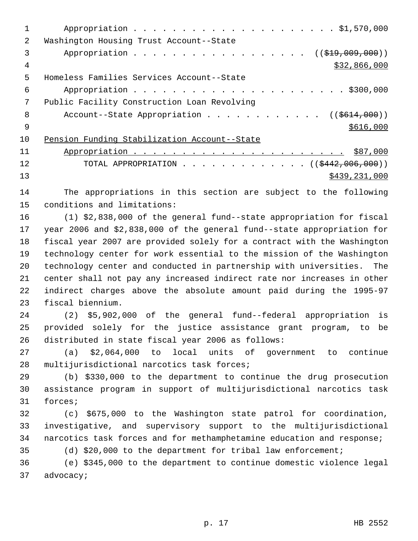| 2  | Washington Housing Trust Account--State               |
|----|-------------------------------------------------------|
| 3  | Appropriation ( $(\frac{219}{100}, 009, 000)$ )       |
| 4  | \$32,866,000                                          |
| 5  | Homeless Families Services Account--State             |
| 6  |                                                       |
|    | Public Facility Construction Loan Revolving           |
| 8  | Account--State Appropriation ( $(\frac{2614}{100})$ ) |
| 9  | \$616,000                                             |
| 10 | Pension Funding Stabilization Account--State          |
| 11 |                                                       |
| 12 | TOTAL APPROPRIATION ( $ ($442,006,000)$ )             |
| 13 | \$439,231,000                                         |

 The appropriations in this section are subject to the following conditions and limitations:

 (1) \$2,838,000 of the general fund--state appropriation for fiscal year 2006 and \$2,838,000 of the general fund--state appropriation for fiscal year 2007 are provided solely for a contract with the Washington technology center for work essential to the mission of the Washington technology center and conducted in partnership with universities. The center shall not pay any increased indirect rate nor increases in other indirect charges above the absolute amount paid during the 1995-97 fiscal biennium.

 (2) \$5,902,000 of the general fund--federal appropriation is provided solely for the justice assistance grant program, to be distributed in state fiscal year 2006 as follows:

 (a) \$2,064,000 to local units of government to continue multijurisdictional narcotics task forces;

 (b) \$330,000 to the department to continue the drug prosecution assistance program in support of multijurisdictional narcotics task forces;

 (c) \$675,000 to the Washington state patrol for coordination, investigative, and supervisory support to the multijurisdictional narcotics task forces and for methamphetamine education and response;

(d) \$20,000 to the department for tribal law enforcement;

 (e) \$345,000 to the department to continue domestic violence legal advocacy;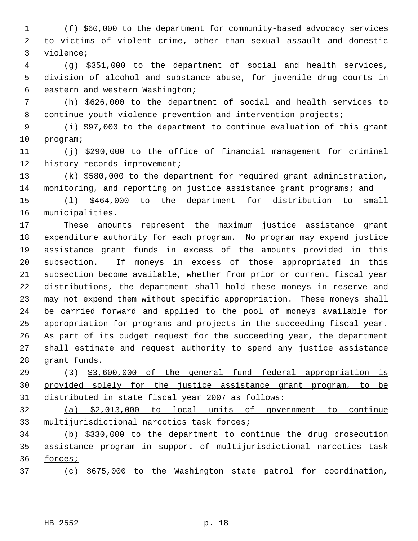(f) \$60,000 to the department for community-based advocacy services to victims of violent crime, other than sexual assault and domestic violence;

 (g) \$351,000 to the department of social and health services, division of alcohol and substance abuse, for juvenile drug courts in eastern and western Washington;

 (h) \$626,000 to the department of social and health services to continue youth violence prevention and intervention projects;

 (i) \$97,000 to the department to continue evaluation of this grant program;

 (j) \$290,000 to the office of financial management for criminal 12 history records improvement;

 (k) \$580,000 to the department for required grant administration, monitoring, and reporting on justice assistance grant programs; and

 (l) \$464,000 to the department for distribution to small municipalities.

 These amounts represent the maximum justice assistance grant expenditure authority for each program. No program may expend justice assistance grant funds in excess of the amounts provided in this subsection. If moneys in excess of those appropriated in this subsection become available, whether from prior or current fiscal year distributions, the department shall hold these moneys in reserve and may not expend them without specific appropriation. These moneys shall be carried forward and applied to the pool of moneys available for appropriation for programs and projects in the succeeding fiscal year. As part of its budget request for the succeeding year, the department shall estimate and request authority to spend any justice assistance grant funds.

 (3) \$3,600,000 of the general fund--federal appropriation is provided solely for the justice assistance grant program, to be distributed in state fiscal year 2007 as follows:

 (a) \$2,013,000 to local units of government to continue 33 multijurisdictional narcotics task forces;

 (b) \$330,000 to the department to continue the drug prosecution assistance program in support of multijurisdictional narcotics task forces;

(c) \$675,000 to the Washington state patrol for coordination,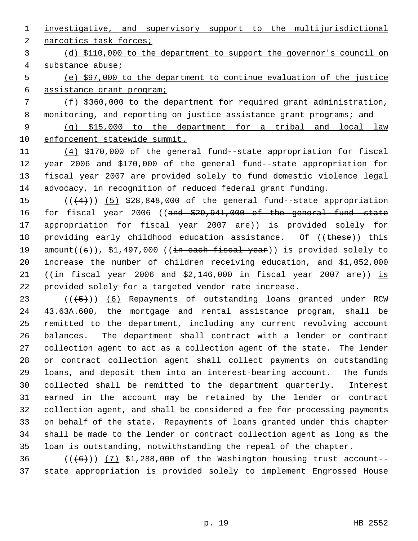investigative, and supervisory support to the multijurisdictional

2 narcotics task forces;

 (d) \$110,000 to the department to support the governor's council on substance abuse;

 (e) \$97,000 to the department to continue evaluation of the justice assistance grant program;

 (f) \$360,000 to the department for required grant administration, 8 monitoring, and reporting on justice assistance grant programs; and (g) \$15,000 to the department for a tribal and local law enforcement statewide summit.

 (4) \$170,000 of the general fund--state appropriation for fiscal year 2006 and \$170,000 of the general fund--state appropriation for fiscal year 2007 are provided solely to fund domestic violence legal advocacy, in recognition of reduced federal grant funding.

15  $((+4))$   $(5)$  \$28,848,000 of the general fund--state appropriation 16 for fiscal year 2006 ((and \$29,941,000 of the general fund-state 17 appropriation for fiscal year 2007 are)) is provided solely for 18 providing early childhood education assistance. Of ((these)) this 19 amount( $(s)$ ), \$1,497,000 ((in each fiscal year)) is provided solely to increase the number of children receiving education, and \$1,052,000 21 ((in fiscal year 2006 and  $$2,146,000$  in fiscal year 2007 are)) is provided solely for a targeted vendor rate increase.

 $((+5))$   $(6)$  Repayments of outstanding loans granted under RCW 43.63A.600, the mortgage and rental assistance program, shall be remitted to the department, including any current revolving account balances. The department shall contract with a lender or contract collection agent to act as a collection agent of the state. The lender or contract collection agent shall collect payments on outstanding loans, and deposit them into an interest-bearing account. The funds collected shall be remitted to the department quarterly. Interest earned in the account may be retained by the lender or contract collection agent, and shall be considered a fee for processing payments on behalf of the state. Repayments of loans granted under this chapter shall be made to the lender or contract collection agent as long as the loan is outstanding, notwithstanding the repeal of the chapter.

 ( $(\overline{(+6)})$ ) (7) \$1,288,000 of the Washington housing trust account--state appropriation is provided solely to implement Engrossed House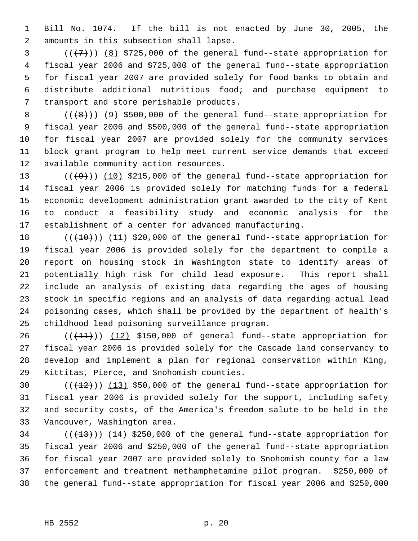Bill No. 1074. If the bill is not enacted by June 30, 2005, the amounts in this subsection shall lapse.

 $((+7)$ )  $(8)$  \$725,000 of the general fund--state appropriation for fiscal year 2006 and \$725,000 of the general fund--state appropriation for fiscal year 2007 are provided solely for food banks to obtain and distribute additional nutritious food; and purchase equipment to transport and store perishable products.

 $((\{8\})$  (9) \$500,000 of the general fund--state appropriation for fiscal year 2006 and \$500,000 of the general fund--state appropriation for fiscal year 2007 are provided solely for the community services block grant program to help meet current service demands that exceed available community action resources.

 $((+9))$   $(10)$  \$215,000 of the general fund--state appropriation for fiscal year 2006 is provided solely for matching funds for a federal economic development administration grant awarded to the city of Kent to conduct a feasibility study and economic analysis for the establishment of a center for advanced manufacturing.

 $((+10))$   $(11)$  \$20,000 of the general fund--state appropriation for fiscal year 2006 is provided solely for the department to compile a report on housing stock in Washington state to identify areas of potentially high risk for child lead exposure. This report shall include an analysis of existing data regarding the ages of housing stock in specific regions and an analysis of data regarding actual lead poisoning cases, which shall be provided by the department of health's childhood lead poisoning surveillance program.

 $((+11))$   $(12)$  \$150,000 of general fund--state appropriation for fiscal year 2006 is provided solely for the Cascade land conservancy to develop and implement a plan for regional conservation within King, Kittitas, Pierce, and Snohomish counties.

 $((+12))$   $(13)$  \$50,000 of the general fund--state appropriation for fiscal year 2006 is provided solely for the support, including safety and security costs, of the America's freedom salute to be held in the Vancouver, Washington area.

 $((+13))$   $(14)$  \$250,000 of the general fund--state appropriation for fiscal year 2006 and \$250,000 of the general fund--state appropriation for fiscal year 2007 are provided solely to Snohomish county for a law enforcement and treatment methamphetamine pilot program. \$250,000 of the general fund--state appropriation for fiscal year 2006 and \$250,000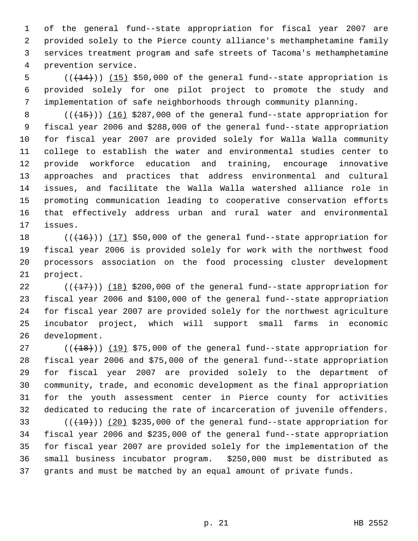of the general fund--state appropriation for fiscal year 2007 are provided solely to the Pierce county alliance's methamphetamine family services treatment program and safe streets of Tacoma's methamphetamine prevention service.

5  $((+14))$   $(15)$  \$50,000 of the general fund--state appropriation is provided solely for one pilot project to promote the study and implementation of safe neighborhoods through community planning.

 $((+15))$   $(16)$  \$287,000 of the general fund--state appropriation for fiscal year 2006 and \$288,000 of the general fund--state appropriation for fiscal year 2007 are provided solely for Walla Walla community college to establish the water and environmental studies center to provide workforce education and training, encourage innovative approaches and practices that address environmental and cultural issues, and facilitate the Walla Walla watershed alliance role in promoting communication leading to cooperative conservation efforts that effectively address urban and rural water and environmental issues.

 $((+16))$  (17) \$50,000 of the general fund--state appropriation for fiscal year 2006 is provided solely for work with the northwest food processors association on the food processing cluster development project.

 $((+17))$   $(18)$  \$200,000 of the general fund--state appropriation for fiscal year 2006 and \$100,000 of the general fund--state appropriation for fiscal year 2007 are provided solely for the northwest agriculture incubator project, which will support small farms in economic development.

 $((+18))$   $(19)$  \$75,000 of the general fund--state appropriation for fiscal year 2006 and \$75,000 of the general fund--state appropriation for fiscal year 2007 are provided solely to the department of community, trade, and economic development as the final appropriation for the youth assessment center in Pierce county for activities dedicated to reducing the rate of incarceration of juvenile offenders.

 $((+19))$   $(20)$  \$235,000 of the general fund--state appropriation for fiscal year 2006 and \$235,000 of the general fund--state appropriation for fiscal year 2007 are provided solely for the implementation of the small business incubator program. \$250,000 must be distributed as grants and must be matched by an equal amount of private funds.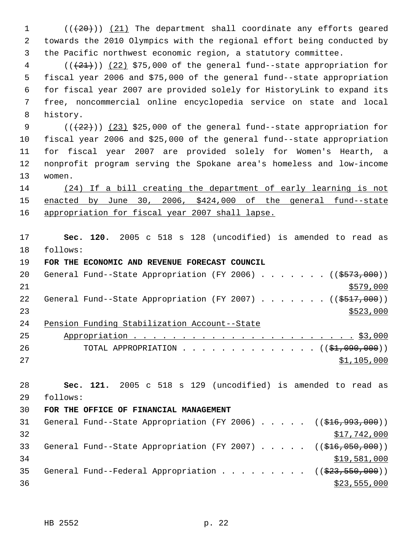$((+20))$   $(21)$  The department shall coordinate any efforts geared towards the 2010 Olympics with the regional effort being conducted by the Pacific northwest economic region, a statutory committee.

 ( $(\frac{21}{2})$ )  $(22)$  \$75,000 of the general fund--state appropriation for fiscal year 2006 and \$75,000 of the general fund--state appropriation for fiscal year 2007 are provided solely for HistoryLink to expand its free, noncommercial online encyclopedia service on state and local history.

 $((+22))$   $(23)$  \$25,000 of the general fund--state appropriation for fiscal year 2006 and \$25,000 of the general fund--state appropriation for fiscal year 2007 are provided solely for Women's Hearth, a nonprofit program serving the Spokane area's homeless and low-income women.

 (24) If a bill creating the department of early learning is not enacted by June 30, 2006, \$424,000 of the general fund--state appropriation for fiscal year 2007 shall lapse.

 **Sec. 120.** 2005 c 518 s 128 (uncodified) is amended to read as follows:

**FOR THE ECONOMIC AND REVENUE FORECAST COUNCIL**

| 20 |  | General Fund--State Appropriation (FY 2006) ( $(\frac{2573}{100})$ ) |  |  |  |  |           |
|----|--|----------------------------------------------------------------------|--|--|--|--|-----------|
| 21 |  |                                                                      |  |  |  |  | \$579,000 |
| 22 |  | General Fund--State Appropriation (FY 2007) ( $(\frac{2517}{100})$ ) |  |  |  |  |           |
| 23 |  |                                                                      |  |  |  |  | \$523,000 |
| 24 |  | Pension Funding Stabilization Account--State                         |  |  |  |  |           |

| 25  |                                             |  |  |  |  |  |  |  |             |  |
|-----|---------------------------------------------|--|--|--|--|--|--|--|-------------|--|
| -26 | TOTAL APPROPRIATION $($ $($ \$1,090,000 $)$ |  |  |  |  |  |  |  |             |  |
| 2.7 |                                             |  |  |  |  |  |  |  | \$1,105,000 |  |

 **Sec. 121.** 2005 c 518 s 129 (uncodified) is amended to read as follows:

## **FOR THE OFFICE OF FINANCIAL MANAGEMENT**

| 31 |  |  |  |  |  | General Fund--State Appropriation (FY 2006) $($ $($ \$16,993,000))           |
|----|--|--|--|--|--|------------------------------------------------------------------------------|
| 32 |  |  |  |  |  | \$17,742,000                                                                 |
| 33 |  |  |  |  |  | General Fund--State Appropriation (FY 2007) $($ $($ $\frac{216}{100})$       |
| 34 |  |  |  |  |  | \$19,581,000                                                                 |
| 35 |  |  |  |  |  | General Fund--Federal Appropriation ( $(\frac{223}{523}, \frac{550}{500})$ ) |
| 36 |  |  |  |  |  | \$23,555,000                                                                 |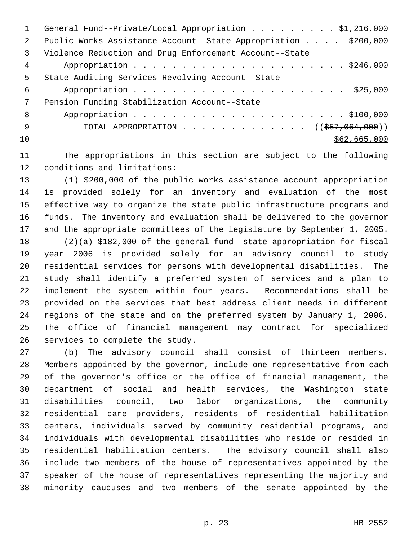|               | General Fund--Private/Local Appropriation \$1,216,000          |
|---------------|----------------------------------------------------------------|
| $\mathcal{L}$ | Public Works Assistance Account--State Appropriation \$200,000 |
| 3             | Violence Reduction and Drug Enforcement Account--State         |
| 4             |                                                                |
| 5             | State Auditing Services Revolving Account--State               |
| 6             |                                                                |
| 7             | Pension Funding Stabilization Account--State                   |
| 8             |                                                                |
| -9            | TOTAL APPROPRIATION $\ldots$ , ( $(\frac{257}{1000})$ )        |
| 10            | \$62,665,000                                                   |
|               |                                                                |

 The appropriations in this section are subject to the following conditions and limitations:

 (1) \$200,000 of the public works assistance account appropriation is provided solely for an inventory and evaluation of the most effective way to organize the state public infrastructure programs and funds. The inventory and evaluation shall be delivered to the governor and the appropriate committees of the legislature by September 1, 2005.

 (2)(a) \$182,000 of the general fund--state appropriation for fiscal year 2006 is provided solely for an advisory council to study residential services for persons with developmental disabilities. The study shall identify a preferred system of services and a plan to implement the system within four years. Recommendations shall be provided on the services that best address client needs in different regions of the state and on the preferred system by January 1, 2006. The office of financial management may contract for specialized services to complete the study.

 (b) The advisory council shall consist of thirteen members. Members appointed by the governor, include one representative from each of the governor's office or the office of financial management, the department of social and health services, the Washington state disabilities council, two labor organizations, the community residential care providers, residents of residential habilitation centers, individuals served by community residential programs, and individuals with developmental disabilities who reside or resided in residential habilitation centers. The advisory council shall also include two members of the house of representatives appointed by the speaker of the house of representatives representing the majority and minority caucuses and two members of the senate appointed by the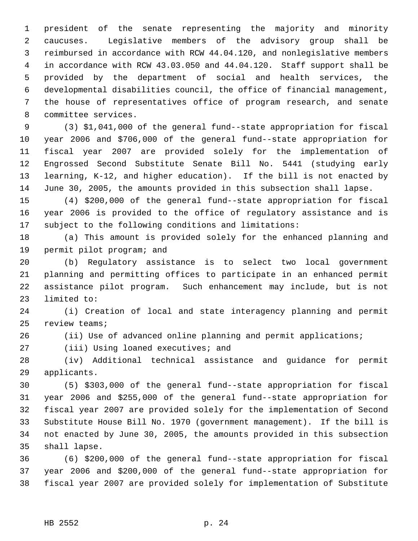president of the senate representing the majority and minority caucuses. Legislative members of the advisory group shall be reimbursed in accordance with RCW 44.04.120, and nonlegislative members in accordance with RCW 43.03.050 and 44.04.120. Staff support shall be provided by the department of social and health services, the developmental disabilities council, the office of financial management, the house of representatives office of program research, and senate committee services.

 (3) \$1,041,000 of the general fund--state appropriation for fiscal year 2006 and \$706,000 of the general fund--state appropriation for fiscal year 2007 are provided solely for the implementation of Engrossed Second Substitute Senate Bill No. 5441 (studying early learning, K-12, and higher education). If the bill is not enacted by June 30, 2005, the amounts provided in this subsection shall lapse.

 (4) \$200,000 of the general fund--state appropriation for fiscal year 2006 is provided to the office of regulatory assistance and is subject to the following conditions and limitations:

 (a) This amount is provided solely for the enhanced planning and permit pilot program; and

 (b) Regulatory assistance is to select two local government planning and permitting offices to participate in an enhanced permit assistance pilot program. Such enhancement may include, but is not limited to:

 (i) Creation of local and state interagency planning and permit review teams;

(ii) Use of advanced online planning and permit applications;

27 (iii) Using loaned executives; and

 (iv) Additional technical assistance and guidance for permit applicants.

 (5) \$303,000 of the general fund--state appropriation for fiscal year 2006 and \$255,000 of the general fund--state appropriation for fiscal year 2007 are provided solely for the implementation of Second Substitute House Bill No. 1970 (government management). If the bill is not enacted by June 30, 2005, the amounts provided in this subsection shall lapse.

 (6) \$200,000 of the general fund--state appropriation for fiscal year 2006 and \$200,000 of the general fund--state appropriation for fiscal year 2007 are provided solely for implementation of Substitute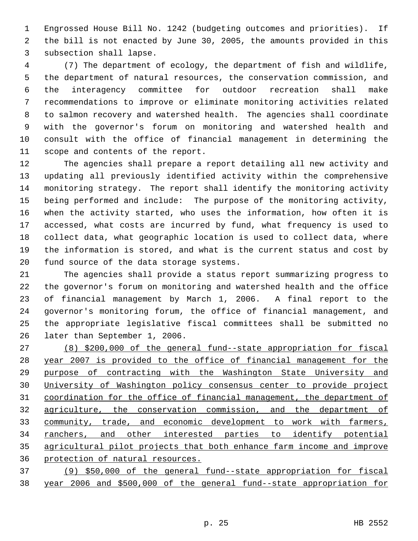Engrossed House Bill No. 1242 (budgeting outcomes and priorities). If the bill is not enacted by June 30, 2005, the amounts provided in this subsection shall lapse.

 (7) The department of ecology, the department of fish and wildlife, the department of natural resources, the conservation commission, and the interagency committee for outdoor recreation shall make recommendations to improve or eliminate monitoring activities related to salmon recovery and watershed health. The agencies shall coordinate with the governor's forum on monitoring and watershed health and consult with the office of financial management in determining the scope and contents of the report.

 The agencies shall prepare a report detailing all new activity and updating all previously identified activity within the comprehensive monitoring strategy. The report shall identify the monitoring activity being performed and include: The purpose of the monitoring activity, when the activity started, who uses the information, how often it is accessed, what costs are incurred by fund, what frequency is used to collect data, what geographic location is used to collect data, where the information is stored, and what is the current status and cost by fund source of the data storage systems.

 The agencies shall provide a status report summarizing progress to the governor's forum on monitoring and watershed health and the office of financial management by March 1, 2006. A final report to the governor's monitoring forum, the office of financial management, and the appropriate legislative fiscal committees shall be submitted no later than September 1, 2006.

 (8) \$200,000 of the general fund--state appropriation for fiscal year 2007 is provided to the office of financial management for the purpose of contracting with the Washington State University and University of Washington policy consensus center to provide project coordination for the office of financial management, the department of agriculture, the conservation commission, and the department of community, trade, and economic development to work with farmers, 34 ranchers, and other interested parties to identify potential agricultural pilot projects that both enhance farm income and improve protection of natural resources.

 (9) \$50,000 of the general fund--state appropriation for fiscal year 2006 and \$500,000 of the general fund--state appropriation for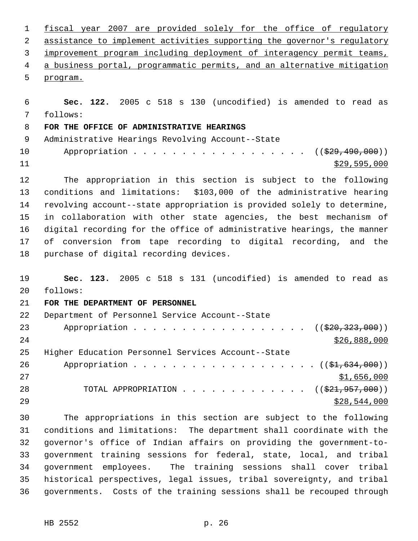fiscal year 2007 are provided solely for the office of regulatory 2 assistance to implement activities supporting the governor's regulatory improvement program including deployment of interagency permit teams, a business portal, programmatic permits, and an alternative mitigation program. **Sec. 122.** 2005 c 518 s 130 (uncodified) is amended to read as follows: **FOR THE OFFICE OF ADMINISTRATIVE HEARINGS** Administrative Hearings Revolving Account--State 10 Appropriation . . . . . . . . . . . . . . . . ((\$29,490,000)) \$29,595,000 The appropriation in this section is subject to the following conditions and limitations: \$103,000 of the administrative hearing revolving account--state appropriation is provided solely to determine, in collaboration with other state agencies, the best mechanism of digital recording for the office of administrative hearings, the manner of conversion from tape recording to digital recording, and the purchase of digital recording devices. **Sec. 123.** 2005 c 518 s 131 (uncodified) is amended to read as follows: **FOR THE DEPARTMENT OF PERSONNEL** Department of Personnel Service Account--State 23 Appropriation . . . . . . . . . . . . . . . . ((\$20,323,000)) \$26,888,000 Higher Education Personnel Services Account--State 26 Appropriation . . . . . . . . . . . . . . . . . (  $(\frac{21}{634}, 634, 000)$  ) \$1,656,000 28 TOTAL APPROPRIATION . . . . . . . . . . . . ((\$21,957,000)) \$28,544,000 The appropriations in this section are subject to the following conditions and limitations: The department shall coordinate with the governor's office of Indian affairs on providing the government-to- government training sessions for federal, state, local, and tribal government employees. The training sessions shall cover tribal historical perspectives, legal issues, tribal sovereignty, and tribal governments. Costs of the training sessions shall be recouped through

HB 2552 p. 26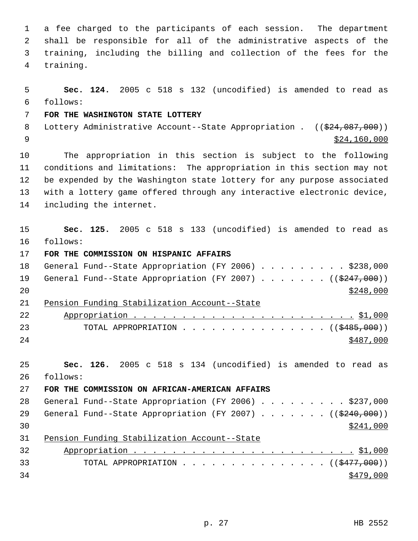a fee charged to the participants of each session. The department shall be responsible for all of the administrative aspects of the training, including the billing and collection of the fees for the training.

 **Sec. 124.** 2005 c 518 s 132 (uncodified) is amended to read as follows: **FOR THE WASHINGTON STATE LOTTERY** 8 Lottery Administrative Account--State Appropriation . ((\$24,087,000))  $\frac{1}{2}$  \$24,160,000 The appropriation in this section is subject to the following conditions and limitations: The appropriation in this section may not be expended by the Washington state lottery for any purpose associated with a lottery game offered through any interactive electronic device, including the internet. **Sec. 125.** 2005 c 518 s 133 (uncodified) is amended to read as follows: **FOR THE COMMISSION ON HISPANIC AFFAIRS**  18 General Fund--State Appropriation (FY 2006) . . . . . . . . \$238,000 19 General Fund--State Appropriation (FY 2007) . . . . . . ((\$247,000)) Pension Funding Stabilization Account--State Appropriation . . . . . . . . . . . . . . . . . . . . . . . \$1,000 23 TOTAL APPROPRIATION . . . . . . . . . . . . . . . ((\$485,000)) **Sec. 126.** 2005 c 518 s 134 (uncodified) is amended to read as follows: **FOR THE COMMISSION ON AFRICAN-AMERICAN AFFAIRS** 28 General Fund--State Appropriation (FY 2006) . . . . . . . . . \$237,000 29 General Fund--State Appropriation (FY 2007) . . . . . . ((\$240,000))  $\frac{$241,000}{ }$  Pension Funding Stabilization Account--State Appropriation . . . . . . . . . . . . . . . . . . . . . . . \$1,000 33 TOTAL APPROPRIATION . . . . . . . . . . . . . . ((<del>\$477,000</del>))  $\frac{$479,000}{9}$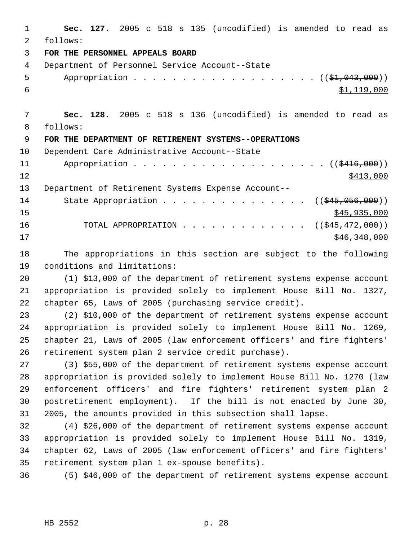**Sec. 127.** 2005 c 518 s 135 (uncodified) is amended to read as follows: **FOR THE PERSONNEL APPEALS BOARD** Department of Personnel Service Account--State 5 Appropriation . . . . . . . . . . . . . . . . . (  $(\frac{1}{2}, 043, 000)$  )  $$1,119,000$  **Sec. 128.** 2005 c 518 s 136 (uncodified) is amended to read as follows: **FOR THE DEPARTMENT OF RETIREMENT SYSTEMS--OPERATIONS** Dependent Care Administrative Account--State 11 Appropriation . . . . . . . . . . . . . . . . . . ((\$416,000))  $12 \frac{\$413,000}{}$  Department of Retirement Systems Expense Account-- 14 State Appropriation . . . . . . . . . . . . . . ((\$45,056,000))  $\frac{$45,935,000}{2}$ 16 TOTAL APPROPRIATION . . . . . . . . . . . . . ((\$45,472,000)) \$46,348,000

 The appropriations in this section are subject to the following conditions and limitations:

 (1) \$13,000 of the department of retirement systems expense account appropriation is provided solely to implement House Bill No. 1327, chapter 65, Laws of 2005 (purchasing service credit).

 (2) \$10,000 of the department of retirement systems expense account appropriation is provided solely to implement House Bill No. 1269, chapter 21, Laws of 2005 (law enforcement officers' and fire fighters' retirement system plan 2 service credit purchase).

 (3) \$55,000 of the department of retirement systems expense account appropriation is provided solely to implement House Bill No. 1270 (law enforcement officers' and fire fighters' retirement system plan 2 postretirement employment). If the bill is not enacted by June 30, 2005, the amounts provided in this subsection shall lapse.

 (4) \$26,000 of the department of retirement systems expense account appropriation is provided solely to implement House Bill No. 1319, chapter 62, Laws of 2005 (law enforcement officers' and fire fighters' retirement system plan 1 ex-spouse benefits).

(5) \$46,000 of the department of retirement systems expense account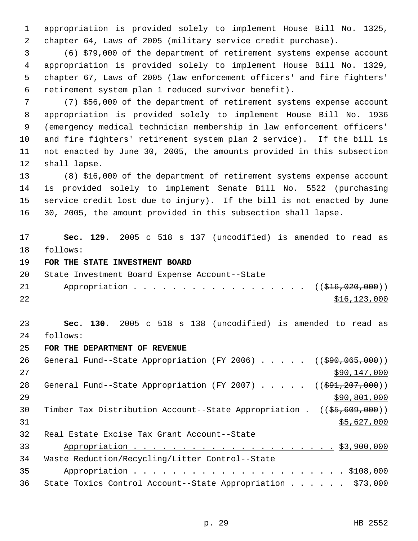appropriation is provided solely to implement House Bill No. 1325, chapter 64, Laws of 2005 (military service credit purchase).

 (6) \$79,000 of the department of retirement systems expense account appropriation is provided solely to implement House Bill No. 1329, chapter 67, Laws of 2005 (law enforcement officers' and fire fighters' retirement system plan 1 reduced survivor benefit).

 (7) \$56,000 of the department of retirement systems expense account appropriation is provided solely to implement House Bill No. 1936 (emergency medical technician membership in law enforcement officers' and fire fighters' retirement system plan 2 service). If the bill is not enacted by June 30, 2005, the amounts provided in this subsection shall lapse.

 (8) \$16,000 of the department of retirement systems expense account is provided solely to implement Senate Bill No. 5522 (purchasing service credit lost due to injury). If the bill is not enacted by June 30, 2005, the amount provided in this subsection shall lapse.

 **Sec. 129.** 2005 c 518 s 137 (uncodified) is amended to read as follows:

**FOR THE STATE INVESTMENT BOARD**

|    | 20 State Investment Board Expense Account--State |              |
|----|--------------------------------------------------|--------------|
|    | 21 Appropriation ((\$16,020,000))                |              |
| 22 |                                                  | \$16,123,000 |

 **Sec. 130.** 2005 c 518 s 138 (uncodified) is amended to read as follows:

**FOR THE DEPARTMENT OF REVENUE**

26 General Fund--State Appropriation (FY 2006) . . . . . ((\$90,065,000)) \$90,147,000 28 General Fund--State Appropriation (FY 2007) . . . . . ((\$91,207,000))  $\frac{$90,801,000}{2}$  Timber Tax Distribution Account--State Appropriation . ((\$5,609,000))  $$5,627,000$  Real Estate Excise Tax Grant Account--State Appropriation . . . . . . . . . . . . . . . . . . . . . \$3,900,000 Waste Reduction/Recycling/Litter Control--State Appropriation . . . . . . . . . . . . . . . . . . . . . . \$108,000

State Toxics Control Account--State Appropriation . . . . . . \$73,000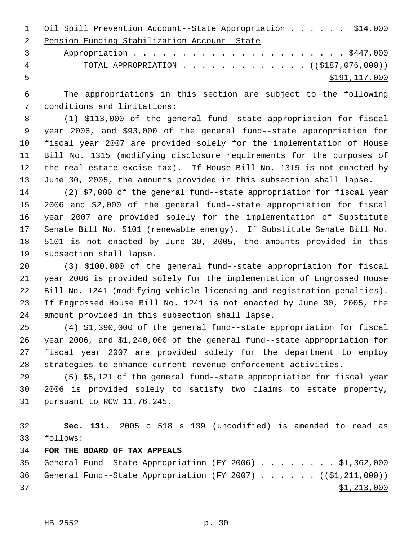Oil Spill Prevention Account--State Appropriation . . . . . . \$14,000 Pension Funding Stabilization Account--State

 Appropriation . . . . . . . . . . . . . . . . . . . . . . \$447,000 4 TOTAL APPROPRIATION . . . . . . . . . . . . ((\$187,076,000)) \$191,117,000

 The appropriations in this section are subject to the following conditions and limitations:

 (1) \$113,000 of the general fund--state appropriation for fiscal year 2006, and \$93,000 of the general fund--state appropriation for fiscal year 2007 are provided solely for the implementation of House Bill No. 1315 (modifying disclosure requirements for the purposes of the real estate excise tax). If House Bill No. 1315 is not enacted by June 30, 2005, the amounts provided in this subsection shall lapse.

 (2) \$7,000 of the general fund--state appropriation for fiscal year 2006 and \$2,000 of the general fund--state appropriation for fiscal year 2007 are provided solely for the implementation of Substitute Senate Bill No. 5101 (renewable energy). If Substitute Senate Bill No. 5101 is not enacted by June 30, 2005, the amounts provided in this subsection shall lapse.

 (3) \$100,000 of the general fund--state appropriation for fiscal year 2006 is provided solely for the implementation of Engrossed House Bill No. 1241 (modifying vehicle licensing and registration penalties). If Engrossed House Bill No. 1241 is not enacted by June 30, 2005, the amount provided in this subsection shall lapse.

 (4) \$1,390,000 of the general fund--state appropriation for fiscal year 2006, and \$1,240,000 of the general fund--state appropriation for fiscal year 2007 are provided solely for the department to employ strategies to enhance current revenue enforcement activities.

 (5) \$5,121 of the general fund--state appropriation for fiscal year 2006 is provided solely to satisfy two claims to estate property, pursuant to RCW 11.76.245.

 **Sec. 131.** 2005 c 518 s 139 (uncodified) is amended to read as follows:

**FOR THE BOARD OF TAX APPEALS**

 General Fund--State Appropriation (FY 2006) . . . . . . . . \$1,362,000 36 General Fund--State Appropriation (FY 2007)  $\ldots$  . . . . ( $(\frac{21}{211},000)$ )  $\frac{1}{21}$ , 213,000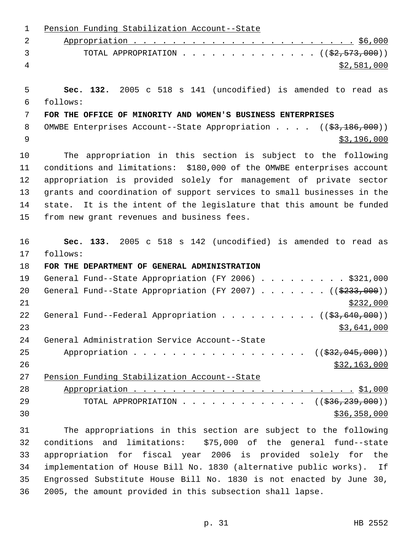| 1  | Pension Funding Stabilization Account--State                            |
|----|-------------------------------------------------------------------------|
| 2  |                                                                         |
| 3  | TOTAL APPROPRIATION $($ $(\frac{2}{2}, 573, 000))$                      |
| 4  | \$2,581,000                                                             |
| 5  | Sec. 132. 2005 c 518 s 141 (uncodified) is amended to read as           |
| 6  | follows:                                                                |
| 7  | FOR THE OFFICE OF MINORITY AND WOMEN'S BUSINESS ENTERPRISES             |
| 8  | OMWBE Enterprises Account--State Appropriation $($ $($ \$3,186,000) $)$ |
| 9  | \$3,196,000                                                             |
| 10 | The appropriation in this section is subject to the following           |
| 11 | conditions and limitations: \$180,000 of the OMWBE enterprises account  |
| 12 | appropriation is provided solely for management of private sector       |
| 13 | grants and coordination of support services to small businesses in the  |
| 14 | state. It is the intent of the legislature that this amount be funded   |
| 15 | from new grant revenues and business fees.                              |
| 16 | Sec. 133. 2005 c 518 s 142 (uncodified) is amended to read as           |
| 17 | follows:                                                                |
| 18 | FOR THE DEPARTMENT OF GENERAL ADMINISTRATION                            |
| 19 | General Fund--State Appropriation (FY 2006) \$321,000                   |
| 20 | General Fund--State Appropriation (FY 2007) ( $(\frac{2333}{100})$ )    |
| 21 | \$232,000                                                               |
| 22 | General Fund--Federal Appropriation $($ $($ \$3,640,000) $)$            |
| 23 | \$3,641,000                                                             |
| 24 | General Administration Service Account--State                           |
| 25 | Appropriation ((\$32,045,000))                                          |
| 26 | \$32,163,000                                                            |
| 27 | Pension Funding Stabilization Account--State                            |
| 28 |                                                                         |
| 29 | TOTAL APPROPRIATION ( $(\frac{236}{236}, \frac{239}{239}, 000)$ )       |
| 30 | \$36,358,000                                                            |
| 31 | The appropriations in this section are subject to the following         |
| 32 | conditions and limitations: \$75,000 of the general fund--state         |
| 33 | appropriation for fiscal year 2006 is provided solely for the           |
| 34 | implementation of House Bill No. 1830 (alternative public works). If    |
| 35 | Engrossed Substitute House Bill No. 1830 is not enacted by June 30,     |
| 36 | 2005, the amount provided in this subsection shall lapse.               |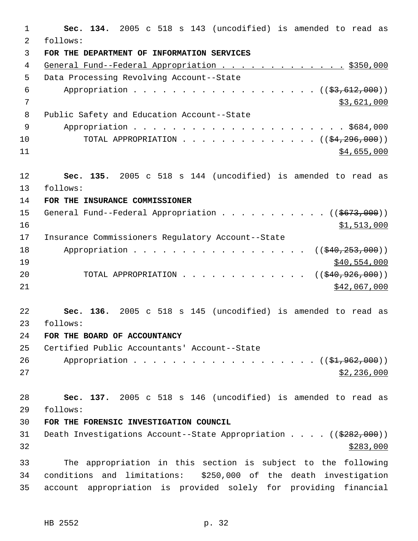**Sec. 134.** 2005 c 518 s 143 (uncodified) is amended to read as follows: **FOR THE DEPARTMENT OF INFORMATION SERVICES** 4 General Fund--Federal Appropriation . . . . . . . . . . . . . \$350,000 Data Processing Revolving Account--State 6 Appropriation . . . . . . . . . . . . . . . . . (  $(\frac{2}{5}, \frac{612}{600})$  ) \$3,621,000 Public Safety and Education Account--State Appropriation . . . . . . . . . . . . . . . . . . . . . . \$684,000 10 TOTAL APPROPRIATION . . . . . . . . . . . . . ((<del>\$4,296,000</del>))  $84,655,000$  **Sec. 135.** 2005 c 518 s 144 (uncodified) is amended to read as follows: **FOR THE INSURANCE COMMISSIONER** 15 General Fund--Federal Appropriation . . . . . . . . . . ((\$673,000))  $\frac{$1,513,000}{2}$  Insurance Commissioners Regulatory Account--State 18 Appropriation . . . . . . . . . . . . . . . . ((\$40,253,000))  $\frac{$40,554,000}{540,554,000}$ 20 TOTAL APPROPRIATION . . . . . . . . . . . . ((\$40,926,000)) \$42,067,000 **Sec. 136.** 2005 c 518 s 145 (uncodified) is amended to read as follows: **FOR THE BOARD OF ACCOUNTANCY** Certified Public Accountants' Account--State 26 Appropriation . . . . . . . . . . . . . . . . . (  $(\frac{21,962,000}{1})$   $$2,236,000$  **Sec. 137.** 2005 c 518 s 146 (uncodified) is amended to read as follows: **FOR THE FORENSIC INVESTIGATION COUNCIL** 31 Death Investigations Account--State Appropriation . . . . ((\$282,000)) The appropriation in this section is subject to the following conditions and limitations: \$250,000 of the death investigation account appropriation is provided solely for providing financial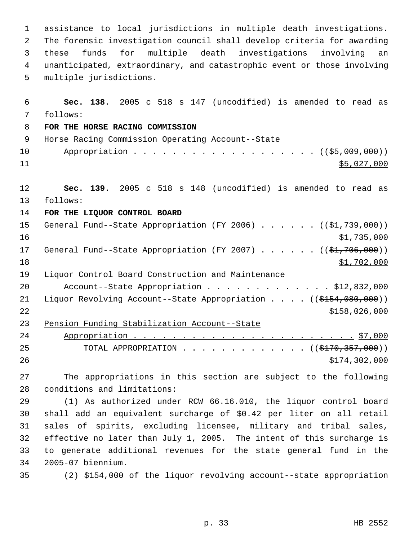assistance to local jurisdictions in multiple death investigations. The forensic investigation council shall develop criteria for awarding these funds for multiple death investigations involving an unanticipated, extraordinary, and catastrophic event or those involving multiple jurisdictions.

 **Sec. 138.** 2005 c 518 s 147 (uncodified) is amended to read as follows: **FOR THE HORSE RACING COMMISSION** Horse Racing Commission Operating Account--State 10 Appropriation . . . . . . . . . . . . . . . . . ((\$5,009,000)) \$5,027,000 **Sec. 139.** 2005 c 518 s 148 (uncodified) is amended to read as follows: **FOR THE LIQUOR CONTROL BOARD** 15 General Fund--State Appropriation (FY 2006) . . . . . . ((\$1,739,000)) \$1,735,000 17 General Fund--State Appropriation (FY 2007) . . . . . . ((\$1,706,000))  $\frac{$1,702,000}{9}$  Liquor Control Board Construction and Maintenance Account--State Appropriation . . . . . . . . . . . . . \$12,832,000 21 Liquor Revolving Account--State Appropriation . . . . ((\$154,080,000)) \$158,026,000 Pension Funding Stabilization Account--State Appropriation . . . . . . . . . . . . . . . . . . . . . . . \$7,000 25 TOTAL APPROPRIATION . . . . . . . . . . . . ((\$<del>170,357,000</del>)) 26 \$174,302,000

 The appropriations in this section are subject to the following conditions and limitations:

 (1) As authorized under RCW 66.16.010, the liquor control board shall add an equivalent surcharge of \$0.42 per liter on all retail sales of spirits, excluding licensee, military and tribal sales, effective no later than July 1, 2005. The intent of this surcharge is to generate additional revenues for the state general fund in the 2005-07 biennium.

(2) \$154,000 of the liquor revolving account--state appropriation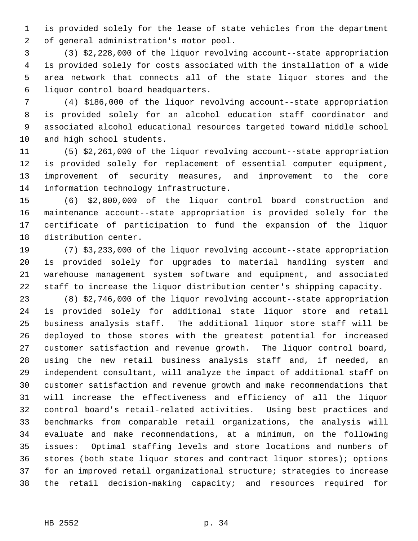is provided solely for the lease of state vehicles from the department of general administration's motor pool.

 (3) \$2,228,000 of the liquor revolving account--state appropriation is provided solely for costs associated with the installation of a wide area network that connects all of the state liquor stores and the liquor control board headquarters.

 (4) \$186,000 of the liquor revolving account--state appropriation is provided solely for an alcohol education staff coordinator and associated alcohol educational resources targeted toward middle school and high school students.

 (5) \$2,261,000 of the liquor revolving account--state appropriation is provided solely for replacement of essential computer equipment, improvement of security measures, and improvement to the core information technology infrastructure.

 (6) \$2,800,000 of the liquor control board construction and maintenance account--state appropriation is provided solely for the certificate of participation to fund the expansion of the liquor distribution center.

 (7) \$3,233,000 of the liquor revolving account--state appropriation is provided solely for upgrades to material handling system and warehouse management system software and equipment, and associated staff to increase the liquor distribution center's shipping capacity.

 (8) \$2,746,000 of the liquor revolving account--state appropriation is provided solely for additional state liquor store and retail business analysis staff. The additional liquor store staff will be deployed to those stores with the greatest potential for increased customer satisfaction and revenue growth. The liquor control board, using the new retail business analysis staff and, if needed, an independent consultant, will analyze the impact of additional staff on customer satisfaction and revenue growth and make recommendations that will increase the effectiveness and efficiency of all the liquor control board's retail-related activities. Using best practices and benchmarks from comparable retail organizations, the analysis will evaluate and make recommendations, at a minimum, on the following issues: Optimal staffing levels and store locations and numbers of stores (both state liquor stores and contract liquor stores); options for an improved retail organizational structure; strategies to increase the retail decision-making capacity; and resources required for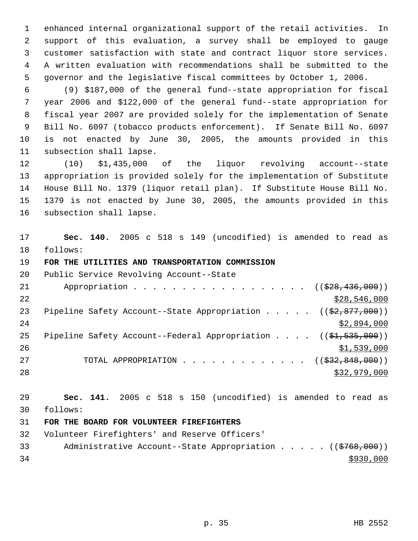enhanced internal organizational support of the retail activities. In support of this evaluation, a survey shall be employed to gauge customer satisfaction with state and contract liquor store services. A written evaluation with recommendations shall be submitted to the governor and the legislative fiscal committees by October 1, 2006.

 (9) \$187,000 of the general fund--state appropriation for fiscal year 2006 and \$122,000 of the general fund--state appropriation for fiscal year 2007 are provided solely for the implementation of Senate Bill No. 6097 (tobacco products enforcement). If Senate Bill No. 6097 is not enacted by June 30, 2005, the amounts provided in this subsection shall lapse.

 (10) \$1,435,000 of the liquor revolving account--state appropriation is provided solely for the implementation of Substitute House Bill No. 1379 (liquor retail plan). If Substitute House Bill No. 1379 is not enacted by June 30, 2005, the amounts provided in this subsection shall lapse.

 **Sec. 140.** 2005 c 518 s 149 (uncodified) is amended to read as follows:

#### **FOR THE UTILITIES AND TRANSPORTATION COMMISSION**

| 20 | Public Service Revolving Account--State                                                      |
|----|----------------------------------------------------------------------------------------------|
| 21 | Appropriation ( $(\frac{228}{728}, \frac{436}{100})$ )                                       |
| 22 | \$28,546,000                                                                                 |
| 23 | Pipeline Safety Account--State Appropriation $($ $($ \$2,877,000))                           |
| 24 | \$2,894,000                                                                                  |
| 25 | Pipeline Safety Account--Federal Appropriation $($ $($ $\frac{1}{21}$ , $\frac{535}{100}$ )) |
| 26 | \$1,539,000                                                                                  |
| 27 | TOTAL APPROPRIATION $\ldots$ , ( $(\frac{232}{632}, \frac{848}{600})$ )                      |
| 28 | \$32,979,000                                                                                 |

 **Sec. 141.** 2005 c 518 s 150 (uncodified) is amended to read as follows:

#### **FOR THE BOARD FOR VOLUNTEER FIREFIGHTERS**

Volunteer Firefighters' and Reserve Officers'

33 Administrative Account--State Appropriation . . . . . ((\$768,000))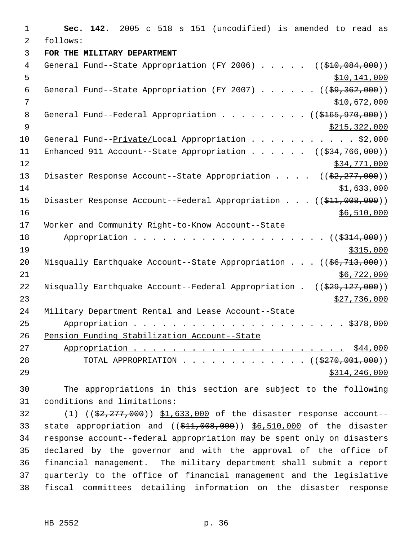1 **Sec. 142.** 2005 c 518 s 151 (uncodified) is amended to read as 2 follows: 3 **FOR THE MILITARY DEPARTMENT** 4 General Fund--State Appropriation (FY 2006) . . . . . ((\$10,084,000))  $5$  \$10,141,000 6 General Fund--State Appropriation (FY 2007) . . . . . . ((\$9,362,000)) 7 \$10,672,000 8 General Fund--Federal Appropriation . . . . . . . . ((\$165,970,000))  $\frac{1}{2}$   $\frac{1}{2}$   $\frac{1}{2}$   $\frac{1}{2}$   $\frac{1}{2}$   $\frac{1}{2}$   $\frac{1}{2}$   $\frac{1}{2}$   $\frac{1}{2}$   $\frac{1}{2}$   $\frac{1}{2}$   $\frac{1}{2}$   $\frac{1}{2}$   $\frac{1}{2}$   $\frac{1}{2}$   $\frac{1}{2}$   $\frac{1}{2}$   $\frac{1}{2}$   $\frac{1}{2}$   $\frac{1}{2}$   $\frac{1}{2}$   $\frac{1}{2}$  10 General Fund--Private/Local Appropriation . . . . . . . . . . \$2,000 11 Enhanced 911 Account--State Appropriation . . . . . ((\$34,766,000))  $12$  \$34,771,000 13 Disaster Response Account--State Appropriation . . . . ((\$2,277,000))  $14$  \$1,633,000 15 Disaster Response Account--Federal Appropriation . . . ((\$11,008,000))  $16$   $\frac{$6,510,000}{ }$ 17 Worker and Community Right-to-Know Account--State 18 Appropriation . . . . . . . . . . . . . . . . . . ((\$314,000))  $19$  \$315,000 20 Nisqually Earthquake Account--State Appropriation . . . ((\$6,713,000))  $21$  \$6,722,000 22 Nisqually Earthquake Account--Federal Appropriation . ((\$29,127,000))  $\frac{1}{23}$   $\frac{1}{27}$ , 736, 000 24 Military Department Rental and Lease Account--State 25 Appropriation . . . . . . . . . . . . . . . . . . . . . . \$378,000 26 Pension Funding Stabilization Account--State 27 Appropriation . . . . . . . . . . . . . . . . . . . . . . \$44,000 28 TOTAL APPROPRIATION . . . . . . . . . . . . . ((\$270,001,000)) 29 \$314,246,000

30 The appropriations in this section are subject to the following 31 conditions and limitations:

32 (1) ((\$2,277,000)) \$1,633,000 of the disaster response account--33 state appropriation and ((\$11,008,000)) \$6,510,000 of the disaster response account--federal appropriation may be spent only on disasters declared by the governor and with the approval of the office of financial management. The military department shall submit a report quarterly to the office of financial management and the legislative fiscal committees detailing information on the disaster response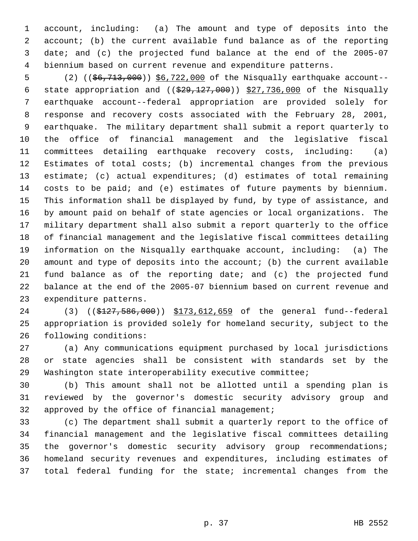account, including: (a) The amount and type of deposits into the account; (b) the current available fund balance as of the reporting date; and (c) the projected fund balance at the end of the 2005-07 biennium based on current revenue and expenditure patterns.

 (2) ((\$6,713,000)) \$6,722,000 of the Nisqually earthquake account-- 6 state appropriation and  $((\$29,127,000))$   $\$27,736,000$  of the Nisqually earthquake account--federal appropriation are provided solely for response and recovery costs associated with the February 28, 2001, earthquake. The military department shall submit a report quarterly to the office of financial management and the legislative fiscal committees detailing earthquake recovery costs, including: (a) Estimates of total costs; (b) incremental changes from the previous estimate; (c) actual expenditures; (d) estimates of total remaining costs to be paid; and (e) estimates of future payments by biennium. This information shall be displayed by fund, by type of assistance, and by amount paid on behalf of state agencies or local organizations. The military department shall also submit a report quarterly to the office of financial management and the legislative fiscal committees detailing information on the Nisqually earthquake account, including: (a) The 20 amount and type of deposits into the account; (b) the current available fund balance as of the reporting date; and (c) the projected fund balance at the end of the 2005-07 biennium based on current revenue and expenditure patterns.

24 (3) ((\$127,586,000)) \$173,612,659 of the general fund--federal appropriation is provided solely for homeland security, subject to the following conditions:

 (a) Any communications equipment purchased by local jurisdictions or state agencies shall be consistent with standards set by the Washington state interoperability executive committee;

 (b) This amount shall not be allotted until a spending plan is reviewed by the governor's domestic security advisory group and approved by the office of financial management;

 (c) The department shall submit a quarterly report to the office of financial management and the legislative fiscal committees detailing the governor's domestic security advisory group recommendations; homeland security revenues and expenditures, including estimates of total federal funding for the state; incremental changes from the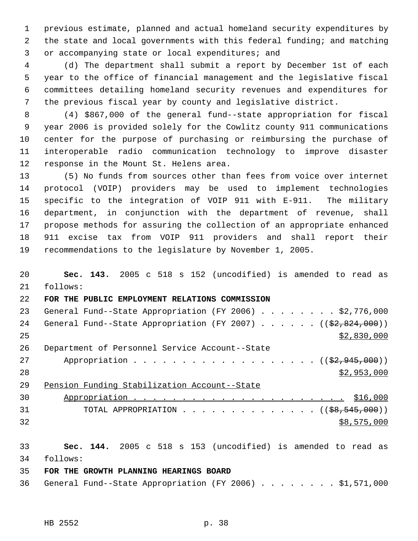previous estimate, planned and actual homeland security expenditures by the state and local governments with this federal funding; and matching or accompanying state or local expenditures; and

 (d) The department shall submit a report by December 1st of each year to the office of financial management and the legislative fiscal committees detailing homeland security revenues and expenditures for the previous fiscal year by county and legislative district.

 (4) \$867,000 of the general fund--state appropriation for fiscal year 2006 is provided solely for the Cowlitz county 911 communications center for the purpose of purchasing or reimbursing the purchase of interoperable radio communication technology to improve disaster response in the Mount St. Helens area.

 (5) No funds from sources other than fees from voice over internet protocol (VOIP) providers may be used to implement technologies specific to the integration of VOIP 911 with E-911. The military department, in conjunction with the department of revenue, shall propose methods for assuring the collection of an appropriate enhanced 911 excise tax from VOIP 911 providers and shall report their recommendations to the legislature by November 1, 2005.

 **Sec. 143.** 2005 c 518 s 152 (uncodified) is amended to read as follows: **FOR THE PUBLIC EMPLOYMENT RELATIONS COMMISSION** 23 General Fund--State Appropriation (FY 2006) . . . . . . . . \$2,776,000 24 General Fund--State Appropriation (FY 2007) . . . . . . ((\$2,824,000)) \$2,830,000 Department of Personnel Service Account--State 27 Appropriation . . . . . . . . . . . . . . . . . (  $(\frac{2}{2}, 945, 000)$  )  $$2,953,000$  Pension Funding Stabilization Account--State Appropriation . . . . . . . . . . . . . . . . . . . . . . \$16,000 31 TOTAL APPROPRIATION . . . . . . . . . . . . . ((<del>\$8,545,000</del>)) \$8,575,000 **Sec. 144.** 2005 c 518 s 153 (uncodified) is amended to read as follows: **FOR THE GROWTH PLANNING HEARINGS BOARD** General Fund--State Appropriation (FY 2006) . . . . . . . . \$1,571,000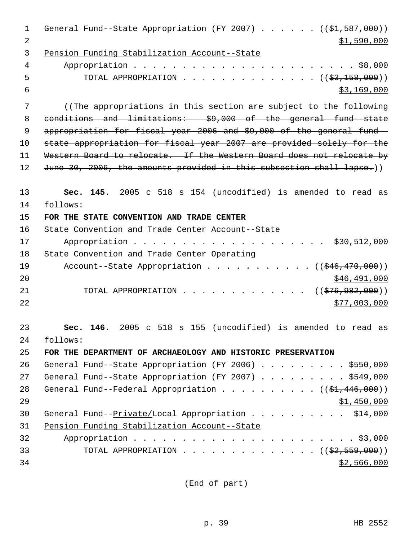| 1              | General Fund--State Appropriation (FY 2007) ( $(\frac{1}{2}, 587, 000)$ ) |
|----------------|---------------------------------------------------------------------------|
| $\overline{2}$ | \$1,590,000                                                               |
| 3              | Pension Funding Stabilization Account--State                              |
| 4              |                                                                           |
| 5              | TOTAL APPROPRIATION ( $(\frac{23}{158}, 000)$ )                           |
| 6              | \$3,169,000                                                               |
| 7              | ((The appropriations in this section are subject to the following         |
| 8              | conditions and limitations: \$9,000 of the general fund-state             |
| $\mathsf 9$    | appropriation for fiscal year 2006 and \$9,000 of the general fund-       |
| 10             | state appropriation for fiscal year 2007 are provided solely for the      |
| 11             | Western Board to relocate. If the Western Board does not relocate by      |
| 12             | June 30, 2006, the amounts provided in this subsection shall lapse.))     |
| 13             | Sec. 145. 2005 c 518 s 154 (uncodified) is amended to read as             |
| 14             | follows:                                                                  |
| 15             | FOR THE STATE CONVENTION AND TRADE CENTER                                 |
| 16             | State Convention and Trade Center Account--State                          |
| 17             | Appropriation \$30,512,000                                                |
| 18             | State Convention and Trade Center Operating                               |
| 19             | Account--State Appropriation $($ $($ $\frac{246}{170}$ , 000))            |
| 20             | \$46,491,000                                                              |
| 21             | TOTAL APPROPRIATION ( $(\frac{276}{992}, 900)$ )                          |
| 22             | \$77,003,000                                                              |
| 23             | 146. 2005 c 518 s 155 (uncodified) is amended to read as<br>Sec.          |
| 24             | follows:                                                                  |
| 25             | FOR THE DEPARTMENT OF ARCHAEOLOGY AND HISTORIC PRESERVATION               |
| 26             | General Fund--State Appropriation (FY 2006) \$550,000                     |
| 27             | General Fund--State Appropriation (FY 2007) \$549,000                     |
| 28             | General Fund--Federal Appropriation $($ $($ \$1,446,000) $)$              |
| 29             | \$1,450,000                                                               |
| 30             | General Fund--Private/Local Appropriation \$14,000                        |
| 31             | Pension Funding Stabilization Account--State                              |
| 32             |                                                                           |
| 33             | TOTAL APPROPRIATION ( $(\frac{2}{2}, 559, 000)$ )                         |
| 34             | \$2,566,000                                                               |
|                |                                                                           |

(End of part)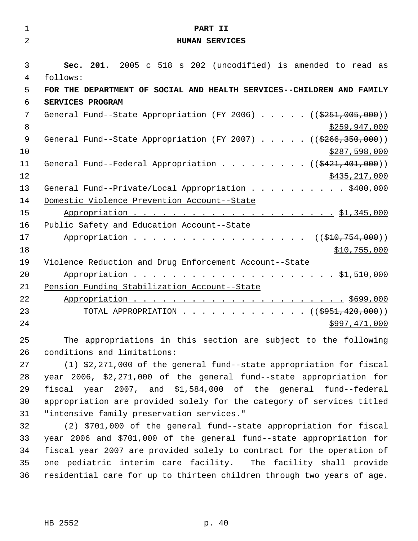| $\mathbf 1$    | PART II                                                                        |
|----------------|--------------------------------------------------------------------------------|
| 2              | <b>HUMAN SERVICES</b>                                                          |
|                |                                                                                |
| 3              | Sec. 201. 2005 c 518 s 202 (uncodified) is amended to read as                  |
| 4              | follows:                                                                       |
| 5              | FOR THE DEPARTMENT OF SOCIAL AND HEALTH SERVICES--CHILDREN AND FAMILY          |
| 6              | SERVICES PROGRAM                                                               |
| 7              | General Fund--State Appropriation (FY 2006) $($ $($ \$251,005,000))            |
| 8              | \$259,947,000                                                                  |
| $\overline{9}$ | General Fund--State Appropriation (FY 2007) $($ $($ $\frac{2066}{350}$ , 000)) |
| 10             | \$287,598,000                                                                  |
| 11             | General Fund--Federal Appropriation ( $(\frac{121.401.000}{100.000})$ )        |
| 12             | \$435,217,000                                                                  |
| 13             | General Fund--Private/Local Appropriation \$400,000                            |
| 14             | Domestic Violence Prevention Account--State                                    |
| 15             |                                                                                |
| 16             | Public Safety and Education Account--State                                     |
| 17             | Appropriation ( $(\frac{1}{210}, 754, 000)$ )                                  |
| 18             | \$10,755,000                                                                   |
| 19             | Violence Reduction and Drug Enforcement Account--State                         |
| 20             |                                                                                |
| 21             | Pension Funding Stabilization Account--State                                   |
| 22             |                                                                                |
| 23             | TOTAL APPROPRIATION $\ldots$ , ( $(\frac{2951}{120}, 000)$ )                   |
| 24             | \$997,471,000                                                                  |
|                |                                                                                |

 The appropriations in this section are subject to the following conditions and limitations:

 (1) \$2,271,000 of the general fund--state appropriation for fiscal year 2006, \$2,271,000 of the general fund--state appropriation for fiscal year 2007, and \$1,584,000 of the general fund--federal appropriation are provided solely for the category of services titled "intensive family preservation services."

 (2) \$701,000 of the general fund--state appropriation for fiscal year 2006 and \$701,000 of the general fund--state appropriation for fiscal year 2007 are provided solely to contract for the operation of one pediatric interim care facility. The facility shall provide residential care for up to thirteen children through two years of age.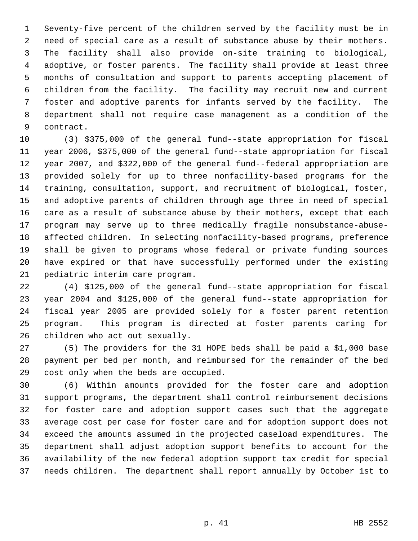Seventy-five percent of the children served by the facility must be in need of special care as a result of substance abuse by their mothers. The facility shall also provide on-site training to biological, adoptive, or foster parents. The facility shall provide at least three months of consultation and support to parents accepting placement of children from the facility. The facility may recruit new and current foster and adoptive parents for infants served by the facility. The department shall not require case management as a condition of the contract.

 (3) \$375,000 of the general fund--state appropriation for fiscal year 2006, \$375,000 of the general fund--state appropriation for fiscal year 2007, and \$322,000 of the general fund--federal appropriation are provided solely for up to three nonfacility-based programs for the training, consultation, support, and recruitment of biological, foster, and adoptive parents of children through age three in need of special care as a result of substance abuse by their mothers, except that each program may serve up to three medically fragile nonsubstance-abuse- affected children. In selecting nonfacility-based programs, preference shall be given to programs whose federal or private funding sources have expired or that have successfully performed under the existing pediatric interim care program.

 (4) \$125,000 of the general fund--state appropriation for fiscal year 2004 and \$125,000 of the general fund--state appropriation for fiscal year 2005 are provided solely for a foster parent retention program. This program is directed at foster parents caring for children who act out sexually.

 (5) The providers for the 31 HOPE beds shall be paid a \$1,000 base payment per bed per month, and reimbursed for the remainder of the bed cost only when the beds are occupied.

 (6) Within amounts provided for the foster care and adoption support programs, the department shall control reimbursement decisions for foster care and adoption support cases such that the aggregate average cost per case for foster care and for adoption support does not exceed the amounts assumed in the projected caseload expenditures. The department shall adjust adoption support benefits to account for the availability of the new federal adoption support tax credit for special needs children. The department shall report annually by October 1st to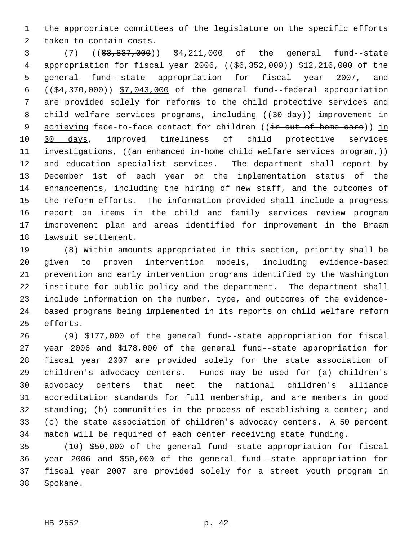the appropriate committees of the legislature on the specific efforts taken to contain costs.

3 (7) ((\$3,837,000)) \$4,211,000 of the general fund--state 4 appropriation for fiscal year 2006, ((\$6,352,000)) \$12,216,000 of the general fund--state appropriation for fiscal year 2007, and  $((\frac{24}{370},\frac{370}{100})$   $\frac{57,043,000}{100}$  of the general fund--federal appropriation are provided solely for reforms to the child protective services and 8 child welfare services programs, including ((30-day)) improvement in 9 achieving face-to-face contact for children ((in out-of-home care)) in 30 days, improved timeliness of child protective services 11 investigations, ((an enhanced in-home child welfare services program,)) and education specialist services. The department shall report by December 1st of each year on the implementation status of the enhancements, including the hiring of new staff, and the outcomes of the reform efforts. The information provided shall include a progress report on items in the child and family services review program improvement plan and areas identified for improvement in the Braam lawsuit settlement.

 (8) Within amounts appropriated in this section, priority shall be given to proven intervention models, including evidence-based prevention and early intervention programs identified by the Washington institute for public policy and the department. The department shall include information on the number, type, and outcomes of the evidence- based programs being implemented in its reports on child welfare reform efforts.

 (9) \$177,000 of the general fund--state appropriation for fiscal year 2006 and \$178,000 of the general fund--state appropriation for fiscal year 2007 are provided solely for the state association of children's advocacy centers. Funds may be used for (a) children's advocacy centers that meet the national children's alliance accreditation standards for full membership, and are members in good standing; (b) communities in the process of establishing a center; and (c) the state association of children's advocacy centers. A 50 percent match will be required of each center receiving state funding.

 (10) \$50,000 of the general fund--state appropriation for fiscal year 2006 and \$50,000 of the general fund--state appropriation for fiscal year 2007 are provided solely for a street youth program in Spokane.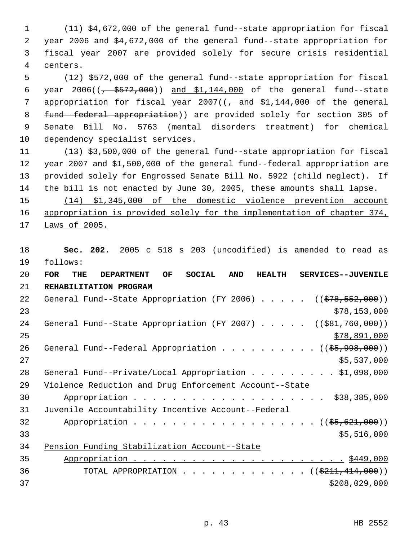(11) \$4,672,000 of the general fund--state appropriation for fiscal year 2006 and \$4,672,000 of the general fund--state appropriation for fiscal year 2007 are provided solely for secure crisis residential centers.

 (12) \$572,000 of the general fund--state appropriation for fiscal 6 year  $2006((\frac{1}{6} + \frac{2572}{600}))$  and  $\frac{1144,000}{600}$  of the general fund--state 7 appropriation for fiscal year ( $\sqrt{2}$  and  $$1,144,000$  of the general fund--federal appropriation)) are provided solely for section 305 of Senate Bill No. 5763 (mental disorders treatment) for chemical dependency specialist services.

 (13) \$3,500,000 of the general fund--state appropriation for fiscal year 2007 and \$1,500,000 of the general fund--federal appropriation are provided solely for Engrossed Senate Bill No. 5922 (child neglect). If the bill is not enacted by June 30, 2005, these amounts shall lapse.

 (14) \$1,345,000 of the domestic violence prevention account 16 appropriation is provided solely for the implementation of chapter 374, Laws of 2005.

 **Sec. 202.** 2005 c 518 s 203 (uncodified) is amended to read as follows:

| 20 | <b>FOR</b><br>THE | <b>DEPARTMENT</b>                                      | OF | <b>SOCIAL</b> | <b>AND</b> | <b>HEALTH</b> | SERVICES--JUVENILE                                                   |
|----|-------------------|--------------------------------------------------------|----|---------------|------------|---------------|----------------------------------------------------------------------|
| 21 |                   | REHABILITATION PROGRAM                                 |    |               |            |               |                                                                      |
| 22 |                   |                                                        |    |               |            |               | General Fund--State Appropriation (FY 2006) $($ $($ $$78,552,000)$ ) |
| 23 |                   |                                                        |    |               |            |               | \$78,153,000                                                         |
| 24 |                   |                                                        |    |               |            |               | General Fund--State Appropriation (FY 2007) $($ $($ \$81,760,000))   |
| 25 |                   |                                                        |    |               |            |               | \$78,891,000                                                         |
| 26 |                   |                                                        |    |               |            |               | General Fund--Federal Appropriation ((\$5,998,000))                  |
| 27 |                   |                                                        |    |               |            |               | \$5,537,000                                                          |
| 28 |                   |                                                        |    |               |            |               | General Fund--Private/Local Appropriation \$1,098,000                |
| 29 |                   | Violence Reduction and Drug Enforcement Account--State |    |               |            |               |                                                                      |
| 30 |                   |                                                        |    |               |            |               | \$38,385,000                                                         |
| 31 |                   | Juvenile Accountability Incentive Account--Federal     |    |               |            |               |                                                                      |
| 32 |                   |                                                        |    |               |            |               | Appropriation ((\$5,621,000))                                        |
| 33 |                   |                                                        |    |               |            |               | \$5,516,000                                                          |
| 34 |                   | Pension Funding Stabilization Account--State           |    |               |            |               |                                                                      |
| 35 |                   |                                                        |    |               |            |               |                                                                      |
| 36 |                   |                                                        |    |               |            |               | TOTAL APPROPRIATION ( $(\frac{211}{141000})$ )                       |
| 37 |                   |                                                        |    |               |            |               | \$208,029,000                                                        |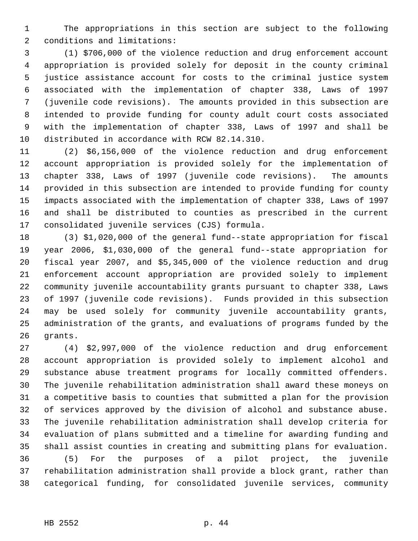The appropriations in this section are subject to the following conditions and limitations:

 (1) \$706,000 of the violence reduction and drug enforcement account appropriation is provided solely for deposit in the county criminal justice assistance account for costs to the criminal justice system associated with the implementation of chapter 338, Laws of 1997 (juvenile code revisions). The amounts provided in this subsection are intended to provide funding for county adult court costs associated with the implementation of chapter 338, Laws of 1997 and shall be distributed in accordance with RCW 82.14.310.

 (2) \$6,156,000 of the violence reduction and drug enforcement account appropriation is provided solely for the implementation of chapter 338, Laws of 1997 (juvenile code revisions). The amounts provided in this subsection are intended to provide funding for county impacts associated with the implementation of chapter 338, Laws of 1997 and shall be distributed to counties as prescribed in the current consolidated juvenile services (CJS) formula.

 (3) \$1,020,000 of the general fund--state appropriation for fiscal year 2006, \$1,030,000 of the general fund--state appropriation for fiscal year 2007, and \$5,345,000 of the violence reduction and drug enforcement account appropriation are provided solely to implement community juvenile accountability grants pursuant to chapter 338, Laws of 1997 (juvenile code revisions). Funds provided in this subsection may be used solely for community juvenile accountability grants, administration of the grants, and evaluations of programs funded by the grants.

 (4) \$2,997,000 of the violence reduction and drug enforcement account appropriation is provided solely to implement alcohol and substance abuse treatment programs for locally committed offenders. The juvenile rehabilitation administration shall award these moneys on a competitive basis to counties that submitted a plan for the provision of services approved by the division of alcohol and substance abuse. The juvenile rehabilitation administration shall develop criteria for evaluation of plans submitted and a timeline for awarding funding and shall assist counties in creating and submitting plans for evaluation. (5) For the purposes of a pilot project, the juvenile rehabilitation administration shall provide a block grant, rather than categorical funding, for consolidated juvenile services, community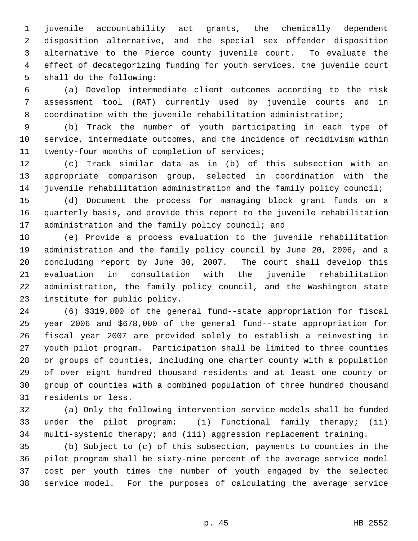juvenile accountability act grants, the chemically dependent disposition alternative, and the special sex offender disposition alternative to the Pierce county juvenile court. To evaluate the effect of decategorizing funding for youth services, the juvenile court shall do the following:

 (a) Develop intermediate client outcomes according to the risk assessment tool (RAT) currently used by juvenile courts and in coordination with the juvenile rehabilitation administration;

 (b) Track the number of youth participating in each type of service, intermediate outcomes, and the incidence of recidivism within twenty-four months of completion of services;

 (c) Track similar data as in (b) of this subsection with an appropriate comparison group, selected in coordination with the juvenile rehabilitation administration and the family policy council;

 (d) Document the process for managing block grant funds on a quarterly basis, and provide this report to the juvenile rehabilitation 17 administration and the family policy council; and

 (e) Provide a process evaluation to the juvenile rehabilitation administration and the family policy council by June 20, 2006, and a concluding report by June 30, 2007. The court shall develop this evaluation in consultation with the juvenile rehabilitation administration, the family policy council, and the Washington state institute for public policy.

 (6) \$319,000 of the general fund--state appropriation for fiscal year 2006 and \$678,000 of the general fund--state appropriation for fiscal year 2007 are provided solely to establish a reinvesting in youth pilot program. Participation shall be limited to three counties or groups of counties, including one charter county with a population of over eight hundred thousand residents and at least one county or group of counties with a combined population of three hundred thousand residents or less.

 (a) Only the following intervention service models shall be funded under the pilot program: (i) Functional family therapy; (ii) multi-systemic therapy; and (iii) aggression replacement training.

 (b) Subject to (c) of this subsection, payments to counties in the pilot program shall be sixty-nine percent of the average service model cost per youth times the number of youth engaged by the selected service model. For the purposes of calculating the average service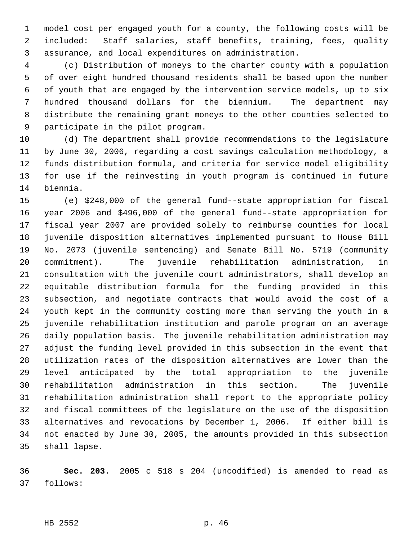model cost per engaged youth for a county, the following costs will be included: Staff salaries, staff benefits, training, fees, quality assurance, and local expenditures on administration.

 (c) Distribution of moneys to the charter county with a population of over eight hundred thousand residents shall be based upon the number of youth that are engaged by the intervention service models, up to six hundred thousand dollars for the biennium. The department may distribute the remaining grant moneys to the other counties selected to participate in the pilot program.

 (d) The department shall provide recommendations to the legislature by June 30, 2006, regarding a cost savings calculation methodology, a funds distribution formula, and criteria for service model eligibility for use if the reinvesting in youth program is continued in future biennia.

 (e) \$248,000 of the general fund--state appropriation for fiscal year 2006 and \$496,000 of the general fund--state appropriation for fiscal year 2007 are provided solely to reimburse counties for local juvenile disposition alternatives implemented pursuant to House Bill No. 2073 (juvenile sentencing) and Senate Bill No. 5719 (community commitment). The juvenile rehabilitation administration, in consultation with the juvenile court administrators, shall develop an equitable distribution formula for the funding provided in this subsection, and negotiate contracts that would avoid the cost of a youth kept in the community costing more than serving the youth in a juvenile rehabilitation institution and parole program on an average daily population basis. The juvenile rehabilitation administration may adjust the funding level provided in this subsection in the event that utilization rates of the disposition alternatives are lower than the level anticipated by the total appropriation to the juvenile rehabilitation administration in this section. The juvenile rehabilitation administration shall report to the appropriate policy and fiscal committees of the legislature on the use of the disposition alternatives and revocations by December 1, 2006. If either bill is not enacted by June 30, 2005, the amounts provided in this subsection shall lapse.

 **Sec. 203.** 2005 c 518 s 204 (uncodified) is amended to read as follows:

HB 2552 p. 46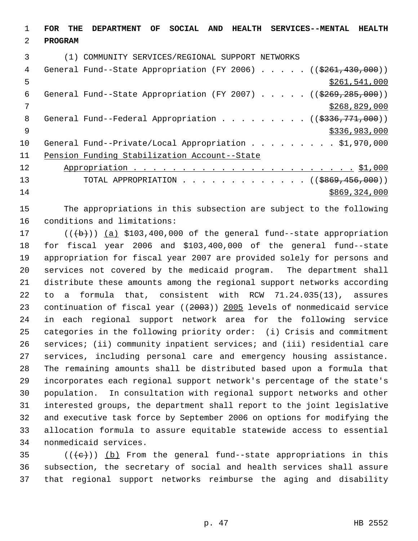**FOR THE DEPARTMENT OF SOCIAL AND HEALTH SERVICES--MENTAL HEALTH PROGRAM** (1) COMMUNITY SERVICES/REGIONAL SUPPORT NETWORKS 4 General Fund--State Appropriation (FY 2006) . . . . . ((\$261,430,000))  $\frac{$261,541,000}{2}$ 6 General Fund--State Appropriation (FY 2007)  $\ldots$  . . . (( $$269,285,000)$ ) \$268,829,000 8 General Fund--Federal Appropriation . . . . . . . . ((\$336,771,000)) \$336,983,000 10 General Fund--Private/Local Appropriation . . . . . . . . \$1,970,000 Pension Funding Stabilization Account--State Appropriation . . . . . . . . . . . . . . . . . . . . . . . \$1,000 13 TOTAL APPROPRIATION . . . . . . . . . . . . . ((\$869,456,000)) \$869,324,000

 The appropriations in this subsection are subject to the following conditions and limitations:

 $((+b))$   $(a)$  \$103,400,000 of the general fund--state appropriation for fiscal year 2006 and \$103,400,000 of the general fund--state appropriation for fiscal year 2007 are provided solely for persons and services not covered by the medicaid program. The department shall distribute these amounts among the regional support networks according to a formula that, consistent with RCW 71.24.035(13), assures continuation of fiscal year ((2003)) 2005 levels of nonmedicaid service in each regional support network area for the following service categories in the following priority order: (i) Crisis and commitment services; (ii) community inpatient services; and (iii) residential care services, including personal care and emergency housing assistance. The remaining amounts shall be distributed based upon a formula that incorporates each regional support network's percentage of the state's population. In consultation with regional support networks and other interested groups, the department shall report to the joint legislative and executive task force by September 2006 on options for modifying the allocation formula to assure equitable statewide access to essential nonmedicaid services.

35  $((\{e\})$  (b) From the general fund--state appropriations in this subsection, the secretary of social and health services shall assure that regional support networks reimburse the aging and disability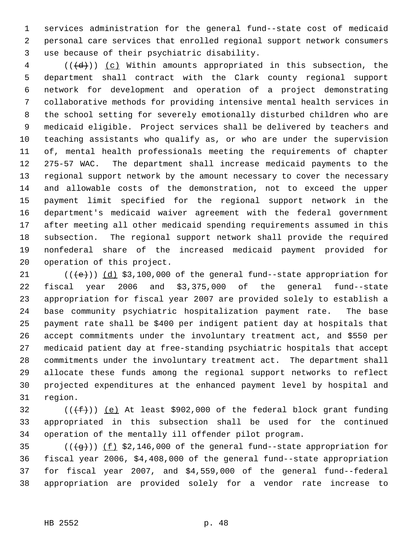services administration for the general fund--state cost of medicaid personal care services that enrolled regional support network consumers use because of their psychiatric disability.

 (( $\left(\frac{d}{d}\right)$ ) (c) Within amounts appropriated in this subsection, the department shall contract with the Clark county regional support network for development and operation of a project demonstrating collaborative methods for providing intensive mental health services in the school setting for severely emotionally disturbed children who are medicaid eligible. Project services shall be delivered by teachers and teaching assistants who qualify as, or who are under the supervision of, mental health professionals meeting the requirements of chapter 275-57 WAC. The department shall increase medicaid payments to the regional support network by the amount necessary to cover the necessary and allowable costs of the demonstration, not to exceed the upper payment limit specified for the regional support network in the department's medicaid waiver agreement with the federal government after meeting all other medicaid spending requirements assumed in this subsection. The regional support network shall provide the required nonfederal share of the increased medicaid payment provided for operation of this project.

 $((\{e\}) \, (\underline{d}) \, \$3,100,000 \, \text{of the general fund-state approximation for}$  fiscal year 2006 and \$3,375,000 of the general fund--state appropriation for fiscal year 2007 are provided solely to establish a base community psychiatric hospitalization payment rate. The base payment rate shall be \$400 per indigent patient day at hospitals that accept commitments under the involuntary treatment act, and \$550 per medicaid patient day at free-standing psychiatric hospitals that accept commitments under the involuntary treatment act. The department shall allocate these funds among the regional support networks to reflect projected expenditures at the enhanced payment level by hospital and region.

32  $((\text{+f}))(\text{e})$  At least \$902,000 of the federal block grant funding appropriated in this subsection shall be used for the continued operation of the mentally ill offender pilot program.

 $((\frac{1}{3}))(\frac{1}{2}, \frac{1}{3}, \frac{1}{6}, \frac{1}{6})$  of the general fund--state appropriation for fiscal year 2006, \$4,408,000 of the general fund--state appropriation for fiscal year 2007, and \$4,559,000 of the general fund--federal appropriation are provided solely for a vendor rate increase to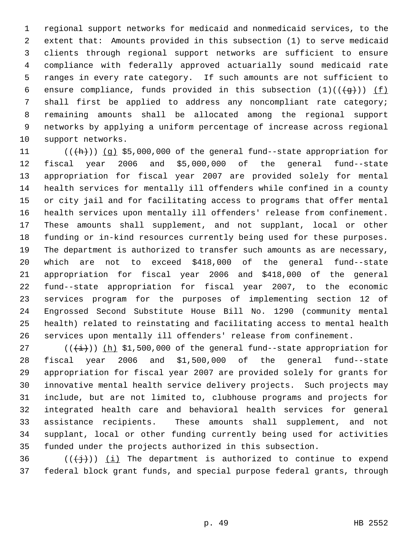regional support networks for medicaid and nonmedicaid services, to the extent that: Amounts provided in this subsection (1) to serve medicaid clients through regional support networks are sufficient to ensure compliance with federally approved actuarially sound medicaid rate ranges in every rate category. If such amounts are not sufficient to 6 ensure compliance, funds provided in this subsection  $(1)((\{q\}))$  (f) shall first be applied to address any noncompliant rate category; remaining amounts shall be allocated among the regional support networks by applying a uniform percentage of increase across regional support networks.

 $((+h)) (q)$  \$5,000,000 of the general fund--state appropriation for fiscal year 2006 and \$5,000,000 of the general fund--state appropriation for fiscal year 2007 are provided solely for mental health services for mentally ill offenders while confined in a county or city jail and for facilitating access to programs that offer mental health services upon mentally ill offenders' release from confinement. These amounts shall supplement, and not supplant, local or other funding or in-kind resources currently being used for these purposes. The department is authorized to transfer such amounts as are necessary, which are not to exceed \$418,000 of the general fund--state appropriation for fiscal year 2006 and \$418,000 of the general fund--state appropriation for fiscal year 2007, to the economic services program for the purposes of implementing section 12 of Engrossed Second Substitute House Bill No. 1290 (community mental health) related to reinstating and facilitating access to mental health services upon mentally ill offenders' release from confinement.

27 ( $(\frac{1}{1})$ ) (h) \$1,500,000 of the general fund--state appropriation for fiscal year 2006 and \$1,500,000 of the general fund--state appropriation for fiscal year 2007 are provided solely for grants for innovative mental health service delivery projects. Such projects may include, but are not limited to, clubhouse programs and projects for integrated health care and behavioral health services for general assistance recipients. These amounts shall supplement, and not supplant, local or other funding currently being used for activities funded under the projects authorized in this subsection.

36 ( $(\{\dagger\})$  (i) The department is authorized to continue to expend federal block grant funds, and special purpose federal grants, through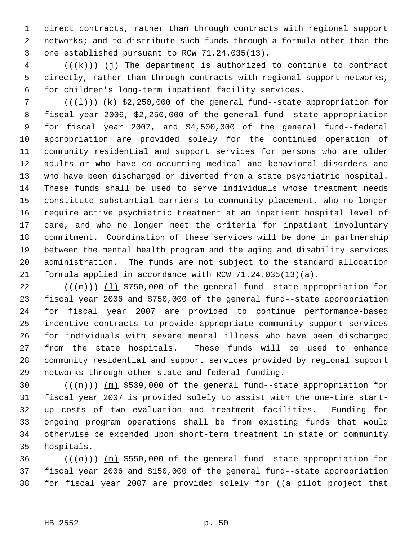direct contracts, rather than through contracts with regional support networks; and to distribute such funds through a formula other than the one established pursuant to RCW 71.24.035(13).

 (( $\{k\}$ )) (j) The department is authorized to continue to contract directly, rather than through contracts with regional support networks, for children's long-term inpatient facility services.

7 ( $(\{\pm\})$ )  $(k)$  \$2,250,000 of the general fund--state appropriation for fiscal year 2006, \$2,250,000 of the general fund--state appropriation for fiscal year 2007, and \$4,500,000 of the general fund--federal appropriation are provided solely for the continued operation of community residential and support services for persons who are older adults or who have co-occurring medical and behavioral disorders and who have been discharged or diverted from a state psychiatric hospital. These funds shall be used to serve individuals whose treatment needs constitute substantial barriers to community placement, who no longer require active psychiatric treatment at an inpatient hospital level of care, and who no longer meet the criteria for inpatient involuntary commitment. Coordination of these services will be done in partnership between the mental health program and the aging and disability services administration. The funds are not subject to the standard allocation formula applied in accordance with RCW 71.24.035(13)(a).

 $((+m))$   $(1)$  \$750,000 of the general fund--state appropriation for fiscal year 2006 and \$750,000 of the general fund--state appropriation for fiscal year 2007 are provided to continue performance-based incentive contracts to provide appropriate community support services for individuals with severe mental illness who have been discharged from the state hospitals. These funds will be used to enhance community residential and support services provided by regional support networks through other state and federal funding.

 $((+n))$   $(m)$  \$539,000 of the general fund--state appropriation for fiscal year 2007 is provided solely to assist with the one-time start- up costs of two evaluation and treatment facilities. Funding for ongoing program operations shall be from existing funds that would otherwise be expended upon short-term treatment in state or community hospitals.

36  $((+e+))$  (n) \$550,000 of the general fund--state appropriation for fiscal year 2006 and \$150,000 of the general fund--state appropriation 38 for fiscal year 2007 are provided solely for ((a pilot project that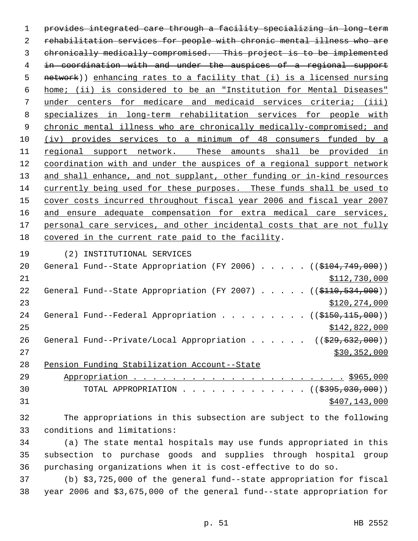provides integrated care through a facility specializing in long-term rehabilitation services for people with chronic mental illness who are chronically medically-compromised. This project is to be implemented in coordination with and under the auspices of a regional support 5 network)) enhancing rates to a facility that (i) is a licensed nursing home; (ii) is considered to be an "Institution for Mental Diseases" under centers for medicare and medicaid services criteria; (iii) specializes in long-term rehabilitation services for people with 9 chronic mental illness who are chronically medically-compromised; and (iv) provides services to a minimum of 48 consumers funded by a 11 regional support network. These amounts shall be provided in coordination with and under the auspices of a regional support network 13 and shall enhance, and not supplant, other funding or in-kind resources currently being used for these purposes. These funds shall be used to cover costs incurred throughout fiscal year 2006 and fiscal year 2007 16 and ensure adequate compensation for extra medical care services, 17 personal care services, and other incidental costs that are not fully covered in the current rate paid to the facility.

(2) INSTITUTIONAL SERVICES

| 20 | General Fund--State Appropriation (FY 2006) $($ (\$104,749,000))          |
|----|---------------------------------------------------------------------------|
| 21 | \$112,730,000                                                             |
| 22 | General Fund--State Appropriation (FY 2007) ((\$110,534,000))             |
| 23 | \$120,274,000                                                             |
| 24 | General Fund--Federal Appropriation ( $(\frac{2150}{115}, 000)$ )         |
| 25 | \$142,822,000                                                             |
| 26 | General Fund--Private/Local Appropriation ( $(\frac{29}{29}, 632, 000)$ ) |
| 27 | \$30,352,000                                                              |
| 28 | Pension Funding Stabilization Account--State                              |

 Appropriation . . . . . . . . . . . . . . . . . . . . . . \$965,000 30 TOTAL APPROPRIATION . . . . . . . . . . . . ((\$395,030,000)) \$407,143,000

 The appropriations in this subsection are subject to the following conditions and limitations:

 (a) The state mental hospitals may use funds appropriated in this subsection to purchase goods and supplies through hospital group purchasing organizations when it is cost-effective to do so.

 (b) \$3,725,000 of the general fund--state appropriation for fiscal year 2006 and \$3,675,000 of the general fund--state appropriation for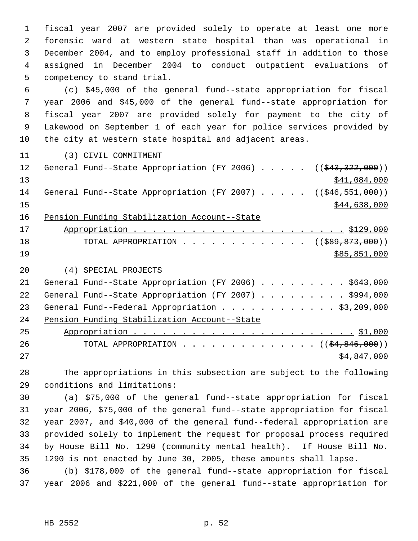fiscal year 2007 are provided solely to operate at least one more forensic ward at western state hospital than was operational in December 2004, and to employ professional staff in addition to those assigned in December 2004 to conduct outpatient evaluations of competency to stand trial.

 (c) \$45,000 of the general fund--state appropriation for fiscal year 2006 and \$45,000 of the general fund--state appropriation for fiscal year 2007 are provided solely for payment to the city of Lakewood on September 1 of each year for police services provided by the city at western state hospital and adjacent areas.

(3) CIVIL COMMITMENT

| 12 | General Fund--State Appropriation (FY 2006) $($ $($ $\frac{203}{7322}$ , 000)) |
|----|--------------------------------------------------------------------------------|
| 13 | \$41,084,000                                                                   |
| 14 | General Fund--State Appropriation (FY 2007) $($ $($ $\frac{646}{551}$ , 000))  |
| 15 | \$44,638,000                                                                   |
| 16 | Pension Funding Stabilization Account--State                                   |
| 17 |                                                                                |
| 18 | TOTAL APPROPRIATION ( $(\frac{289}{509}, \frac{873}{100})$ )                   |
| 19 | \$85,851,000                                                                   |
| 20 | (4) SPECIAL PROJECTS                                                           |
| 21 | General Fund--State Appropriation (FY 2006) \$643,000                          |
| 22 | General Fund--State Appropriation (FY 2007) \$994,000                          |
| 23 | General Fund--Federal Appropriation \$3,209,000                                |
| 24 | Pension Funding Stabilization Account--State                                   |

| 25  |                                                                |  |  |  |  |  |  |  |  |  |             |  |
|-----|----------------------------------------------------------------|--|--|--|--|--|--|--|--|--|-------------|--|
| 26  | TOTAL APPROPRIATION $($ $($ $\frac{24}{34}$ , $846$ , $000)$ ) |  |  |  |  |  |  |  |  |  |             |  |
| 2.7 |                                                                |  |  |  |  |  |  |  |  |  | \$4,847,000 |  |

 The appropriations in this subsection are subject to the following conditions and limitations:

 (a) \$75,000 of the general fund--state appropriation for fiscal year 2006, \$75,000 of the general fund--state appropriation for fiscal year 2007, and \$40,000 of the general fund--federal appropriation are provided solely to implement the request for proposal process required by House Bill No. 1290 (community mental health). If House Bill No. 1290 is not enacted by June 30, 2005, these amounts shall lapse.

 (b) \$178,000 of the general fund--state appropriation for fiscal year 2006 and \$221,000 of the general fund--state appropriation for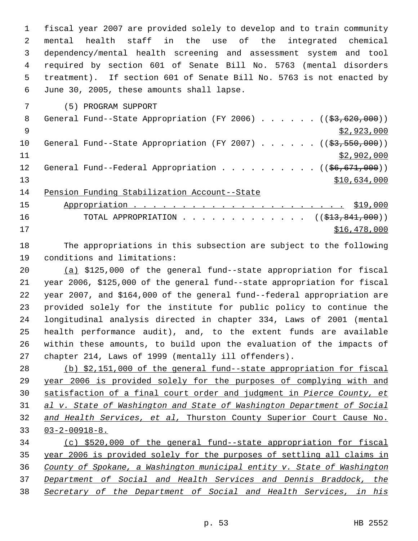fiscal year 2007 are provided solely to develop and to train community mental health staff in the use of the integrated chemical dependency/mental health screening and assessment system and tool required by section 601 of Senate Bill No. 5763 (mental disorders treatment). If section 601 of Senate Bill No. 5763 is not enacted by June 30, 2005, these amounts shall lapse.

(5) PROGRAM SUPPORT

| 8               | General Fund--State Appropriation (FY 2006) $($ $($ \$3,620,000))           |
|-----------------|-----------------------------------------------------------------------------|
| - 9             | \$2,923,000                                                                 |
| 10              | General Fund--State Appropriation (FY 2007) $($ $($ \$3,550,000))           |
| 11              | \$2,902,000                                                                 |
| 12 <sup>°</sup> | General Fund--Federal Appropriation ( $(\frac{66}{676}, \frac{671}{600})$ ) |
| 13              | \$10,634,000                                                                |
| 14              | Pension Funding Stabilization Account--State                                |
| 15              |                                                                             |
| 16              | TOTAL APPROPRIATION $\ldots$ , ( $(\frac{1}{213}, \frac{841}{1000})$ )      |

\$16,478,000

 The appropriations in this subsection are subject to the following conditions and limitations:

 (a) \$125,000 of the general fund--state appropriation for fiscal year 2006, \$125,000 of the general fund--state appropriation for fiscal year 2007, and \$164,000 of the general fund--federal appropriation are provided solely for the institute for public policy to continue the longitudinal analysis directed in chapter 334, Laws of 2001 (mental health performance audit), and, to the extent funds are available within these amounts, to build upon the evaluation of the impacts of chapter 214, Laws of 1999 (mentally ill offenders).

 (b) \$2,151,000 of the general fund--state appropriation for fiscal year 2006 is provided solely for the purposes of complying with and satisfaction of a final court order and judgment in *Pierce County, et al v. State of Washington and State of Washington Department of Social and Health Services, et al,* Thurston County Superior Court Cause No. 03-2-00918-8.

 (c) \$520,000 of the general fund--state appropriation for fiscal year 2006 is provided solely for the purposes of settling all claims in *County of Spokane, a Washington municipal entity v. State of Washington Department of Social and Health Services and Dennis Braddock, the Secretary of the Department of Social and Health Services, in his*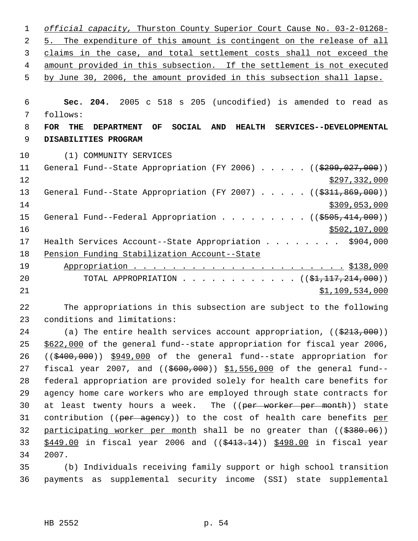| $\mathbf 1$   | official capacity, Thurston County Superior Court Cause No. 03-2-01268-                                                 |
|---------------|-------------------------------------------------------------------------------------------------------------------------|
| 2             | 5. The expenditure of this amount is contingent on the release of all                                                   |
| 3             | claims in the case, and total settlement costs shall not exceed the                                                     |
| 4             | amount provided in this subsection. If the settlement is not executed                                                   |
| 5             | by June 30, 2006, the amount provided in this subsection shall lapse.                                                   |
|               |                                                                                                                         |
| 6             | Sec. 204. 2005 c 518 s 205 (uncodified) is amended to read as                                                           |
| 7             | follows:                                                                                                                |
| 8             | OF<br><b>SOCIAL</b><br><b>AND</b><br><b>HEALTH</b><br>SERVICES--DEVELOPMENTAL<br><b>FOR</b><br>THE<br><b>DEPARTMENT</b> |
| 9             | DISABILITIES PROGRAM                                                                                                    |
| 10            | (1) COMMUNITY SERVICES                                                                                                  |
| 11            | General Fund--State Appropriation (FY 2006) ((\$299,027,000))                                                           |
| 12            | \$297,332,000                                                                                                           |
| 13            | General Fund--State Appropriation (FY 2007) ((\$311,869,000))                                                           |
| 14            | \$309,053,000                                                                                                           |
| 15            | General Fund--Federal Appropriation ( $(\frac{2505}{114,000})$ )                                                        |
| 16            | \$502,107,000                                                                                                           |
| 17            | Health Services Account--State Appropriation \$904,000                                                                  |
| 18            | Pension Funding Stabilization Account--State                                                                            |
| 19            |                                                                                                                         |
| 20            | TOTAL APPROPRIATION ( $(\frac{1}{2}, \frac{117}{214}, \frac{214}{100})$ )                                               |
| 21            | \$1,109,534,000                                                                                                         |
| $\sim$ $\sim$ | the contract of the contract of the contract of the contract of the contract of the contract of the contract of         |

 The appropriations in this subsection are subject to the following conditions and limitations:

24 (a) The entire health services account appropriation, ((\$213,000)) \$622,000 of the general fund--state appropriation for fiscal year 2006, ((\$400,000)) \$949,000 of the general fund--state appropriation for 27 fiscal year 2007, and ((\$600,000)) \$1,556,000 of the general fund-- federal appropriation are provided solely for health care benefits for agency home care workers who are employed through state contracts for 30 at least twenty hours a week. The ((per worker per month)) state 31 contribution ((per agency)) to the cost of health care benefits per 32 participating worker per month shall be no greater than ((\$380.06)) 33 \$449.00 in fiscal year 2006 and ((\$413.14)) \$498.00 in fiscal year 2007.

 (b) Individuals receiving family support or high school transition payments as supplemental security income (SSI) state supplemental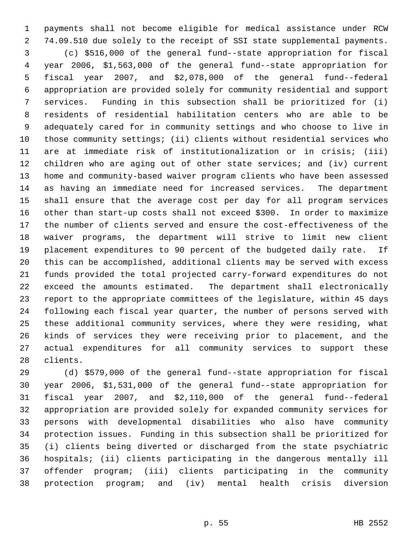payments shall not become eligible for medical assistance under RCW 74.09.510 due solely to the receipt of SSI state supplemental payments. (c) \$516,000 of the general fund--state appropriation for fiscal year 2006, \$1,563,000 of the general fund--state appropriation for fiscal year 2007, and \$2,078,000 of the general fund--federal appropriation are provided solely for community residential and support services. Funding in this subsection shall be prioritized for (i) residents of residential habilitation centers who are able to be adequately cared for in community settings and who choose to live in those community settings; (ii) clients without residential services who are at immediate risk of institutionalization or in crisis; (iii) children who are aging out of other state services; and (iv) current home and community-based waiver program clients who have been assessed as having an immediate need for increased services. The department shall ensure that the average cost per day for all program services other than start-up costs shall not exceed \$300. In order to maximize the number of clients served and ensure the cost-effectiveness of the waiver programs, the department will strive to limit new client placement expenditures to 90 percent of the budgeted daily rate. If this can be accomplished, additional clients may be served with excess funds provided the total projected carry-forward expenditures do not exceed the amounts estimated. The department shall electronically report to the appropriate committees of the legislature, within 45 days following each fiscal year quarter, the number of persons served with these additional community services, where they were residing, what kinds of services they were receiving prior to placement, and the actual expenditures for all community services to support these clients.

 (d) \$579,000 of the general fund--state appropriation for fiscal year 2006, \$1,531,000 of the general fund--state appropriation for fiscal year 2007, and \$2,110,000 of the general fund--federal appropriation are provided solely for expanded community services for persons with developmental disabilities who also have community protection issues. Funding in this subsection shall be prioritized for (i) clients being diverted or discharged from the state psychiatric hospitals; (ii) clients participating in the dangerous mentally ill offender program; (iii) clients participating in the community protection program; and (iv) mental health crisis diversion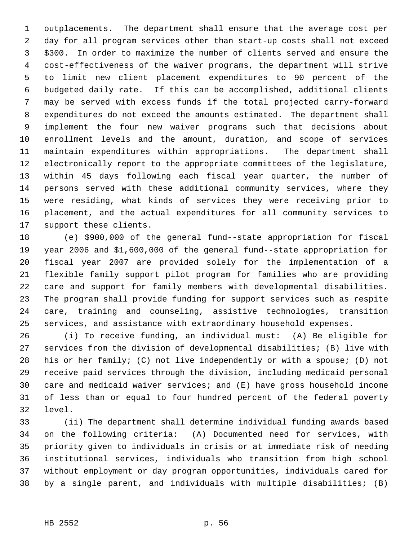outplacements. The department shall ensure that the average cost per day for all program services other than start-up costs shall not exceed \$300. In order to maximize the number of clients served and ensure the cost-effectiveness of the waiver programs, the department will strive to limit new client placement expenditures to 90 percent of the budgeted daily rate. If this can be accomplished, additional clients may be served with excess funds if the total projected carry-forward expenditures do not exceed the amounts estimated. The department shall implement the four new waiver programs such that decisions about enrollment levels and the amount, duration, and scope of services maintain expenditures within appropriations. The department shall electronically report to the appropriate committees of the legislature, within 45 days following each fiscal year quarter, the number of persons served with these additional community services, where they were residing, what kinds of services they were receiving prior to placement, and the actual expenditures for all community services to support these clients.

 (e) \$900,000 of the general fund--state appropriation for fiscal year 2006 and \$1,600,000 of the general fund--state appropriation for fiscal year 2007 are provided solely for the implementation of a flexible family support pilot program for families who are providing care and support for family members with developmental disabilities. The program shall provide funding for support services such as respite care, training and counseling, assistive technologies, transition services, and assistance with extraordinary household expenses.

 (i) To receive funding, an individual must: (A) Be eligible for services from the division of developmental disabilities; (B) live with his or her family; (C) not live independently or with a spouse; (D) not receive paid services through the division, including medicaid personal care and medicaid waiver services; and (E) have gross household income of less than or equal to four hundred percent of the federal poverty level.

 (ii) The department shall determine individual funding awards based on the following criteria: (A) Documented need for services, with priority given to individuals in crisis or at immediate risk of needing institutional services, individuals who transition from high school without employment or day program opportunities, individuals cared for by a single parent, and individuals with multiple disabilities; (B)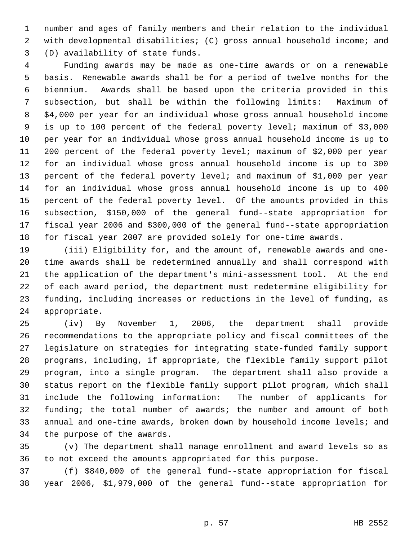number and ages of family members and their relation to the individual with developmental disabilities; (C) gross annual household income; and (D) availability of state funds.

 Funding awards may be made as one-time awards or on a renewable basis. Renewable awards shall be for a period of twelve months for the biennium. Awards shall be based upon the criteria provided in this subsection, but shall be within the following limits: Maximum of \$4,000 per year for an individual whose gross annual household income is up to 100 percent of the federal poverty level; maximum of \$3,000 per year for an individual whose gross annual household income is up to 200 percent of the federal poverty level; maximum of \$2,000 per year for an individual whose gross annual household income is up to 300 percent of the federal poverty level; and maximum of \$1,000 per year for an individual whose gross annual household income is up to 400 percent of the federal poverty level. Of the amounts provided in this subsection, \$150,000 of the general fund--state appropriation for fiscal year 2006 and \$300,000 of the general fund--state appropriation for fiscal year 2007 are provided solely for one-time awards.

 (iii) Eligibility for, and the amount of, renewable awards and one- time awards shall be redetermined annually and shall correspond with the application of the department's mini-assessment tool. At the end of each award period, the department must redetermine eligibility for funding, including increases or reductions in the level of funding, as appropriate.

 (iv) By November 1, 2006, the department shall provide recommendations to the appropriate policy and fiscal committees of the legislature on strategies for integrating state-funded family support programs, including, if appropriate, the flexible family support pilot program, into a single program. The department shall also provide a status report on the flexible family support pilot program, which shall include the following information: The number of applicants for funding; the total number of awards; the number and amount of both annual and one-time awards, broken down by household income levels; and the purpose of the awards.

 (v) The department shall manage enrollment and award levels so as to not exceed the amounts appropriated for this purpose.

 (f) \$840,000 of the general fund--state appropriation for fiscal year 2006, \$1,979,000 of the general fund--state appropriation for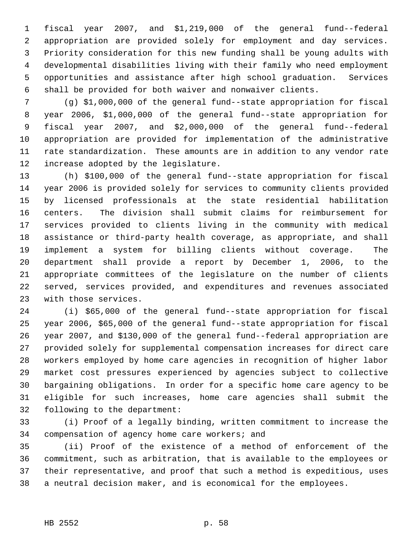fiscal year 2007, and \$1,219,000 of the general fund--federal appropriation are provided solely for employment and day services. Priority consideration for this new funding shall be young adults with developmental disabilities living with their family who need employment opportunities and assistance after high school graduation. Services shall be provided for both waiver and nonwaiver clients.

 (g) \$1,000,000 of the general fund--state appropriation for fiscal year 2006, \$1,000,000 of the general fund--state appropriation for fiscal year 2007, and \$2,000,000 of the general fund--federal appropriation are provided for implementation of the administrative rate standardization. These amounts are in addition to any vendor rate increase adopted by the legislature.

 (h) \$100,000 of the general fund--state appropriation for fiscal year 2006 is provided solely for services to community clients provided by licensed professionals at the state residential habilitation centers. The division shall submit claims for reimbursement for services provided to clients living in the community with medical assistance or third-party health coverage, as appropriate, and shall implement a system for billing clients without coverage. The department shall provide a report by December 1, 2006, to the appropriate committees of the legislature on the number of clients served, services provided, and expenditures and revenues associated with those services.

 (i) \$65,000 of the general fund--state appropriation for fiscal year 2006, \$65,000 of the general fund--state appropriation for fiscal year 2007, and \$130,000 of the general fund--federal appropriation are provided solely for supplemental compensation increases for direct care workers employed by home care agencies in recognition of higher labor market cost pressures experienced by agencies subject to collective bargaining obligations. In order for a specific home care agency to be eligible for such increases, home care agencies shall submit the following to the department:

 (i) Proof of a legally binding, written commitment to increase the compensation of agency home care workers; and

 (ii) Proof of the existence of a method of enforcement of the commitment, such as arbitration, that is available to the employees or their representative, and proof that such a method is expeditious, uses a neutral decision maker, and is economical for the employees.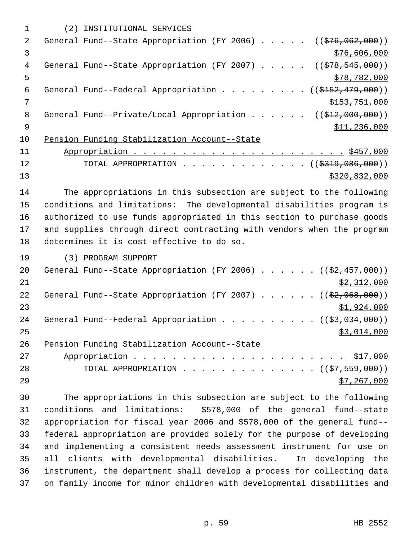|    | (2) INSTITUTIONAL SERVICES                                                              |
|----|-----------------------------------------------------------------------------------------|
| 2  | General Fund--State Appropriation (FY 2006) $($ $($ \$76,062,000))                      |
| 3  | \$76,606,000                                                                            |
| 4  | General Fund--State Appropriation (FY 2007) $($ $($ $\frac{278}{545}, \frac{545}{900})$ |
| 5  | \$78,782,000                                                                            |
| 6  | General Fund--Federal Appropriation ( $(\frac{2152}{127}, \frac{479}{100})$ )           |
| 7  | \$153,751,000                                                                           |
| 8  | General Fund--Private/Local Appropriation ( $(\frac{212,000,000)}{12,000,000})$         |
| 9  | \$11,236,000                                                                            |
| 10 | Pension Funding Stabilization Account--State                                            |
| 11 |                                                                                         |
| 12 | TOTAL APPROPRIATION ( $(\frac{2319}{1000})$ )                                           |
| 13 | \$320,832,000                                                                           |

 The appropriations in this subsection are subject to the following conditions and limitations: The developmental disabilities program is authorized to use funds appropriated in this section to purchase goods and supplies through direct contracting with vendors when the program determines it is cost-effective to do so.

(3) PROGRAM SUPPORT

| 20 | General Fund--State Appropriation (FY 2006) $($ $(\frac{27.457}{100})$ |
|----|------------------------------------------------------------------------|
| 21 | \$2,312,000                                                            |
| 22 | General Fund--State Appropriation (FY 2007) $($ $($ \$2,068,000))      |
| 23 | \$1,924,000                                                            |
| 24 | General Fund--Federal Appropriation ( $(\frac{2}{3}, 034, 000)$ )      |
| 25 | \$3,014,000                                                            |
| 26 | Pension Funding Stabilization Account--State                           |
| 27 |                                                                        |
| 28 | TOTAL APPROPRIATION ( $(\frac{27}{57}, \frac{559}{000})$ )             |
| 29 | \$7,267,000                                                            |

 The appropriations in this subsection are subject to the following conditions and limitations: \$578,000 of the general fund--state appropriation for fiscal year 2006 and \$578,000 of the general fund-- federal appropriation are provided solely for the purpose of developing and implementing a consistent needs assessment instrument for use on all clients with developmental disabilities. In developing the instrument, the department shall develop a process for collecting data on family income for minor children with developmental disabilities and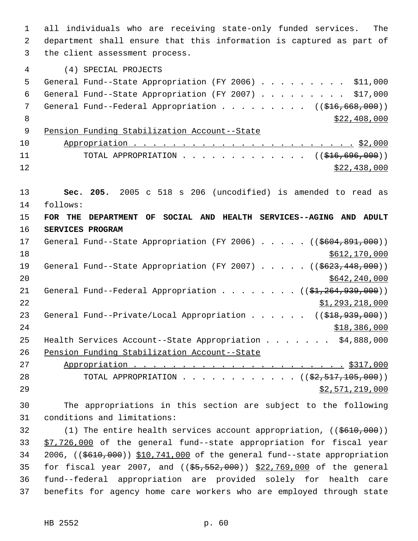all individuals who are receiving state-only funded services. The department shall ensure that this information is captured as part of the client assessment process. (4) SPECIAL PROJECTS General Fund--State Appropriation (FY 2006) . . . . . . . . . \$11,000 General Fund--State Appropriation (FY 2007) . . . . . . . . . \$17,000 7 General Fund--Federal Appropriation . . . . . . . . ((\$16,668,000))  $8 \times 22,408,000$  Pension Funding Stabilization Account--State Appropriation . . . . . . . . . . . . . . . . . . . . . . . \$2,000 11 TOTAL APPROPRIATION . . . . . . . . . . . . ((<del>\$16,696,000</del>))  $\frac{12}{22,438,000}$  **Sec. 205.** 2005 c 518 s 206 (uncodified) is amended to read as follows: **FOR THE DEPARTMENT OF SOCIAL AND HEALTH SERVICES--AGING AND ADULT SERVICES PROGRAM** 17 General Fund--State Appropriation (FY 2006) . . . . . ((\$604,891,000)) 18 \$612,170,000 \$612,170,000 \$612,170,000 \$612,170,000 \$612,170,000 \$612,170,000 \$612,170,000 \$612,170,000 \$612 19 General Fund--State Appropriation (FY 2007) . . . . . ((\$623,448,000)) \$642,240,000 21 General Fund--Federal Appropriation . . . . . . . ((\$1,264,939,000))  $\frac{$1,293,218,000}{2}$ 23 General Fund--Private/Local Appropriation . . . . . ((\$18,939,000)) \$18,386,000 Health Services Account--State Appropriation . . . . . . . \$4,888,000 Pension Funding Stabilization Account--State Appropriation . . . . . . . . . . . . . . . . . . . . . . \$317,000 28 TOTAL APPROPRIATION . . . . . . . . . . . ((<del>\$2,517,105,000</del>))  $52,571,219,000$  The appropriations in this section are subject to the following conditions and limitations: 32 (1) The entire health services account appropriation, ((\$610,000)) 33 \$7,726,000 of the general fund--state appropriation for fiscal year 2006, ((\$610,000)) \$10,741,000 of the general fund--state appropriation 35 for fiscal year 2007, and ((\$5,552,000)) \$22,769,000 of the general fund--federal appropriation are provided solely for health care

benefits for agency home care workers who are employed through state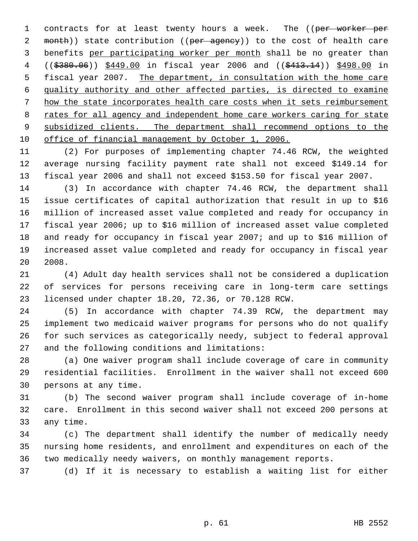1 contracts for at least twenty hours a week. The ((per worker per 2 month)) state contribution ((per agency)) to the cost of health care 3 benefits per participating worker per month shall be no greater than 4 ((\$380.06)) \$449.00 in fiscal year 2006 and ((\$413.14)) \$498.00 in fiscal year 2007. The department, in consultation with the home care quality authority and other affected parties, is directed to examine how the state incorporates health care costs when it sets reimbursement 8 rates for all agency and independent home care workers caring for state 9 subsidized clients. The department shall recommend options to the office of financial management by October 1, 2006.

 (2) For purposes of implementing chapter 74.46 RCW, the weighted average nursing facility payment rate shall not exceed \$149.14 for fiscal year 2006 and shall not exceed \$153.50 for fiscal year 2007.

 (3) In accordance with chapter 74.46 RCW, the department shall issue certificates of capital authorization that result in up to \$16 million of increased asset value completed and ready for occupancy in fiscal year 2006; up to \$16 million of increased asset value completed and ready for occupancy in fiscal year 2007; and up to \$16 million of increased asset value completed and ready for occupancy in fiscal year 2008.

 (4) Adult day health services shall not be considered a duplication of services for persons receiving care in long-term care settings licensed under chapter 18.20, 72.36, or 70.128 RCW.

 (5) In accordance with chapter 74.39 RCW, the department may implement two medicaid waiver programs for persons who do not qualify for such services as categorically needy, subject to federal approval and the following conditions and limitations:

 (a) One waiver program shall include coverage of care in community residential facilities. Enrollment in the waiver shall not exceed 600 persons at any time.

 (b) The second waiver program shall include coverage of in-home care. Enrollment in this second waiver shall not exceed 200 persons at any time.

 (c) The department shall identify the number of medically needy nursing home residents, and enrollment and expenditures on each of the two medically needy waivers, on monthly management reports.

(d) If it is necessary to establish a waiting list for either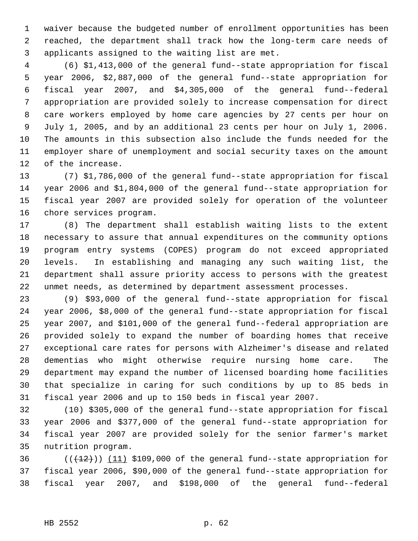waiver because the budgeted number of enrollment opportunities has been reached, the department shall track how the long-term care needs of applicants assigned to the waiting list are met.

 (6) \$1,413,000 of the general fund--state appropriation for fiscal year 2006, \$2,887,000 of the general fund--state appropriation for fiscal year 2007, and \$4,305,000 of the general fund--federal appropriation are provided solely to increase compensation for direct care workers employed by home care agencies by 27 cents per hour on July 1, 2005, and by an additional 23 cents per hour on July 1, 2006. The amounts in this subsection also include the funds needed for the employer share of unemployment and social security taxes on the amount of the increase.

 (7) \$1,786,000 of the general fund--state appropriation for fiscal year 2006 and \$1,804,000 of the general fund--state appropriation for fiscal year 2007 are provided solely for operation of the volunteer chore services program.

 (8) The department shall establish waiting lists to the extent necessary to assure that annual expenditures on the community options program entry systems (COPES) program do not exceed appropriated levels. In establishing and managing any such waiting list, the department shall assure priority access to persons with the greatest unmet needs, as determined by department assessment processes.

 (9) \$93,000 of the general fund--state appropriation for fiscal year 2006, \$8,000 of the general fund--state appropriation for fiscal year 2007, and \$101,000 of the general fund--federal appropriation are provided solely to expand the number of boarding homes that receive exceptional care rates for persons with Alzheimer's disease and related dementias who might otherwise require nursing home care. The department may expand the number of licensed boarding home facilities that specialize in caring for such conditions by up to 85 beds in fiscal year 2006 and up to 150 beds in fiscal year 2007.

 (10) \$305,000 of the general fund--state appropriation for fiscal year 2006 and \$377,000 of the general fund--state appropriation for fiscal year 2007 are provided solely for the senior farmer's market nutrition program.

36  $((+12))$  (11) \$109,000 of the general fund--state appropriation for fiscal year 2006, \$90,000 of the general fund--state appropriation for fiscal year 2007, and \$198,000 of the general fund--federal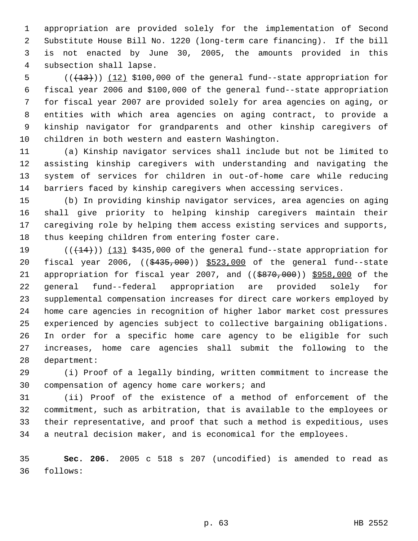appropriation are provided solely for the implementation of Second Substitute House Bill No. 1220 (long-term care financing). If the bill is not enacted by June 30, 2005, the amounts provided in this subsection shall lapse.

 $((+13))$   $(12)$  \$100,000 of the general fund--state appropriation for fiscal year 2006 and \$100,000 of the general fund--state appropriation for fiscal year 2007 are provided solely for area agencies on aging, or entities with which area agencies on aging contract, to provide a kinship navigator for grandparents and other kinship caregivers of children in both western and eastern Washington.

 (a) Kinship navigator services shall include but not be limited to assisting kinship caregivers with understanding and navigating the system of services for children in out-of-home care while reducing barriers faced by kinship caregivers when accessing services.

 (b) In providing kinship navigator services, area agencies on aging shall give priority to helping kinship caregivers maintain their caregiving role by helping them access existing services and supports, thus keeping children from entering foster care.

 $((+14))$   $(13)$  \$435,000 of the general fund--state appropriation for 20 fiscal year 2006, ((\$435,000)) \$523,000 of the general fund--state 21 appropriation for fiscal year 2007, and ((\$870,000)) \$958,000 of the general fund--federal appropriation are provided solely for supplemental compensation increases for direct care workers employed by home care agencies in recognition of higher labor market cost pressures experienced by agencies subject to collective bargaining obligations. In order for a specific home care agency to be eligible for such increases, home care agencies shall submit the following to the department:

 (i) Proof of a legally binding, written commitment to increase the compensation of agency home care workers; and

 (ii) Proof of the existence of a method of enforcement of the commitment, such as arbitration, that is available to the employees or their representative, and proof that such a method is expeditious, uses a neutral decision maker, and is economical for the employees.

 **Sec. 206.** 2005 c 518 s 207 (uncodified) is amended to read as follows: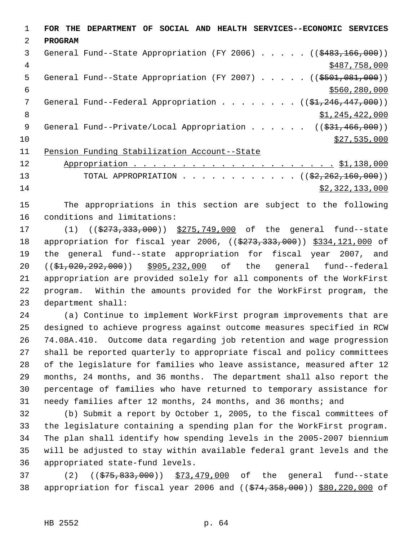**FOR THE DEPARTMENT OF SOCIAL AND HEALTH SERVICES--ECONOMIC SERVICES PROGRAM** 3 General Fund--State Appropriation (FY 2006) . . . . . ((\$483,166,000)) \$487,758,000 5 General Fund--State Appropriation (FY 2007) . . . . . ((\$501,081,000))  $\frac{$560,280,000}{5000}$ 7 General Fund--Federal Appropriation . . . . . . . ((\$1,246,447,000)) 8 \$1,245,422,000 9 General Fund--Private/Local Appropriation . . . . . ((\$31,466,000))  $\frac{10}{20}$  \$27,535,000 Pension Funding Stabilization Account--State

 Appropriation . . . . . . . . . . . . . . . . . . . . . \$1,138,000 13 TOTAL APPROPRIATION . . . . . . . . . . . . ((\$2,262,160,000)) \$2,322,133,000

 The appropriations in this section are subject to the following conditions and limitations:

17 (1) ((\$273,333,000)) \$275,749,000 of the general fund--state 18 appropriation for fiscal year 2006, ((\$273,333,000)) \$334,121,000 of the general fund--state appropriation for fiscal year 2007, and ((\$1,020,292,000)) \$905,232,000 of the general fund--federal appropriation are provided solely for all components of the WorkFirst program. Within the amounts provided for the WorkFirst program, the department shall:

 (a) Continue to implement WorkFirst program improvements that are designed to achieve progress against outcome measures specified in RCW 74.08A.410. Outcome data regarding job retention and wage progression shall be reported quarterly to appropriate fiscal and policy committees of the legislature for families who leave assistance, measured after 12 months, 24 months, and 36 months. The department shall also report the percentage of families who have returned to temporary assistance for needy families after 12 months, 24 months, and 36 months; and

 (b) Submit a report by October 1, 2005, to the fiscal committees of the legislature containing a spending plan for the WorkFirst program. The plan shall identify how spending levels in the 2005-2007 biennium will be adjusted to stay within available federal grant levels and the appropriated state-fund levels.

37 (2) ((\$75,833,000)) \$73,479,000 of the general fund--state 38 appropriation for fiscal year 2006 and ((\$74,358,000)) \$80,220,000 of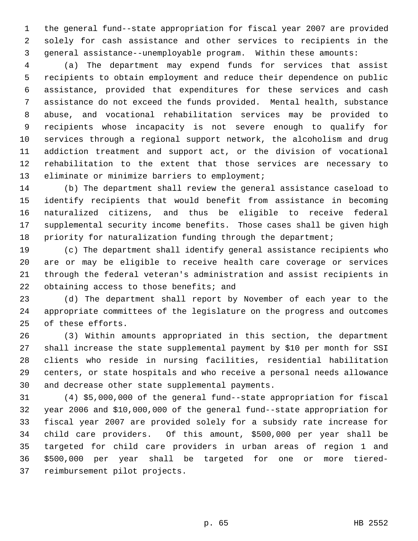the general fund--state appropriation for fiscal year 2007 are provided solely for cash assistance and other services to recipients in the general assistance--unemployable program. Within these amounts:

 (a) The department may expend funds for services that assist recipients to obtain employment and reduce their dependence on public assistance, provided that expenditures for these services and cash assistance do not exceed the funds provided. Mental health, substance abuse, and vocational rehabilitation services may be provided to recipients whose incapacity is not severe enough to qualify for services through a regional support network, the alcoholism and drug addiction treatment and support act, or the division of vocational rehabilitation to the extent that those services are necessary to 13 eliminate or minimize barriers to employment;

 (b) The department shall review the general assistance caseload to identify recipients that would benefit from assistance in becoming naturalized citizens, and thus be eligible to receive federal supplemental security income benefits. Those cases shall be given high 18 priority for naturalization funding through the department;

 (c) The department shall identify general assistance recipients who are or may be eligible to receive health care coverage or services through the federal veteran's administration and assist recipients in 22 obtaining access to those benefits; and

 (d) The department shall report by November of each year to the appropriate committees of the legislature on the progress and outcomes of these efforts.

 (3) Within amounts appropriated in this section, the department shall increase the state supplemental payment by \$10 per month for SSI clients who reside in nursing facilities, residential habilitation centers, or state hospitals and who receive a personal needs allowance and decrease other state supplemental payments.

 (4) \$5,000,000 of the general fund--state appropriation for fiscal year 2006 and \$10,000,000 of the general fund--state appropriation for fiscal year 2007 are provided solely for a subsidy rate increase for child care providers. Of this amount, \$500,000 per year shall be targeted for child care providers in urban areas of region 1 and \$500,000 per year shall be targeted for one or more tiered-reimbursement pilot projects.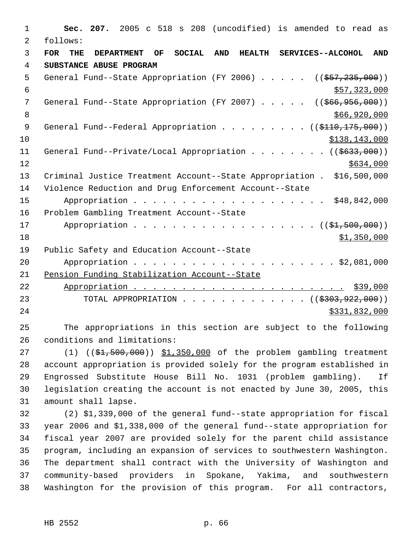**Sec. 207.** 2005 c 518 s 208 (uncodified) is amended to read as follows: **FOR THE DEPARTMENT OF SOCIAL AND HEALTH SERVICES--ALCOHOL AND SUBSTANCE ABUSE PROGRAM** 5 General Fund--State Appropriation (FY 2006) . . . . . ((\$57,235,000))  $\frac{$57,323,000}{557,323,000}$ 7 General Fund--State Appropriation (FY 2007) . . . . . ((\$66,956,000))  $$66,920,000$ 9 General Fund--Federal Appropriation . . . . . . . . ((\$110,175,000)) \$138,143,000 11 General Fund--Private/Local Appropriation . . . . . . . ((\$633,000))  $12 \frac{\text{S634}}{100}$  Criminal Justice Treatment Account--State Appropriation . \$16,500,000 Violence Reduction and Drug Enforcement Account--State Appropriation . . . . . . . . . . . . . . . . . . . . \$48,842,000 Problem Gambling Treatment Account--State 17 Appropriation . . . . . . . . . . . . . . . . . (  $(\frac{1}{21}, 500, 000)$  ) \$1,350,000 Public Safety and Education Account--State Appropriation . . . . . . . . . . . . . . . . . . . . . \$2,081,000 Pension Funding Stabilization Account--State Appropriation . . . . . . . . . . . . . . . . . . . . . . \$39,000 23 TOTAL APPROPRIATION . . . . . . . . . . . . . ((\$303,922,000)) \$331,832,000 The appropriations in this section are subject to the following

27 (1) ((\$1,500,000)) \$1,350,000 of the problem gambling treatment account appropriation is provided solely for the program established in Engrossed Substitute House Bill No. 1031 (problem gambling). If legislation creating the account is not enacted by June 30, 2005, this amount shall lapse.

 (2) \$1,339,000 of the general fund--state appropriation for fiscal year 2006 and \$1,338,000 of the general fund--state appropriation for fiscal year 2007 are provided solely for the parent child assistance program, including an expansion of services to southwestern Washington. The department shall contract with the University of Washington and community-based providers in Spokane, Yakima, and southwestern Washington for the provision of this program. For all contractors,

conditions and limitations: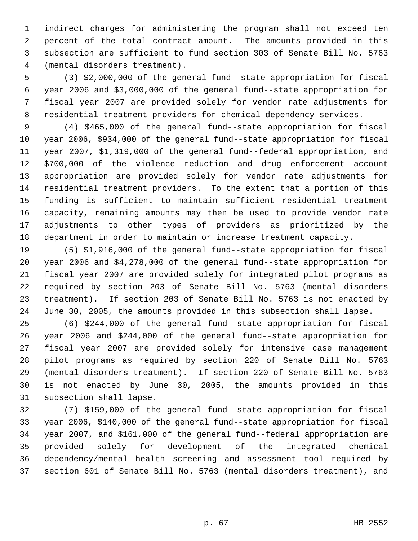indirect charges for administering the program shall not exceed ten percent of the total contract amount. The amounts provided in this subsection are sufficient to fund section 303 of Senate Bill No. 5763 (mental disorders treatment).

 (3) \$2,000,000 of the general fund--state appropriation for fiscal year 2006 and \$3,000,000 of the general fund--state appropriation for fiscal year 2007 are provided solely for vendor rate adjustments for residential treatment providers for chemical dependency services.

 (4) \$465,000 of the general fund--state appropriation for fiscal year 2006, \$934,000 of the general fund--state appropriation for fiscal year 2007, \$1,319,000 of the general fund--federal appropriation, and \$700,000 of the violence reduction and drug enforcement account appropriation are provided solely for vendor rate adjustments for residential treatment providers. To the extent that a portion of this funding is sufficient to maintain sufficient residential treatment capacity, remaining amounts may then be used to provide vendor rate adjustments to other types of providers as prioritized by the department in order to maintain or increase treatment capacity.

 (5) \$1,916,000 of the general fund--state appropriation for fiscal year 2006 and \$4,278,000 of the general fund--state appropriation for fiscal year 2007 are provided solely for integrated pilot programs as required by section 203 of Senate Bill No. 5763 (mental disorders treatment). If section 203 of Senate Bill No. 5763 is not enacted by June 30, 2005, the amounts provided in this subsection shall lapse.

 (6) \$244,000 of the general fund--state appropriation for fiscal year 2006 and \$244,000 of the general fund--state appropriation for fiscal year 2007 are provided solely for intensive case management pilot programs as required by section 220 of Senate Bill No. 5763 (mental disorders treatment). If section 220 of Senate Bill No. 5763 is not enacted by June 30, 2005, the amounts provided in this subsection shall lapse.

 (7) \$159,000 of the general fund--state appropriation for fiscal year 2006, \$140,000 of the general fund--state appropriation for fiscal year 2007, and \$161,000 of the general fund--federal appropriation are provided solely for development of the integrated chemical dependency/mental health screening and assessment tool required by section 601 of Senate Bill No. 5763 (mental disorders treatment), and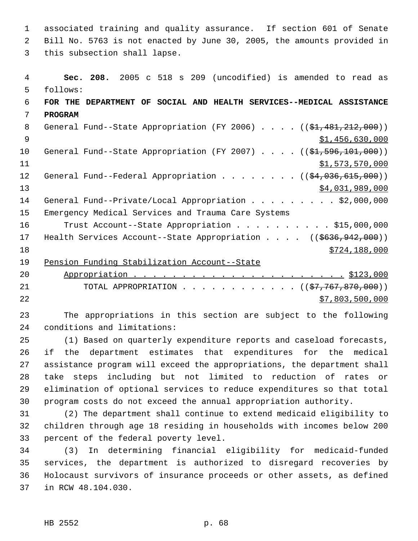associated training and quality assurance. If section 601 of Senate Bill No. 5763 is not enacted by June 30, 2005, the amounts provided in this subsection shall lapse.

 **Sec. 208.** 2005 c 518 s 209 (uncodified) is amended to read as follows: **FOR THE DEPARTMENT OF SOCIAL AND HEALTH SERVICES--MEDICAL ASSISTANCE PROGRAM** 8 General Fund--State Appropriation (FY 2006) . . . . ((\$1,481,212,000)) 9  $\texttt{51,456,630,000}$ 10 General Fund--State Appropriation (FY 2007) . . . . ((\$1,596,101,000))  $\frac{1}{51,573,570,000}$ 12 General Fund--Federal Appropriation . . . . . . . ((\$4,036,615,000))  $$4,031,989,000$ 14 General Fund--Private/Local Appropriation . . . . . . . . \$2,000,000 Emergency Medical Services and Trauma Care Systems 16 Trust Account--State Appropriation . . . . . . . . . \$15,000,000 17 Health Services Account--State Appropriation . . . . ((\$636,942,000)) \$724,188,000 19 Pension Funding Stabilization Account--State Appropriation . . . . . . . . . . . . . . . . . . . . . . \$123,000

21 TOTAL APPROPRIATION . . . . . . . . . . . ((\$7,767,870,000))  $\frac{$7,803,500,000}{2}$ 

 The appropriations in this section are subject to the following conditions and limitations:

 (1) Based on quarterly expenditure reports and caseload forecasts, if the department estimates that expenditures for the medical assistance program will exceed the appropriations, the department shall take steps including but not limited to reduction of rates or elimination of optional services to reduce expenditures so that total program costs do not exceed the annual appropriation authority.

 (2) The department shall continue to extend medicaid eligibility to children through age 18 residing in households with incomes below 200 percent of the federal poverty level.

 (3) In determining financial eligibility for medicaid-funded services, the department is authorized to disregard recoveries by Holocaust survivors of insurance proceeds or other assets, as defined in RCW 48.104.030.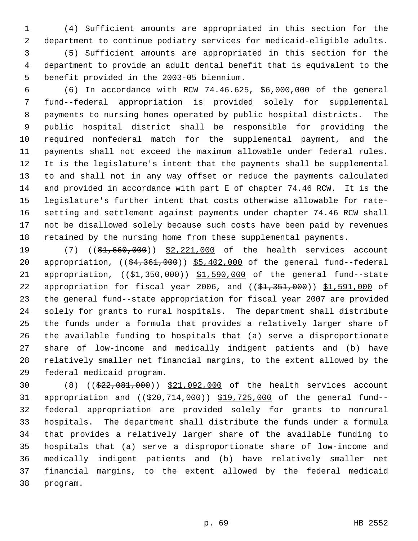(4) Sufficient amounts are appropriated in this section for the department to continue podiatry services for medicaid-eligible adults.

 (5) Sufficient amounts are appropriated in this section for the department to provide an adult dental benefit that is equivalent to the benefit provided in the 2003-05 biennium.

 (6) In accordance with RCW 74.46.625, \$6,000,000 of the general fund--federal appropriation is provided solely for supplemental payments to nursing homes operated by public hospital districts. The public hospital district shall be responsible for providing the required nonfederal match for the supplemental payment, and the payments shall not exceed the maximum allowable under federal rules. It is the legislature's intent that the payments shall be supplemental to and shall not in any way offset or reduce the payments calculated and provided in accordance with part E of chapter 74.46 RCW. It is the legislature's further intent that costs otherwise allowable for rate- setting and settlement against payments under chapter 74.46 RCW shall not be disallowed solely because such costs have been paid by revenues retained by the nursing home from these supplemental payments.

19 (7) ((\$1,660,000)) \$2,221,000 of the health services account 20 appropriation, ((\$4,361,000)) \$5,402,000 of the general fund--federal 21 appropriation, ((\$1,350,000)) \$1,590,000 of the general fund--state 22 appropriation for fiscal year 2006, and ((\$1,351,000)) \$1,591,000 of the general fund--state appropriation for fiscal year 2007 are provided solely for grants to rural hospitals. The department shall distribute the funds under a formula that provides a relatively larger share of the available funding to hospitals that (a) serve a disproportionate share of low-income and medically indigent patients and (b) have relatively smaller net financial margins, to the extent allowed by the federal medicaid program.

 (8) ((\$22,081,000)) \$21,092,000 of the health services account 31 appropriation and ((\$20,714,000)) \$19,725,000 of the general fund-- federal appropriation are provided solely for grants to nonrural hospitals. The department shall distribute the funds under a formula that provides a relatively larger share of the available funding to hospitals that (a) serve a disproportionate share of low-income and medically indigent patients and (b) have relatively smaller net financial margins, to the extent allowed by the federal medicaid program.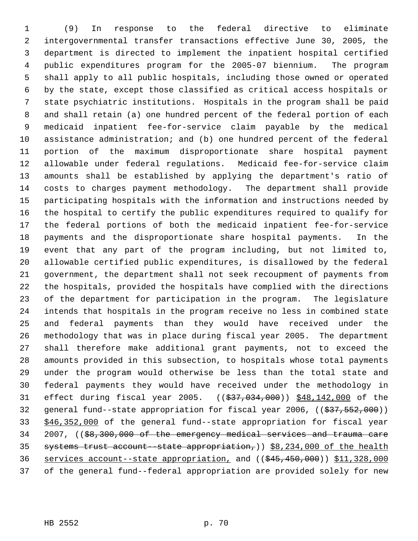(9) In response to the federal directive to eliminate intergovernmental transfer transactions effective June 30, 2005, the department is directed to implement the inpatient hospital certified public expenditures program for the 2005-07 biennium. The program shall apply to all public hospitals, including those owned or operated by the state, except those classified as critical access hospitals or state psychiatric institutions. Hospitals in the program shall be paid and shall retain (a) one hundred percent of the federal portion of each medicaid inpatient fee-for-service claim payable by the medical assistance administration; and (b) one hundred percent of the federal portion of the maximum disproportionate share hospital payment allowable under federal regulations. Medicaid fee-for-service claim amounts shall be established by applying the department's ratio of costs to charges payment methodology. The department shall provide participating hospitals with the information and instructions needed by the hospital to certify the public expenditures required to qualify for the federal portions of both the medicaid inpatient fee-for-service payments and the disproportionate share hospital payments. In the event that any part of the program including, but not limited to, allowable certified public expenditures, is disallowed by the federal government, the department shall not seek recoupment of payments from the hospitals, provided the hospitals have complied with the directions of the department for participation in the program. The legislature intends that hospitals in the program receive no less in combined state and federal payments than they would have received under the methodology that was in place during fiscal year 2005. The department shall therefore make additional grant payments, not to exceed the amounts provided in this subsection, to hospitals whose total payments under the program would otherwise be less than the total state and federal payments they would have received under the methodology in 31 effect during fiscal year 2005. ((\$37,034,000)) \$48,142,000 of the 32 general fund--state appropriation for fiscal year 2006, ((\$37,552,000)) \$46,352,000 of the general fund--state appropriation for fiscal year 2007, ((\$8,300,000 of the emergency medical services and trauma care 35 systems trust account--state appropriation,)) \$8,234,000 of the health services account--state appropriation, and ((\$45,450,000)) \$11,328,000 of the general fund--federal appropriation are provided solely for new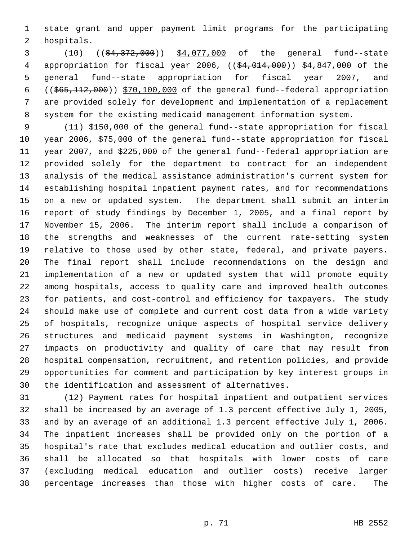state grant and upper payment limit programs for the participating hospitals.

 (10) ((\$4,372,000)) \$4,077,000 of the general fund--state appropriation for fiscal year 2006, ((\$4,014,000)) \$4,847,000 of the general fund--state appropriation for fiscal year 2007, and ((\$65,112,000)) \$70,100,000 of the general fund--federal appropriation are provided solely for development and implementation of a replacement system for the existing medicaid management information system.

 (11) \$150,000 of the general fund--state appropriation for fiscal year 2006, \$75,000 of the general fund--state appropriation for fiscal year 2007, and \$225,000 of the general fund--federal appropriation are provided solely for the department to contract for an independent analysis of the medical assistance administration's current system for establishing hospital inpatient payment rates, and for recommendations on a new or updated system. The department shall submit an interim report of study findings by December 1, 2005, and a final report by November 15, 2006. The interim report shall include a comparison of the strengths and weaknesses of the current rate-setting system relative to those used by other state, federal, and private payers. The final report shall include recommendations on the design and implementation of a new or updated system that will promote equity among hospitals, access to quality care and improved health outcomes for patients, and cost-control and efficiency for taxpayers. The study should make use of complete and current cost data from a wide variety of hospitals, recognize unique aspects of hospital service delivery structures and medicaid payment systems in Washington, recognize impacts on productivity and quality of care that may result from hospital compensation, recruitment, and retention policies, and provide opportunities for comment and participation by key interest groups in the identification and assessment of alternatives.

 (12) Payment rates for hospital inpatient and outpatient services shall be increased by an average of 1.3 percent effective July 1, 2005, and by an average of an additional 1.3 percent effective July 1, 2006. The inpatient increases shall be provided only on the portion of a hospital's rate that excludes medical education and outlier costs, and shall be allocated so that hospitals with lower costs of care (excluding medical education and outlier costs) receive larger percentage increases than those with higher costs of care. The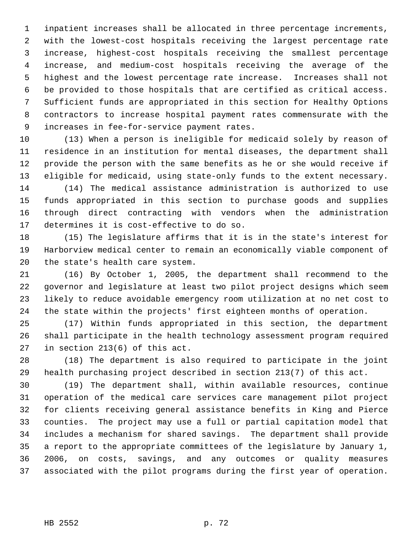inpatient increases shall be allocated in three percentage increments, with the lowest-cost hospitals receiving the largest percentage rate increase, highest-cost hospitals receiving the smallest percentage increase, and medium-cost hospitals receiving the average of the highest and the lowest percentage rate increase. Increases shall not be provided to those hospitals that are certified as critical access. Sufficient funds are appropriated in this section for Healthy Options contractors to increase hospital payment rates commensurate with the increases in fee-for-service payment rates.

 (13) When a person is ineligible for medicaid solely by reason of residence in an institution for mental diseases, the department shall provide the person with the same benefits as he or she would receive if eligible for medicaid, using state-only funds to the extent necessary.

 (14) The medical assistance administration is authorized to use funds appropriated in this section to purchase goods and supplies through direct contracting with vendors when the administration determines it is cost-effective to do so.

 (15) The legislature affirms that it is in the state's interest for Harborview medical center to remain an economically viable component of the state's health care system.

 (16) By October 1, 2005, the department shall recommend to the governor and legislature at least two pilot project designs which seem likely to reduce avoidable emergency room utilization at no net cost to the state within the projects' first eighteen months of operation.

 (17) Within funds appropriated in this section, the department shall participate in the health technology assessment program required in section 213(6) of this act.

 (18) The department is also required to participate in the joint health purchasing project described in section 213(7) of this act.

 (19) The department shall, within available resources, continue operation of the medical care services care management pilot project for clients receiving general assistance benefits in King and Pierce counties. The project may use a full or partial capitation model that includes a mechanism for shared savings. The department shall provide a report to the appropriate committees of the legislature by January 1, 2006, on costs, savings, and any outcomes or quality measures associated with the pilot programs during the first year of operation.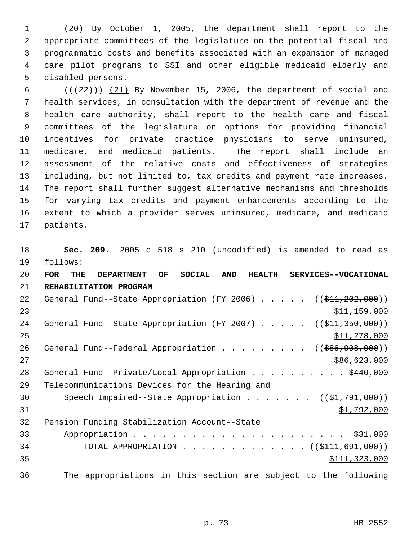(20) By October 1, 2005, the department shall report to the appropriate committees of the legislature on the potential fiscal and programmatic costs and benefits associated with an expansion of managed care pilot programs to SSI and other eligible medicaid elderly and disabled persons.

 $((+22))$   $(21)$  By November 15, 2006, the department of social and health services, in consultation with the department of revenue and the health care authority, shall report to the health care and fiscal committees of the legislature on options for providing financial incentives for private practice physicians to serve uninsured, medicare, and medicaid patients. The report shall include an assessment of the relative costs and effectiveness of strategies including, but not limited to, tax credits and payment rate increases. The report shall further suggest alternative mechanisms and thresholds for varying tax credits and payment enhancements according to the extent to which a provider serves uninsured, medicare, and medicaid patients.

 **Sec. 209.** 2005 c 518 s 210 (uncodified) is amended to read as follows:

 **FOR THE DEPARTMENT OF SOCIAL AND HEALTH SERVICES--VOCATIONAL REHABILITATION PROGRAM** 22 General Fund--State Appropriation (FY 2006) . . . . . ((\$11,202,000)) \$11,159,000 24 General Fund--State Appropriation (FY 2007) . . . . . ((\$11,350,000)) \$11,278,000 26 General Fund--Federal Appropriation . . . . . . . . ((\$86,908,000)) 27 \$86,623,000 28 General Fund--Private/Local Appropriation . . . . . . . . . \$440,000 Telecommunications Devices for the Hearing and 30 Speech Impaired--State Appropriation . . . . . . ((\$1,791,000)) \$1,792,000 Pension Funding Stabilization Account--State Appropriation . . . . . . . . . . . . . . . . . . . . . . \$31,000 34 TOTAL APPROPRIATION . . . . . . . . . . . . . ((\$111,691,000)) \$111,323,000 The appropriations in this section are subject to the following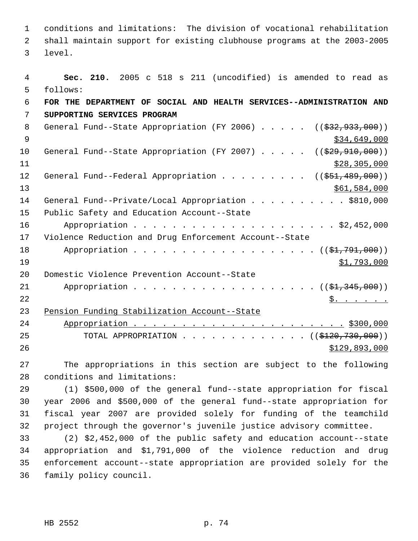conditions and limitations: The division of vocational rehabilitation shall maintain support for existing clubhouse programs at the 2003-2005 level.

 **Sec. 210.** 2005 c 518 s 211 (uncodified) is amended to read as follows: **FOR THE DEPARTMENT OF SOCIAL AND HEALTH SERVICES--ADMINISTRATION AND SUPPORTING SERVICES PROGRAM** 8 General Fund--State Appropriation (FY 2006) . . . . . ((\$32,933,000))  $\frac{1}{334}$ ,649,000 10 General Fund--State Appropriation (FY 2007) . . . . . ((\$29,910,000))  $\frac{11}{28,305,000}$ 12 General Fund--Federal Appropriation . . . . . . . . ((\$51,489,000)) \$61,584,000 14 General Fund--Private/Local Appropriation . . . . . . . . . \$810,000 Public Safety and Education Account--State Appropriation . . . . . . . . . . . . . . . . . . . . . \$2,452,000 Violence Reduction and Drug Enforcement Account--State 18 Appropriation . . . . . . . . . . . . . . . . . (  $(\frac{21}{791}, \frac{791}{100})$  )  $\frac{$1,793,000}{2}$  Domestic Violence Prevention Account--State 21 Appropriation . . . . . . . . . . . . . . . . . (  $(\frac{21}{21}, \frac{345}{100})$  )  $\frac{1}{2}$   $\frac{1}{2}$   $\frac{1}{2}$   $\frac{1}{2}$   $\frac{1}{2}$   $\frac{1}{2}$   $\frac{1}{2}$   $\frac{1}{2}$   $\frac{1}{2}$   $\frac{1}{2}$   $\frac{1}{2}$   $\frac{1}{2}$   $\frac{1}{2}$   $\frac{1}{2}$   $\frac{1}{2}$   $\frac{1}{2}$   $\frac{1}{2}$   $\frac{1}{2}$   $\frac{1}{2}$   $\frac{1}{2}$   $\frac{1}{2}$   $\frac{1}{2}$  Pension Funding Stabilization Account--State Appropriation . . . . . . . . . . . . . . . . . . . . . . \$300,000 25 TOTAL APPROPRIATION . . . . . . . . . . . . ((\$120,730,000))  $$129,893,000$ 

 The appropriations in this section are subject to the following conditions and limitations:

 (1) \$500,000 of the general fund--state appropriation for fiscal year 2006 and \$500,000 of the general fund--state appropriation for fiscal year 2007 are provided solely for funding of the teamchild project through the governor's juvenile justice advisory committee.

 (2) \$2,452,000 of the public safety and education account--state appropriation and \$1,791,000 of the violence reduction and drug enforcement account--state appropriation are provided solely for the family policy council.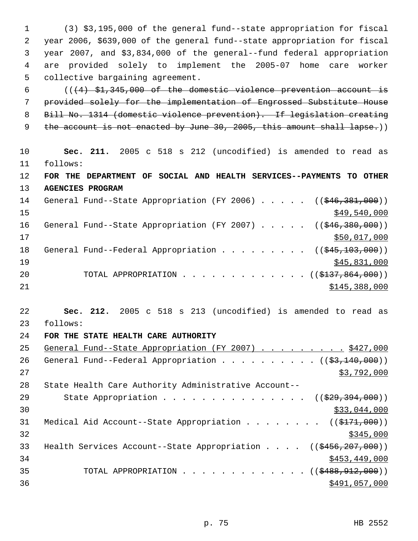(3) \$3,195,000 of the general fund--state appropriation for fiscal year 2006, \$639,000 of the general fund--state appropriation for fiscal year 2007, and \$3,834,000 of the general--fund federal appropriation are provided solely to implement the 2005-07 home care worker collective bargaining agreement.

 $((+4)$  \$1,345,000 of the domestic violence prevention account is provided solely for the implementation of Engrossed Substitute House Bill No. 1314 (domestic violence prevention). If legislation creating 9 the account is not enacted by June 30, 2005, this amount shall lapse.))

10 **Sec. 211.** 2005 c 518 s 212 (uncodified) is amended to read as 11 follows: 12 **FOR THE DEPARTMENT OF SOCIAL AND HEALTH SERVICES--PAYMENTS TO OTHER** 13 **AGENCIES PROGRAM** 14 General Fund--State Appropriation (FY 2006) . . . . . ((\$46,381,000))

 $\frac{$49,540,000}{2}$ 16 General Fund--State Appropriation (FY 2007) . . . . . ((\$46,380,000))  $17$  \$50,017,000 18 General Fund--Federal Appropriation . . . . . . . . ((\$45,103,000)) 19 \$45,831,000 20 TOTAL APPROPRIATION . . . . . . . . . . . . ((\$137,864,000))  $21$   $$145,388,000$ 

22 **Sec. 212.** 2005 c 518 s 213 (uncodified) is amended to read as 23 follows:

## 24 **FOR THE STATE HEALTH CARE AUTHORITY**

25 General Fund--State Appropriation (FY 2007) . . . . . . . . . \$427,000 26 General Fund--Federal Appropriation . . . . . . . . . ( $(\frac{23,140,000}{s})$ )  $27$  \$3,792,000 28 State Health Care Authority Administrative Account-- 29 State Appropriation . . . . . . . . . . . . . . ((\$29,394,000))  $\frac{1}{2}$  30  $\frac{1}{2}$  30  $\frac{1}{2}$  30  $\frac{1}{2}$  30  $\frac{1}{2}$  30  $\frac{1}{2}$  33,044,000 31 Medical Aid Account--State Appropriation . . . . . . . ((\$171,000))  $32$ 33 Health Services Account--State Appropriation . . . . ((\$456,207,000))  $34$  \$453,449,000 35 TOTAL APPROPRIATION . . . . . . . . . . . . ((\$488,912,000)) 36 \$491,057,000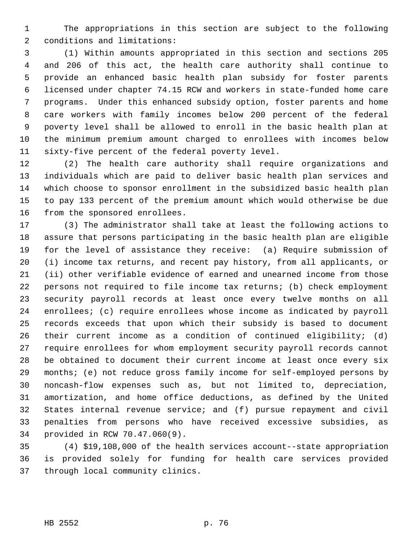The appropriations in this section are subject to the following conditions and limitations:

 (1) Within amounts appropriated in this section and sections 205 and 206 of this act, the health care authority shall continue to provide an enhanced basic health plan subsidy for foster parents licensed under chapter 74.15 RCW and workers in state-funded home care programs. Under this enhanced subsidy option, foster parents and home care workers with family incomes below 200 percent of the federal poverty level shall be allowed to enroll in the basic health plan at the minimum premium amount charged to enrollees with incomes below sixty-five percent of the federal poverty level.

 (2) The health care authority shall require organizations and individuals which are paid to deliver basic health plan services and which choose to sponsor enrollment in the subsidized basic health plan to pay 133 percent of the premium amount which would otherwise be due from the sponsored enrollees.

 (3) The administrator shall take at least the following actions to assure that persons participating in the basic health plan are eligible for the level of assistance they receive: (a) Require submission of (i) income tax returns, and recent pay history, from all applicants, or (ii) other verifiable evidence of earned and unearned income from those persons not required to file income tax returns; (b) check employment security payroll records at least once every twelve months on all enrollees; (c) require enrollees whose income as indicated by payroll records exceeds that upon which their subsidy is based to document their current income as a condition of continued eligibility; (d) require enrollees for whom employment security payroll records cannot be obtained to document their current income at least once every six months; (e) not reduce gross family income for self-employed persons by noncash-flow expenses such as, but not limited to, depreciation, amortization, and home office deductions, as defined by the United States internal revenue service; and (f) pursue repayment and civil penalties from persons who have received excessive subsidies, as provided in RCW 70.47.060(9).

 (4) \$19,108,000 of the health services account--state appropriation is provided solely for funding for health care services provided through local community clinics.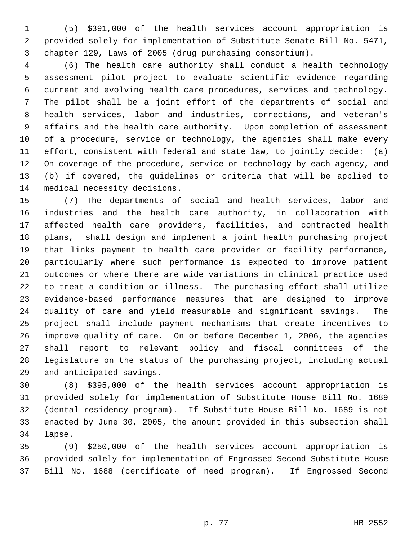(5) \$391,000 of the health services account appropriation is provided solely for implementation of Substitute Senate Bill No. 5471, chapter 129, Laws of 2005 (drug purchasing consortium).

 (6) The health care authority shall conduct a health technology assessment pilot project to evaluate scientific evidence regarding current and evolving health care procedures, services and technology. The pilot shall be a joint effort of the departments of social and health services, labor and industries, corrections, and veteran's affairs and the health care authority. Upon completion of assessment of a procedure, service or technology, the agencies shall make every effort, consistent with federal and state law, to jointly decide: (a) On coverage of the procedure, service or technology by each agency, and (b) if covered, the guidelines or criteria that will be applied to medical necessity decisions.

 (7) The departments of social and health services, labor and industries and the health care authority, in collaboration with affected health care providers, facilities, and contracted health plans, shall design and implement a joint health purchasing project that links payment to health care provider or facility performance, particularly where such performance is expected to improve patient outcomes or where there are wide variations in clinical practice used to treat a condition or illness. The purchasing effort shall utilize evidence-based performance measures that are designed to improve quality of care and yield measurable and significant savings. The project shall include payment mechanisms that create incentives to improve quality of care. On or before December 1, 2006, the agencies shall report to relevant policy and fiscal committees of the legislature on the status of the purchasing project, including actual and anticipated savings.

 (8) \$395,000 of the health services account appropriation is provided solely for implementation of Substitute House Bill No. 1689 (dental residency program). If Substitute House Bill No. 1689 is not enacted by June 30, 2005, the amount provided in this subsection shall lapse.

 (9) \$250,000 of the health services account appropriation is provided solely for implementation of Engrossed Second Substitute House Bill No. 1688 (certificate of need program). If Engrossed Second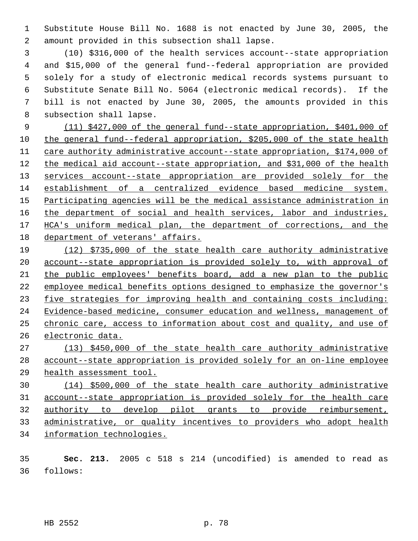Substitute House Bill No. 1688 is not enacted by June 30, 2005, the amount provided in this subsection shall lapse.

 (10) \$316,000 of the health services account--state appropriation and \$15,000 of the general fund--federal appropriation are provided solely for a study of electronic medical records systems pursuant to Substitute Senate Bill No. 5064 (electronic medical records). If the bill is not enacted by June 30, 2005, the amounts provided in this subsection shall lapse.

 (11) \$427,000 of the general fund--state appropriation, \$401,000 of the general fund--federal appropriation, \$205,000 of the state health care authority administrative account--state appropriation, \$174,000 of the medical aid account--state appropriation, and \$31,000 of the health 13 services account--state appropriation are provided solely for the establishment of a centralized evidence based medicine system. 15 Participating agencies will be the medical assistance administration in 16 the department of social and health services, labor and industries, 17 HCA's uniform medical plan, the department of corrections, and the department of veterans' affairs.

 (12) \$735,000 of the state health care authority administrative account--state appropriation is provided solely to, with approval of the public employees' benefits board, add a new plan to the public employee medical benefits options designed to emphasize the governor's five strategies for improving health and containing costs including: Evidence-based medicine, consumer education and wellness, management of chronic care, access to information about cost and quality, and use of electronic data.

 (13) \$450,000 of the state health care authority administrative account--state appropriation is provided solely for an on-line employee health assessment tool.

 (14) \$500,000 of the state health care authority administrative account--state appropriation is provided solely for the health care authority to develop pilot grants to provide reimbursement, administrative, or quality incentives to providers who adopt health information technologies.

 **Sec. 213.** 2005 c 518 s 214 (uncodified) is amended to read as follows:

HB 2552 p. 78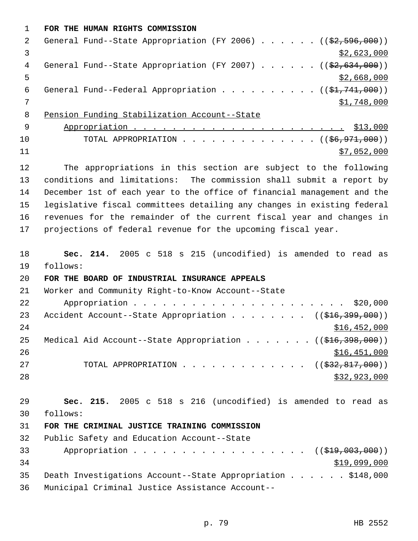**FOR THE HUMAN RIGHTS COMMISSION** 2 General Fund--State Appropriation (FY 2006) . . . . . . ((\$2,596,000))  $\frac{1}{2}$ ,623,000 4 General Fund--State Appropriation (FY 2007) . . . . . . ((\$2,634,000))  $5 - 5$  \$2,668,000 6 General Fund--Federal Appropriation . . . . . . . . .  $($   $($ \$1,741,000)) 7 \$1,748,000 Pension Funding Stabilization Account--State Appropriation . . . . . . . . . . . . . . . . . . . . . . \$13,000 10 TOTAL APPROPRIATION . . . . . . . . . . . . . ((<del>\$6,971,000</del>)) \$7,052,000 The appropriations in this section are subject to the following conditions and limitations: The commission shall submit a report by December 1st of each year to the office of financial management and the legislative fiscal committees detailing any changes in existing federal revenues for the remainder of the current fiscal year and changes in projections of federal revenue for the upcoming fiscal year. **Sec. 214.** 2005 c 518 s 215 (uncodified) is amended to read as follows: **FOR THE BOARD OF INDUSTRIAL INSURANCE APPEALS** Worker and Community Right-to-Know Account--State Appropriation . . . . . . . . . . . . . . . . . . . . . . \$20,000 23 Accident Account--State Appropriation . . . . . . . ((\$16,399,000)) 24 \$16,452,000 25 Medical Aid Account--State Appropriation . . . . . . ((\$16,398,000))  $\frac{$16,451,000}{20}$ 27 TOTAL APPROPRIATION . . . . . . . . . . . . ((<del>\$32,817,000</del>)) \$32,923,000 **Sec. 215.** 2005 c 518 s 216 (uncodified) is amended to read as follows: **FOR THE CRIMINAL JUSTICE TRAINING COMMISSION** Public Safety and Education Account--State 33 Appropriation . . . . . . . . . . . . . . . . ((\$19,003,000))  $$19,099,000$  Death Investigations Account--State Appropriation . . . . . . \$148,000 Municipal Criminal Justice Assistance Account--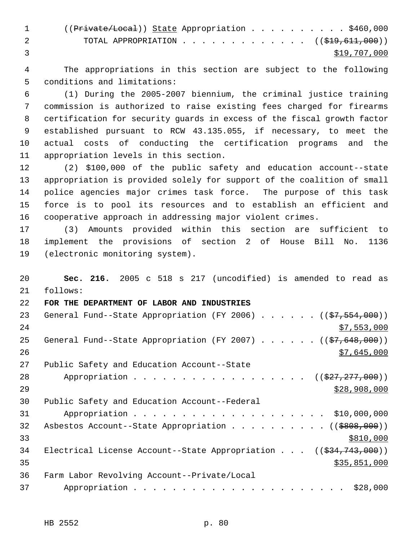|                | $((Private/Local))$ State Appropriation \$460,000<br>$\sim$ 1 and $\sim$ |  |  |  |              |  |
|----------------|--------------------------------------------------------------------------|--|--|--|--------------|--|
| $\overline{2}$ | TOTAL APPROPRIATION $($ $(\frac{1}{219}, \frac{611}{611}, 000))$         |  |  |  |              |  |
|                |                                                                          |  |  |  | \$19,707,000 |  |

 The appropriations in this section are subject to the following conditions and limitations:

 (1) During the 2005-2007 biennium, the criminal justice training commission is authorized to raise existing fees charged for firearms certification for security guards in excess of the fiscal growth factor established pursuant to RCW 43.135.055, if necessary, to meet the actual costs of conducting the certification programs and the appropriation levels in this section.

 (2) \$100,000 of the public safety and education account--state appropriation is provided solely for support of the coalition of small police agencies major crimes task force. The purpose of this task force is to pool its resources and to establish an efficient and cooperative approach in addressing major violent crimes.

 (3) Amounts provided within this section are sufficient to implement the provisions of section 2 of House Bill No. 1136 (electronic monitoring system).

 **Sec. 216.** 2005 c 518 s 217 (uncodified) is amended to read as follows: **FOR THE DEPARTMENT OF LABOR AND INDUSTRIES** 23 General Fund--State Appropriation (FY 2006) . . . . . . ((\$7,554,000)) \$7,553,000 25 General Fund--State Appropriation (FY 2007)  $\ldots$  . . . . ( $(\frac{27}{648}, \frac{648}{600})$ )  $\frac{$7,645,000}{2}$  Public Safety and Education Account--State 28 Appropriation . . . . . . . . . . . . . . . . ((\$27,277,000))  $\frac{$28,908,000}{2}$  Public Safety and Education Account--Federal Appropriation . . . . . . . . . . . . . . . . . . . . \$10,000,000 32 Asbestos Account--State Appropriation . . . . . . . . . ((\$808,000))  $\frac{$810,000}{ }$ 34 Electrical License Account--State Appropriation . . . ((\$34,743,000)) \$35,851,000 Farm Labor Revolving Account--Private/Local Appropriation . . . . . . . . . . . . . . . . . . . . . . \$28,000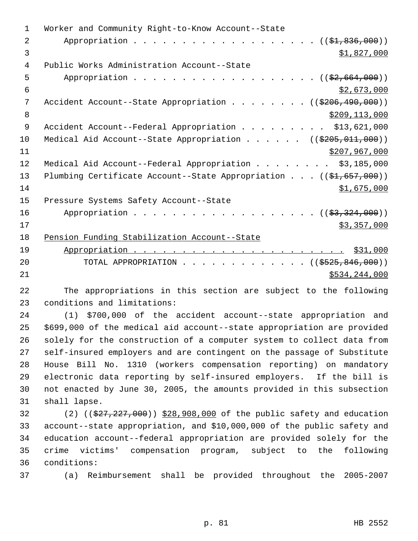| 1           | Worker and Community Right-to-Know Account--State                              |
|-------------|--------------------------------------------------------------------------------|
| 2           | Appropriation $($ $(\frac{1}{21}, 836, 000))$                                  |
| 3           | \$1,827,000                                                                    |
| 4           | Public Works Administration Account--State                                     |
| 5           | Appropriation $($ $(\frac{2}{2}, 664, 000))$                                   |
| 6           | \$2,673,000                                                                    |
| 7           | Accident Account--State Appropriation ((\$206,490,000))                        |
| 8           | \$209,113,000                                                                  |
| $\mathsf 9$ | Accident Account--Federal Appropriation \$13,621,000                           |
| 10          | Medical Aid Account--State Appropriation ((\$205,011,000))                     |
| 11          | \$207,967,000                                                                  |
| 12          | Medical Aid Account--Federal Appropriation \$3,185,000                         |
| 13          | Plumbing Certificate Account--State Appropriation $((\frac{1}{21}, 657, 000))$ |
| 14          | \$1,675,000                                                                    |
| 15          | Pressure Systems Safety Account--State                                         |
| 16          | Appropriation $($ $(\frac{2}{53}, \frac{324}{1000}) )$                         |
| 17          | \$3,357,000                                                                    |
| 18          | Pension Funding Stabilization Account--State                                   |
| 19          |                                                                                |
| 20          | TOTAL APPROPRIATION $\ldots$ , ( $(\frac{\$525,846,000}{\$})$                  |
| 21          | \$534,244,000                                                                  |

 The appropriations in this section are subject to the following conditions and limitations:

 (1) \$700,000 of the accident account--state appropriation and \$699,000 of the medical aid account--state appropriation are provided solely for the construction of a computer system to collect data from self-insured employers and are contingent on the passage of Substitute House Bill No. 1310 (workers compensation reporting) on mandatory electronic data reporting by self-insured employers. If the bill is not enacted by June 30, 2005, the amounts provided in this subsection shall lapse.

32 (2) ((\$27,227,000)) \$28,908,000 of the public safety and education account--state appropriation, and \$10,000,000 of the public safety and education account--federal appropriation are provided solely for the crime victims' compensation program, subject to the following conditions:

(a) Reimbursement shall be provided throughout the 2005-2007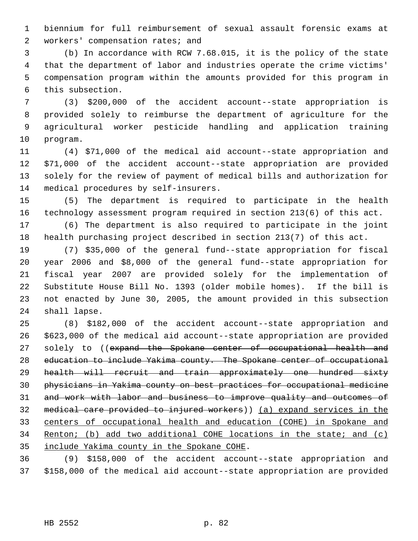biennium for full reimbursement of sexual assault forensic exams at workers' compensation rates; and

 (b) In accordance with RCW 7.68.015, it is the policy of the state that the department of labor and industries operate the crime victims' compensation program within the amounts provided for this program in this subsection.

 (3) \$200,000 of the accident account--state appropriation is provided solely to reimburse the department of agriculture for the agricultural worker pesticide handling and application training program.

 (4) \$71,000 of the medical aid account--state appropriation and \$71,000 of the accident account--state appropriation are provided solely for the review of payment of medical bills and authorization for medical procedures by self-insurers.

 (5) The department is required to participate in the health technology assessment program required in section 213(6) of this act.

 (6) The department is also required to participate in the joint health purchasing project described in section 213(7) of this act.

 (7) \$35,000 of the general fund--state appropriation for fiscal year 2006 and \$8,000 of the general fund--state appropriation for fiscal year 2007 are provided solely for the implementation of Substitute House Bill No. 1393 (older mobile homes). If the bill is not enacted by June 30, 2005, the amount provided in this subsection shall lapse.

 (8) \$182,000 of the accident account--state appropriation and \$623,000 of the medical aid account--state appropriation are provided 27 solely to ((expand the Spokane center of occupational health and education to include Yakima county. The Spokane center of occupational health will recruit and train approximately one hundred sixty physicians in Yakima county on best practices for occupational medicine 31 and work with labor and business to improve quality and outcomes of medical care provided to injured workers)) (a) expand services in the centers of occupational health and education (COHE) in Spokane and Renton; (b) add two additional COHE locations in the state; and (c) include Yakima county in the Spokane COHE.

 (9) \$158,000 of the accident account--state appropriation and \$158,000 of the medical aid account--state appropriation are provided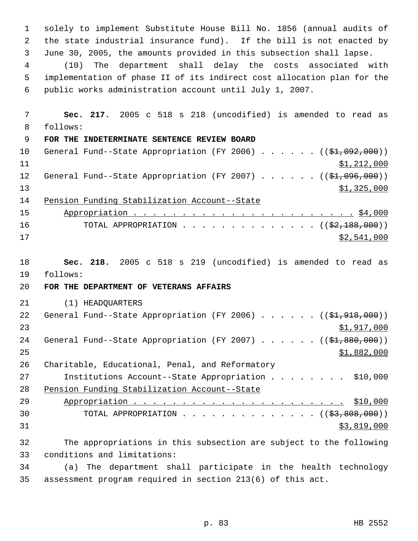solely to implement Substitute House Bill No. 1856 (annual audits of the state industrial insurance fund). If the bill is not enacted by June 30, 2005, the amounts provided in this subsection shall lapse.

 (10) The department shall delay the costs associated with implementation of phase II of its indirect cost allocation plan for the public works administration account until July 1, 2007.

 **Sec. 217.** 2005 c 518 s 218 (uncodified) is amended to read as follows: **FOR THE INDETERMINATE SENTENCE REVIEW BOARD** 10 General Fund--State Appropriation (FY 2006) . . . . . . ((\$1,092,000)) \$1,212,000 12 General Fund--State Appropriation (FY 2007) . . . . . . ((\$1,096,000)) \$1,325,000 Pension Funding Stabilization Account--State Appropriation . . . . . . . . . . . . . . . . . . . . . . . \$4,000 16 TOTAL APPROPRIATION . . . . . . . . . . . . . ((<del>\$2,188,000</del>)) \$2,541,000 **Sec. 218.** 2005 c 518 s 219 (uncodified) is amended to read as follows: **FOR THE DEPARTMENT OF VETERANS AFFAIRS** (1) HEADQUARTERS 22 General Fund--State Appropriation (FY 2006) . . . . . . ((\$1,918,000)) \$1,917,000 24 General Fund--State Appropriation (FY 2007) . . . . . . ((\$1,880,000))  $\frac{$1,882,000}{25}$  Charitable, Educational, Penal, and Reformatory Institutions Account--State Appropriation . . . . . . . . \$10,000 Pension Funding Stabilization Account--State Appropriation . . . . . . . . . . . . . . . . . . . . . . \$10,000 30 TOTAL APPROPRIATION  $\cdots$ ,  $\cdots$ ,  $\cdots$ ,  $\cdots$ ,  $\cdots$ ,  $\cdots$ ,  $\cdots$ ,  $\cdots$  \$3,819,000 The appropriations in this subsection are subject to the following conditions and limitations: (a) The department shall participate in the health technology

assessment program required in section 213(6) of this act.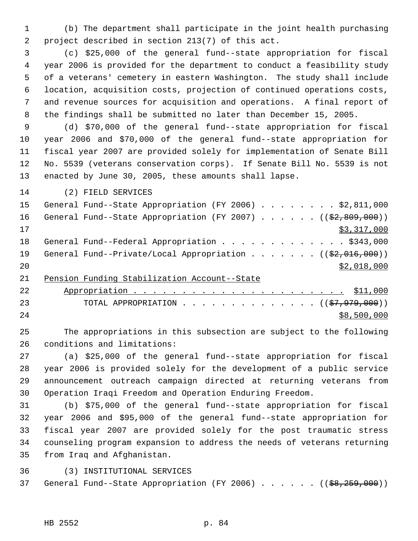(b) The department shall participate in the joint health purchasing project described in section 213(7) of this act.

 (c) \$25,000 of the general fund--state appropriation for fiscal year 2006 is provided for the department to conduct a feasibility study of a veterans' cemetery in eastern Washington. The study shall include location, acquisition costs, projection of continued operations costs, and revenue sources for acquisition and operations. A final report of the findings shall be submitted no later than December 15, 2005.

 (d) \$70,000 of the general fund--state appropriation for fiscal year 2006 and \$70,000 of the general fund--state appropriation for fiscal year 2007 are provided solely for implementation of Senate Bill No. 5539 (veterans conservation corps). If Senate Bill No. 5539 is not enacted by June 30, 2005, these amounts shall lapse.

(2) FIELD SERVICES

| 15 | General Fund--State Appropriation (FY 2006) \$2,811,000                 |
|----|-------------------------------------------------------------------------|
| 16 | General Fund--State Appropriation (FY 2007) $($ $($ $\frac{209}{100})$  |
| 17 | \$3,317,000                                                             |
| 18 | General Fund--Federal Appropriation \$343,000                           |
| 19 | General Fund--Private/Local Appropriation ( $(\frac{2}{2}, 016, 000)$ ) |
| 20 | \$2,018,000                                                             |
|    |                                                                         |

Pension Funding Stabilization Account--State

| 22  |                                                           |
|-----|-----------------------------------------------------------|
| 23  | TOTAL APPROPRIATION ( $(\frac{27}{7}, \frac{979}{900})$ ) |
| 2.4 | \$8,500,000                                               |

 The appropriations in this subsection are subject to the following conditions and limitations:

 (a) \$25,000 of the general fund--state appropriation for fiscal year 2006 is provided solely for the development of a public service announcement outreach campaign directed at returning veterans from Operation Iraqi Freedom and Operation Enduring Freedom.

 (b) \$75,000 of the general fund--state appropriation for fiscal year 2006 and \$95,000 of the general fund--state appropriation for fiscal year 2007 are provided solely for the post traumatic stress counseling program expansion to address the needs of veterans returning from Iraq and Afghanistan.

(3) INSTITUTIONAL SERVICES

37 General Fund--State Appropriation (FY 2006) . . . . . ((\$8,259,000))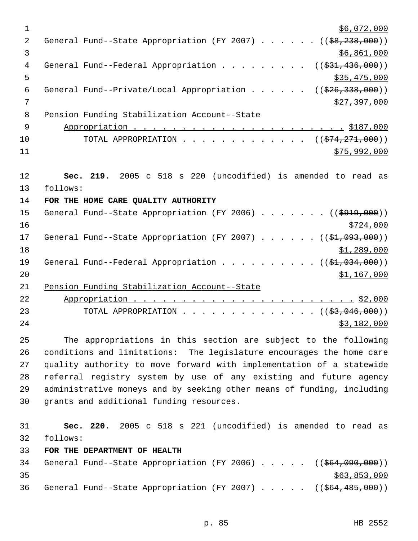| 1           | \$6,072,000                                                                  |
|-------------|------------------------------------------------------------------------------|
| 2           | General Fund--State Appropriation (FY 2007) $($ $($ $\frac{69}{238}$ , 000)) |
| 3           | \$6,861,000                                                                  |
| 4           | General Fund--Federal Appropriation ( $(\frac{231}{436}, 000)$ )             |
| 5           | \$35,475,000                                                                 |
| 6           | General Fund--Private/Local Appropriation ( $(\frac{226}{338}, 000)$ )       |
| 7           | \$27,397,000                                                                 |
| 8           | Pension Funding Stabilization Account--State                                 |
| $\mathsf 9$ |                                                                              |
| 10          | TOTAL APPROPRIATION ( $(\frac{274}{271}, 000)$ )                             |
| 11          | \$75,992,000                                                                 |
| 12          | Sec. 219. 2005 c 518 s 220 (uncodified) is amended to read as                |
| 13          | follows:                                                                     |
| 14          | FOR THE HOME CARE QUALITY AUTHORITY                                          |
| 15          | General Fund--State Appropriation (FY 2006) ( $(\frac{2919}{000})$ )         |
| 16          | \$724,000                                                                    |
| 17          | General Fund--State Appropriation (FY 2007) $($ $(\frac{21}{1003}, 000) )$   |
| 18          | \$1,289,000                                                                  |
| 19          | General Fund--Federal Appropriation $($ $($ \$1,034,000) $)$                 |
| 20          | \$1,167,000                                                                  |
| 21          | Pension Funding Stabilization Account--State                                 |
| 22          |                                                                              |
| 23          | TOTAL APPROPRIATION ( $(\frac{23}{1000})$ )                                  |
| 24          | \$3,182,000                                                                  |
| 25          | The appropriations in this section are subject to the following              |
| 26          | conditions and limitations: The legislature encourages the home care         |
| 27          | quality authority to move forward with implementation of a statewide         |
| 28          | referral registry system by use of any existing and future agency            |
| 29          | administrative moneys and by seeking other means of funding, including       |
| 30          | grants and additional funding resources.                                     |
| 31          | Sec. 220. 2005 c 518 s 221 (uncodified) is amended to read as                |
| 32          | follows:                                                                     |
| 33          | FOR THE DEPARTMENT OF HEALTH                                                 |
| 34          | General Fund--State Appropriation (FY 2006) ((\$64,090,000))                 |
| 35          | \$63,853,000                                                                 |
| 36          | General Fund--State Appropriation (FY 2007) $($ $($ $$64,485,000)$ )         |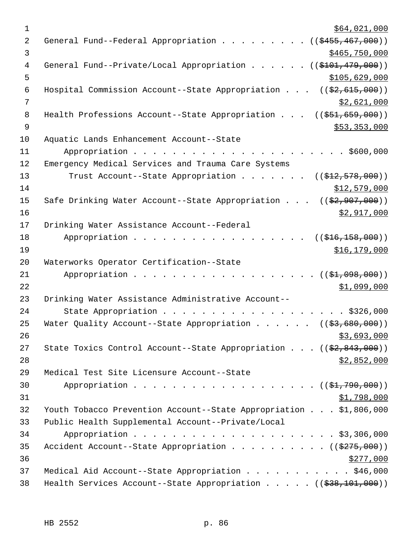| 1              | \$64,021,000                                                                          |
|----------------|---------------------------------------------------------------------------------------|
| 2              | General Fund--Federal Appropriation ((\$455,467,000))                                 |
| 3              | \$465,750,000                                                                         |
| 4              | General Fund--Private/Local Appropriation ((\$101,479,000))                           |
| 5              | \$105,629,000                                                                         |
| 6              | Hospital Commission Account--State Appropriation $((\frac{2}{7}, 615, 000))$          |
| 7              | \$2,621,000                                                                           |
| 8              | Health Professions Account--State Appropriation $((\frac{251}{659}, \frac{699}{69}))$ |
| $\overline{9}$ | \$53,353,000                                                                          |
| 10             | Aquatic Lands Enhancement Account--State                                              |
| 11             |                                                                                       |
| 12             | Emergency Medical Services and Trauma Care Systems                                    |
| 13             | Trust Account--State Appropriation ( $(\frac{12}{72}, 578, 000)$ )                    |
| 14             | \$12,579,000                                                                          |
| 15             | Safe Drinking Water Account--State Appropriation $((\frac{2}{2}, 907, 000))$          |
| 16             | \$2,917,000                                                                           |
| 17             | Drinking Water Assistance Account--Federal                                            |
| 18             | Appropriation<br>((\$416,158,000))                                                    |
| 19             | \$16,179,000                                                                          |
| 20             | Waterworks Operator Certification--State                                              |
| 21             | Appropriation<br>(( <del>\$1,098,000</del> ))                                         |
| 22             | \$1,099,000                                                                           |
| 23             | Drinking Water Assistance Administrative Account--                                    |
| 24             | State Appropriation \$326,000                                                         |
| 25             | Water Quality Account--State Appropriation ( $(\frac{2}{3}, 680, 000)$ )              |
| 26             | \$3,693,000                                                                           |
| 27             | State Toxics Control Account--State Appropriation $((\frac{2}{7}, 843, 000))$         |
| 28             | \$2,852,000                                                                           |
| 29             | Medical Test Site Licensure Account--State                                            |
| 30             | Appropriation ( $(\frac{1}{21}, 790, 000)$ )                                          |
| 31             | <u>\$1,798,000</u>                                                                    |
| 32             | Youth Tobacco Prevention Account--State Appropriation \$1,806,000                     |
| 33             | Public Health Supplemental Account--Private/Local                                     |
| 34             |                                                                                       |
| 35             | Accident Account--State Appropriation ( $(\frac{2775}{100})$ )                        |
| 36             | \$277,000                                                                             |
| 37             | Medical Aid Account--State Appropriation \$46,000                                     |
| 38             | Health Services Account--State Appropriation $($ $($ $\frac{238}{101},000)$ $)$       |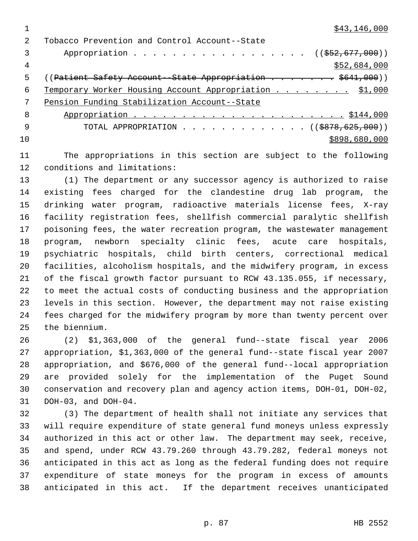\$43,146,000

| $\mathcal{L}$ | Tobacco Prevention and Control Account--State                           |
|---------------|-------------------------------------------------------------------------|
| 3             | Appropriation ( $(\frac{252}{677}, \frac{677}{600})$ )                  |
| 4             | \$52,684,000                                                            |
| 5             | $(($ Patient Safety Account - State Appropriation $\frac{1}{5641,000})$ |
| 6             | Temporary Worker Housing Account Appropriation \$1,000                  |
| 7             | Pension Funding Stabilization Account--State                            |
| - 8           |                                                                         |
| - 9           | TOTAL APPROPRIATION $\ldots$ , ( $(\$878,625,000)$ )                    |
| 10            | \$898,680,000                                                           |
|               |                                                                         |

 The appropriations in this section are subject to the following conditions and limitations:

 (1) The department or any successor agency is authorized to raise existing fees charged for the clandestine drug lab program, the drinking water program, radioactive materials license fees, X-ray facility registration fees, shellfish commercial paralytic shellfish poisoning fees, the water recreation program, the wastewater management program, newborn specialty clinic fees, acute care hospitals, psychiatric hospitals, child birth centers, correctional medical facilities, alcoholism hospitals, and the midwifery program, in excess of the fiscal growth factor pursuant to RCW 43.135.055, if necessary, to meet the actual costs of conducting business and the appropriation levels in this section. However, the department may not raise existing fees charged for the midwifery program by more than twenty percent over the biennium.

 (2) \$1,363,000 of the general fund--state fiscal year 2006 appropriation, \$1,363,000 of the general fund--state fiscal year 2007 appropriation, and \$676,000 of the general fund--local appropriation are provided solely for the implementation of the Puget Sound conservation and recovery plan and agency action items, DOH-01, DOH-02, DOH-03, and DOH-04.

 (3) The department of health shall not initiate any services that will require expenditure of state general fund moneys unless expressly authorized in this act or other law. The department may seek, receive, and spend, under RCW 43.79.260 through 43.79.282, federal moneys not anticipated in this act as long as the federal funding does not require expenditure of state moneys for the program in excess of amounts anticipated in this act. If the department receives unanticipated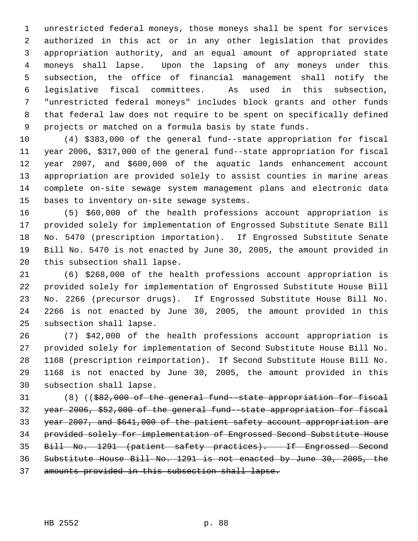unrestricted federal moneys, those moneys shall be spent for services authorized in this act or in any other legislation that provides appropriation authority, and an equal amount of appropriated state moneys shall lapse. Upon the lapsing of any moneys under this subsection, the office of financial management shall notify the legislative fiscal committees. As used in this subsection, "unrestricted federal moneys" includes block grants and other funds that federal law does not require to be spent on specifically defined projects or matched on a formula basis by state funds.

 (4) \$383,000 of the general fund--state appropriation for fiscal year 2006, \$317,000 of the general fund--state appropriation for fiscal year 2007, and \$600,000 of the aquatic lands enhancement account appropriation are provided solely to assist counties in marine areas complete on-site sewage system management plans and electronic data bases to inventory on-site sewage systems.

 (5) \$60,000 of the health professions account appropriation is provided solely for implementation of Engrossed Substitute Senate Bill No. 5470 (prescription importation). If Engrossed Substitute Senate Bill No. 5470 is not enacted by June 30, 2005, the amount provided in this subsection shall lapse.

 (6) \$268,000 of the health professions account appropriation is provided solely for implementation of Engrossed Substitute House Bill No. 2266 (precursor drugs). If Engrossed Substitute House Bill No. 2266 is not enacted by June 30, 2005, the amount provided in this subsection shall lapse.

 (7) \$42,000 of the health professions account appropriation is provided solely for implementation of Second Substitute House Bill No. 1168 (prescription reimportation). If Second Substitute House Bill No. 1168 is not enacted by June 30, 2005, the amount provided in this subsection shall lapse.

31 (8) ((\$82,000 of the general fund -state appropriation for fiscal year 2006, \$52,000 of the general fund--state appropriation for fiscal 33 year 2007, and \$641,000 of the patient safety account appropriation are provided solely for implementation of Engrossed Second Substitute House Bill No. 1291 (patient safety practices). If Engrossed Second Substitute House Bill No. 1291 is not enacted by June 30, 2005, the amounts provided in this subsection shall lapse.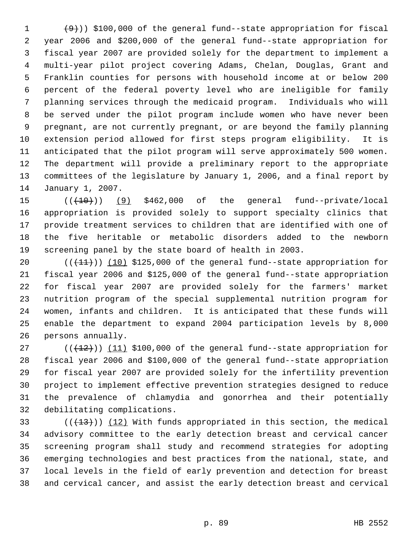$(9)$ ) \$100,000 of the general fund--state appropriation for fiscal year 2006 and \$200,000 of the general fund--state appropriation for fiscal year 2007 are provided solely for the department to implement a multi-year pilot project covering Adams, Chelan, Douglas, Grant and Franklin counties for persons with household income at or below 200 percent of the federal poverty level who are ineligible for family planning services through the medicaid program. Individuals who will be served under the pilot program include women who have never been pregnant, are not currently pregnant, or are beyond the family planning extension period allowed for first steps program eligibility. It is anticipated that the pilot program will serve approximately 500 women. The department will provide a preliminary report to the appropriate committees of the legislature by January 1, 2006, and a final report by January 1, 2007.

 $((+10))$  (9) \$462,000 of the general fund--private/local appropriation is provided solely to support specialty clinics that provide treatment services to children that are identified with one of the five heritable or metabolic disorders added to the newborn screening panel by the state board of health in 2003.

 $((+11))$   $(10)$  \$125,000 of the general fund--state appropriation for fiscal year 2006 and \$125,000 of the general fund--state appropriation for fiscal year 2007 are provided solely for the farmers' market nutrition program of the special supplemental nutrition program for women, infants and children. It is anticipated that these funds will enable the department to expand 2004 participation levels by 8,000 persons annually.

 $((+12))$   $(11)$  \$100,000 of the general fund--state appropriation for fiscal year 2006 and \$100,000 of the general fund--state appropriation for fiscal year 2007 are provided solely for the infertility prevention project to implement effective prevention strategies designed to reduce the prevalence of chlamydia and gonorrhea and their potentially debilitating complications.

 $((+13))$   $(12)$  With funds appropriated in this section, the medical advisory committee to the early detection breast and cervical cancer screening program shall study and recommend strategies for adopting emerging technologies and best practices from the national, state, and local levels in the field of early prevention and detection for breast and cervical cancer, and assist the early detection breast and cervical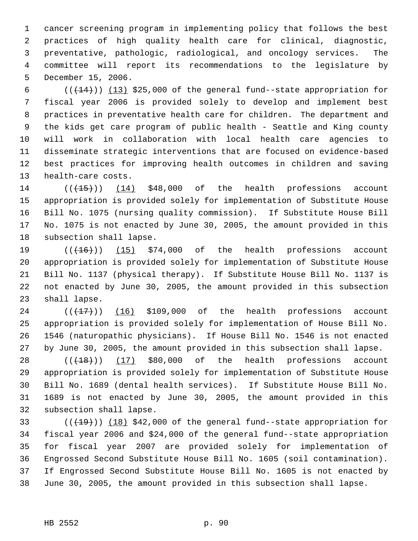cancer screening program in implementing policy that follows the best practices of high quality health care for clinical, diagnostic, preventative, pathologic, radiological, and oncology services. The committee will report its recommendations to the legislature by December 15, 2006.

 $((+14))$   $(13)$  \$25,000 of the general fund--state appropriation for fiscal year 2006 is provided solely to develop and implement best practices in preventative health care for children. The department and the kids get care program of public health - Seattle and King county will work in collaboration with local health care agencies to disseminate strategic interventions that are focused on evidence-based best practices for improving health outcomes in children and saving health-care costs.

 $((+15))$  (14) \$48,000 of the health professions account appropriation is provided solely for implementation of Substitute House Bill No. 1075 (nursing quality commission). If Substitute House Bill No. 1075 is not enacted by June 30, 2005, the amount provided in this subsection shall lapse.

 $((+16))$   $(15)$  \$74,000 of the health professions account appropriation is provided solely for implementation of Substitute House Bill No. 1137 (physical therapy). If Substitute House Bill No. 1137 is not enacted by June 30, 2005, the amount provided in this subsection shall lapse.

 ( $(\overline{+17})$ )  $\overline{16}$  \$109,000 of the health professions account appropriation is provided solely for implementation of House Bill No. 1546 (naturopathic physicians). If House Bill No. 1546 is not enacted by June 30, 2005, the amount provided in this subsection shall lapse.

 $((+18))$   $(17)$  \$80,000 of the health professions account appropriation is provided solely for implementation of Substitute House Bill No. 1689 (dental health services). If Substitute House Bill No. 1689 is not enacted by June 30, 2005, the amount provided in this subsection shall lapse.

 $((+19))$   $(18)$  \$42,000 of the general fund--state appropriation for fiscal year 2006 and \$24,000 of the general fund--state appropriation for fiscal year 2007 are provided solely for implementation of Engrossed Second Substitute House Bill No. 1605 (soil contamination). If Engrossed Second Substitute House Bill No. 1605 is not enacted by June 30, 2005, the amount provided in this subsection shall lapse.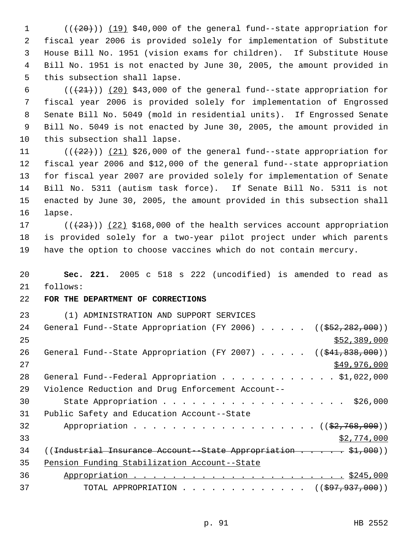$((+20))$   $(19)$  \$40,000 of the general fund--state appropriation for fiscal year 2006 is provided solely for implementation of Substitute House Bill No. 1951 (vision exams for children). If Substitute House Bill No. 1951 is not enacted by June 30, 2005, the amount provided in this subsection shall lapse.

 $((+21))$   $(20)$  \$43,000 of the general fund--state appropriation for fiscal year 2006 is provided solely for implementation of Engrossed Senate Bill No. 5049 (mold in residential units). If Engrossed Senate Bill No. 5049 is not enacted by June 30, 2005, the amount provided in this subsection shall lapse.

 $((+22))$   $(21)$  \$26,000 of the general fund--state appropriation for fiscal year 2006 and \$12,000 of the general fund--state appropriation for fiscal year 2007 are provided solely for implementation of Senate Bill No. 5311 (autism task force). If Senate Bill No. 5311 is not enacted by June 30, 2005, the amount provided in this subsection shall lapse.

17 ( $(\frac{23}{2})$ ) (22) \$168,000 of the health services account appropriation is provided solely for a two-year pilot project under which parents have the option to choose vaccines which do not contain mercury.

 **Sec. 221.** 2005 c 518 s 222 (uncodified) is amended to read as follows:

**FOR THE DEPARTMENT OF CORRECTIONS**

 (1) ADMINISTRATION AND SUPPORT SERVICES 24 General Fund--State Appropriation (FY 2006) . . . . . ((\$52,282,000))  $52,389,000$ 26 General Fund--State Appropriation (FY 2007) . . . . . ((\$41,838,000)) \$49,976,000 28 General Fund--Federal Appropriation . . . . . . . . . . . \$1,022,000 Violence Reduction and Drug Enforcement Account-- 30 State Appropriation . . . . . . . . . . . . . . . . . . \$26,000 Public Safety and Education Account--State 32 Appropriation . . . . . . . . . . . . . . . . . ((\$2,768,000))  $\frac{$2,774,000}{ }$ 34 ((<del>Industrial Insurance Account-State Appropriation . . . . \$1,000</del>)) Pension Funding Stabilization Account--State Appropriation . . . . . . . . . . . . . . . . . . . . . . \$245,000 37 TOTAL APPROPRIATION . . . . . . . . . . . . . ((\$97,937,000))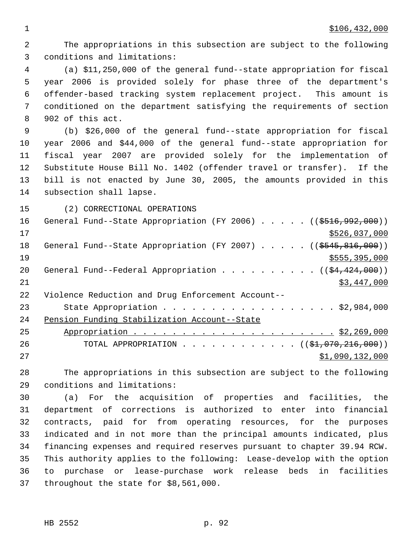$1 \quad$  \$106,432,000

 The appropriations in this subsection are subject to the following conditions and limitations: (a) \$11,250,000 of the general fund--state appropriation for fiscal year 2006 is provided solely for phase three of the department's offender-based tracking system replacement project. This amount is conditioned on the department satisfying the requirements of section 902 of this act. (b) \$26,000 of the general fund--state appropriation for fiscal year 2006 and \$44,000 of the general fund--state appropriation for fiscal year 2007 are provided solely for the implementation of Substitute House Bill No. 1402 (offender travel or transfer). If the bill is not enacted by June 30, 2005, the amounts provided in this subsection shall lapse. (2) CORRECTIONAL OPERATIONS 16 General Fund--State Appropriation (FY 2006) . . . . . ((\$516,992,000)) \$526,037,000 18 General Fund--State Appropriation (FY 2007) . . . . . ((\$545,816,000))  $$555,395,000$ 20 General Fund--Federal Appropriation . . . . . . . . .  $($   $($ \$4,424,000)  $)$  \$3,447,000 Violence Reduction and Drug Enforcement Account-- State Appropriation . . . . . . . . . . . . . . . . . . \$2,984,000 Pension Funding Stabilization Account--State Appropriation . . . . . . . . . . . . . . . . . . . . . \$2,269,000 26 TOTAL APPROPRIATION . . . . . . . . . . . ((\$<del>1,070,216,000</del>)) \$1,090,132,000

 The appropriations in this subsection are subject to the following conditions and limitations:

 (a) For the acquisition of properties and facilities, the department of corrections is authorized to enter into financial contracts, paid for from operating resources, for the purposes indicated and in not more than the principal amounts indicated, plus financing expenses and required reserves pursuant to chapter 39.94 RCW. This authority applies to the following: Lease-develop with the option to purchase or lease-purchase work release beds in facilities throughout the state for \$8,561,000.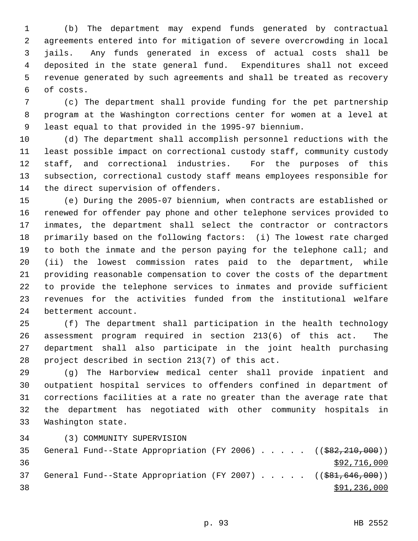(b) The department may expend funds generated by contractual agreements entered into for mitigation of severe overcrowding in local jails. Any funds generated in excess of actual costs shall be deposited in the state general fund. Expenditures shall not exceed revenue generated by such agreements and shall be treated as recovery of costs.

 (c) The department shall provide funding for the pet partnership program at the Washington corrections center for women at a level at least equal to that provided in the 1995-97 biennium.

 (d) The department shall accomplish personnel reductions with the least possible impact on correctional custody staff, community custody staff, and correctional industries. For the purposes of this subsection, correctional custody staff means employees responsible for the direct supervision of offenders.

 (e) During the 2005-07 biennium, when contracts are established or renewed for offender pay phone and other telephone services provided to inmates, the department shall select the contractor or contractors primarily based on the following factors: (i) The lowest rate charged 19 to both the inmate and the person paying for the telephone call; and (ii) the lowest commission rates paid to the department, while providing reasonable compensation to cover the costs of the department to provide the telephone services to inmates and provide sufficient revenues for the activities funded from the institutional welfare betterment account.

 (f) The department shall participation in the health technology assessment program required in section 213(6) of this act. The department shall also participate in the joint health purchasing project described in section 213(7) of this act.

 (g) The Harborview medical center shall provide inpatient and outpatient hospital services to offenders confined in department of corrections facilities at a rate no greater than the average rate that the department has negotiated with other community hospitals in Washington state.

(3) COMMUNITY SUPERVISION

35 General Fund--State Appropriation (FY 2006) . . . . . ((\$82,210,000)) \$92,716,000 37 General Fund--State Appropriation (FY 2007) . . . . . ((\$81,646,000))  $\frac{1}{28}$   $\frac{1}{236}$ , 000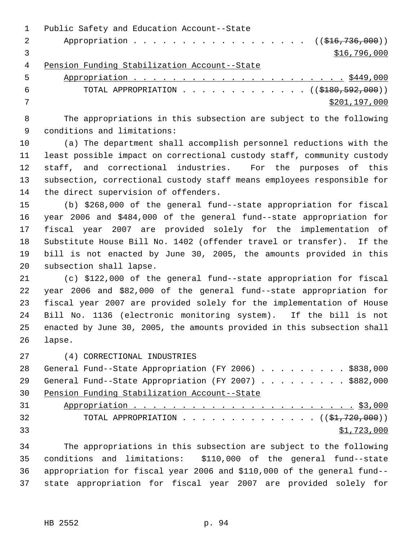|                | Public Safety and Education Account--State    |
|----------------|-----------------------------------------------|
| $\overline{2}$ | Appropriation ( $(\frac{1}{216}, 736, 000)$ ) |
|                | \$16,796,000                                  |
| 4              | Pension Funding Stabilization Account--State  |
| $5 -$          |                                               |

| TOTAL APPROPRIATION ( $(\frac{18180}{592}, 000)$ ) |
|----------------------------------------------------|
| \$201,197,000                                      |

 The appropriations in this subsection are subject to the following conditions and limitations:

 (a) The department shall accomplish personnel reductions with the least possible impact on correctional custody staff, community custody staff, and correctional industries. For the purposes of this subsection, correctional custody staff means employees responsible for the direct supervision of offenders.

 (b) \$268,000 of the general fund--state appropriation for fiscal year 2006 and \$484,000 of the general fund--state appropriation for fiscal year 2007 are provided solely for the implementation of Substitute House Bill No. 1402 (offender travel or transfer). If the bill is not enacted by June 30, 2005, the amounts provided in this subsection shall lapse.

 (c) \$122,000 of the general fund--state appropriation for fiscal year 2006 and \$82,000 of the general fund--state appropriation for fiscal year 2007 are provided solely for the implementation of House Bill No. 1136 (electronic monitoring system). If the bill is not enacted by June 30, 2005, the amounts provided in this subsection shall lapse.

(4) CORRECTIONAL INDUSTRIES

28 General Fund--State Appropriation (FY 2006) . . . . . . . . . \$838,000 29 General Fund--State Appropriation (FY 2007) . . . . . . . . \$882,000 Pension Funding Stabilization Account--State Appropriation . . . . . . . . . . . . . . . . . . . . . . . \$3,000

| ◡⊥ |                                                            |  |  |  |  |  |  |  |  |  |  |             |  |
|----|------------------------------------------------------------|--|--|--|--|--|--|--|--|--|--|-------------|--|
| 32 | TOTAL APPROPRIATION $($ $($ $\frac{1}{21}$ , $720$ , 000)) |  |  |  |  |  |  |  |  |  |  |             |  |
| 33 |                                                            |  |  |  |  |  |  |  |  |  |  | \$1,723,000 |  |

 The appropriations in this subsection are subject to the following conditions and limitations: \$110,000 of the general fund--state appropriation for fiscal year 2006 and \$110,000 of the general fund-- state appropriation for fiscal year 2007 are provided solely for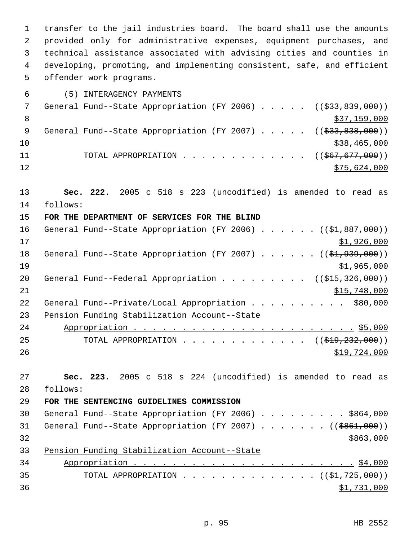transfer to the jail industries board. The board shall use the amounts provided only for administrative expenses, equipment purchases, and technical assistance associated with advising cities and counties in developing, promoting, and implementing consistent, safe, and efficient offender work programs.

- (5) INTERAGENCY PAYMENTS 7 General Fund--State Appropriation (FY 2006) . . . . . ((\$33,839,000)) 8  $\frac{$37,159,000}{2}$ 9 General Fund--State Appropriation (FY 2007) . . . . . ((\$33,838,000))  $10 \hspace{2.5cm}$  \$38,465,000 11 TOTAL APPROPRIATION . . . . . . . . . . . . ((<del>\$67,677,000</del>))  $\frac{12}{75,624,000}$
- **Sec. 222.** 2005 c 518 s 223 (uncodified) is amended to read as follows:

## **FOR THE DEPARTMENT OF SERVICES FOR THE BLIND**

| 16 | General Fund--State Appropriation (FY 2006) ((\$1,887,000))       |
|----|-------------------------------------------------------------------|
| 17 | \$1,926,000                                                       |
| 18 | General Fund--State Appropriation (FY 2007) $($ $($ \$1,939,000)) |
| 19 | \$1,965,000                                                       |
| 20 | General Fund--Federal Appropriation ( $(\frac{1515}{326}, 000)$ ) |
| 21 | \$15,748,000                                                      |
| 22 | General Fund--Private/Local Appropriation<br>\$80,000             |
| 23 | Pension Funding Stabilization Account--State                      |
| 24 |                                                                   |
| 25 | TOTAL APPROPRIATION ( $(\frac{19}{29}, 232, 000)$ )               |
| 26 | \$19,724,000                                                      |

 **Sec. 223.** 2005 c 518 s 224 (uncodified) is amended to read as follows:

## **FOR THE SENTENCING GUIDELINES COMMISSION**

|    |  | 30 General Fund--State Appropriation (FY 2006) \$864,000     |  |  |  |  |  |           |  |
|----|--|--------------------------------------------------------------|--|--|--|--|--|-----------|--|
|    |  | 31 General Fund--State Appropriation (FY 2007) ((\$861,000)) |  |  |  |  |  |           |  |
| 32 |  |                                                              |  |  |  |  |  | \$863,000 |  |
| 33 |  | Pension Funding Stabilization Account--State                 |  |  |  |  |  |           |  |
|    |  |                                                              |  |  |  |  |  |           |  |

 Appropriation . . . . . . . . . . . . . . . . . . . . . . . \$4,000 35 TOTAL APPROPRIATION  $\ldots$ , . . . . . . . . . . . (( $\sharp$ 1,725,000))  $\frac{$1,731,000}{9}$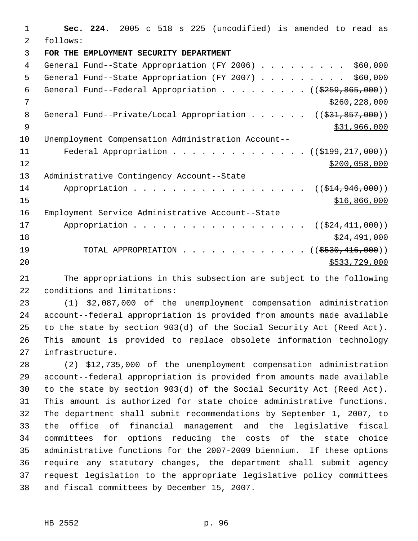**Sec. 224.** 2005 c 518 s 225 (uncodified) is amended to read as follows: **FOR THE EMPLOYMENT SECURITY DEPARTMENT** 4 General Fund--State Appropriation (FY 2006) . . . . . . . . . \$60,000 5 General Fund--State Appropriation (FY 2007) . . . . . . . . . \$60,000 6 General Fund--Federal Appropriation . . . . . . . .  $($   $($ \$259,865,000)) \$260,228,000 8 General Fund--Private/Local Appropriation . . . . . ((\$31,857,000))  $\frac{1}{2}$   $\frac{1}{2}$   $\frac{1}{2}$   $\frac{1}{2}$   $\frac{1}{2}$   $\frac{1}{2}$   $\frac{1}{2}$   $\frac{1}{2}$   $\frac{1}{2}$   $\frac{1}{2}$   $\frac{1}{2}$   $\frac{1}{2}$   $\frac{1}{2}$   $\frac{1}{2}$   $\frac{1}{2}$   $\frac{1}{2}$   $\frac{1}{2}$   $\frac{1}{2}$   $\frac{1}{2}$   $\frac{1}{2}$   $\frac{1}{2}$   $\frac{1}{2}$  Unemployment Compensation Administration Account-- 11 Federal Appropriation . . . . . . . . . . . . . ((\$199,217,000)) \$200,058,000 Administrative Contingency Account--State 14 Appropriation . . . . . . . . . . . . . . . . ((\$14,946,000))  $\frac{$16,866,000}{1000}$  Employment Service Administrative Account--State 17 Appropriation . . . . . . . . . . . . . . . . ((\$24,411,000)) \$24,491,000 19 TOTAL APPROPRIATION . . . . . . . . . . . . ((\$<del>530,416,000</del>))  $$533,729,000$ 

 The appropriations in this subsection are subject to the following conditions and limitations:

 (1) \$2,087,000 of the unemployment compensation administration account--federal appropriation is provided from amounts made available to the state by section 903(d) of the Social Security Act (Reed Act). This amount is provided to replace obsolete information technology infrastructure.

 (2) \$12,735,000 of the unemployment compensation administration account--federal appropriation is provided from amounts made available to the state by section 903(d) of the Social Security Act (Reed Act). This amount is authorized for state choice administrative functions. The department shall submit recommendations by September 1, 2007, to the office of financial management and the legislative fiscal committees for options reducing the costs of the state choice administrative functions for the 2007-2009 biennium. If these options require any statutory changes, the department shall submit agency request legislation to the appropriate legislative policy committees and fiscal committees by December 15, 2007.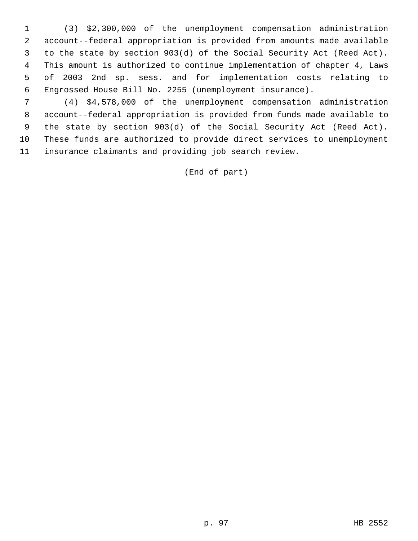(3) \$2,300,000 of the unemployment compensation administration account--federal appropriation is provided from amounts made available to the state by section 903(d) of the Social Security Act (Reed Act). This amount is authorized to continue implementation of chapter 4, Laws of 2003 2nd sp. sess. and for implementation costs relating to Engrossed House Bill No. 2255 (unemployment insurance).

 (4) \$4,578,000 of the unemployment compensation administration account--federal appropriation is provided from funds made available to the state by section 903(d) of the Social Security Act (Reed Act). These funds are authorized to provide direct services to unemployment insurance claimants and providing job search review.

(End of part)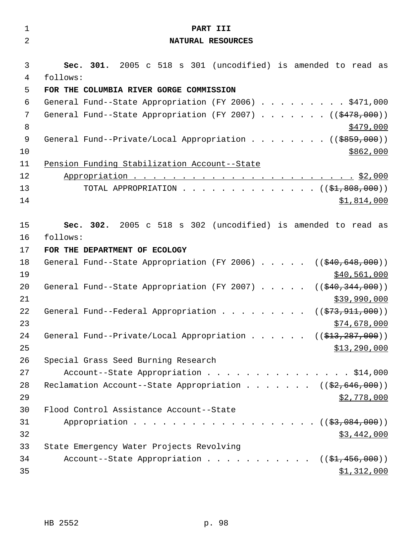| $\mathbf 1$    | PART III                                                                                     |
|----------------|----------------------------------------------------------------------------------------------|
| $\overline{2}$ | NATURAL RESOURCES                                                                            |
|                |                                                                                              |
| 3              | Sec. 301. 2005 c 518 s 301 (uncodified) is amended to read as                                |
| 4              | follows:                                                                                     |
| 5              | FOR THE COLUMBIA RIVER GORGE COMMISSION                                                      |
| 6              | General Fund--State Appropriation (FY 2006) \$471,000                                        |
| 7<br>8         | General Fund--State Appropriation (FY 2007) ( $(\frac{2478}{100})$ )                         |
| 9              | <u>\$479,000</u><br>General Fund--Private/Local Appropriation ( $(\frac{2859}{100})$ )       |
| 10             | \$862,000                                                                                    |
| 11             | Pension Funding Stabilization Account--State                                                 |
| 12             |                                                                                              |
| 13             | TOTAL APPROPRIATION $($ $(*1,808,000))$                                                      |
| 14             | \$1,814,000                                                                                  |
|                |                                                                                              |
| 15             | Sec. 302. 2005 c 518 s 302 (uncodified) is amended to read as                                |
| 16             | follows:                                                                                     |
| 17             | FOR THE DEPARTMENT OF ECOLOGY                                                                |
| 18             | General Fund--State Appropriation (FY 2006) $($ $($ $\frac{40,648,000}{9})$                  |
| 19             | \$40,561,000                                                                                 |
| 20             | General Fund--State Appropriation (FY 2007) $($ $($ $\frac{40}{240}$ , $\frac{344}{1000})$ ) |
| 21             | \$39,990,000                                                                                 |
| 22             | General Fund--Federal Appropriation<br>(( <del>\$73,911,000</del> ))                         |
| 23             | \$74,678,000                                                                                 |
| 24             | General Fund--Private/Local Appropriation ( $(\frac{213}{7287}, 000)$ )                      |
| 25             | \$13,290,000                                                                                 |
| 26             | Special Grass Seed Burning Research                                                          |
| 27             | Account--State Appropriation \$14,000                                                        |
| 28<br>29       | Reclamation Account--State Appropriation ( $(\frac{2}{52}, 646, 000)$ )                      |
| 30             | \$2,778,000<br>Flood Control Assistance Account--State                                       |
| 31             | Appropriation $($ $($ $\frac{27}{9},084,000) )$                                              |
| 32             | <u>\$3,442,000</u>                                                                           |
| 33             | State Emergency Water Projects Revolving                                                     |
| 34             | Account--State Appropriation ( $(\frac{1}{24}, 456, 000)$ )                                  |
| 35             | \$1,312,000                                                                                  |
|                |                                                                                              |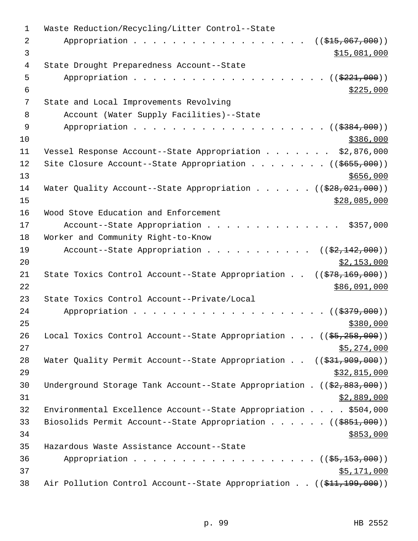| $\mathbf 1$    | Waste Reduction/Recycling/Litter Control--State                                          |
|----------------|------------------------------------------------------------------------------------------|
| $\overline{2}$ | Appropriation<br>$((\frac{1515}{1007},000))$                                             |
| 3              | \$15,081,000                                                                             |
| 4              | State Drought Preparedness Account--State                                                |
| 5              | Appropriation<br>(( <del>\$221,000</del> ))                                              |
| 6              | \$225,000                                                                                |
| 7              | State and Local Improvements Revolving                                                   |
| 8              | Account (Water Supply Facilities)--State                                                 |
| $\mathsf 9$    | Appropriation<br>$($ \$384,000)                                                          |
| 10             | \$386,000                                                                                |
| 11             | Vessel Response Account--State Appropriation \$2,876,000                                 |
| 12             | Site Closure Account--State Appropriation ( $(\frac{2655}{100})$ )                       |
| 13             | \$656,000                                                                                |
| 14             | Water Quality Account--State Appropriation ( $(\frac{228}{928}, 021, 000)$ )             |
| 15             | \$28,085,000                                                                             |
| 16             | Wood Stove Education and Enforcement                                                     |
| 17             | Account--State Appropriation<br>\$357,000                                                |
| 18             | Worker and Community Right-to-Know                                                       |
| 19             | Account--State Appropriation<br>$((\$2,142,000))$                                        |
| 20             | \$2,153,000                                                                              |
| 21             | State Toxics Control Account--State Appropriation $((\frac{278}{169}, \frac{169}{160}))$ |
| 22             | \$86,091,000                                                                             |
| 23             | State Toxics Control Account--Private/Local                                              |
| 24             | ( ( \$379,000) )<br>Appropriation                                                        |
| 25             | \$380,000                                                                                |
| 26             | Local Toxics Control Account--State Appropriation $((\frac{25}{25}, \frac{258}{200}))$   |
| 27             | \$5,274,000                                                                              |
| 28             | Water Quality Permit Account--State Appropriation $((\frac{231}{731}, 909, 000))$        |
| 29             | \$32,815,000                                                                             |
| 30             | Underground Storage Tank Account--State Appropriation . ((\$2,883,000))                  |
| 31             | \$2,889,000                                                                              |
| 32             | Environmental Excellence Account--State Appropriation \$504,000                          |
| 33             | Biosolids Permit Account--State Appropriation ( $(\frac{2851}{100})$ )                   |
| 34             | \$853,000                                                                                |
| 35             | Hazardous Waste Assistance Account--State                                                |
| 36             | Appropriation ((\$5,153,000))                                                            |
| 37             | \$5,171,000                                                                              |
| 38             | Air Pollution Control Account--State Appropriation ((\$11,199,000))                      |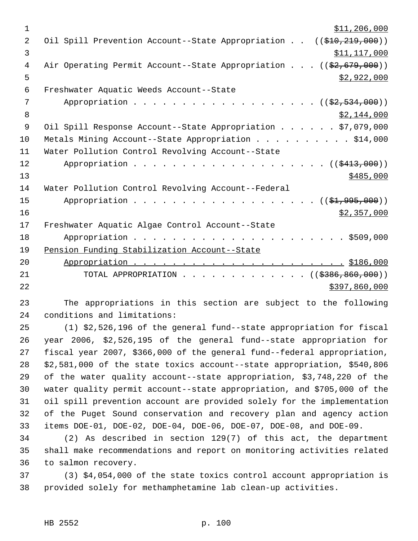| $\mathbf 1$    | \$11, 206, 000                                                     |
|----------------|--------------------------------------------------------------------|
| 2              | Oil Spill Prevention Account--State Appropriation ((\$10,219,000)) |
| 3              | \$11,117,000                                                       |
| 4              | Air Operating Permit Account--State Appropriation ((\$2,679,000))  |
| 5              | \$2,922,000                                                        |
| 6              | Freshwater Aquatic Weeds Account--State                            |
| 7              | Appropriation ((\$2,534,000))                                      |
| 8              | \$2,144,000                                                        |
| $\overline{9}$ | Oil Spill Response Account--State Appropriation \$7,079,000        |
| 10             | Metals Mining Account--State Appropriation \$14,000                |
| 11             | Water Pollution Control Revolving Account--State                   |
| 12             | Appropriation $($ $)$ $)$                                          |
| 13             | \$485,000                                                          |
| 14             | Water Pollution Control Revolving Account--Federal                 |
| 15             | Appropriation $($ $(\frac{1}{21}, 995, 000))$                      |
| 16             | \$2,357,000                                                        |
| 17             | Freshwater Aquatic Algae Control Account--State                    |
| 18             |                                                                    |
| 19             | Pension Funding Stabilization Account--State                       |
| 20             |                                                                    |
| 21             | TOTAL APPROPRIATION ( $(\frac{2386}{6000})$ )                      |
| 22             | \$397,860,000                                                      |

 The appropriations in this section are subject to the following conditions and limitations:

 (1) \$2,526,196 of the general fund--state appropriation for fiscal year 2006, \$2,526,195 of the general fund--state appropriation for fiscal year 2007, \$366,000 of the general fund--federal appropriation, \$2,581,000 of the state toxics account--state appropriation, \$540,806 of the water quality account--state appropriation, \$3,748,220 of the water quality permit account--state appropriation, and \$705,000 of the oil spill prevention account are provided solely for the implementation of the Puget Sound conservation and recovery plan and agency action items DOE-01, DOE-02, DOE-04, DOE-06, DOE-07, DOE-08, and DOE-09.

 (2) As described in section 129(7) of this act, the department shall make recommendations and report on monitoring activities related to salmon recovery.

 (3) \$4,054,000 of the state toxics control account appropriation is provided solely for methamphetamine lab clean-up activities.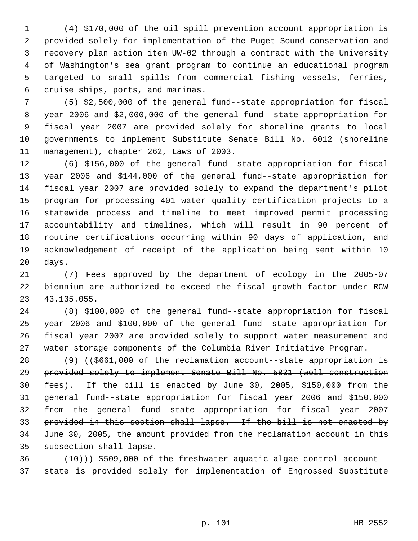(4) \$170,000 of the oil spill prevention account appropriation is provided solely for implementation of the Puget Sound conservation and recovery plan action item UW-02 through a contract with the University of Washington's sea grant program to continue an educational program targeted to small spills from commercial fishing vessels, ferries, cruise ships, ports, and marinas.

 (5) \$2,500,000 of the general fund--state appropriation for fiscal year 2006 and \$2,000,000 of the general fund--state appropriation for fiscal year 2007 are provided solely for shoreline grants to local governments to implement Substitute Senate Bill No. 6012 (shoreline management), chapter 262, Laws of 2003.

 (6) \$156,000 of the general fund--state appropriation for fiscal year 2006 and \$144,000 of the general fund--state appropriation for fiscal year 2007 are provided solely to expand the department's pilot program for processing 401 water quality certification projects to a statewide process and timeline to meet improved permit processing accountability and timelines, which will result in 90 percent of routine certifications occurring within 90 days of application, and acknowledgement of receipt of the application being sent within 10 days.

 (7) Fees approved by the department of ecology in the 2005-07 biennium are authorized to exceed the fiscal growth factor under RCW 43.135.055.

 (8) \$100,000 of the general fund--state appropriation for fiscal year 2006 and \$100,000 of the general fund--state appropriation for fiscal year 2007 are provided solely to support water measurement and water storage components of the Columbia River Initiative Program.

 (9) ((\$661,000 of the reclamation account--state appropriation is provided solely to implement Senate Bill No. 5831 (well construction fees). If the bill is enacted by June 30, 2005, \$150,000 from the general fund--state appropriation for fiscal year 2006 and \$150,000 from the general fund--state appropriation for fiscal year 2007 provided in this section shall lapse. If the bill is not enacted by June 30, 2005, the amount provided from the reclamation account in this subsection shall lapse.

 $(10)$ ) \$509,000 of the freshwater aquatic algae control account--state is provided solely for implementation of Engrossed Substitute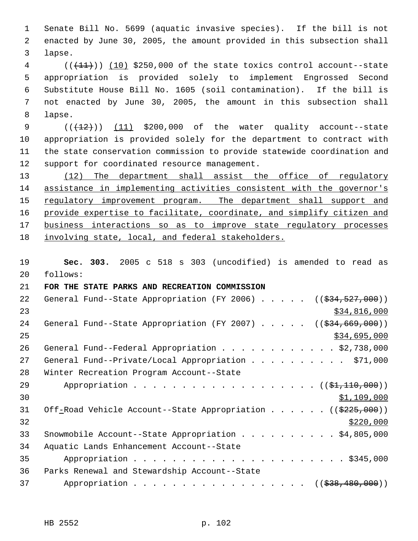Senate Bill No. 5699 (aquatic invasive species). If the bill is not enacted by June 30, 2005, the amount provided in this subsection shall lapse.

 ( $(\overline{+11})$ )  $(10)$  \$250,000 of the state toxics control account--state appropriation is provided solely to implement Engrossed Second Substitute House Bill No. 1605 (soil contamination). If the bill is not enacted by June 30, 2005, the amount in this subsection shall lapse.

 $((+12))$   $(11)$  \$200,000 of the water quality account--state appropriation is provided solely for the department to contract with the state conservation commission to provide statewide coordination and support for coordinated resource management.

13 (12) The department shall assist the office of regulatory assistance in implementing activities consistent with the governor's 15 regulatory improvement program. The department shall support and 16 provide expertise to facilitate, coordinate, and simplify citizen and 17 business interactions so as to improve state regulatory processes 18 involving state, local, and federal stakeholders.

 **Sec. 303.** 2005 c 518 s 303 (uncodified) is amended to read as follows:

## **FOR THE STATE PARKS AND RECREATION COMMISSION**

| 22 | General Fund--State Appropriation (FY 2006) $($ $($ \$34,527,000))     |
|----|------------------------------------------------------------------------|
| 23 | \$34,816,000                                                           |
| 24 | General Fund--State Appropriation (FY 2007) $($ $($ \$34,669,000))     |
| 25 | \$34,695,000                                                           |
| 26 | General Fund--Federal Appropriation \$2,738,000                        |
| 27 | General Fund--Private/Local Appropriation \$71,000                     |
| 28 | Winter Recreation Program Account--State                               |
| 29 | Appropriation ((\$1,110,000))                                          |
| 30 | \$1,109,000                                                            |
| 31 | Off-Road Vehicle Account--State Appropriation ( $(\frac{2225}{100})$ ) |
| 32 | \$220,000                                                              |
| 33 | Snowmobile Account--State Appropriation \$4,805,000                    |
| 34 | Aquatic Lands Enhancement Account--State                               |
| 35 |                                                                        |
| 36 | Parks Renewal and Stewardship Account--State                           |
| 37 | Appropriation ((\$38,480,000))                                         |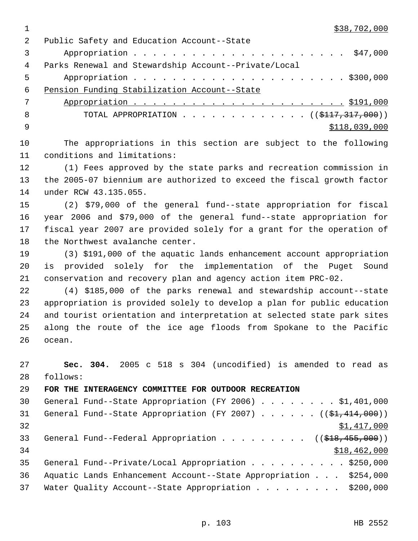1 \$38,702,000

| 2<br>Public Safety and Education Account--State                                    |               |
|------------------------------------------------------------------------------------|---------------|
| 3                                                                                  |               |
| 4<br>Parks Renewal and Stewardship Account--Private/Local                          |               |
| 5                                                                                  |               |
| 6<br>Pension Funding Stabilization Account--State                                  |               |
| 7                                                                                  |               |
| 8<br>TOTAL APPROPRIATION ( $(\frac{\text{ }4117,317,000}{\text{ }})$ )             |               |
| 9                                                                                  | \$118,039,000 |
| 10<br>The appropriations in this section are subject to the following              |               |
| conditions and limitations:<br>11                                                  |               |
| 12<br>(1) Fees approved by the state parks and recreation commission in            |               |
| 13<br>the 2005-07 biennium are authorized to exceed the fiscal growth factor       |               |
| 14<br>under RCW 43.135.055.                                                        |               |
| 15<br>(2) \$79,000 of the general fund--state appropriation for fiscal             |               |
| 16<br>year 2006 and \$79,000 of the general fund--state appropriation for          |               |
| 17<br>fiscal year 2007 are provided solely for a grant for the operation of        |               |
| 18<br>the Northwest avalanche center.                                              |               |
| (3) \$191,000 of the aquatic lands enhancement account appropriation<br>19         |               |
| provided solely for the implementation of the Puget Sound<br>20<br>is              |               |
| 21<br>conservation and recovery plan and agency action item PRC-02.                |               |
| 22<br>(4) \$185,000 of the parks renewal and stewardship account--state            |               |
| 23<br>appropriation is provided solely to develop a plan for public education      |               |
| 24<br>and tourist orientation and interpretation at selected state park sites      |               |
| 25<br>along the route of the ice age floods from Spokane to the Pacific            |               |
| 26<br>ocean.                                                                       |               |
| 27<br>Sec. 304. 2005 c 518 s 304 (uncodified) is amended to read as                |               |
| 28<br>follows:                                                                     |               |
| 29<br>FOR THE INTERAGENCY COMMITTEE FOR OUTDOOR RECREATION                         |               |
| General Fund--State Appropriation (FY 2006) \$1,401,000<br>30                      |               |
| General Fund--State Appropriation (FY 2007) $($ $(\frac{21}{7} + 414,000) )$<br>31 |               |
| 32                                                                                 | \$1,417,000   |
| General Fund--Federal Appropriation ( $(\frac{218}{718}, \frac{455}{100})$ )<br>33 |               |
| 34                                                                                 | \$18,462,000  |
| 35<br>General Fund--Private/Local Appropriation \$250,000                          |               |
| 36<br>Aquatic Lands Enhancement Account--State Appropriation \$254,000             |               |
| 37<br>Water Quality Account--State Appropriation \$200,000                         |               |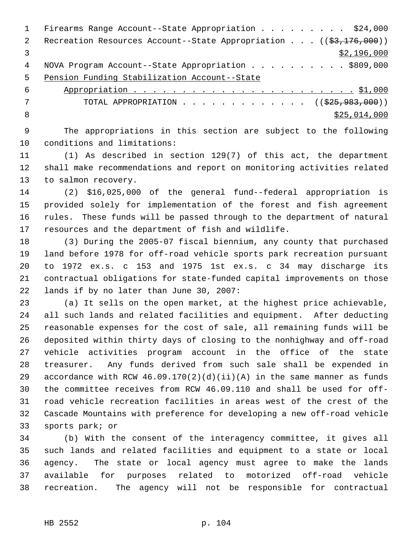1 Firearms Range Account--State Appropriation . . . . . . . . \$24,000 2 Recreation Resources Account--State Appropriation . . . ((\$3,176,000))  $\frac{1}{3}$   $\frac{1}{2}$ , 196,000 4 NOVA Program Account--State Appropriation . . . . . . . . . . \$809,000 Pension Funding Stabilization Account--State

 Appropriation . . . . . . . . . . . . . . . . . . . . . . . \$1,000 7 TOTAL APPROPRIATION . . . . . . . . . . . . . ((\$25,983,000))  $8 \div 25,014,000$ 

 The appropriations in this section are subject to the following conditions and limitations:

 (1) As described in section 129(7) of this act, the department shall make recommendations and report on monitoring activities related to salmon recovery.

 (2) \$16,025,000 of the general fund--federal appropriation is provided solely for implementation of the forest and fish agreement rules. These funds will be passed through to the department of natural resources and the department of fish and wildlife.

 (3) During the 2005-07 fiscal biennium, any county that purchased land before 1978 for off-road vehicle sports park recreation pursuant to 1972 ex.s. c 153 and 1975 1st ex.s. c 34 may discharge its contractual obligations for state-funded capital improvements on those lands if by no later than June 30, 2007:

 (a) It sells on the open market, at the highest price achievable, all such lands and related facilities and equipment. After deducting reasonable expenses for the cost of sale, all remaining funds will be deposited within thirty days of closing to the nonhighway and off-road vehicle activities program account in the office of the state treasurer. Any funds derived from such sale shall be expended in 29 accordance with RCW  $46.09.170(2)(d)(ii)(A)$  in the same manner as funds the committee receives from RCW 46.09.110 and shall be used for off- road vehicle recreation facilities in areas west of the crest of the Cascade Mountains with preference for developing a new off-road vehicle sports park; or

 (b) With the consent of the interagency committee, it gives all such lands and related facilities and equipment to a state or local agency. The state or local agency must agree to make the lands available for purposes related to motorized off-road vehicle recreation. The agency will not be responsible for contractual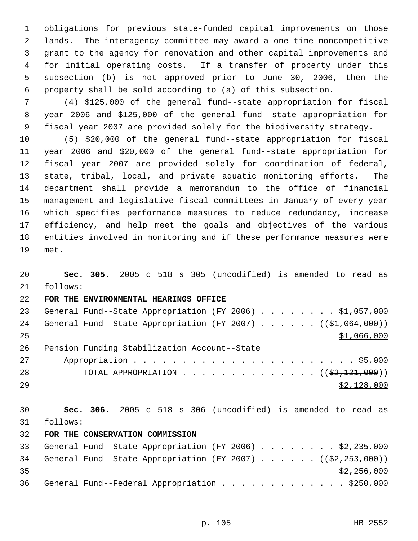obligations for previous state-funded capital improvements on those lands. The interagency committee may award a one time noncompetitive grant to the agency for renovation and other capital improvements and for initial operating costs. If a transfer of property under this subsection (b) is not approved prior to June 30, 2006, then the property shall be sold according to (a) of this subsection.

 (4) \$125,000 of the general fund--state appropriation for fiscal year 2006 and \$125,000 of the general fund--state appropriation for fiscal year 2007 are provided solely for the biodiversity strategy.

 (5) \$20,000 of the general fund--state appropriation for fiscal year 2006 and \$20,000 of the general fund--state appropriation for fiscal year 2007 are provided solely for coordination of federal, state, tribal, local, and private aquatic monitoring efforts. The department shall provide a memorandum to the office of financial management and legislative fiscal committees in January of every year which specifies performance measures to reduce redundancy, increase efficiency, and help meet the goals and objectives of the various entities involved in monitoring and if these performance measures were met.

 **Sec. 305.** 2005 c 518 s 305 (uncodified) is amended to read as follows: **FOR THE ENVIRONMENTAL HEARINGS OFFICE**  23 General Fund--State Appropriation (FY 2006) . . . . . . . . \$1,057,000 24 General Fund--State Appropriation (FY 2007) . . . . . . ((\$1,064,000)) \$1,066,000 Pension Funding Stabilization Account--State Appropriation . . . . . . . . . . . . . . . . . . . . . . . \$5,000 28 TOTAL APPROPRIATION  $\cdots$ ,  $\cdots$ ,  $\cdots$ ,  $\cdots$ ,  $\cdots$ ,  $\cdots$  ( $(\frac{22,121,000}{2})$ ) \$2,128,000 **Sec. 306.** 2005 c 518 s 306 (uncodified) is amended to read as follows: **FOR THE CONSERVATION COMMISSION**  General Fund--State Appropriation (FY 2006) . . . . . . . . \$2,235,000 34 General Fund--State Appropriation (FY 2007) . . . . . . ((\$2,253,000))  $\frac{1}{2}$  35  $\frac{1}{2}$  256,000 36 General Fund--Federal Appropriation . . . . . . . . . . . . \$250,000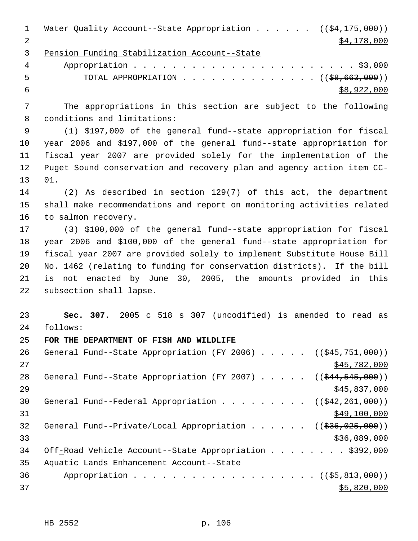| $\mathbf{1}$   | Water Quality Account--State Appropriation ( $(\frac{24}{175}, 000)$ )       |
|----------------|------------------------------------------------------------------------------|
| $\overline{2}$ | \$4,178,000                                                                  |
| 3              | Pension Funding Stabilization Account--State                                 |
| 4              |                                                                              |
| 5              | TOTAL APPROPRIATION $\ldots$ , ( $(\frac{68,663,000}{2})$                    |
| 6              | \$8,922,000                                                                  |
| 7              | The appropriations in this section are subject to the following              |
| 8              | conditions and limitations:                                                  |
| $\mathsf 9$    | (1) \$197,000 of the general fund--state appropriation for fiscal            |
| 10             | year 2006 and \$197,000 of the general fund--state appropriation for         |
| 11             | fiscal year 2007 are provided solely for the implementation of the           |
| 12             | Puget Sound conservation and recovery plan and agency action item CC-        |
| 13             | 01.                                                                          |
| 14             | $(2)$ As described in section 129(7) of this act, the department             |
| 15             | shall make recommendations and report on monitoring activities related       |
| 16             | to salmon recovery.                                                          |
| 17             | (3) \$100,000 of the general fund--state appropriation for fiscal            |
| 18             | year 2006 and \$100,000 of the general fund--state appropriation for         |
| 19             | fiscal year 2007 are provided solely to implement Substitute House Bill      |
| 20             | No. 1462 (relating to funding for conservation districts). If the bill       |
| 21             | not enacted by June 30, 2005, the amounts provided in this<br>is             |
| 22             | subsection shall lapse.                                                      |
| 23             | Sec. 307. 2005 c 518 s 307 (uncodified) is amended to read as                |
| 24             | follows:                                                                     |
| 25             | FOR THE DEPARTMENT OF FISH AND WILDLIFE                                      |
| 26             | General Fund--State Appropriation (FY 2006) $($ $($ $\frac{245}{751},000)$ ) |
| 27             | \$45,782,000                                                                 |
| 28             | General Fund--State Appropriation (FY 2007) $($ $($ $\frac{244}{545},000)$ ) |
| 29             | \$45,837,000                                                                 |
| 30             | General Fund--Federal Appropriation ( $(\frac{242}{262}, \frac{261}{260})$ ) |
| 31             | \$49,100,000                                                                 |
| 32             | General Fund--Private/Local Appropriation ( $(\frac{236}{1236}, 025, 000)$ ) |
| 33             | \$36,089,000                                                                 |
| 34             | Off-Road Vehicle Account--State Appropriation \$392,000                      |
| 35             | Aquatic Lands Enhancement Account--State                                     |
| 36             | Appropriation ((\$5,813,000))                                                |
| 37             | \$5,820,000                                                                  |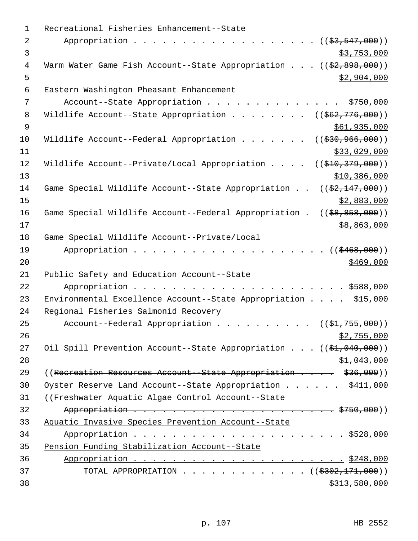| 1              | Recreational Fisheries Enhancement--State                                         |
|----------------|-----------------------------------------------------------------------------------|
| $\overline{2}$ | Appropriation $($ $(\frac{27}{53}, \frac{547}{500}) )$                            |
| 3              | \$3,753,000                                                                       |
| 4              | Warm Water Game Fish Account--State Appropriation $((\frac{2}{7}, 898, 000))$     |
| 5              | \$2,904,000                                                                       |
| 6              | Eastern Washington Pheasant Enhancement                                           |
| 7              | Account--State Appropriation<br>\$750,000                                         |
| 8              | Wildlife Account--State Appropriation<br>$((\frac{1562}{776},000))$               |
| $\mathsf 9$    | \$61,935,000                                                                      |
| 10             | Wildlife Account--Federal Appropriation<br>$((\frac{230}{7}36, \frac{966}{900}))$ |
| 11             | \$33,029,000                                                                      |
| 12             | Wildlife Account--Private/Local Appropriation<br>((\$10,379,000))                 |
| 13             | \$10,386,000                                                                      |
| 14             | Game Special Wildlife Account--State Appropriation<br>$((\$2,147,000))$           |
| 15             | \$2,883,000                                                                       |
| 16             | Game Special Wildlife Account--Federal Appropriation .<br>$(($ \$8,858,000))      |
| 17             | \$8,863,000                                                                       |
| 18             | Game Special Wildlife Account--Private/Local                                      |
| 19             | Appropriation<br>((\$468,000))                                                    |
| 20             | \$469,000                                                                         |
| 21             | Public Safety and Education Account--State                                        |
| 22             |                                                                                   |
| 23             | Environmental Excellence Account--State Appropriation \$15,000                    |
| 24             | Regional Fisheries Salmonid Recovery                                              |
| 25             | Account--Federal Appropriation ( $(\frac{1}{21}, 755, 000)$ )                     |
| 26             | \$2,755,000                                                                       |
| 27             | Oil Spill Prevention Account--State Appropriation $((\frac{21}{61}, 040, 000))$   |
| 28             | \$1,043,000                                                                       |
| 29             | ((Recreation Resources Account - State Appropriation \$36,000))                   |
| 30             | Oyster Reserve Land Account--State Appropriation \$411,000                        |
| 31             | ((Freshwater Aquatic Algae Control Account - State)                               |
| 32             |                                                                                   |
| 33             | Aquatic Invasive Species Prevention Account--State                                |
| 34             |                                                                                   |
| 35             | Pension Funding Stabilization Account--State                                      |
| 36             |                                                                                   |
| 37             | TOTAL APPROPRIATION ( $(\frac{2302}{171},000)$ )                                  |
| 38             | \$313,580,000                                                                     |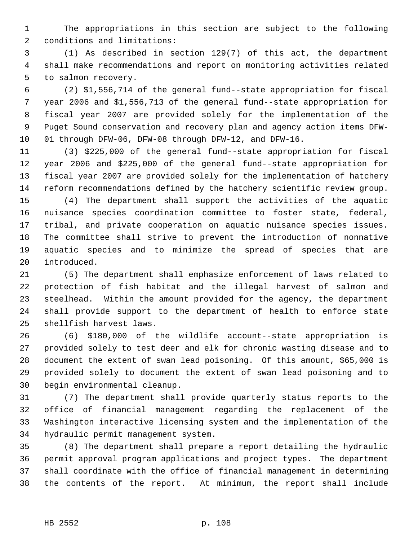The appropriations in this section are subject to the following conditions and limitations:

 (1) As described in section 129(7) of this act, the department shall make recommendations and report on monitoring activities related to salmon recovery.

 (2) \$1,556,714 of the general fund--state appropriation for fiscal year 2006 and \$1,556,713 of the general fund--state appropriation for fiscal year 2007 are provided solely for the implementation of the Puget Sound conservation and recovery plan and agency action items DFW-01 through DFW-06, DFW-08 through DFW-12, and DFW-16.

 (3) \$225,000 of the general fund--state appropriation for fiscal year 2006 and \$225,000 of the general fund--state appropriation for fiscal year 2007 are provided solely for the implementation of hatchery reform recommendations defined by the hatchery scientific review group.

 (4) The department shall support the activities of the aquatic nuisance species coordination committee to foster state, federal, tribal, and private cooperation on aquatic nuisance species issues. The committee shall strive to prevent the introduction of nonnative aquatic species and to minimize the spread of species that are introduced.

 (5) The department shall emphasize enforcement of laws related to protection of fish habitat and the illegal harvest of salmon and steelhead. Within the amount provided for the agency, the department shall provide support to the department of health to enforce state shellfish harvest laws.

 (6) \$180,000 of the wildlife account--state appropriation is provided solely to test deer and elk for chronic wasting disease and to document the extent of swan lead poisoning. Of this amount, \$65,000 is provided solely to document the extent of swan lead poisoning and to begin environmental cleanup.

 (7) The department shall provide quarterly status reports to the office of financial management regarding the replacement of the Washington interactive licensing system and the implementation of the hydraulic permit management system.

 (8) The department shall prepare a report detailing the hydraulic permit approval program applications and project types. The department shall coordinate with the office of financial management in determining the contents of the report. At minimum, the report shall include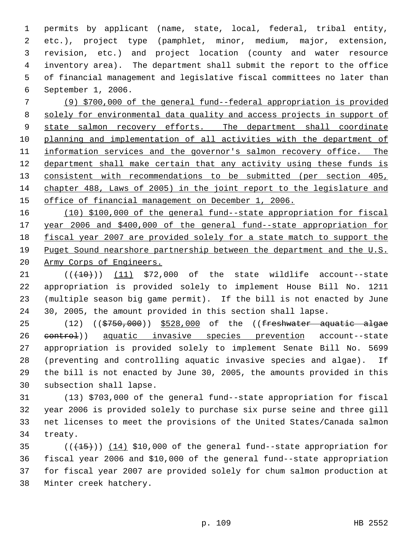permits by applicant (name, state, local, federal, tribal entity, etc.), project type (pamphlet, minor, medium, major, extension, revision, etc.) and project location (county and water resource inventory area). The department shall submit the report to the office of financial management and legislative fiscal committees no later than September 1, 2006.

 (9) \$700,000 of the general fund--federal appropriation is provided solely for environmental data quality and access projects in support of 9 state salmon recovery efforts. The department shall coordinate planning and implementation of all activities with the department of 11 information services and the governor's salmon recovery office. The 12 department shall make certain that any activity using these funds is consistent with recommendations to be submitted (per section 405, chapter 488, Laws of 2005) in the joint report to the legislature and office of financial management on December 1, 2006.

 (10) \$100,000 of the general fund--state appropriation for fiscal year 2006 and \$400,000 of the general fund--state appropriation for fiscal year 2007 are provided solely for a state match to support the Puget Sound nearshore partnership between the department and the U.S. Army Corps of Engineers.

 $(1)$  (( $(10)$ )) (11) \$72,000 of the state wildlife account--state appropriation is provided solely to implement House Bill No. 1211 (multiple season big game permit). If the bill is not enacted by June 30, 2005, the amount provided in this section shall lapse.

 $(12)$   $($  $\frac{25750}{12})$   $\frac{528}{000}$  of the  $($  $\frac{25750}{000})$   $\frac{25750}{0000}$   $\frac{25750}{0000}$   $\frac{25750}{0000}$   $\frac{25750}{0000}$   $\frac{25750}{0000}$   $\frac{25750}{0000}$   $\frac{25750}{0000}$   $\frac{25750}{0000}$   $\frac{25750}{0000}$  26 control) aquatic invasive species prevention account--state appropriation is provided solely to implement Senate Bill No. 5699 (preventing and controlling aquatic invasive species and algae). If the bill is not enacted by June 30, 2005, the amounts provided in this subsection shall lapse.

 (13) \$703,000 of the general fund--state appropriation for fiscal year 2006 is provided solely to purchase six purse seine and three gill net licenses to meet the provisions of the United States/Canada salmon treaty.

 $((+15))$   $(14)$  \$10,000 of the general fund--state appropriation for fiscal year 2006 and \$10,000 of the general fund--state appropriation for fiscal year 2007 are provided solely for chum salmon production at Minter creek hatchery.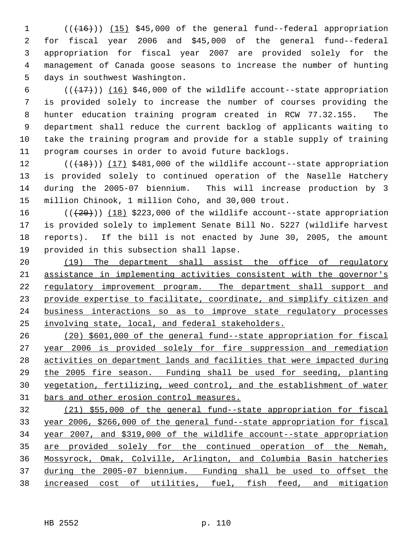1 (( $(16)$ )) (15) \$45,000 of the general fund--federal appropriation for fiscal year 2006 and \$45,000 of the general fund--federal appropriation for fiscal year 2007 are provided solely for the management of Canada goose seasons to increase the number of hunting days in southwest Washington.

 $((+17))$   $(16)$  \$46,000 of the wildlife account--state appropriation is provided solely to increase the number of courses providing the hunter education training program created in RCW 77.32.155. The department shall reduce the current backlog of applicants waiting to take the training program and provide for a stable supply of training program courses in order to avoid future backlogs.

12 (( $(18)$ )) (17) \$481,000 of the wildlife account--state appropriation is provided solely to continued operation of the Naselle Hatchery during the 2005-07 biennium. This will increase production by 3 million Chinook, 1 million Coho, and 30,000 trout.

 $((+20))$   $(18)$  \$223,000 of the wildlife account--state appropriation is provided solely to implement Senate Bill No. 5227 (wildlife harvest reports). If the bill is not enacted by June 30, 2005, the amount provided in this subsection shall lapse.

20 (19) The department shall assist the office of regulatory assistance in implementing activities consistent with the governor's 22 regulatory improvement program. The department shall support and 23 provide expertise to facilitate, coordinate, and simplify citizen and business interactions so as to improve state regulatory processes involving state, local, and federal stakeholders.

 (20) \$601,000 of the general fund--state appropriation for fiscal year 2006 is provided solely for fire suppression and remediation activities on department lands and facilities that were impacted during the 2005 fire season. Funding shall be used for seeding, planting vegetation, fertilizing, weed control, and the establishment of water 31 bars and other erosion control measures.

 (21) \$55,000 of the general fund--state appropriation for fiscal year 2006, \$266,000 of the general fund--state appropriation for fiscal year 2007, and \$319,000 of the wildlife account--state appropriation are provided solely for the continued operation of the Nemah, Mossyrock, Omak, Colville, Arlington, and Columbia Basin hatcheries during the 2005-07 biennium. Funding shall be used to offset the increased cost of utilities, fuel, fish feed, and mitigation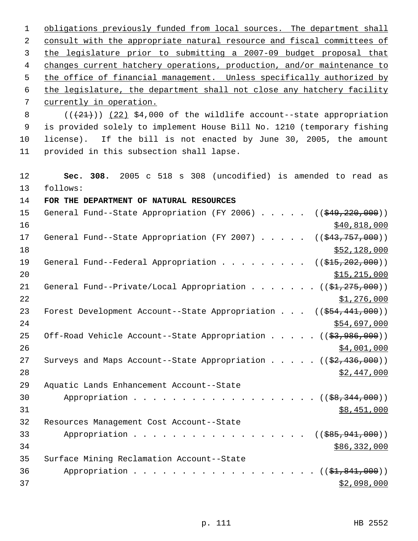1 obligations previously funded from local sources. The department shall 2 consult with the appropriate natural resource and fiscal committees of 3 the legislature prior to submitting a 2007-09 budget proposal that 4 changes current hatchery operations, production, and/or maintenance to 5 the office of financial management. Unless specifically authorized by 6 the legislature, the department shall not close any hatchery facility 7 currently in operation. 8  $((+21))$  (22) \$4,000 of the wildlife account--state appropriation 9 is provided solely to implement House Bill No. 1210 (temporary fishing 10 license). If the bill is not enacted by June 30, 2005, the amount 11 provided in this subsection shall lapse. 12 **Sec. 308.** 2005 c 518 s 308 (uncodified) is amended to read as 13 follows: 14 **FOR THE DEPARTMENT OF NATURAL RESOURCES**  15 General Fund--State Appropriation (FY 2006) . . . . . ((\$49,220,000))  $\frac{$40,818,000}{2}$ 17 General Fund--State Appropriation (FY 2007) . . . . ((\$43,757,000))  $18$  \$52,128,000 19 General Fund--Federal Appropriation . . . . . . . . ((\$15,202,000))  $20$  \$15,215,000 21 General Fund--Private/Local Appropriation . . . . . .  $($   $($ \$1,275,000)) 22  $\frac{$1,276,000}{ }$ 23 Forest Development Account--State Appropriation . . . ((\$54,441,000))  $24$  \$54,697,000 25 Off-Road Vehicle Account--State Appropriation . . . . ((\$3,986,000))  $26$   $\frac{$4,001,000}{9}$ 27 Surveys and Maps Account--State Appropriation . . . . . ((\$2,436,000)) 28 \$2,447,000 29 Aquatic Lands Enhancement Account--State 30 Appropriation . . . . . . . . . . . . . . . . . (  $(\frac{28,344,000}{1})$  $31$  \$8,451,000 32 Resources Management Cost Account--State 33 Appropriation . . . . . . . . . . . . . . . . ((<del>\$85,941,000</del>)) 34 \$86,332,000 35 Surface Mining Reclamation Account--State 36 Appropriation . . . . . . . . . . . . . . . . . (  $(\frac{21,841,000}{1,000})$  $\frac{1}{2}$  37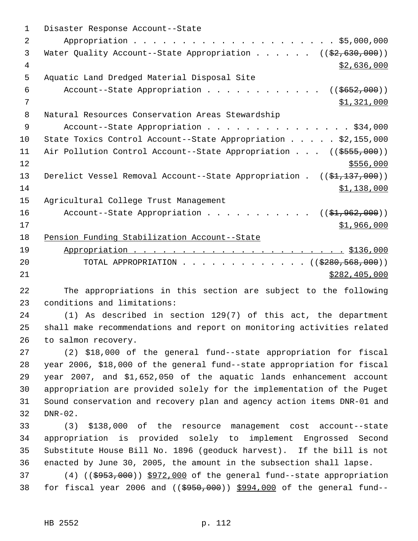| 1              | Disaster Response Account--State                                                          |
|----------------|-------------------------------------------------------------------------------------------|
| $\overline{2}$ |                                                                                           |
| 3              | Water Quality Account--State Appropriation ( $(\frac{2}{2}, 630, 000)$ )                  |
| 4              | \$2,636,000                                                                               |
| 5              | Aquatic Land Dredged Material Disposal Site                                               |
| 6              | Account--State Appropriation ( $(\frac{2652}{100})$ )                                     |
| 7              | \$1,321,000                                                                               |
| 8              | Natural Resources Conservation Areas Stewardship                                          |
| 9              | Account--State Appropriation \$34,000                                                     |
| 10             | State Toxics Control Account--State Appropriation \$2,155,000                             |
| 11             | Air Pollution Control Account--State Appropriation ((\$555,000))                          |
| 12             | \$556,000                                                                                 |
| 13             | Derelict Vessel Removal Account--State Appropriation . ((\$1,137,000))                    |
| 14             | \$1,138,000                                                                               |
| 15             | Agricultural College Trust Management                                                     |
| 16             | Account--State Appropriation $($ \$1,962,000))                                            |
| 17             | \$1,966,000                                                                               |
| 18             | Pension Funding Stabilization Account--State                                              |
| 19             |                                                                                           |
| 20             | TOTAL APPROPRIATION ( $(\frac{2280,568,000}{s})$ )                                        |
| 21             | \$282,405,000                                                                             |
| 22             | The appropriations in this section are subject to the following                           |
| 23             | conditions and limitations:                                                               |
| 24             | (1) As described in section 129(7) of this act, the department                            |
| 25             | shall make recommendations and report on monitoring activities related                    |
| 26             | to salmon recovery.                                                                       |
| 27             | (2) \$18,000 of the general fund--state appropriation for fiscal                          |
| 28             | year 2006, \$18,000 of the general fund--state appropriation for fiscal                   |
| 29             | year 2007, and \$1,652,050 of the aquatic lands enhancement account                       |
| 30             | appropriation are provided solely for the implementation of the Puget                     |
| 31             | Sound conservation and recovery plan and agency action items DNR-01 and                   |
| 32             | $DNR-02$ .                                                                                |
| 33             | \$138,000 of the resource management cost account--state<br>(3)                           |
| 34             | appropriation is provided solely to implement Engrossed Second                            |
| 35             | Substitute House Bill No. 1896 (geoduck harvest). If the bill is not                      |
| 36             | enacted by June 30, 2005, the amount in the subsection shall lapse.                       |
| 37             | $(4)$ ( $(\frac{2953}{100})$ $\frac{5972}{100}$ of the general fund--state appropriation  |
| 38             | for fiscal year 2006 and $($ $(\frac{6950}{600})$ $\frac{994}{000}$ of the general fund-- |
|                |                                                                                           |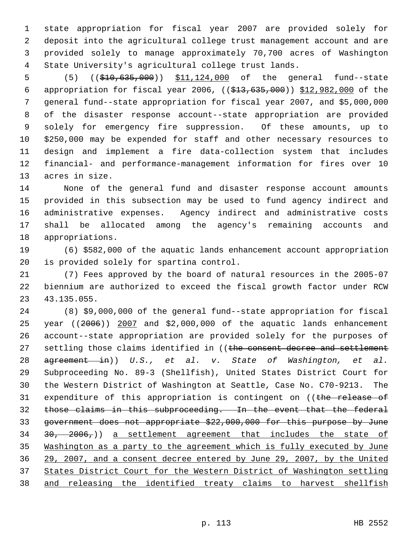state appropriation for fiscal year 2007 are provided solely for deposit into the agricultural college trust management account and are provided solely to manage approximately 70,700 acres of Washington State University's agricultural college trust lands.

5 (5) ((\$10,635,000)) \$11,124,000 of the general fund--state appropriation for fiscal year 2006, ((\$13,635,000)) \$12,982,000 of the general fund--state appropriation for fiscal year 2007, and \$5,000,000 of the disaster response account--state appropriation are provided solely for emergency fire suppression. Of these amounts, up to \$250,000 may be expended for staff and other necessary resources to design and implement a fire data-collection system that includes financial- and performance-management information for fires over 10 acres in size.

 None of the general fund and disaster response account amounts provided in this subsection may be used to fund agency indirect and administrative expenses. Agency indirect and administrative costs shall be allocated among the agency's remaining accounts and appropriations.

 (6) \$582,000 of the aquatic lands enhancement account appropriation is provided solely for spartina control.

 (7) Fees approved by the board of natural resources in the 2005-07 biennium are authorized to exceed the fiscal growth factor under RCW 43.135.055.

 (8) \$9,000,000 of the general fund--state appropriation for fiscal 25 year  $(2006)$  2007 and \$2,000,000 of the aquatic lands enhancement account--state appropriation are provided solely for the purposes of 27 settling those claims identified in ((the consent decree and settlement agreement in)) *U.S., et al. v. State of Washington, et al.* Subproceeding No. 89-3 (Shellfish), United States District Court for the Western District of Washington at Seattle, Case No. C70-9213. The 31 expenditure of this appropriation is contingent on ((the release of those claims in this subproceeding. In the event that the federal government does not appropriate \$22,000,000 for this purpose by June  $30, 2006,$ ) a settlement agreement that includes the state of Washington as a party to the agreement which is fully executed by June 29, 2007, and a consent decree entered by June 29, 2007, by the United States District Court for the Western District of Washington settling and releasing the identified treaty claims to harvest shellfish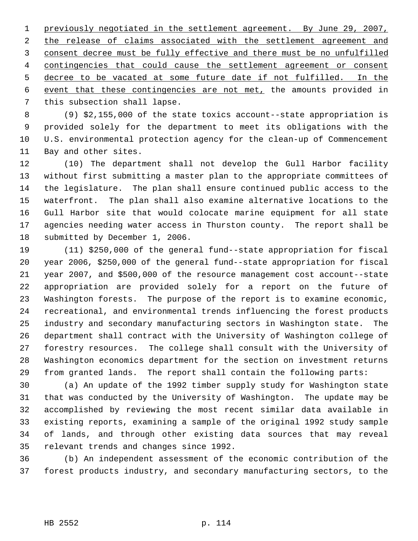previously negotiated in the settlement agreement. By June 29, 2007, 2 the release of claims associated with the settlement agreement and consent decree must be fully effective and there must be no unfulfilled contingencies that could cause the settlement agreement or consent decree to be vacated at some future date if not fulfilled. In the event that these contingencies are not met, the amounts provided in this subsection shall lapse.

 (9) \$2,155,000 of the state toxics account--state appropriation is provided solely for the department to meet its obligations with the U.S. environmental protection agency for the clean-up of Commencement Bay and other sites.

 (10) The department shall not develop the Gull Harbor facility without first submitting a master plan to the appropriate committees of the legislature. The plan shall ensure continued public access to the waterfront. The plan shall also examine alternative locations to the Gull Harbor site that would colocate marine equipment for all state agencies needing water access in Thurston county. The report shall be submitted by December 1, 2006.

 (11) \$250,000 of the general fund--state appropriation for fiscal year 2006, \$250,000 of the general fund--state appropriation for fiscal year 2007, and \$500,000 of the resource management cost account--state appropriation are provided solely for a report on the future of Washington forests. The purpose of the report is to examine economic, recreational, and environmental trends influencing the forest products industry and secondary manufacturing sectors in Washington state. The department shall contract with the University of Washington college of forestry resources. The college shall consult with the University of Washington economics department for the section on investment returns from granted lands. The report shall contain the following parts:

 (a) An update of the 1992 timber supply study for Washington state that was conducted by the University of Washington. The update may be accomplished by reviewing the most recent similar data available in existing reports, examining a sample of the original 1992 study sample of lands, and through other existing data sources that may reveal relevant trends and changes since 1992.

 (b) An independent assessment of the economic contribution of the forest products industry, and secondary manufacturing sectors, to the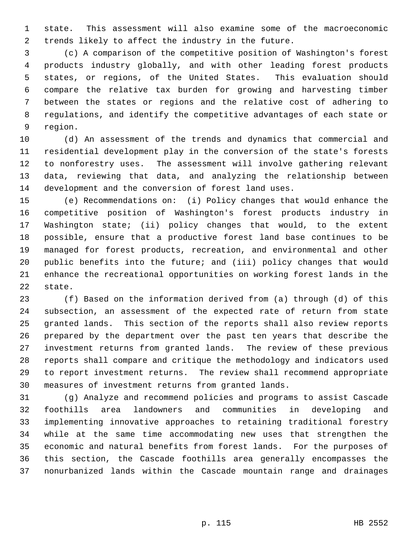state. This assessment will also examine some of the macroeconomic trends likely to affect the industry in the future.

 (c) A comparison of the competitive position of Washington's forest products industry globally, and with other leading forest products states, or regions, of the United States. This evaluation should compare the relative tax burden for growing and harvesting timber between the states or regions and the relative cost of adhering to regulations, and identify the competitive advantages of each state or region.

 (d) An assessment of the trends and dynamics that commercial and residential development play in the conversion of the state's forests to nonforestry uses. The assessment will involve gathering relevant data, reviewing that data, and analyzing the relationship between development and the conversion of forest land uses.

 (e) Recommendations on: (i) Policy changes that would enhance the competitive position of Washington's forest products industry in Washington state; (ii) policy changes that would, to the extent possible, ensure that a productive forest land base continues to be managed for forest products, recreation, and environmental and other public benefits into the future; and (iii) policy changes that would enhance the recreational opportunities on working forest lands in the state.

 (f) Based on the information derived from (a) through (d) of this subsection, an assessment of the expected rate of return from state granted lands. This section of the reports shall also review reports prepared by the department over the past ten years that describe the investment returns from granted lands. The review of these previous reports shall compare and critique the methodology and indicators used to report investment returns. The review shall recommend appropriate measures of investment returns from granted lands.

 (g) Analyze and recommend policies and programs to assist Cascade foothills area landowners and communities in developing and implementing innovative approaches to retaining traditional forestry while at the same time accommodating new uses that strengthen the economic and natural benefits from forest lands. For the purposes of this section, the Cascade foothills area generally encompasses the nonurbanized lands within the Cascade mountain range and drainages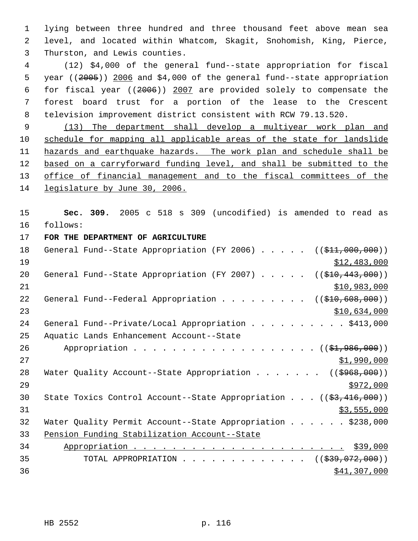1 lying between three hundred and three thousand feet above mean sea 2 level, and located within Whatcom, Skagit, Snohomish, King, Pierce, 3 Thurston, and Lewis counties.

 (12) \$4,000 of the general fund--state appropriation for fiscal year ((2005)) 2006 and \$4,000 of the general fund--state appropriation for fiscal year ((2006)) 2007 are provided solely to compensate the forest board trust for a portion of the lease to the Crescent television improvement district consistent with RCW 79.13.520.

 9 (13) The department shall develop a multiyear work plan and 10 schedule for mapping all applicable areas of the state for landslide 11 hazards and earthquake hazards. The work plan and schedule shall be 12 based on a carryforward funding level, and shall be submitted to the 13 office of financial management and to the fiscal committees of the 14 legislature by June 30, 2006.

15 **Sec. 309.** 2005 c 518 s 309 (uncodified) is amended to read as 16 follows:

17 **FOR THE DEPARTMENT OF AGRICULTURE** 

| 18 | General Fund--State Appropriation (FY 2006) $($ $($ \$11,000,000))                    |
|----|---------------------------------------------------------------------------------------|
| 19 | \$12,483,000                                                                          |
| 20 | General Fund--State Appropriation (FY 2007) $($ $($ $$10, 443, 000)$ )                |
| 21 | \$10,983,000                                                                          |
| 22 | ((\$410,608,000))<br>General Fund--Federal Appropriation                              |
| 23 | \$10,634,000                                                                          |
| 24 | General Fund--Private/Local Appropriation \$413,000                                   |
| 25 | Aquatic Lands Enhancement Account--State                                              |
| 26 | Appropriation $($ $(\frac{1}{21}, 986, 000))$                                         |
| 27 | \$1,990,000                                                                           |
| 28 | Water Quality Account--State Appropriation ( $(\frac{2968}{100})$ )                   |
| 29 | \$972,000                                                                             |
| 30 | State Toxics Control Account--State Appropriation $((\frac{2}{53}, \frac{416}{100}))$ |
| 31 | \$3,555,000                                                                           |
| 32 | Water Quality Permit Account--State Appropriation \$238,000                           |
| 33 | Pension Funding Stabilization Account--State                                          |
| 34 |                                                                                       |
| 35 | TOTAL APPROPRIATION $\ldots$ , ( $(\frac{239}{1072},000)$ )                           |
| 36 | \$41,307,000                                                                          |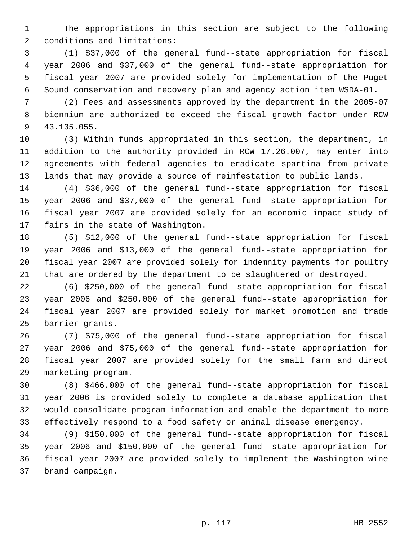The appropriations in this section are subject to the following conditions and limitations:

 (1) \$37,000 of the general fund--state appropriation for fiscal year 2006 and \$37,000 of the general fund--state appropriation for fiscal year 2007 are provided solely for implementation of the Puget Sound conservation and recovery plan and agency action item WSDA-01.

 (2) Fees and assessments approved by the department in the 2005-07 biennium are authorized to exceed the fiscal growth factor under RCW 43.135.055.

 (3) Within funds appropriated in this section, the department, in addition to the authority provided in RCW 17.26.007, may enter into agreements with federal agencies to eradicate spartina from private lands that may provide a source of reinfestation to public lands.

 (4) \$36,000 of the general fund--state appropriation for fiscal year 2006 and \$37,000 of the general fund--state appropriation for fiscal year 2007 are provided solely for an economic impact study of fairs in the state of Washington.

 (5) \$12,000 of the general fund--state appropriation for fiscal year 2006 and \$13,000 of the general fund--state appropriation for fiscal year 2007 are provided solely for indemnity payments for poultry that are ordered by the department to be slaughtered or destroyed.

 (6) \$250,000 of the general fund--state appropriation for fiscal year 2006 and \$250,000 of the general fund--state appropriation for fiscal year 2007 are provided solely for market promotion and trade barrier grants.

 (7) \$75,000 of the general fund--state appropriation for fiscal year 2006 and \$75,000 of the general fund--state appropriation for fiscal year 2007 are provided solely for the small farm and direct marketing program.

 (8) \$466,000 of the general fund--state appropriation for fiscal year 2006 is provided solely to complete a database application that would consolidate program information and enable the department to more effectively respond to a food safety or animal disease emergency.

 (9) \$150,000 of the general fund--state appropriation for fiscal year 2006 and \$150,000 of the general fund--state appropriation for fiscal year 2007 are provided solely to implement the Washington wine brand campaign.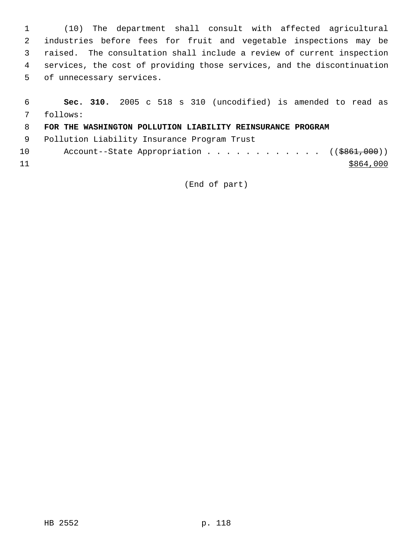(10) The department shall consult with affected agricultural industries before fees for fruit and vegetable inspections may be raised. The consultation shall include a review of current inspection services, the cost of providing those services, and the discontinuation of unnecessary services.

| 6  |                                                            |  |  |  | Sec. 310. 2005 c 518 s 310 (uncodified) is amended to read as |  |  |           |  |
|----|------------------------------------------------------------|--|--|--|---------------------------------------------------------------|--|--|-----------|--|
| 7  | follows:                                                   |  |  |  |                                                               |  |  |           |  |
| -8 | FOR THE WASHINGTON POLLUTION LIABILITY REINSURANCE PROGRAM |  |  |  |                                                               |  |  |           |  |
| -9 | Pollution Liability Insurance Program Trust                |  |  |  |                                                               |  |  |           |  |
| 10 |                                                            |  |  |  | Account--State Appropriation ( $(\frac{1}{5861},000)$ )       |  |  |           |  |
| 11 |                                                            |  |  |  |                                                               |  |  | \$864,000 |  |

(End of part)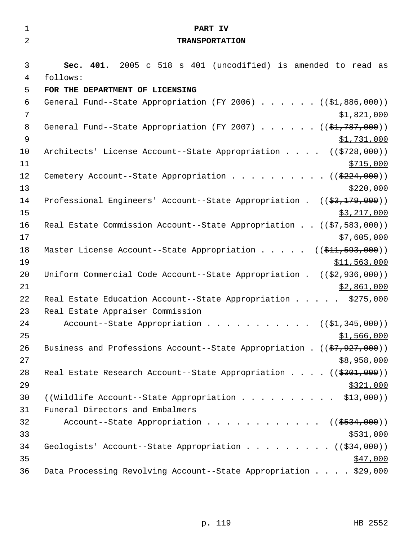| $\mathbf{1}$   | PART IV                                                                                   |
|----------------|-------------------------------------------------------------------------------------------|
| $\overline{2}$ | <b>TRANSPORTATION</b>                                                                     |
|                |                                                                                           |
| 3              | Sec. 401. 2005 c 518 s 401 (uncodified) is amended to read as                             |
| $\overline{4}$ | follows:                                                                                  |
| 5              | FOR THE DEPARTMENT OF LICENSING                                                           |
| 6              | General Fund--State Appropriation (FY 2006) $($ $($ \$1,886,000))                         |
| $\overline{7}$ | \$1,821,000                                                                               |
| 8              | General Fund--State Appropriation (FY 2007) $($ $($ \$1,787,000))                         |
| $\mathsf 9$    | \$1,731,000                                                                               |
| 10             | Architects' License Account--State Appropriation ((\$728,000))                            |
| 11             | \$715,000                                                                                 |
| 12             | Cemetery Account--State Appropriation ( $(\frac{2224}{000})$ )                            |
| 13             | \$220,000                                                                                 |
| 14             | Professional Engineers' Account--State Appropriation . $((\frac{2}{3}, \frac{179}{100}))$ |
| 15             | \$3,217,000                                                                               |
| 16             | Real Estate Commission Account--State Appropriation ((\$7,583,000))                       |
| 17             | \$7,605,000                                                                               |
| 18             | Master License Account--State Appropriation $($ $($ \$11, 593, 000) $)$                   |
| 19             | \$11,563,000                                                                              |
| 20             | Uniform Commercial Code Account--State Appropriation . $((\frac{2}{7}, 936, 000))$        |
| 21             | \$2,861,000                                                                               |
| 22             | Real Estate Education Account--State Appropriation \$275,000                              |
| 23             | Real Estate Appraiser Commission                                                          |
| 24             | Account--State Appropriation ( $(\frac{1}{2}, 345, 000)$ )                                |
| 25             | \$1,566,000                                                                               |
| 26             | Business and Professions Account--State Appropriation . $((\frac{27}{7}, 927, 000))$      |
| 27             | \$8,958,000                                                                               |
| 28             | Real Estate Research Account--State Appropriation $($ $($ $\frac{2301}{7000})$            |
| 29             | \$321,000                                                                                 |
| 30             | ((Wildlife Account--State Appropriation \$13,000))                                        |
| 31             | Funeral Directors and Embalmers                                                           |
| 32             | Account--State Appropriation $($ $($ $\frac{2534}{100})$                                  |
| 33             | \$531,000                                                                                 |
| 34             | Geologists' Account--State Appropriation ( $(\frac{234}{100})$ )                          |
| 35             | \$47,000                                                                                  |
| 36             | Data Processing Revolving Account--State Appropriation \$29,000                           |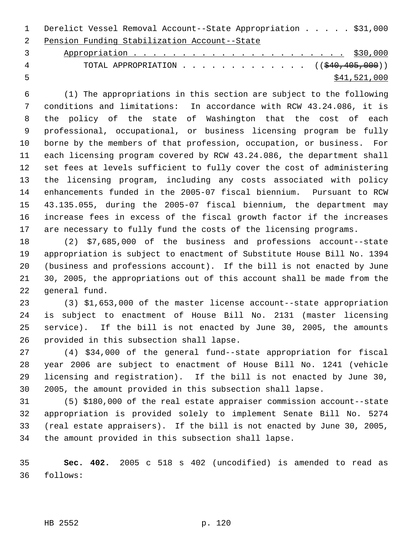Derelict Vessel Removal Account--State Appropriation . . . . . \$31,000 Pension Funding Stabilization Account--State

 Appropriation . . . . . . . . . . . . . . . . . . . . . . \$30,000 4 TOTAL APPROPRIATION . . . . . . . . . . . . ((\$40,405,000))  $\frac{$41,521,000}{2}$ 

 (1) The appropriations in this section are subject to the following conditions and limitations: In accordance with RCW 43.24.086, it is the policy of the state of Washington that the cost of each professional, occupational, or business licensing program be fully borne by the members of that profession, occupation, or business. For each licensing program covered by RCW 43.24.086, the department shall set fees at levels sufficient to fully cover the cost of administering the licensing program, including any costs associated with policy enhancements funded in the 2005-07 fiscal biennium. Pursuant to RCW 43.135.055, during the 2005-07 fiscal biennium, the department may increase fees in excess of the fiscal growth factor if the increases are necessary to fully fund the costs of the licensing programs.

 (2) \$7,685,000 of the business and professions account--state appropriation is subject to enactment of Substitute House Bill No. 1394 (business and professions account). If the bill is not enacted by June 30, 2005, the appropriations out of this account shall be made from the general fund.

 (3) \$1,653,000 of the master license account--state appropriation is subject to enactment of House Bill No. 2131 (master licensing service). If the bill is not enacted by June 30, 2005, the amounts provided in this subsection shall lapse.

 (4) \$34,000 of the general fund--state appropriation for fiscal year 2006 are subject to enactment of House Bill No. 1241 (vehicle licensing and registration). If the bill is not enacted by June 30, 2005, the amount provided in this subsection shall lapse.

 (5) \$180,000 of the real estate appraiser commission account--state appropriation is provided solely to implement Senate Bill No. 5274 (real estate appraisers). If the bill is not enacted by June 30, 2005, the amount provided in this subsection shall lapse.

 **Sec. 402.** 2005 c 518 s 402 (uncodified) is amended to read as follows:

HB 2552 p. 120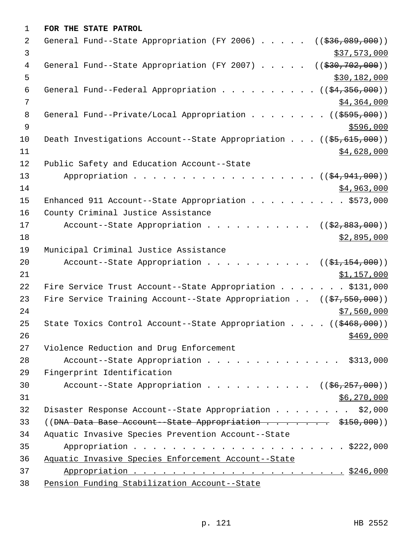| 1              | FOR THE STATE PATROL                                                                    |
|----------------|-----------------------------------------------------------------------------------------|
| 2              | General Fund--State Appropriation (FY 2006)<br>((\$36,089,000))                         |
| 3              | \$37,573,000                                                                            |
| 4              | General Fund--State Appropriation (FY 2007)<br>((\$30,702,000))                         |
| 5              | \$30,182,000                                                                            |
| 6              | General Fund--Federal Appropriation ( $(\frac{24}{356}, \frac{356}{900})$ )             |
| 7              | \$4,364,000                                                                             |
| 8              | General Fund--Private/Local Appropriation ( $(\frac{2595,000}{s})$ )                    |
| $\overline{9}$ | \$596,000                                                                               |
| 10             | Death Investigations Account--State Appropriation ((\$5,615,000))                       |
| 11             | \$4,628,000                                                                             |
| 12             | Public Safety and Education Account--State                                              |
| 13             | Appropriation $($ $($ $\frac{24.941.000}{90.000})$                                      |
| 14             | \$4,963,000                                                                             |
| 15             | Enhanced 911 Account--State Appropriation \$573,000                                     |
| 16             | County Criminal Justice Assistance                                                      |
| 17             | Account--State Appropriation $($ $($ \$2,883,000) $)$                                   |
| 18             | \$2,895,000                                                                             |
| 19             | Municipal Criminal Justice Assistance                                                   |
| 20             | Account--State Appropriation<br>$((\$1,154,000))$                                       |
| 21             | \$1,157,000                                                                             |
| 22             | Fire Service Trust Account--State Appropriation \$131,000                               |
| 23             | Fire Service Training Account--State Appropriation $((\frac{27}{57}, \frac{550}{500}))$ |
| 24             | \$7,560,000                                                                             |
| 25             | State Toxics Control Account--State Appropriation $($ $($ $\frac{468}{700})$            |
| 26             | \$469,000                                                                               |
| 27             | Violence Reduction and Drug Enforcement                                                 |
| 28             | Account--State Appropriation \$313,000                                                  |
| 29             | Fingerprint Identification                                                              |
| 30             | Account--State Appropriation $($ $($ $\frac{6}{6}$ , $257,000)$ )                       |
| 31             | \$6,270,000                                                                             |
| 32             | Disaster Response Account--State Appropriation \$2,000                                  |
| 33             |                                                                                         |
| 34             | Aquatic Invasive Species Prevention Account--State                                      |
| 35             |                                                                                         |
| 36             | Aquatic Invasive Species Enforcement Account--State                                     |
| 37             |                                                                                         |
| 38             | Pension Funding Stabilization Account--State                                            |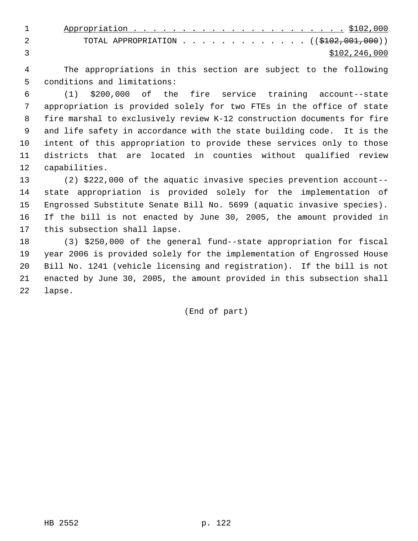| TOTAL APPROPRIATION ( $(\$102,001,000)$ ) |
|-------------------------------------------|
| \$102,246,000                             |

 The appropriations in this section are subject to the following conditions and limitations:

 (1) \$200,000 of the fire service training account--state appropriation is provided solely for two FTEs in the office of state fire marshal to exclusively review K-12 construction documents for fire and life safety in accordance with the state building code. It is the intent of this appropriation to provide these services only to those districts that are located in counties without qualified review capabilities.

 (2) \$222,000 of the aquatic invasive species prevention account-- state appropriation is provided solely for the implementation of Engrossed Substitute Senate Bill No. 5699 (aquatic invasive species). If the bill is not enacted by June 30, 2005, the amount provided in this subsection shall lapse.

 (3) \$250,000 of the general fund--state appropriation for fiscal year 2006 is provided solely for the implementation of Engrossed House Bill No. 1241 (vehicle licensing and registration). If the bill is not enacted by June 30, 2005, the amount provided in this subsection shall lapse.

(End of part)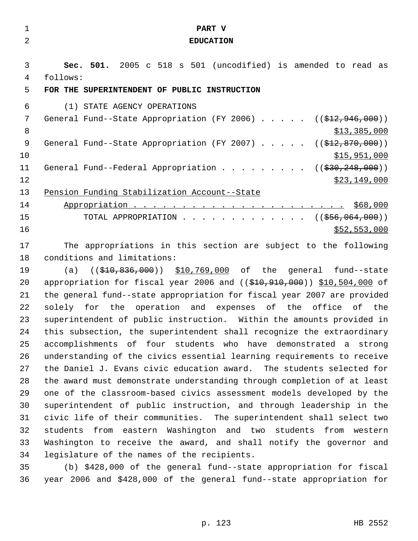| $\mathbf{1}$   | PART V                                                                              |
|----------------|-------------------------------------------------------------------------------------|
| $\overline{a}$ | <b>EDUCATION</b>                                                                    |
|                |                                                                                     |
| 3              | Sec. 501. 2005 c 518 s 501 (uncodified) is amended to read as                       |
| 4              | follows:                                                                            |
| 5              | FOR THE SUPERINTENDENT OF PUBLIC INSTRUCTION                                        |
| 6              | (1) STATE AGENCY OPERATIONS                                                         |
| 7              | General Fund--State Appropriation (FY 2006) $($ $($ \$12,946,000))                  |
| 8              | \$13,385,000                                                                        |
| 9              | General Fund--State Appropriation (FY 2007) $($ $(\frac{212}{70}, \frac{870}{100})$ |
| 10             | \$15,951,000                                                                        |
| 11             | General Fund--Federal Appropriation ( $(\frac{230}{29}, \frac{248}{100})$ )         |
| 12             | \$23,149,000                                                                        |
| 13             | Pension Funding Stabilization Account--State                                        |
| 14             |                                                                                     |
| 15             | TOTAL APPROPRIATION ( $(\frac{256}{1000})$ )                                        |
| 16             | \$52,553,000                                                                        |
| 17             | The appropriations in this section are subject to the following                     |
| 18             | conditions and limitations:                                                         |
| 19             | ((\$10,836,000)) \$10,769,000 of the general fund--state<br>(a)                     |
| 20             | appropriation for fiscal year 2006 and ((\$10,910,000)) \$10,504,000 of             |
| 21             | the general fund--state appropriation for fiscal year 2007 are provided             |
| 22             | solely for the operation and expenses of the office of the                          |
| 23             | superintendent of public instruction. Within the amounts provided in                |
| 24             | this subsection, the superintendent shall recognize the extraordinary               |
| 25             | accomplishments of four students who have demonstrated a strong                     |
| 26             | understanding of the civics essential learning requirements to receive              |
| 27             | the Daniel J. Evans civic education award. The students selected for                |
| 28             | the award must demonstrate understanding through completion of at least             |
| 29             | one of the classroom-based civics assessment models developed by the                |
| 30             | superintendent of public instruction, and through leadership in the                 |
| 31             | civic life of their communities. The superintendent shall select two                |
| 32             | students<br>from eastern Washington and two<br>students<br>from<br>western          |

legislature of the names of the recipients.

 (b) \$428,000 of the general fund--state appropriation for fiscal year 2006 and \$428,000 of the general fund--state appropriation for

Washington to receive the award, and shall notify the governor and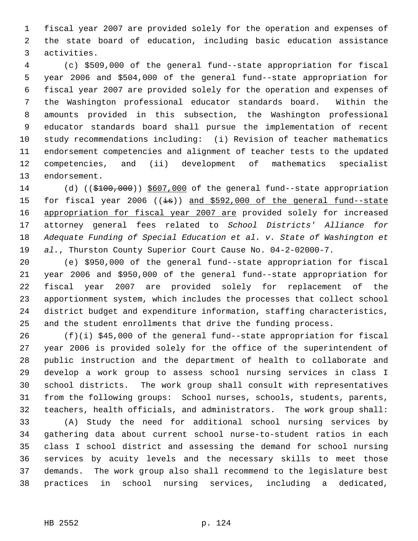fiscal year 2007 are provided solely for the operation and expenses of the state board of education, including basic education assistance activities.

 (c) \$509,000 of the general fund--state appropriation for fiscal year 2006 and \$504,000 of the general fund--state appropriation for fiscal year 2007 are provided solely for the operation and expenses of the Washington professional educator standards board. Within the amounts provided in this subsection, the Washington professional educator standards board shall pursue the implementation of recent study recommendations including: (i) Revision of teacher mathematics endorsement competencies and alignment of teacher tests to the updated competencies, and (ii) development of mathematics specialist endorsement.

14 (d) ((\$100,000)) \$607,000 of the general fund--state appropriation 15 for fiscal year 2006 ( $(i\text{--}s)$ ) and \$592,000 of the general fund--state 16 appropriation for fiscal year 2007 are provided solely for increased attorney general fees related to *School Districts' Alliance for Adequate Funding of Special Education et al. v. State of Washington et al.*, Thurston County Superior Court Cause No. 04-2-02000-7.

 (e) \$950,000 of the general fund--state appropriation for fiscal year 2006 and \$950,000 of the general fund--state appropriation for fiscal year 2007 are provided solely for replacement of the apportionment system, which includes the processes that collect school district budget and expenditure information, staffing characteristics, and the student enrollments that drive the funding process.

 (f)(i) \$45,000 of the general fund--state appropriation for fiscal year 2006 is provided solely for the office of the superintendent of public instruction and the department of health to collaborate and develop a work group to assess school nursing services in class I school districts. The work group shall consult with representatives from the following groups: School nurses, schools, students, parents, teachers, health officials, and administrators. The work group shall:

 (A) Study the need for additional school nursing services by gathering data about current school nurse-to-student ratios in each class I school district and assessing the demand for school nursing services by acuity levels and the necessary skills to meet those demands. The work group also shall recommend to the legislature best practices in school nursing services, including a dedicated,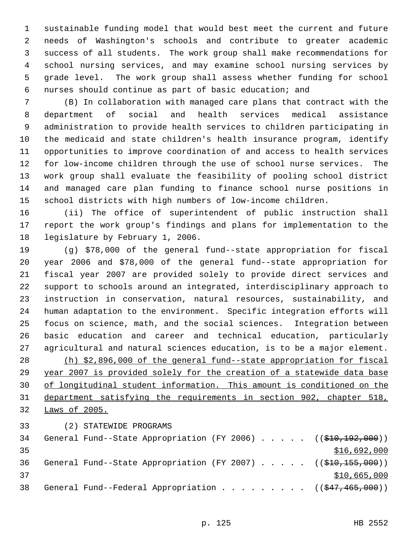sustainable funding model that would best meet the current and future needs of Washington's schools and contribute to greater academic success of all students. The work group shall make recommendations for school nursing services, and may examine school nursing services by grade level. The work group shall assess whether funding for school nurses should continue as part of basic education; and

 (B) In collaboration with managed care plans that contract with the department of social and health services medical assistance administration to provide health services to children participating in the medicaid and state children's health insurance program, identify opportunities to improve coordination of and access to health services for low-income children through the use of school nurse services. The work group shall evaluate the feasibility of pooling school district and managed care plan funding to finance school nurse positions in school districts with high numbers of low-income children.

 (ii) The office of superintendent of public instruction shall report the work group's findings and plans for implementation to the legislature by February 1, 2006.

 (g) \$78,000 of the general fund--state appropriation for fiscal year 2006 and \$78,000 of the general fund--state appropriation for fiscal year 2007 are provided solely to provide direct services and support to schools around an integrated, interdisciplinary approach to instruction in conservation, natural resources, sustainability, and human adaptation to the environment. Specific integration efforts will focus on science, math, and the social sciences. Integration between basic education and career and technical education, particularly agricultural and natural sciences education, is to be a major element. (h) \$2,896,000 of the general fund--state appropriation for fiscal 29 year 2007 is provided solely for the creation of a statewide data base of longitudinal student information. This amount is conditioned on the department satisfying the requirements in section 902, chapter 518, Laws of 2005.

(2) STATEWIDE PROGRAMS

| 34 |  |  |  |  |  | General Fund--State Appropriation (FY 2006) $($ $($ $\frac{2006}{10}, \frac{100}{100})$ |
|----|--|--|--|--|--|-----------------------------------------------------------------------------------------|
| 35 |  |  |  |  |  | \$16,692,000                                                                            |
| 36 |  |  |  |  |  | General Fund--State Appropriation (FY 2007) $($ $($ $\frac{2007}{1000})$                |
| 37 |  |  |  |  |  | \$10,665,000                                                                            |
| 38 |  |  |  |  |  | General Fund--Federal Appropriation ( $(\frac{247}{1000})$ )                            |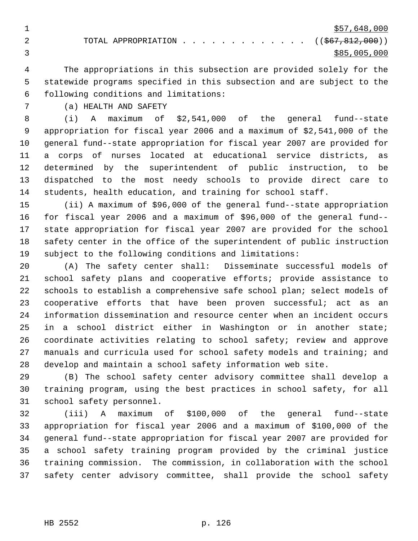$\frac{$57,648,000}{ }$ 2 TOTAL APPROPRIATION . . . . . . . . . . . . ((\$67,812,000))  $3 \times 85,005,000$ 

 The appropriations in this subsection are provided solely for the statewide programs specified in this subsection and are subject to the following conditions and limitations:

(a) HEALTH AND SAFETY

 (i) A maximum of \$2,541,000 of the general fund--state appropriation for fiscal year 2006 and a maximum of \$2,541,000 of the general fund--state appropriation for fiscal year 2007 are provided for a corps of nurses located at educational service districts, as determined by the superintendent of public instruction, to be dispatched to the most needy schools to provide direct care to students, health education, and training for school staff.

 (ii) A maximum of \$96,000 of the general fund--state appropriation for fiscal year 2006 and a maximum of \$96,000 of the general fund-- state appropriation for fiscal year 2007 are provided for the school safety center in the office of the superintendent of public instruction subject to the following conditions and limitations:

 (A) The safety center shall: Disseminate successful models of school safety plans and cooperative efforts; provide assistance to 22 schools to establish a comprehensive safe school plan; select models of cooperative efforts that have been proven successful; act as an information dissemination and resource center when an incident occurs in a school district either in Washington or in another state; coordinate activities relating to school safety; review and approve manuals and curricula used for school safety models and training; and develop and maintain a school safety information web site.

 (B) The school safety center advisory committee shall develop a training program, using the best practices in school safety, for all school safety personnel.

 (iii) A maximum of \$100,000 of the general fund--state appropriation for fiscal year 2006 and a maximum of \$100,000 of the general fund--state appropriation for fiscal year 2007 are provided for a school safety training program provided by the criminal justice training commission. The commission, in collaboration with the school safety center advisory committee, shall provide the school safety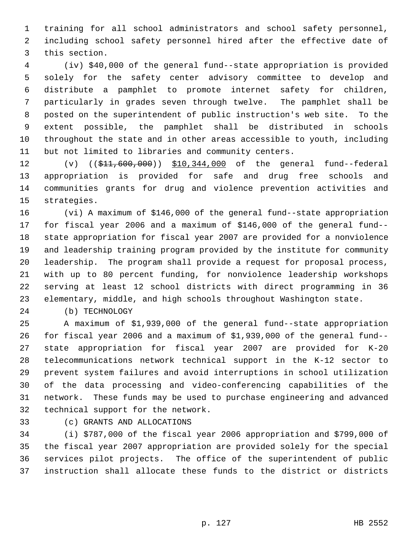training for all school administrators and school safety personnel, including school safety personnel hired after the effective date of this section.

 (iv) \$40,000 of the general fund--state appropriation is provided solely for the safety center advisory committee to develop and distribute a pamphlet to promote internet safety for children, particularly in grades seven through twelve. The pamphlet shall be posted on the superintendent of public instruction's web site. To the extent possible, the pamphlet shall be distributed in schools throughout the state and in other areas accessible to youth, including but not limited to libraries and community centers.

12 (v)  $((\frac{11}{10},\frac{600}{10},\frac{000}{10},\frac{344}{100},\frac{000}{100})$  of the general fund--federal appropriation is provided for safe and drug free schools and communities grants for drug and violence prevention activities and strategies.

 (vi) A maximum of \$146,000 of the general fund--state appropriation for fiscal year 2006 and a maximum of \$146,000 of the general fund-- state appropriation for fiscal year 2007 are provided for a nonviolence and leadership training program provided by the institute for community leadership. The program shall provide a request for proposal process, with up to 80 percent funding, for nonviolence leadership workshops serving at least 12 school districts with direct programming in 36 elementary, middle, and high schools throughout Washington state.

(b) TECHNOLOGY

 A maximum of \$1,939,000 of the general fund--state appropriation for fiscal year 2006 and a maximum of \$1,939,000 of the general fund-- state appropriation for fiscal year 2007 are provided for K-20 telecommunications network technical support in the K-12 sector to prevent system failures and avoid interruptions in school utilization of the data processing and video-conferencing capabilities of the network. These funds may be used to purchase engineering and advanced technical support for the network.

(c) GRANTS AND ALLOCATIONS

 (i) \$787,000 of the fiscal year 2006 appropriation and \$799,000 of the fiscal year 2007 appropriation are provided solely for the special services pilot projects. The office of the superintendent of public instruction shall allocate these funds to the district or districts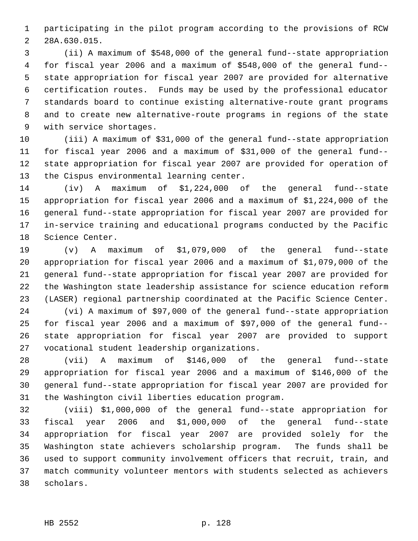participating in the pilot program according to the provisions of RCW 28A.630.015.

 (ii) A maximum of \$548,000 of the general fund--state appropriation for fiscal year 2006 and a maximum of \$548,000 of the general fund-- state appropriation for fiscal year 2007 are provided for alternative certification routes. Funds may be used by the professional educator standards board to continue existing alternative-route grant programs and to create new alternative-route programs in regions of the state with service shortages.

 (iii) A maximum of \$31,000 of the general fund--state appropriation for fiscal year 2006 and a maximum of \$31,000 of the general fund-- state appropriation for fiscal year 2007 are provided for operation of the Cispus environmental learning center.

 (iv) A maximum of \$1,224,000 of the general fund--state appropriation for fiscal year 2006 and a maximum of \$1,224,000 of the general fund--state appropriation for fiscal year 2007 are provided for in-service training and educational programs conducted by the Pacific Science Center.

 (v) A maximum of \$1,079,000 of the general fund--state appropriation for fiscal year 2006 and a maximum of \$1,079,000 of the general fund--state appropriation for fiscal year 2007 are provided for the Washington state leadership assistance for science education reform (LASER) regional partnership coordinated at the Pacific Science Center.

 (vi) A maximum of \$97,000 of the general fund--state appropriation for fiscal year 2006 and a maximum of \$97,000 of the general fund-- state appropriation for fiscal year 2007 are provided to support vocational student leadership organizations.

 (vii) A maximum of \$146,000 of the general fund--state appropriation for fiscal year 2006 and a maximum of \$146,000 of the general fund--state appropriation for fiscal year 2007 are provided for the Washington civil liberties education program.

 (viii) \$1,000,000 of the general fund--state appropriation for fiscal year 2006 and \$1,000,000 of the general fund--state appropriation for fiscal year 2007 are provided solely for the Washington state achievers scholarship program. The funds shall be used to support community involvement officers that recruit, train, and match community volunteer mentors with students selected as achievers scholars.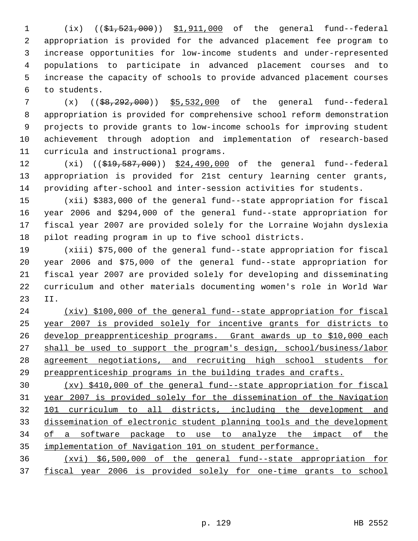1 (ix) ((\$1,521,000)) \$1,911,000 of the general fund--federal appropriation is provided for the advanced placement fee program to increase opportunities for low-income students and under-represented populations to participate in advanced placement courses and to increase the capacity of schools to provide advanced placement courses to students.

 (x) ((\$8,292,000)) \$5,532,000 of the general fund--federal appropriation is provided for comprehensive school reform demonstration projects to provide grants to low-income schools for improving student achievement through adoption and implementation of research-based curricula and instructional programs.

12 (xi) ((\$19,587,000)) \$24,490,000 of the general fund--federal appropriation is provided for 21st century learning center grants, providing after-school and inter-session activities for students.

 (xii) \$383,000 of the general fund--state appropriation for fiscal year 2006 and \$294,000 of the general fund--state appropriation for fiscal year 2007 are provided solely for the Lorraine Wojahn dyslexia pilot reading program in up to five school districts.

 (xiii) \$75,000 of the general fund--state appropriation for fiscal year 2006 and \$75,000 of the general fund--state appropriation for fiscal year 2007 are provided solely for developing and disseminating curriculum and other materials documenting women's role in World War II.

 (xiv) \$100,000 of the general fund--state appropriation for fiscal year 2007 is provided solely for incentive grants for districts to develop preapprenticeship programs. Grant awards up to \$10,000 each shall be used to support the program's design, school/business/labor agreement negotiations, and recruiting high school students for preapprenticeship programs in the building trades and crafts.

 (xv) \$410,000 of the general fund--state appropriation for fiscal year 2007 is provided solely for the dissemination of the Navigation 101 curriculum to all districts, including the development and dissemination of electronic student planning tools and the development of a software package to use to analyze the impact of the implementation of Navigation 101 on student performance.

 (xvi) \$6,500,000 of the general fund--state appropriation for fiscal year 2006 is provided solely for one-time grants to school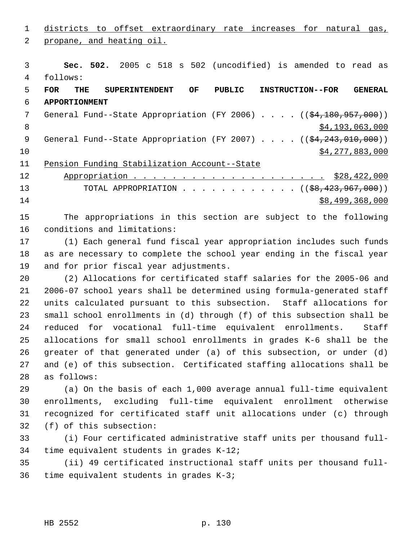districts to offset extraordinary rate increases for natural gas, propane, and heating oil. **Sec. 502.** 2005 c 518 s 502 (uncodified) is amended to read as follows: **FOR THE SUPERINTENDENT OF PUBLIC INSTRUCTION--FOR GENERAL APPORTIONMENT** 7 General Fund--State Appropriation (FY 2006) . . . . ((\$4,180,957,000))  $\frac{1}{2}$   $\frac{1}{3}$ ,063,000 9 General Fund--State Appropriation (FY 2007) . . . . ((\$4,243,010,000)) \$4,277,883,000 Pension Funding Stabilization Account--State Appropriation . . . . . . . . . . . . . . . . . . . . \$28,422,000 13 TOTAL APPROPRIATION . . . . . . . . . . . ((<del>\$8,423,967,000</del>))

\$8,499,368,000

 The appropriations in this section are subject to the following conditions and limitations:

 (1) Each general fund fiscal year appropriation includes such funds as are necessary to complete the school year ending in the fiscal year and for prior fiscal year adjustments.

 (2) Allocations for certificated staff salaries for the 2005-06 and 2006-07 school years shall be determined using formula-generated staff units calculated pursuant to this subsection. Staff allocations for small school enrollments in (d) through (f) of this subsection shall be reduced for vocational full-time equivalent enrollments. Staff allocations for small school enrollments in grades K-6 shall be the greater of that generated under (a) of this subsection, or under (d) and (e) of this subsection. Certificated staffing allocations shall be as follows:

 (a) On the basis of each 1,000 average annual full-time equivalent enrollments, excluding full-time equivalent enrollment otherwise recognized for certificated staff unit allocations under (c) through (f) of this subsection:

 (i) Four certificated administrative staff units per thousand full-time equivalent students in grades K-12;

 (ii) 49 certificated instructional staff units per thousand full-time equivalent students in grades K-3;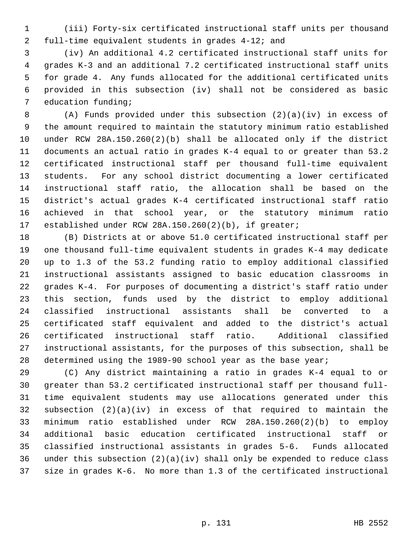(iii) Forty-six certificated instructional staff units per thousand full-time equivalent students in grades 4-12; and

 (iv) An additional 4.2 certificated instructional staff units for grades K-3 and an additional 7.2 certificated instructional staff units for grade 4. Any funds allocated for the additional certificated units provided in this subsection (iv) shall not be considered as basic education funding;

 (A) Funds provided under this subsection (2)(a)(iv) in excess of the amount required to maintain the statutory minimum ratio established under RCW 28A.150.260(2)(b) shall be allocated only if the district documents an actual ratio in grades K-4 equal to or greater than 53.2 certificated instructional staff per thousand full-time equivalent students. For any school district documenting a lower certificated instructional staff ratio, the allocation shall be based on the district's actual grades K-4 certificated instructional staff ratio achieved in that school year, or the statutory minimum ratio established under RCW 28A.150.260(2)(b), if greater;

 (B) Districts at or above 51.0 certificated instructional staff per one thousand full-time equivalent students in grades K-4 may dedicate up to 1.3 of the 53.2 funding ratio to employ additional classified instructional assistants assigned to basic education classrooms in grades K-4. For purposes of documenting a district's staff ratio under this section, funds used by the district to employ additional classified instructional assistants shall be converted to a certificated staff equivalent and added to the district's actual certificated instructional staff ratio. Additional classified instructional assistants, for the purposes of this subsection, shall be determined using the 1989-90 school year as the base year;

 (C) Any district maintaining a ratio in grades K-4 equal to or greater than 53.2 certificated instructional staff per thousand full- time equivalent students may use allocations generated under this subsection (2)(a)(iv) in excess of that required to maintain the minimum ratio established under RCW 28A.150.260(2)(b) to employ additional basic education certificated instructional staff or classified instructional assistants in grades 5-6. Funds allocated under this subsection (2)(a)(iv) shall only be expended to reduce class size in grades K-6. No more than 1.3 of the certificated instructional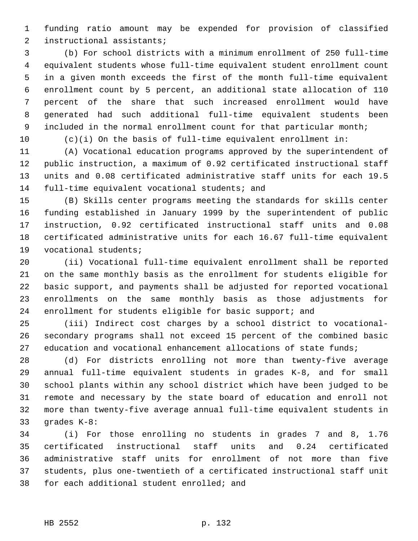funding ratio amount may be expended for provision of classified instructional assistants;

 (b) For school districts with a minimum enrollment of 250 full-time equivalent students whose full-time equivalent student enrollment count in a given month exceeds the first of the month full-time equivalent enrollment count by 5 percent, an additional state allocation of 110 percent of the share that such increased enrollment would have generated had such additional full-time equivalent students been 9 included in the normal enrollment count for that particular month;

(c)(i) On the basis of full-time equivalent enrollment in:

 (A) Vocational education programs approved by the superintendent of public instruction, a maximum of 0.92 certificated instructional staff units and 0.08 certificated administrative staff units for each 19.5 full-time equivalent vocational students; and

 (B) Skills center programs meeting the standards for skills center funding established in January 1999 by the superintendent of public instruction, 0.92 certificated instructional staff units and 0.08 certificated administrative units for each 16.67 full-time equivalent vocational students;

 (ii) Vocational full-time equivalent enrollment shall be reported on the same monthly basis as the enrollment for students eligible for basic support, and payments shall be adjusted for reported vocational enrollments on the same monthly basis as those adjustments for enrollment for students eligible for basic support; and

 (iii) Indirect cost charges by a school district to vocational- secondary programs shall not exceed 15 percent of the combined basic education and vocational enhancement allocations of state funds;

 (d) For districts enrolling not more than twenty-five average annual full-time equivalent students in grades K-8, and for small school plants within any school district which have been judged to be remote and necessary by the state board of education and enroll not more than twenty-five average annual full-time equivalent students in grades K-8:

 (i) For those enrolling no students in grades 7 and 8, 1.76 certificated instructional staff units and 0.24 certificated administrative staff units for enrollment of not more than five students, plus one-twentieth of a certificated instructional staff unit for each additional student enrolled; and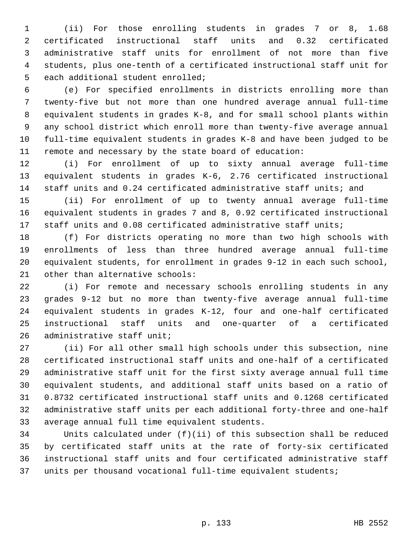(ii) For those enrolling students in grades 7 or 8, 1.68 certificated instructional staff units and 0.32 certificated administrative staff units for enrollment of not more than five students, plus one-tenth of a certificated instructional staff unit for each additional student enrolled;

 (e) For specified enrollments in districts enrolling more than twenty-five but not more than one hundred average annual full-time equivalent students in grades K-8, and for small school plants within any school district which enroll more than twenty-five average annual full-time equivalent students in grades K-8 and have been judged to be remote and necessary by the state board of education:

 (i) For enrollment of up to sixty annual average full-time equivalent students in grades K-6, 2.76 certificated instructional staff units and 0.24 certificated administrative staff units; and

 (ii) For enrollment of up to twenty annual average full-time equivalent students in grades 7 and 8, 0.92 certificated instructional staff units and 0.08 certificated administrative staff units;

 (f) For districts operating no more than two high schools with enrollments of less than three hundred average annual full-time equivalent students, for enrollment in grades 9-12 in each such school, other than alternative schools:

 (i) For remote and necessary schools enrolling students in any grades 9-12 but no more than twenty-five average annual full-time equivalent students in grades K-12, four and one-half certificated instructional staff units and one-quarter of a certificated administrative staff unit;

 (ii) For all other small high schools under this subsection, nine certificated instructional staff units and one-half of a certificated administrative staff unit for the first sixty average annual full time equivalent students, and additional staff units based on a ratio of 0.8732 certificated instructional staff units and 0.1268 certificated administrative staff units per each additional forty-three and one-half average annual full time equivalent students.

 Units calculated under (f)(ii) of this subsection shall be reduced by certificated staff units at the rate of forty-six certificated instructional staff units and four certificated administrative staff units per thousand vocational full-time equivalent students;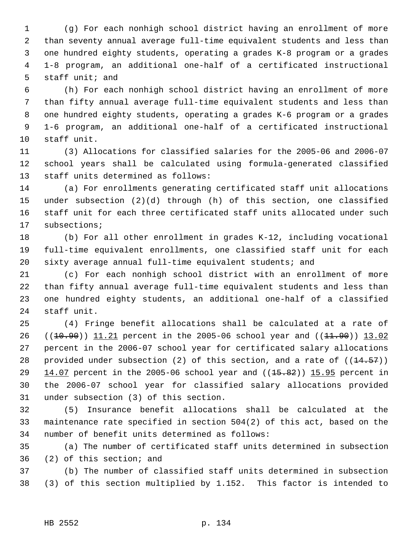(g) For each nonhigh school district having an enrollment of more than seventy annual average full-time equivalent students and less than one hundred eighty students, operating a grades K-8 program or a grades 1-8 program, an additional one-half of a certificated instructional staff unit; and

 (h) For each nonhigh school district having an enrollment of more than fifty annual average full-time equivalent students and less than one hundred eighty students, operating a grades K-6 program or a grades 1-6 program, an additional one-half of a certificated instructional staff unit.

 (3) Allocations for classified salaries for the 2005-06 and 2006-07 school years shall be calculated using formula-generated classified staff units determined as follows:

 (a) For enrollments generating certificated staff unit allocations under subsection (2)(d) through (h) of this section, one classified staff unit for each three certificated staff units allocated under such subsections;

 (b) For all other enrollment in grades K-12, including vocational full-time equivalent enrollments, one classified staff unit for each sixty average annual full-time equivalent students; and

 (c) For each nonhigh school district with an enrollment of more than fifty annual average full-time equivalent students and less than one hundred eighty students, an additional one-half of a classified staff unit.

 (4) Fringe benefit allocations shall be calculated at a rate of 26 ((10.90)) 11.21 percent in the 2005-06 school year and ((11.90)) 13.02 percent in the 2006-07 school year for certificated salary allocations 28 provided under subsection (2) of this section, and a rate of  $((14.57))$ 29 14.07 percent in the 2005-06 school year and  $((15.82))$  15.95 percent in the 2006-07 school year for classified salary allocations provided under subsection (3) of this section.

 (5) Insurance benefit allocations shall be calculated at the maintenance rate specified in section 504(2) of this act, based on the number of benefit units determined as follows:

 (a) The number of certificated staff units determined in subsection (2) of this section; and

 (b) The number of classified staff units determined in subsection (3) of this section multiplied by 1.152. This factor is intended to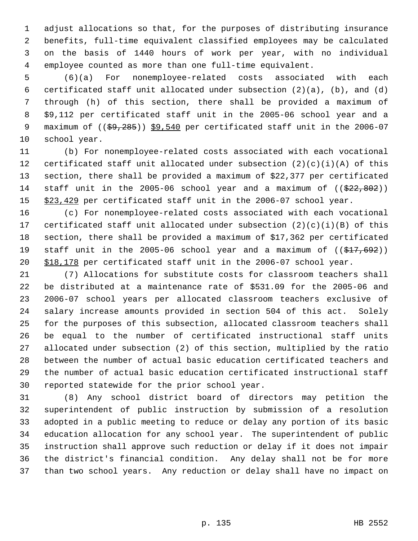adjust allocations so that, for the purposes of distributing insurance benefits, full-time equivalent classified employees may be calculated on the basis of 1440 hours of work per year, with no individual employee counted as more than one full-time equivalent.

 (6)(a) For nonemployee-related costs associated with each certificated staff unit allocated under subsection (2)(a), (b), and (d) through (h) of this section, there shall be provided a maximum of \$9,112 per certificated staff unit in the 2005-06 school year and a 9 maximum of ((\$9,285)) \$9,540 per certificated staff unit in the 2006-07 school year.

 (b) For nonemployee-related costs associated with each vocational 12 certificated staff unit allocated under subsection  $(2)(c)(i)(A)$  of this section, there shall be provided a maximum of \$22,377 per certificated 14 staff unit in the 2005-06 school year and a maximum of  $($  $\frac{22}{22,802})$ 15 \$23,429 per certificated staff unit in the 2006-07 school year.

 (c) For nonemployee-related costs associated with each vocational certificated staff unit allocated under subsection (2)(c)(i)(B) of this section, there shall be provided a maximum of \$17,362 per certificated 19 staff unit in the 2005-06 school year and a maximum of  $((\frac{17}{617}, 692))$ \$18,178 per certificated staff unit in the 2006-07 school year.

 (7) Allocations for substitute costs for classroom teachers shall be distributed at a maintenance rate of \$531.09 for the 2005-06 and 2006-07 school years per allocated classroom teachers exclusive of salary increase amounts provided in section 504 of this act. Solely for the purposes of this subsection, allocated classroom teachers shall be equal to the number of certificated instructional staff units allocated under subsection (2) of this section, multiplied by the ratio between the number of actual basic education certificated teachers and the number of actual basic education certificated instructional staff reported statewide for the prior school year.

 (8) Any school district board of directors may petition the superintendent of public instruction by submission of a resolution adopted in a public meeting to reduce or delay any portion of its basic education allocation for any school year. The superintendent of public instruction shall approve such reduction or delay if it does not impair the district's financial condition. Any delay shall not be for more than two school years. Any reduction or delay shall have no impact on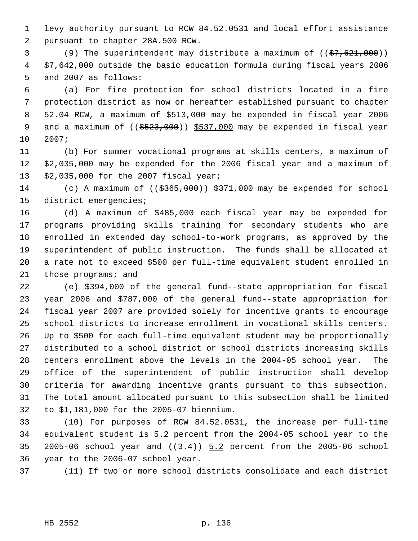levy authority pursuant to RCW 84.52.0531 and local effort assistance pursuant to chapter 28A.500 RCW.

3 (9) The superintendent may distribute a maximum of  $((\frac{27}{67}, \frac{621}{600}))$ 4 \$7,642,000 outside the basic education formula during fiscal years 2006 and 2007 as follows:

 (a) For fire protection for school districts located in a fire protection district as now or hereafter established pursuant to chapter 52.04 RCW, a maximum of \$513,000 may be expended in fiscal year 2006 9 and a maximum of ((\$523,000)) \$537,000 may be expended in fiscal year 2007;

 (b) For summer vocational programs at skills centers, a maximum of \$2,035,000 may be expended for the 2006 fiscal year and a maximum of \$2,035,000 for the 2007 fiscal year;

14 (c) A maximum of (( $\frac{2565,000}{371,000}$  may be expended for school district emergencies;

 (d) A maximum of \$485,000 each fiscal year may be expended for programs providing skills training for secondary students who are enrolled in extended day school-to-work programs, as approved by the superintendent of public instruction. The funds shall be allocated at a rate not to exceed \$500 per full-time equivalent student enrolled in those programs; and

 (e) \$394,000 of the general fund--state appropriation for fiscal year 2006 and \$787,000 of the general fund--state appropriation for fiscal year 2007 are provided solely for incentive grants to encourage school districts to increase enrollment in vocational skills centers. Up to \$500 for each full-time equivalent student may be proportionally distributed to a school district or school districts increasing skills centers enrollment above the levels in the 2004-05 school year. The office of the superintendent of public instruction shall develop criteria for awarding incentive grants pursuant to this subsection. The total amount allocated pursuant to this subsection shall be limited to \$1,181,000 for the 2005-07 biennium.

 (10) For purposes of RCW 84.52.0531, the increase per full-time equivalent student is 5.2 percent from the 2004-05 school year to the 35 2005-06 school year and  $((3.4))$   $5.2$  percent from the 2005-06 school year to the 2006-07 school year.

(11) If two or more school districts consolidate and each district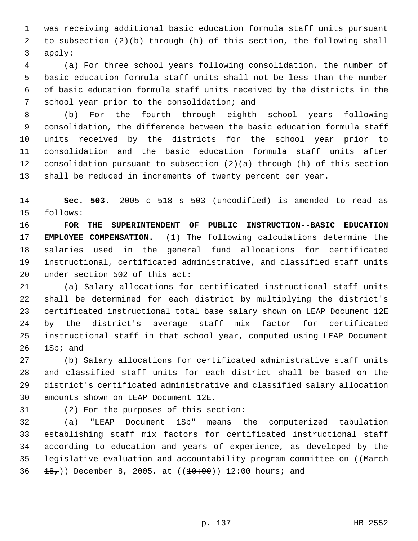was receiving additional basic education formula staff units pursuant to subsection (2)(b) through (h) of this section, the following shall apply:

 (a) For three school years following consolidation, the number of basic education formula staff units shall not be less than the number of basic education formula staff units received by the districts in the school year prior to the consolidation; and

 (b) For the fourth through eighth school years following consolidation, the difference between the basic education formula staff units received by the districts for the school year prior to consolidation and the basic education formula staff units after consolidation pursuant to subsection (2)(a) through (h) of this section shall be reduced in increments of twenty percent per year.

 **Sec. 503.** 2005 c 518 s 503 (uncodified) is amended to read as follows:

 **FOR THE SUPERINTENDENT OF PUBLIC INSTRUCTION--BASIC EDUCATION EMPLOYEE COMPENSATION.** (1) The following calculations determine the salaries used in the general fund allocations for certificated instructional, certificated administrative, and classified staff units under section 502 of this act:

 (a) Salary allocations for certificated instructional staff units shall be determined for each district by multiplying the district's certificated instructional total base salary shown on LEAP Document 12E by the district's average staff mix factor for certificated instructional staff in that school year, computed using LEAP Document 1Sb; and

 (b) Salary allocations for certificated administrative staff units and classified staff units for each district shall be based on the district's certificated administrative and classified salary allocation amounts shown on LEAP Document 12E.

(2) For the purposes of this section:

 (a) "LEAP Document 1Sb" means the computerized tabulation establishing staff mix factors for certificated instructional staff according to education and years of experience, as developed by the 35 legislative evaluation and accountability program committee on ((March  $\pm 8,$ )) December 8, 2005, at (( $\pm 0.00$ ))  $\pm 2.00$  hours; and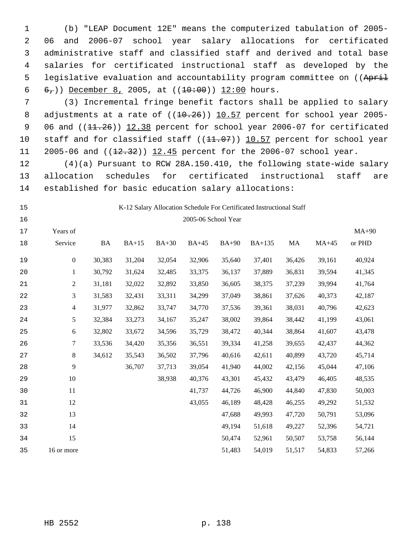(b) "LEAP Document 12E" means the computerized tabulation of 2005- 06 and 2006-07 school year salary allocations for certificated administrative staff and classified staff and derived and total base salaries for certificated instructional staff as developed by the 5 legislative evaluation and accountability program committee on ((April  $6,$ )) December 8, 2005, at ( $(10:00)$ ) 12:00 hours.

 (3) Incremental fringe benefit factors shall be applied to salary 8 adjustments at a rate of  $((10.26))$   $10.57$  percent for school year 2005-9 06 and ((11.26)) 12.38 percent for school year 2006-07 for certificated 10 staff and for classified staff ((11.07)) 10.57 percent for school year 11 2005-06 and ((12.32)) 12.45 percent for the 2006-07 school year.

 (4)(a) Pursuant to RCW 28A.150.410, the following state-wide salary allocation schedules for certificated instructional staff are established for basic education salary allocations:

## K-12 Salary Allocation Schedule For Certificated Instructional Staff

| 16 |                          |           |         |         | 2005-06 School Year |              |        |        |         |         |
|----|--------------------------|-----------|---------|---------|---------------------|--------------|--------|--------|---------|---------|
| 17 | Years of                 |           |         |         |                     |              |        |        |         | $MA+90$ |
| 18 | Service                  | $\rm{BA}$ | $BA+15$ | $BA+30$ | $BA+45$             | <b>BA+90</b> | BA+135 | MA     | $MA+45$ | or PHD  |
| 19 | $\boldsymbol{0}$         | 30,383    | 31,204  | 32,054  | 32,906              | 35,640       | 37,401 | 36,426 | 39,161  | 40,924  |
| 20 | 1                        | 30,792    | 31,624  | 32,485  | 33,375              | 36,137       | 37,889 | 36,831 | 39,594  | 41,345  |
| 21 | $\overline{2}$           | 31,181    | 32,022  | 32,892  | 33,850              | 36,605       | 38,375 | 37,239 | 39,994  | 41,764  |
| 22 | 3                        | 31,583    | 32,431  | 33,311  | 34,299              | 37,049       | 38,861 | 37,626 | 40,373  | 42,187  |
| 23 | $\overline{\mathcal{L}}$ | 31,977    | 32,862  | 33,747  | 34,770              | 37,536       | 39,361 | 38,031 | 40,796  | 42,623  |
| 24 | 5                        | 32,384    | 33,273  | 34,167  | 35,247              | 38,002       | 39,864 | 38,442 | 41,199  | 43,061  |
| 25 | 6                        | 32,802    | 33,672  | 34,596  | 35,729              | 38,472       | 40,344 | 38,864 | 41,607  | 43,478  |
| 26 | $\boldsymbol{7}$         | 33,536    | 34,420  | 35,356  | 36,551              | 39,334       | 41,258 | 39,655 | 42,437  | 44,362  |
| 27 | $8\,$                    | 34,612    | 35,543  | 36,502  | 37,796              | 40,616       | 42,611 | 40,899 | 43,720  | 45,714  |
| 28 | 9                        |           | 36,707  | 37,713  | 39,054              | 41,940       | 44,002 | 42,156 | 45,044  | 47,106  |
| 29 | 10                       |           |         | 38,938  | 40,376              | 43,301       | 45,432 | 43,479 | 46,405  | 48,535  |
| 30 | 11                       |           |         |         | 41,737              | 44,726       | 46,900 | 44,840 | 47,830  | 50,003  |
| 31 | 12                       |           |         |         | 43,055              | 46,189       | 48,428 | 46,255 | 49,292  | 51,532  |
| 32 | 13                       |           |         |         |                     | 47,688       | 49,993 | 47,720 | 50,791  | 53,096  |
| 33 | 14                       |           |         |         |                     | 49,194       | 51,618 | 49,227 | 52,396  | 54,721  |
| 34 | 15                       |           |         |         |                     | 50,474       | 52,961 | 50,507 | 53,758  | 56,144  |
| 35 | 16 or more               |           |         |         |                     | 51,483       | 54,019 | 51,517 | 54,833  | 57,266  |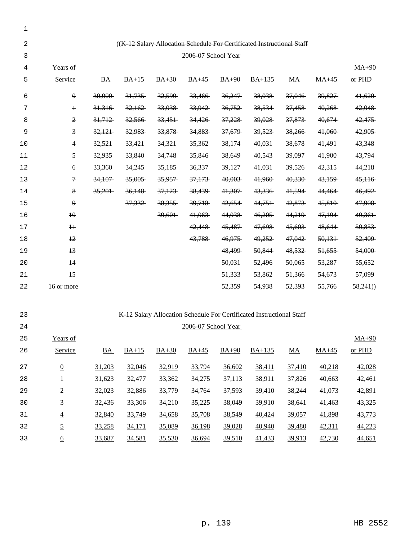| 1  |                         |                  |         |         |                      |         |                                                                        |                   |         |          |
|----|-------------------------|------------------|---------|---------|----------------------|---------|------------------------------------------------------------------------|-------------------|---------|----------|
| 2  |                         |                  |         |         |                      |         | ((K-12 Salary Allocation Schedule For Certificated Instructional Staff |                   |         |          |
| 3  |                         |                  |         |         | 2006-07 School Year- |         |                                                                        |                   |         |          |
| 4  | Years of                |                  |         |         |                      |         |                                                                        |                   |         | $MA+90$  |
| 5  | Service                 | $BA-$            | $BA+15$ | $BA+30$ | $BA+45$              | $BA+90$ | $BA+135$                                                               | <b>MA</b>         | $MA+45$ | $or$ PHD |
| 6  | $\theta$                | 30,900           | 31,735  | 32,599  | 33,466               | 36,247  | 38,038                                                                 | 37,046            | 39,827  | 41,620   |
| 7  | $\ddagger$              | 31,316           | 32,162  | 33,038  | 33,942               | 36,752  | 38,534                                                                 | 37,458            | 40,268  | 42,048   |
| 8  | $\mathfrak{D}$          | 31,712           | 32,566  | 33,451  | 34,426               | 37,228  | 39,028                                                                 | <del>37,873</del> | 40,674  | 42,475   |
| 9  | $\overline{\mathbf{3}}$ | 32,121           | 32,983  | 33,878  | 34,883               | 37,679  | 39,523                                                                 | 38,266            | 41,060  | 42,905   |
| 10 | 4                       | 32,521           | 33,421  | 34,321  | 35,362               | 38,174  | 40,031                                                                 | 38,678            | 41,491  | 43,348   |
| 11 | $\overline{5}$          | 32,935           | 33,840  | 34,748  | 35,846               | 38,649  | 40,543                                                                 | 39,097            | 41,900  | 43,794   |
| 12 | $\epsilon$              | 33,360           | 34,245  | 35,185  | 36,337               | 39,127  | 41,031                                                                 | 39,526            | 42,315  | 44,218   |
| 13 | $\mathcal{F}$           | 34,107           | 35,005  | 35,957  | 37,173               | 40,003  | 41,960                                                                 | 40,330            | 43,159  | 45,116   |
| 14 | 8                       | 35,201           | 36,148  | 37,123  | 38,439               | 41,307  | 43,336                                                                 | 41,594            | 44,464  | 46,492   |
| 15 | $\mathbf{9}$            |                  | 37,332  | 38,355  | 39,718               | 42,654  | 44,751                                                                 | 42,873            | 45,810  | 47,908   |
| 16 | 40                      |                  |         | 39,601  | 41,063               | 44,038  | 46,205                                                                 | 44,219            | 47,194  | 49,361   |
| 17 | #                       |                  |         |         | 42,448               | 45,487  | 47,698                                                                 | 45,603            | 48,644  | 50,853   |
| 18 | $\frac{12}{2}$          |                  |         |         | 43,788               | 46,975  | 49,252                                                                 | 47,042            | 50,131  | 52,409   |
| 19 | $+3$                    |                  |         |         |                      | 48,499  | 50,844                                                                 | 48,532            | 51,655  | 54,000   |
| 20 | $\overline{14}$         |                  |         |         |                      | 50,031  | 52,496                                                                 | 50,065            | 53,287  | 55,652   |
| 21 | $\overline{15}$         |                  |         |         |                      | 51,333  | 53,862                                                                 | 51,366            | 54,673  | 57,099   |
| 22 | 16 or more              |                  |         |         |                      | 52,359  | 54,938                                                                 | 52,393            | 55,766  | 58,241)  |
|    |                         |                  |         |         |                      |         |                                                                        |                   |         |          |
| 23 |                         |                  |         |         |                      |         | K-12 Salary Allocation Schedule For Certificated Instructional Staff   |                   |         |          |
| 24 |                         |                  |         |         | 2006-07 School Year  |         |                                                                        |                   |         |          |
| 25 | Years of                |                  |         |         |                      |         |                                                                        |                   |         | $MA+90$  |
| 26 | Service                 | $\underline{BA}$ | $BA+15$ | $BA+30$ | $BA+45$              | $BA+90$ | $BA+135$                                                               | $\underline{MA}$  | $MA+45$ | or PHD   |
| 27 | $\underline{0}$         | 31,203           | 32,046  | 32,919  | 33,794               | 36,602  | 38,411                                                                 | 37,410            | 40,218  | 42,028   |
| 28 | $\overline{1}$          | 31,623           | 32,477  | 33,362  | 34,275               | 37,113  | 38,911                                                                 | 37,826            | 40,663  | 42,461   |
| 29 | $\overline{2}$          | 32,023           | 32,886  | 33,779  | 34,764               | 37,593  | 39,410                                                                 | 38,244            | 41,073  | 42,891   |
| 30 | $\overline{3}$          | 32,436           | 33,306  | 34,210  | 35,225               | 38,049  | 39,910                                                                 | 38,641            | 41,463  | 43,325   |
| 31 | $\underline{4}$         | 32,840           | 33,749  | 34,658  | 35,708               | 38,549  | 40,424                                                                 | 39,057            | 41,898  | 43,773   |
| 32 | $\overline{5}$          | 33,258           | 34,171  | 35,089  | 36,198               | 39,028  | 40,940                                                                 | 39,480            | 42,311  | 44,223   |
| 33 | $\underline{6}$         | 33,687           | 34,581  | 35,530  | 36,694               | 39,510  | 41,433                                                                 | 39,913            | 42,730  | 44,651   |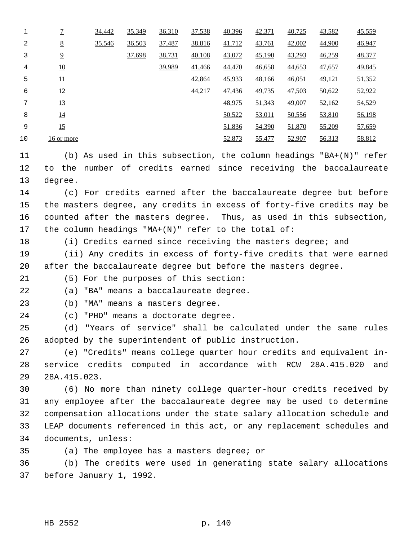|    | $\overline{1}$   | 34,442 | 35,349 | 36,310 | 37,538 | 40,396 | 42,371 | 40,725 | 43,582 | 45,559 |
|----|------------------|--------|--------|--------|--------|--------|--------|--------|--------|--------|
| 2  | 8                | 35,546 | 36,503 | 37,487 | 38,816 | 41,712 | 43,761 | 42,002 | 44,900 | 46,947 |
| 3  | $\overline{2}$   |        | 37,698 | 38,731 | 40,108 | 43,072 | 45,190 | 43,293 | 46,259 | 48,377 |
| 4  | 10               |        |        | 39,989 | 41,466 | 44,470 | 46,658 | 44,653 | 47,657 | 49,845 |
| 5  | 11               |        |        |        | 42,864 | 45,933 | 48,166 | 46,051 | 49,121 | 51,352 |
| 6  | 12               |        |        |        | 44,217 | 47,436 | 49,735 | 47,503 | 50,622 | 52,922 |
| 7  | 13               |        |        |        |        | 48,975 | 51,343 | 49,007 | 52,162 | 54,529 |
| 8  | $\underline{14}$ |        |        |        |        | 50,522 | 53,011 | 50,556 | 53,810 | 56,198 |
| 9  | 15               |        |        |        |        | 51,836 | 54,390 | 51,870 | 55,209 | 57,659 |
| 10 | 16 or more       |        |        |        |        | 52,873 | 55,477 | 52,907 | 56,313 | 58,812 |

 (b) As used in this subsection, the column headings "BA+(N)" refer to the number of credits earned since receiving the baccalaureate degree.

 (c) For credits earned after the baccalaureate degree but before the masters degree, any credits in excess of forty-five credits may be counted after the masters degree. Thus, as used in this subsection, the column headings "MA+(N)" refer to the total of:

(i) Credits earned since receiving the masters degree; and

 (ii) Any credits in excess of forty-five credits that were earned after the baccalaureate degree but before the masters degree.

(5) For the purposes of this section:

(a) "BA" means a baccalaureate degree.

(b) "MA" means a masters degree.

(c) "PHD" means a doctorate degree.

 (d) "Years of service" shall be calculated under the same rules adopted by the superintendent of public instruction.

 (e) "Credits" means college quarter hour credits and equivalent in- service credits computed in accordance with RCW 28A.415.020 and 28A.415.023.

 (6) No more than ninety college quarter-hour credits received by any employee after the baccalaureate degree may be used to determine compensation allocations under the state salary allocation schedule and LEAP documents referenced in this act, or any replacement schedules and documents, unless:

(a) The employee has a masters degree; or

 (b) The credits were used in generating state salary allocations before January 1, 1992.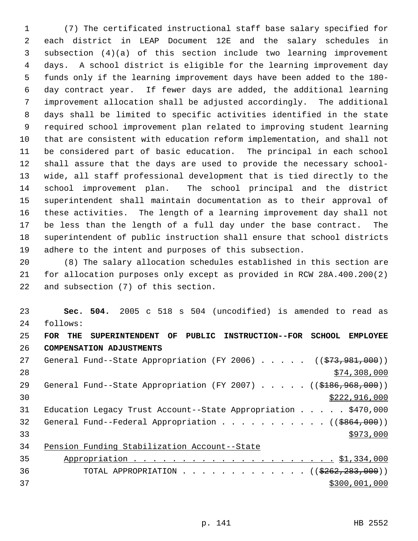(7) The certificated instructional staff base salary specified for each district in LEAP Document 12E and the salary schedules in subsection (4)(a) of this section include two learning improvement days. A school district is eligible for the learning improvement day funds only if the learning improvement days have been added to the 180- day contract year. If fewer days are added, the additional learning improvement allocation shall be adjusted accordingly. The additional days shall be limited to specific activities identified in the state required school improvement plan related to improving student learning that are consistent with education reform implementation, and shall not be considered part of basic education. The principal in each school shall assure that the days are used to provide the necessary school- wide, all staff professional development that is tied directly to the school improvement plan. The school principal and the district superintendent shall maintain documentation as to their approval of these activities. The length of a learning improvement day shall not be less than the length of a full day under the base contract. The superintendent of public instruction shall ensure that school districts adhere to the intent and purposes of this subsection.

 (8) The salary allocation schedules established in this section are for allocation purposes only except as provided in RCW 28A.400.200(2) and subsection (7) of this section.

 **Sec. 504.** 2005 c 518 s 504 (uncodified) is amended to read as follows: **FOR THE SUPERINTENDENT OF PUBLIC INSTRUCTION--FOR SCHOOL EMPLOYEE COMPENSATION ADJUSTMENTS** 27 General Fund--State Appropriation (FY 2006) . . . . . ((\$73,981,000)) \$74,308,000 29 General Fund--State Appropriation (FY 2007) . . . . . ((\$186,968,000)) \$222,916,000 31 Education Legacy Trust Account--State Appropriation . . . . . \$470,000 32 General Fund--Federal Appropriation . . . . . . . . . . . ((\$864,000))  $\frac{$973,000}{ }$  Pension Funding Stabilization Account--State Appropriation . . . . . . . . . . . . . . . . . . . . . \$1,334,000 36 TOTAL APPROPRIATION . . . . . . . . . . . . . ((\$262,283,000))  $$300,001,000$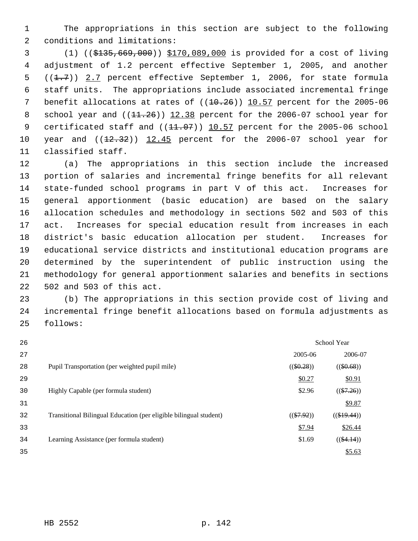The appropriations in this section are subject to the following conditions and limitations:

 (1) ((\$135,669,000)) \$170,089,000 is provided for a cost of living adjustment of 1.2 percent effective September 1, 2005, and another 5  $((1.7))$  2.7 percent effective September 1, 2006, for state formula staff units. The appropriations include associated incremental fringe 7 benefit allocations at rates of  $((10.26))$  10.57 percent for the 2005-06 8 school year and  $((11.26))$   $12.38$  percent for the 2006-07 school year for 9 certificated staff and  $((11.07))$   $10.57$  percent for the 2005-06 school 10 year and  $(12.32)$ )  $12.45$  percent for the 2006-07 school year for classified staff.

 (a) The appropriations in this section include the increased portion of salaries and incremental fringe benefits for all relevant state-funded school programs in part V of this act. Increases for general apportionment (basic education) are based on the salary allocation schedules and methodology in sections 502 and 503 of this act. Increases for special education result from increases in each district's basic education allocation per student. Increases for educational service districts and institutional education programs are determined by the superintendent of public instruction using the methodology for general apportionment salaries and benefits in sections 502 and 503 of this act.

 (b) The appropriations in this section provide cost of living and incremental fringe benefit allocations based on formula adjustments as follows:

| 26 |                                                                   |              | School Year   |
|----|-------------------------------------------------------------------|--------------|---------------|
| 27 |                                                                   | 2005-06      | 2006-07       |
| 28 | Pupil Transportation (per weighted pupil mile)                    | $((\$0.28))$ | $((\$0.68))$  |
| 29 |                                                                   | \$0.27       | \$0.91        |
| 30 | Highly Capable (per formula student)                              | \$2.96       | $((\$7.26))$  |
| 31 |                                                                   |              | \$9.87        |
| 32 | Transitional Bilingual Education (per eligible bilingual student) | $((\$7.92))$ | $((\$19.44))$ |
| 33 |                                                                   | \$7.94       | \$26.44       |
| 34 | Learning Assistance (per formula student)                         | \$1.69       | $((\$4.14))$  |
| 35 |                                                                   |              | \$5.63        |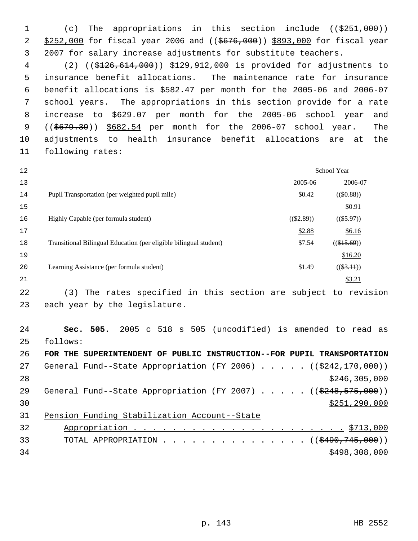1 (c) The appropriations in this section include ((\$251,000)) 2 \$252,000 for fiscal year 2006 and ((\$676,000)) \$893,000 for fiscal year 2007 for salary increase adjustments for substitute teachers.

 (2) ((\$126,614,000)) \$129,912,000 is provided for adjustments to insurance benefit allocations. The maintenance rate for insurance benefit allocations is \$582.47 per month for the 2005-06 and 2006-07 school years. The appropriations in this section provide for a rate increase to \$629.07 per month for the 2005-06 school year and 9 ((\$679.39)) \$682.54 per month for the 2006-07 school year. The adjustments to health insurance benefit allocations are at the following rates:

| 12 |                                                                   | School Year  |               |
|----|-------------------------------------------------------------------|--------------|---------------|
| 13 |                                                                   | 2005-06      | 2006-07       |
| 14 | Pupil Transportation (per weighted pupil mile)                    | \$0.42       | $((\$0.88))$  |
| 15 |                                                                   |              | \$0.91        |
| 16 | Highly Capable (per formula student)                              | $((\$2.89))$ | $((\$5.97))$  |
| 17 |                                                                   | \$2.88       | \$6.16        |
| 18 | Transitional Bilingual Education (per eligible bilingual student) | \$7.54       | $((\$15.69))$ |
| 19 |                                                                   |              | \$16.20       |
| 20 | Learning Assistance (per formula student)                         | \$1.49       | $((\$3.11))$  |
| 21 |                                                                   |              | \$3.21        |
|    |                                                                   |              |               |

 (3) The rates specified in this section are subject to revision each year by the legislature.

 **Sec. 505.** 2005 c 518 s 505 (uncodified) is amended to read as follows: **FOR THE SUPERINTENDENT OF PUBLIC INSTRUCTION--FOR PUPIL TRANSPORTATION** 27 General Fund--State Appropriation (FY 2006) . . . . . ((\$242,170,000)) 28 \$246,305,000

29 General Fund--State Appropriation (FY 2007) . . . . . ((\$248,575,000)) \$251,290,000

Pension Funding Stabilization Account--State

| 32 |                                                |
|----|------------------------------------------------|
| 33 | TOTAL APPROPRIATION $\ldots$ ((\$490,745,000)) |
| 34 | \$498,308,000                                  |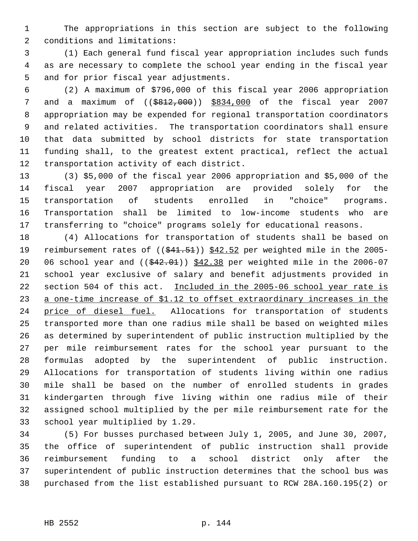The appropriations in this section are subject to the following conditions and limitations:

 (1) Each general fund fiscal year appropriation includes such funds as are necessary to complete the school year ending in the fiscal year and for prior fiscal year adjustments.

 (2) A maximum of \$796,000 of this fiscal year 2006 appropriation and a maximum of ((\$812,000)) \$834,000 of the fiscal year 2007 appropriation may be expended for regional transportation coordinators and related activities. The transportation coordinators shall ensure that data submitted by school districts for state transportation funding shall, to the greatest extent practical, reflect the actual transportation activity of each district.

 (3) \$5,000 of the fiscal year 2006 appropriation and \$5,000 of the fiscal year 2007 appropriation are provided solely for the transportation of students enrolled in "choice" programs. Transportation shall be limited to low-income students who are transferring to "choice" programs solely for educational reasons.

 (4) Allocations for transportation of students shall be based on 19 reimbursement rates of ((\$41.51)) \$42.52 per weighted mile in the 2005-20 06 school year and  $($   $(*42.01)$   $*12.38$  per weighted mile in the 2006-07 school year exclusive of salary and benefit adjustments provided in 22 section 504 of this act. Included in the 2005-06 school year rate is 23 a one-time increase of \$1.12 to offset extraordinary increases in the 24 price of diesel fuel. Allocations for transportation of students transported more than one radius mile shall be based on weighted miles as determined by superintendent of public instruction multiplied by the per mile reimbursement rates for the school year pursuant to the formulas adopted by the superintendent of public instruction. Allocations for transportation of students living within one radius mile shall be based on the number of enrolled students in grades kindergarten through five living within one radius mile of their assigned school multiplied by the per mile reimbursement rate for the school year multiplied by 1.29.

 (5) For busses purchased between July 1, 2005, and June 30, 2007, the office of superintendent of public instruction shall provide reimbursement funding to a school district only after the superintendent of public instruction determines that the school bus was purchased from the list established pursuant to RCW 28A.160.195(2) or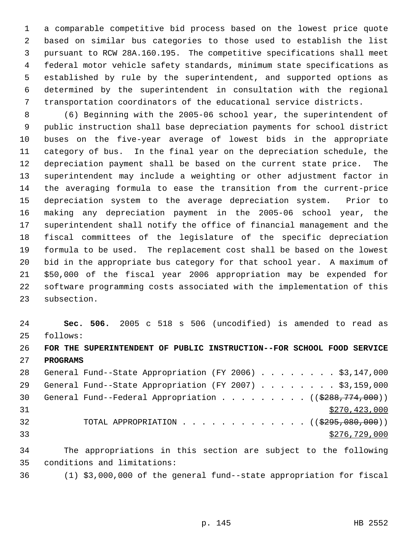a comparable competitive bid process based on the lowest price quote based on similar bus categories to those used to establish the list pursuant to RCW 28A.160.195. The competitive specifications shall meet federal motor vehicle safety standards, minimum state specifications as established by rule by the superintendent, and supported options as determined by the superintendent in consultation with the regional transportation coordinators of the educational service districts.

 (6) Beginning with the 2005-06 school year, the superintendent of public instruction shall base depreciation payments for school district buses on the five-year average of lowest bids in the appropriate category of bus. In the final year on the depreciation schedule, the depreciation payment shall be based on the current state price. The superintendent may include a weighting or other adjustment factor in the averaging formula to ease the transition from the current-price depreciation system to the average depreciation system. Prior to making any depreciation payment in the 2005-06 school year, the superintendent shall notify the office of financial management and the fiscal committees of the legislature of the specific depreciation formula to be used. The replacement cost shall be based on the lowest bid in the appropriate bus category for that school year. A maximum of \$50,000 of the fiscal year 2006 appropriation may be expended for software programming costs associated with the implementation of this subsection.

 **Sec. 506.** 2005 c 518 s 506 (uncodified) is amended to read as follows: **FOR THE SUPERINTENDENT OF PUBLIC INSTRUCTION--FOR SCHOOL FOOD SERVICE**

**PROGRAMS**

28 General Fund--State Appropriation (FY 2006) . . . . . . . \$3,147,000 29 General Fund--State Appropriation (FY 2007) . . . . . . . \$3,159,000 30 General Fund--Federal Appropriation . . . . . . . .  $($   $($ \$288,774,000)) \$270,423,000 32 TOTAL APPROPRIATION . . . . . . . . . . . . ((\$295,080,000))  $\frac{$276,729,000}{2}$ 

 The appropriations in this section are subject to the following conditions and limitations:

(1) \$3,000,000 of the general fund--state appropriation for fiscal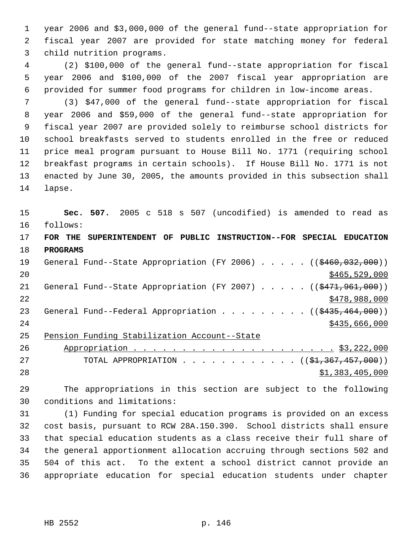year 2006 and \$3,000,000 of the general fund--state appropriation for fiscal year 2007 are provided for state matching money for federal child nutrition programs.

 (2) \$100,000 of the general fund--state appropriation for fiscal year 2006 and \$100,000 of the 2007 fiscal year appropriation are provided for summer food programs for children in low-income areas.

 (3) \$47,000 of the general fund--state appropriation for fiscal year 2006 and \$59,000 of the general fund--state appropriation for fiscal year 2007 are provided solely to reimburse school districts for school breakfasts served to students enrolled in the free or reduced price meal program pursuant to House Bill No. 1771 (requiring school breakfast programs in certain schools). If House Bill No. 1771 is not enacted by June 30, 2005, the amounts provided in this subsection shall lapse.

 **Sec. 507.** 2005 c 518 s 507 (uncodified) is amended to read as follows: **FOR THE SUPERINTENDENT OF PUBLIC INSTRUCTION--FOR SPECIAL EDUCATION PROGRAMS** 19 General Fund--State Appropriation (FY 2006) . . . . . ((\$460,032,000)) \$465,529,000 21 General Fund--State Appropriation (FY 2007) . . . . . ((\$471,961,000)) \$478,988,000 23 General Fund--Federal Appropriation . . . . . . . . ((\$435,464,000)) 24 \$435,666,000 \$435,666,000 \$435,666,000 \$435,666,000 \$435,666,000 \$435,666,000 \$ Pension Funding Stabilization Account--State

 Appropriation . . . . . . . . . . . . . . . . . . . . . \$3,222,000 27 TOTAL APPROPRIATION . . . . . . . . . . . . ((\$1,367,457,000)) \$1,383,405,000

 The appropriations in this section are subject to the following conditions and limitations:

 (1) Funding for special education programs is provided on an excess cost basis, pursuant to RCW 28A.150.390. School districts shall ensure that special education students as a class receive their full share of the general apportionment allocation accruing through sections 502 and 504 of this act. To the extent a school district cannot provide an appropriate education for special education students under chapter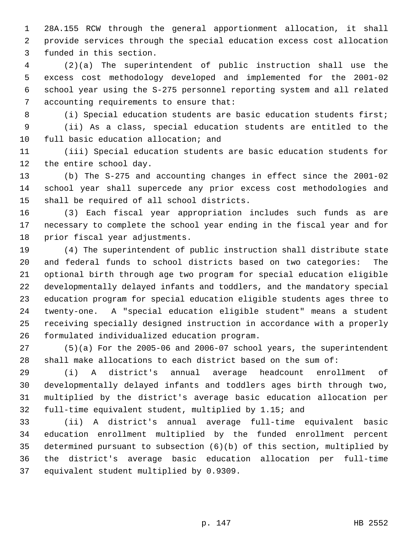28A.155 RCW through the general apportionment allocation, it shall provide services through the special education excess cost allocation funded in this section.

 (2)(a) The superintendent of public instruction shall use the excess cost methodology developed and implemented for the 2001-02 school year using the S-275 personnel reporting system and all related accounting requirements to ensure that:

 (i) Special education students are basic education students first; (ii) As a class, special education students are entitled to the full basic education allocation; and

 (iii) Special education students are basic education students for the entire school day.

 (b) The S-275 and accounting changes in effect since the 2001-02 school year shall supercede any prior excess cost methodologies and shall be required of all school districts.

 (3) Each fiscal year appropriation includes such funds as are necessary to complete the school year ending in the fiscal year and for prior fiscal year adjustments.

 (4) The superintendent of public instruction shall distribute state and federal funds to school districts based on two categories: The optional birth through age two program for special education eligible developmentally delayed infants and toddlers, and the mandatory special education program for special education eligible students ages three to twenty-one. A "special education eligible student" means a student receiving specially designed instruction in accordance with a properly formulated individualized education program.

 (5)(a) For the 2005-06 and 2006-07 school years, the superintendent shall make allocations to each district based on the sum of:

 (i) A district's annual average headcount enrollment of developmentally delayed infants and toddlers ages birth through two, multiplied by the district's average basic education allocation per full-time equivalent student, multiplied by 1.15; and

 (ii) A district's annual average full-time equivalent basic education enrollment multiplied by the funded enrollment percent determined pursuant to subsection (6)(b) of this section, multiplied by the district's average basic education allocation per full-time equivalent student multiplied by 0.9309.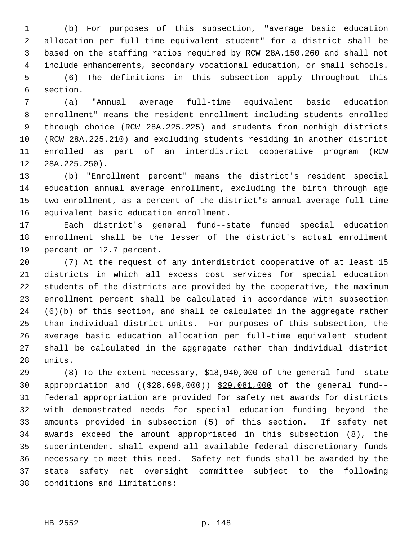(b) For purposes of this subsection, "average basic education allocation per full-time equivalent student" for a district shall be based on the staffing ratios required by RCW 28A.150.260 and shall not include enhancements, secondary vocational education, or small schools. (6) The definitions in this subsection apply throughout this

section.

 (a) "Annual average full-time equivalent basic education enrollment" means the resident enrollment including students enrolled through choice (RCW 28A.225.225) and students from nonhigh districts (RCW 28A.225.210) and excluding students residing in another district enrolled as part of an interdistrict cooperative program (RCW 28A.225.250).

 (b) "Enrollment percent" means the district's resident special education annual average enrollment, excluding the birth through age two enrollment, as a percent of the district's annual average full-time equivalent basic education enrollment.

 Each district's general fund--state funded special education enrollment shall be the lesser of the district's actual enrollment percent or 12.7 percent.

 (7) At the request of any interdistrict cooperative of at least 15 districts in which all excess cost services for special education students of the districts are provided by the cooperative, the maximum enrollment percent shall be calculated in accordance with subsection (6)(b) of this section, and shall be calculated in the aggregate rather than individual district units. For purposes of this subsection, the average basic education allocation per full-time equivalent student shall be calculated in the aggregate rather than individual district units.

 (8) To the extent necessary, \$18,940,000 of the general fund--state appropriation and ((\$28,698,000)) \$29,081,000 of the general fund-- federal appropriation are provided for safety net awards for districts with demonstrated needs for special education funding beyond the amounts provided in subsection (5) of this section. If safety net awards exceed the amount appropriated in this subsection (8), the superintendent shall expend all available federal discretionary funds necessary to meet this need. Safety net funds shall be awarded by the state safety net oversight committee subject to the following conditions and limitations: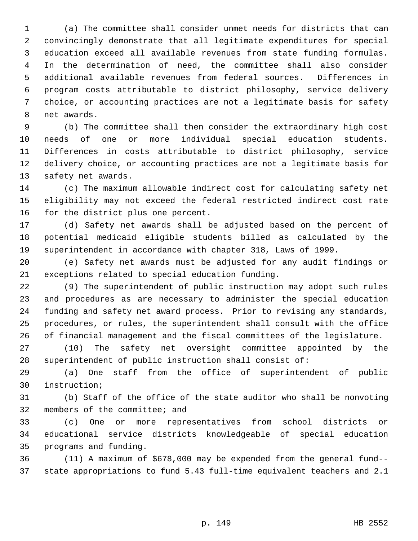(a) The committee shall consider unmet needs for districts that can convincingly demonstrate that all legitimate expenditures for special education exceed all available revenues from state funding formulas. In the determination of need, the committee shall also consider additional available revenues from federal sources. Differences in program costs attributable to district philosophy, service delivery choice, or accounting practices are not a legitimate basis for safety net awards.

 (b) The committee shall then consider the extraordinary high cost needs of one or more individual special education students. Differences in costs attributable to district philosophy, service delivery choice, or accounting practices are not a legitimate basis for safety net awards.

 (c) The maximum allowable indirect cost for calculating safety net eligibility may not exceed the federal restricted indirect cost rate for the district plus one percent.

 (d) Safety net awards shall be adjusted based on the percent of potential medicaid eligible students billed as calculated by the superintendent in accordance with chapter 318, Laws of 1999.

 (e) Safety net awards must be adjusted for any audit findings or exceptions related to special education funding.

 (9) The superintendent of public instruction may adopt such rules and procedures as are necessary to administer the special education funding and safety net award process. Prior to revising any standards, procedures, or rules, the superintendent shall consult with the office of financial management and the fiscal committees of the legislature.

 (10) The safety net oversight committee appointed by the superintendent of public instruction shall consist of:

 (a) One staff from the office of superintendent of public instruction;

 (b) Staff of the office of the state auditor who shall be nonvoting members of the committee; and

 (c) One or more representatives from school districts or educational service districts knowledgeable of special education programs and funding.

 (11) A maximum of \$678,000 may be expended from the general fund-- state appropriations to fund 5.43 full-time equivalent teachers and 2.1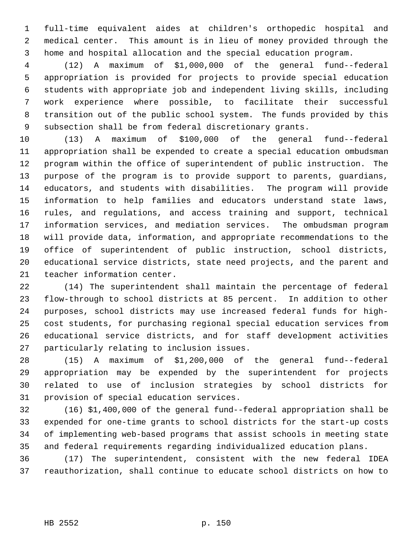full-time equivalent aides at children's orthopedic hospital and medical center. This amount is in lieu of money provided through the home and hospital allocation and the special education program.

 (12) A maximum of \$1,000,000 of the general fund--federal appropriation is provided for projects to provide special education students with appropriate job and independent living skills, including work experience where possible, to facilitate their successful transition out of the public school system. The funds provided by this subsection shall be from federal discretionary grants.

 (13) A maximum of \$100,000 of the general fund--federal appropriation shall be expended to create a special education ombudsman program within the office of superintendent of public instruction. The purpose of the program is to provide support to parents, guardians, educators, and students with disabilities. The program will provide information to help families and educators understand state laws, rules, and regulations, and access training and support, technical information services, and mediation services. The ombudsman program will provide data, information, and appropriate recommendations to the office of superintendent of public instruction, school districts, educational service districts, state need projects, and the parent and teacher information center.

 (14) The superintendent shall maintain the percentage of federal flow-through to school districts at 85 percent. In addition to other purposes, school districts may use increased federal funds for high- cost students, for purchasing regional special education services from educational service districts, and for staff development activities particularly relating to inclusion issues.

 (15) A maximum of \$1,200,000 of the general fund--federal appropriation may be expended by the superintendent for projects related to use of inclusion strategies by school districts for provision of special education services.

 (16) \$1,400,000 of the general fund--federal appropriation shall be expended for one-time grants to school districts for the start-up costs of implementing web-based programs that assist schools in meeting state and federal requirements regarding individualized education plans.

 (17) The superintendent, consistent with the new federal IDEA reauthorization, shall continue to educate school districts on how to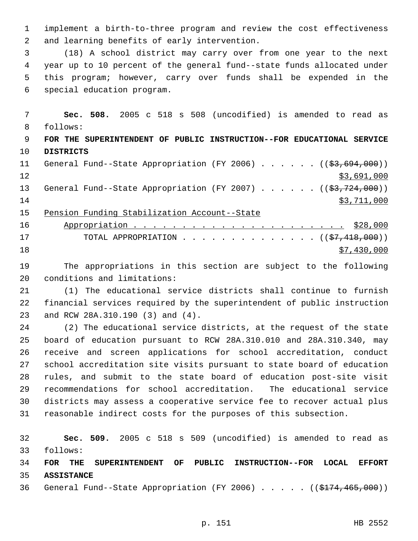implement a birth-to-three program and review the cost effectiveness and learning benefits of early intervention.

 (18) A school district may carry over from one year to the next year up to 10 percent of the general fund--state funds allocated under this program; however, carry over funds shall be expended in the special education program.

 **Sec. 508.** 2005 c 518 s 508 (uncodified) is amended to read as follows: **FOR THE SUPERINTENDENT OF PUBLIC INSTRUCTION--FOR EDUCATIONAL SERVICE**

 **DISTRICTS** 11 General Fund--State Appropriation (FY 2006) . . . . . . ((\$3,694,000))

 $\frac{12}{3,691,000}$ 13 General Fund--State Appropriation (FY 2007) . . . . . . ((\$3,724,000)) \$3,711,000

Pension Funding Stabilization Account--State

| 16 |                                                           |             |
|----|-----------------------------------------------------------|-------------|
| 17 | TOTAL APPROPRIATION $($ $($ $\frac{27}{7}$ , 418, 000 $)$ |             |
| 18 |                                                           | \$7,430,000 |

 The appropriations in this section are subject to the following conditions and limitations:

 (1) The educational service districts shall continue to furnish financial services required by the superintendent of public instruction and RCW 28A.310.190 (3) and (4).

 (2) The educational service districts, at the request of the state board of education pursuant to RCW 28A.310.010 and 28A.310.340, may receive and screen applications for school accreditation, conduct school accreditation site visits pursuant to state board of education rules, and submit to the state board of education post-site visit recommendations for school accreditation. The educational service districts may assess a cooperative service fee to recover actual plus reasonable indirect costs for the purposes of this subsection.

 **Sec. 509.** 2005 c 518 s 509 (uncodified) is amended to read as follows:

 **FOR THE SUPERINTENDENT OF PUBLIC INSTRUCTION--FOR LOCAL EFFORT ASSISTANCE**

36 General Fund--State Appropriation (FY 2006) . . . . . ((\$174,465,000))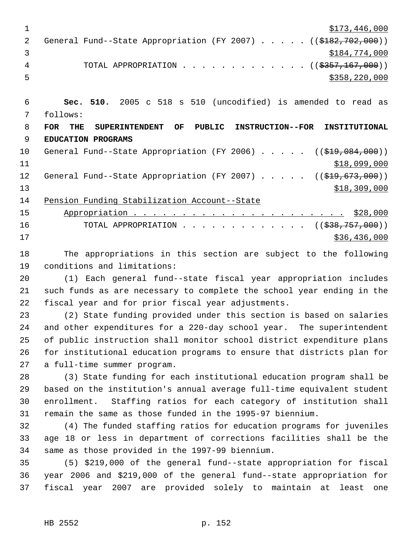| $\mathbf{1}$ | \$173,446,000                                                                                          |
|--------------|--------------------------------------------------------------------------------------------------------|
| 2            | General Fund--State Appropriation (FY 2007) ( $(\frac{18182}{702},000)$ )                              |
| 3            | \$184,774,000                                                                                          |
| 4            | TOTAL APPROPRIATION ( $(\frac{2357}{167},000)$ )                                                       |
| 5            | \$358, 220, 000                                                                                        |
|              |                                                                                                        |
| 6            | Sec. 510. 2005 c 518 s 510 (uncodified) is amended to read as                                          |
| 7            | follows:                                                                                               |
| 8            | <b>SUPERINTENDENT</b><br>OF<br>PUBLIC<br><b>INSTRUCTION--FOR</b><br><b>FOR</b><br>THE<br>INSTITUTIONAL |
| 9            | EDUCATION PROGRAMS                                                                                     |
| 10           | General Fund--State Appropriation (FY 2006) $($ $($ $\frac{209}{19}, 084, 000)$ )                      |
| 11           | \$18,099,000                                                                                           |
| 12           | General Fund--State Appropriation (FY 2007) $($ $(\frac{209}{73}, \frac{673}{673}, 000))$              |
| 13           | \$18,309,000                                                                                           |
| 14           | Pension Funding Stabilization Account--State                                                           |
| 15           |                                                                                                        |
| 16           | TOTAL APPROPRIATION $\ldots$ , ( $(\frac{238}{757},000)$ )                                             |
| 17           | \$36,436,000                                                                                           |
| 18           | The appropriations in this section are subject to the following                                        |
| 19           | conditions and limitations:                                                                            |
| 20           | (1) Each general fund--state fiscal year appropriation includes                                        |
| 21           | such funds as are necessary to complete the school year ending in the                                  |
| 22           | fiscal year and for prior fiscal year adjustments.                                                     |
| 23           | (2) State funding provided under this section is based on salaries                                     |
| 24           | and other expenditures for a 220-day school year. The superintendent                                   |
| 25           | of public instruction shall monitor school district expenditure plans                                  |
| 26           | for institutional education programs to ensure that districts plan for                                 |
| 27           | a full-time summer program.                                                                            |
| 28           | (3) State funding for each institutional education program shall be                                    |
| 29           | based on the institution's annual average full-time equivalent student                                 |
| 30           | enrollment. Staffing ratios for each category of institution shall                                     |
| 31           | remain the same as those funded in the 1995-97 biennium.                                               |
| 32           | (4) The funded staffing ratios for education programs for juveniles                                    |
| 33           | age 18 or less in department of corrections facilities shall be the                                    |
| 34           | same as those provided in the 1997-99 biennium.                                                        |
| $\cap$       | $1 \quad \text{final} \quad \text{all} \quad \text{all}$                                               |

 (5) \$219,000 of the general fund--state appropriation for fiscal year 2006 and \$219,000 of the general fund--state appropriation for fiscal year 2007 are provided solely to maintain at least one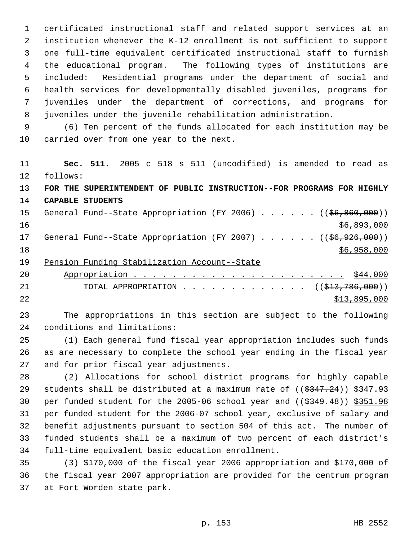certificated instructional staff and related support services at an institution whenever the K-12 enrollment is not sufficient to support one full-time equivalent certificated instructional staff to furnish the educational program. The following types of institutions are included: Residential programs under the department of social and health services for developmentally disabled juveniles, programs for juveniles under the department of corrections, and programs for juveniles under the juvenile rehabilitation administration.

 (6) Ten percent of the funds allocated for each institution may be carried over from one year to the next.

 **Sec. 511.** 2005 c 518 s 511 (uncodified) is amended to read as follows: **FOR THE SUPERINTENDENT OF PUBLIC INSTRUCTION--FOR PROGRAMS FOR HIGHLY CAPABLE STUDENTS** 15 General Fund--State Appropriation (FY 2006) . . . . . . ((\$6,860,000)) \$6,893,000 17 General Fund--State Appropriation (FY 2007) . . . . . . ((\$6,926,000)) \$6,958,000

19 Pension Funding Stabilization Account--State

| 20 |                                                    |
|----|----------------------------------------------------|
| 21 | TOTAL APPROPRIATION ( $(\frac{1}{23}, 786, 000)$ ) |
| 22 | \$13,895,000                                       |

 The appropriations in this section are subject to the following conditions and limitations:

 (1) Each general fund fiscal year appropriation includes such funds as are necessary to complete the school year ending in the fiscal year and for prior fiscal year adjustments.

 (2) Allocations for school district programs for highly capable 29 students shall be distributed at a maximum rate of  $((\frac{2347.24}{\sqrt{312.93}})$ 30 per funded student for the 2005-06 school year and  $($   $(*349.48)$   $)*351.98$  per funded student for the 2006-07 school year, exclusive of salary and benefit adjustments pursuant to section 504 of this act. The number of funded students shall be a maximum of two percent of each district's full-time equivalent basic education enrollment.

 (3) \$170,000 of the fiscal year 2006 appropriation and \$170,000 of the fiscal year 2007 appropriation are provided for the centrum program at Fort Worden state park.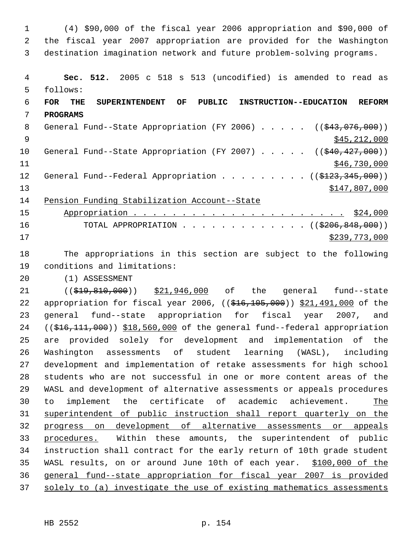(4) \$90,000 of the fiscal year 2006 appropriation and \$90,000 of the fiscal year 2007 appropriation are provided for the Washington destination imagination network and future problem-solving programs. **Sec. 512.** 2005 c 518 s 513 (uncodified) is amended to read as follows: **FOR THE SUPERINTENDENT OF PUBLIC INSTRUCTION--EDUCATION REFORM PROGRAMS** 8 General Fund--State Appropriation (FY 2006) . . . . . ((\$43,076,000))  $\frac{1}{2}$  \$45,212,000 10 General Fund--State Appropriation (FY 2007) . . . . . ((\$40,427,000))  $$46,730,000$ 12 General Fund--Federal Appropriation . . . . . . . . ((\$123,345,000)) \$147,807,000 Pension Funding Stabilization Account--State Appropriation . . . . . . . . . . . . . . . . . . . . . . \$24,000 16 TOTAL APPROPRIATION . . . . . . . . . . . . ((\$206,848,000)) \$239,773,000 The appropriations in this section are subject to the following conditions and limitations: (1) ASSESSMENT 21 ((\$19,810,000)) \$21,946,000 of the general fund--state 22 appropriation for fiscal year 2006, ((\$16,105,000)) \$21,491,000 of the general fund--state appropriation for fiscal year 2007, and ((\$16,111,000)) \$18,560,000 of the general fund--federal appropriation are provided solely for development and implementation of the Washington assessments of student learning (WASL), including development and implementation of retake assessments for high school students who are not successful in one or more content areas of the WASL and development of alternative assessments or appeals procedures to implement the certificate of academic achievement. The superintendent of public instruction shall report quarterly on the progress on development of alternative assessments or appeals procedures. Within these amounts, the superintendent of public instruction shall contract for the early return of 10th grade student WASL results, on or around June 10th of each year. \$100,000 of the general fund--state appropriation for fiscal year 2007 is provided solely to (a) investigate the use of existing mathematics assessments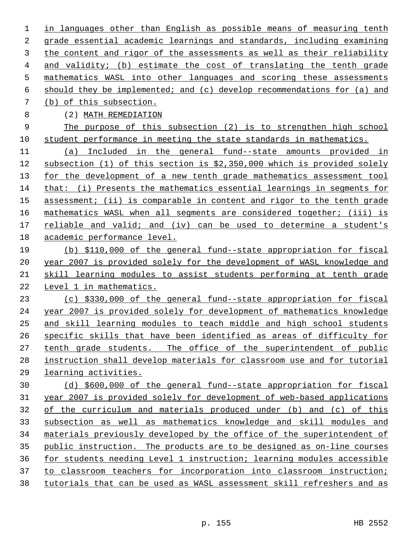in languages other than English as possible means of measuring tenth grade essential academic learnings and standards, including examining the content and rigor of the assessments as well as their reliability and validity; (b) estimate the cost of translating the tenth grade mathematics WASL into other languages and scoring these assessments should they be implemented; and (c) develop recommendations for (a) and (b) of this subsection.

(2) MATH REMEDIATION

 The purpose of this subsection (2) is to strengthen high school student performance in meeting the state standards in mathematics.

 (a) Included in the general fund--state amounts provided in subsection (1) of this section is \$2,350,000 which is provided solely for the development of a new tenth grade mathematics assessment tool that: (i) Presents the mathematics essential learnings in segments for assessment; (ii) is comparable in content and rigor to the tenth grade mathematics WASL when all segments are considered together; (iii) is reliable and valid; and (iv) can be used to determine a student's academic performance level.

 (b) \$110,000 of the general fund--state appropriation for fiscal year 2007 is provided solely for the development of WASL knowledge and skill learning modules to assist students performing at tenth grade Level 1 in mathematics.

 (c) \$330,000 of the general fund--state appropriation for fiscal year 2007 is provided solely for development of mathematics knowledge and skill learning modules to teach middle and high school students specific skills that have been identified as areas of difficulty for tenth grade students. The office of the superintendent of public instruction shall develop materials for classroom use and for tutorial learning activities.

 (d) \$600,000 of the general fund--state appropriation for fiscal year 2007 is provided solely for development of web-based applications of the curriculum and materials produced under (b) and (c) of this subsection as well as mathematics knowledge and skill modules and materials previously developed by the office of the superintendent of public instruction. The products are to be designed as on-line courses for students needing Level 1 instruction; learning modules accessible to classroom teachers for incorporation into classroom instruction; tutorials that can be used as WASL assessment skill refreshers and as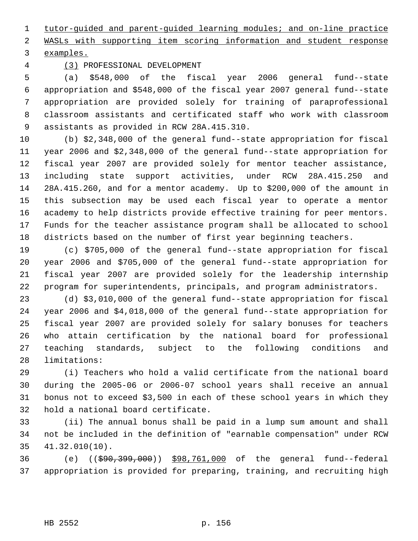tutor-guided and parent-guided learning modules; and on-line practice

WASLs with supporting item scoring information and student response

examples.

(3) PROFESSIONAL DEVELOPMENT

 (a) \$548,000 of the fiscal year 2006 general fund--state appropriation and \$548,000 of the fiscal year 2007 general fund--state appropriation are provided solely for training of paraprofessional classroom assistants and certificated staff who work with classroom assistants as provided in RCW 28A.415.310.

 (b) \$2,348,000 of the general fund--state appropriation for fiscal year 2006 and \$2,348,000 of the general fund--state appropriation for fiscal year 2007 are provided solely for mentor teacher assistance, including state support activities, under RCW 28A.415.250 and 28A.415.260, and for a mentor academy. Up to \$200,000 of the amount in this subsection may be used each fiscal year to operate a mentor academy to help districts provide effective training for peer mentors. Funds for the teacher assistance program shall be allocated to school districts based on the number of first year beginning teachers.

 (c) \$705,000 of the general fund--state appropriation for fiscal year 2006 and \$705,000 of the general fund--state appropriation for fiscal year 2007 are provided solely for the leadership internship program for superintendents, principals, and program administrators.

 (d) \$3,010,000 of the general fund--state appropriation for fiscal year 2006 and \$4,018,000 of the general fund--state appropriation for fiscal year 2007 are provided solely for salary bonuses for teachers who attain certification by the national board for professional teaching standards, subject to the following conditions and limitations:

 (i) Teachers who hold a valid certificate from the national board during the 2005-06 or 2006-07 school years shall receive an annual bonus not to exceed \$3,500 in each of these school years in which they hold a national board certificate.

 (ii) The annual bonus shall be paid in a lump sum amount and shall not be included in the definition of "earnable compensation" under RCW 41.32.010(10).

 (e) ((\$90,399,000)) \$98,761,000 of the general fund--federal appropriation is provided for preparing, training, and recruiting high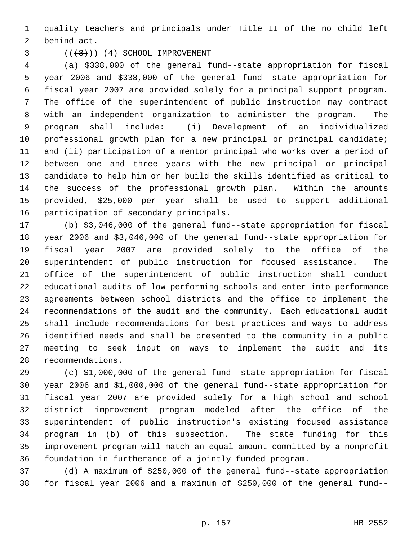quality teachers and principals under Title II of the no child left behind act.

## $($   $($   $($   $($   $($   $($   $4$  $)$   $)$   $($   $4$  $)$   $)$   $($   $\leq$   $\leq$   $\leq$   $\leq$   $\leq$   $\leq$   $\leq$   $\leq$   $\leq$   $\leq$   $\leq$   $\leq$   $\leq$   $\leq$   $\leq$   $\leq$   $\leq$   $\leq$   $\leq$   $\leq$   $\leq$   $\leq$   $\leq$   $\leq$   $\leq$   $\leq$   $\leq$   $\leq$

 (a) \$338,000 of the general fund--state appropriation for fiscal year 2006 and \$338,000 of the general fund--state appropriation for fiscal year 2007 are provided solely for a principal support program. The office of the superintendent of public instruction may contract with an independent organization to administer the program. The program shall include: (i) Development of an individualized professional growth plan for a new principal or principal candidate; and (ii) participation of a mentor principal who works over a period of between one and three years with the new principal or principal candidate to help him or her build the skills identified as critical to the success of the professional growth plan. Within the amounts provided, \$25,000 per year shall be used to support additional participation of secondary principals.

 (b) \$3,046,000 of the general fund--state appropriation for fiscal year 2006 and \$3,046,000 of the general fund--state appropriation for fiscal year 2007 are provided solely to the office of the superintendent of public instruction for focused assistance. The office of the superintendent of public instruction shall conduct educational audits of low-performing schools and enter into performance agreements between school districts and the office to implement the recommendations of the audit and the community. Each educational audit shall include recommendations for best practices and ways to address identified needs and shall be presented to the community in a public meeting to seek input on ways to implement the audit and its recommendations.

 (c) \$1,000,000 of the general fund--state appropriation for fiscal year 2006 and \$1,000,000 of the general fund--state appropriation for fiscal year 2007 are provided solely for a high school and school district improvement program modeled after the office of the superintendent of public instruction's existing focused assistance program in (b) of this subsection. The state funding for this improvement program will match an equal amount committed by a nonprofit foundation in furtherance of a jointly funded program.

 (d) A maximum of \$250,000 of the general fund--state appropriation for fiscal year 2006 and a maximum of \$250,000 of the general fund--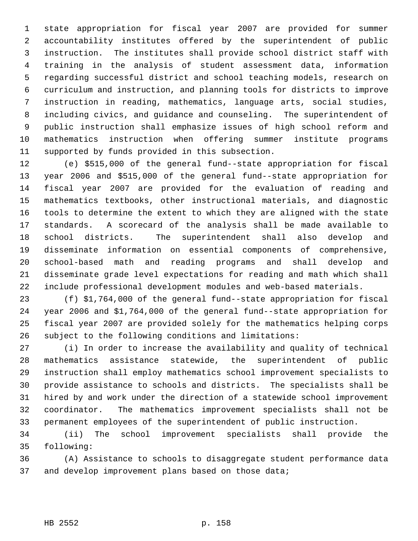state appropriation for fiscal year 2007 are provided for summer accountability institutes offered by the superintendent of public instruction. The institutes shall provide school district staff with training in the analysis of student assessment data, information regarding successful district and school teaching models, research on curriculum and instruction, and planning tools for districts to improve instruction in reading, mathematics, language arts, social studies, including civics, and guidance and counseling. The superintendent of public instruction shall emphasize issues of high school reform and mathematics instruction when offering summer institute programs supported by funds provided in this subsection.

 (e) \$515,000 of the general fund--state appropriation for fiscal year 2006 and \$515,000 of the general fund--state appropriation for fiscal year 2007 are provided for the evaluation of reading and mathematics textbooks, other instructional materials, and diagnostic tools to determine the extent to which they are aligned with the state standards. A scorecard of the analysis shall be made available to school districts. The superintendent shall also develop and disseminate information on essential components of comprehensive, school-based math and reading programs and shall develop and disseminate grade level expectations for reading and math which shall include professional development modules and web-based materials.

 (f) \$1,764,000 of the general fund--state appropriation for fiscal year 2006 and \$1,764,000 of the general fund--state appropriation for fiscal year 2007 are provided solely for the mathematics helping corps subject to the following conditions and limitations:

 (i) In order to increase the availability and quality of technical mathematics assistance statewide, the superintendent of public instruction shall employ mathematics school improvement specialists to provide assistance to schools and districts. The specialists shall be hired by and work under the direction of a statewide school improvement coordinator. The mathematics improvement specialists shall not be permanent employees of the superintendent of public instruction.

 (ii) The school improvement specialists shall provide the following:

 (A) Assistance to schools to disaggregate student performance data 37 and develop improvement plans based on those data;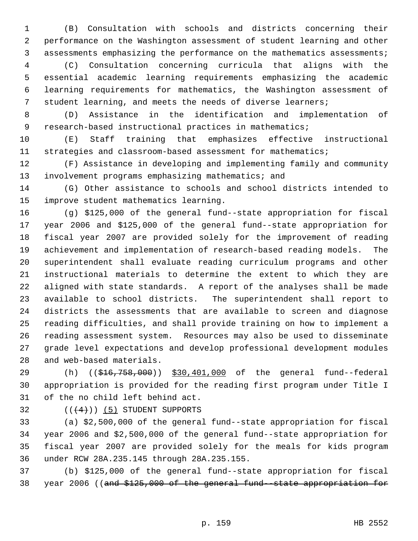(B) Consultation with schools and districts concerning their performance on the Washington assessment of student learning and other assessments emphasizing the performance on the mathematics assessments;

 (C) Consultation concerning curricula that aligns with the essential academic learning requirements emphasizing the academic learning requirements for mathematics, the Washington assessment of student learning, and meets the needs of diverse learners;

 (D) Assistance in the identification and implementation of 9 research-based instructional practices in mathematics;

 (E) Staff training that emphasizes effective instructional strategies and classroom-based assessment for mathematics;

 (F) Assistance in developing and implementing family and community 13 involvement programs emphasizing mathematics; and

 (G) Other assistance to schools and school districts intended to improve student mathematics learning.

 (g) \$125,000 of the general fund--state appropriation for fiscal year 2006 and \$125,000 of the general fund--state appropriation for fiscal year 2007 are provided solely for the improvement of reading achievement and implementation of research-based reading models. The superintendent shall evaluate reading curriculum programs and other instructional materials to determine the extent to which they are aligned with state standards. A report of the analyses shall be made available to school districts. The superintendent shall report to districts the assessments that are available to screen and diagnose reading difficulties, and shall provide training on how to implement a reading assessment system. Resources may also be used to disseminate grade level expectations and develop professional development modules and web-based materials.

29 (h) ((\$16,758,000)) \$30,401,000 of the general fund--federal appropriation is provided for the reading first program under Title I of the no child left behind act.

32  $((+4))$  (5) STUDENT SUPPORTS

 (a) \$2,500,000 of the general fund--state appropriation for fiscal year 2006 and \$2,500,000 of the general fund--state appropriation for fiscal year 2007 are provided solely for the meals for kids program under RCW 28A.235.145 through 28A.235.155.

 (b) \$125,000 of the general fund--state appropriation for fiscal 38 year 2006 ((and \$125,000 of the general fund -state appropriation for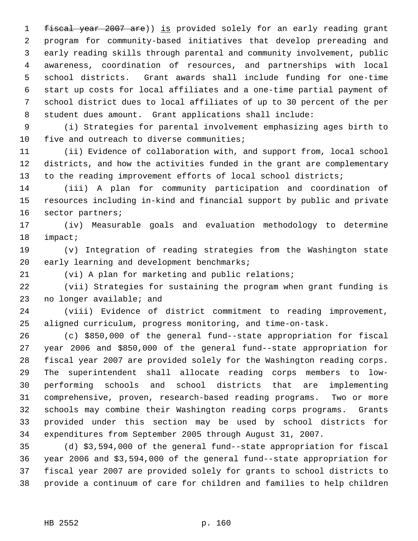1 fiscal year 2007 are)) is provided solely for an early reading grant program for community-based initiatives that develop prereading and early reading skills through parental and community involvement, public awareness, coordination of resources, and partnerships with local school districts. Grant awards shall include funding for one-time start up costs for local affiliates and a one-time partial payment of school district dues to local affiliates of up to 30 percent of the per student dues amount. Grant applications shall include:

 (i) Strategies for parental involvement emphasizing ages birth to five and outreach to diverse communities;

 (ii) Evidence of collaboration with, and support from, local school districts, and how the activities funded in the grant are complementary to the reading improvement efforts of local school districts;

 (iii) A plan for community participation and coordination of resources including in-kind and financial support by public and private sector partners;

 (iv) Measurable goals and evaluation methodology to determine impact;

 (v) Integration of reading strategies from the Washington state 20 early learning and development benchmarks;

(vi) A plan for marketing and public relations;

 (vii) Strategies for sustaining the program when grant funding is no longer available; and

 (viii) Evidence of district commitment to reading improvement, aligned curriculum, progress monitoring, and time-on-task.

 (c) \$850,000 of the general fund--state appropriation for fiscal year 2006 and \$850,000 of the general fund--state appropriation for fiscal year 2007 are provided solely for the Washington reading corps. The superintendent shall allocate reading corps members to low- performing schools and school districts that are implementing comprehensive, proven, research-based reading programs. Two or more schools may combine their Washington reading corps programs. Grants provided under this section may be used by school districts for expenditures from September 2005 through August 31, 2007.

 (d) \$3,594,000 of the general fund--state appropriation for fiscal year 2006 and \$3,594,000 of the general fund--state appropriation for fiscal year 2007 are provided solely for grants to school districts to provide a continuum of care for children and families to help children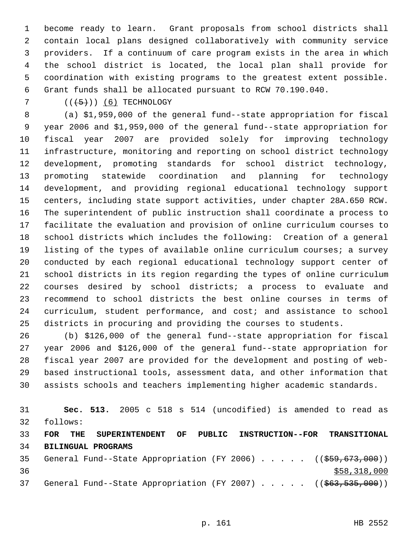become ready to learn. Grant proposals from school districts shall contain local plans designed collaboratively with community service providers. If a continuum of care program exists in the area in which the school district is located, the local plan shall provide for coordination with existing programs to the greatest extent possible. Grant funds shall be allocated pursuant to RCW 70.190.040.

 $((+5))$  (6) TECHNOLOGY

 (a) \$1,959,000 of the general fund--state appropriation for fiscal year 2006 and \$1,959,000 of the general fund--state appropriation for fiscal year 2007 are provided solely for improving technology infrastructure, monitoring and reporting on school district technology development, promoting standards for school district technology, promoting statewide coordination and planning for technology development, and providing regional educational technology support centers, including state support activities, under chapter 28A.650 RCW. The superintendent of public instruction shall coordinate a process to facilitate the evaluation and provision of online curriculum courses to school districts which includes the following: Creation of a general listing of the types of available online curriculum courses; a survey conducted by each regional educational technology support center of school districts in its region regarding the types of online curriculum courses desired by school districts; a process to evaluate and recommend to school districts the best online courses in terms of curriculum, student performance, and cost; and assistance to school districts in procuring and providing the courses to students.

 (b) \$126,000 of the general fund--state appropriation for fiscal year 2006 and \$126,000 of the general fund--state appropriation for fiscal year 2007 are provided for the development and posting of web- based instructional tools, assessment data, and other information that assists schools and teachers implementing higher academic standards.

 **Sec. 513.** 2005 c 518 s 514 (uncodified) is amended to read as follows: **FOR THE SUPERINTENDENT OF PUBLIC INSTRUCTION--FOR TRANSITIONAL BILINGUAL PROGRAMS** 35 General Fund--State Appropriation (FY 2006) . . . . . ((\$59,673,000))  $$58,318,000$ 37 General Fund--State Appropriation (FY 2007) . . . . . ((\$63,535,000))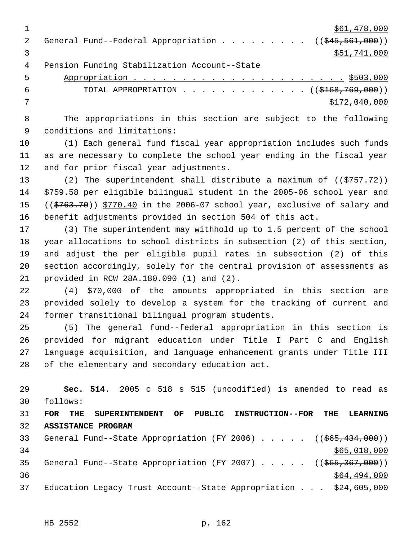$\frac{$61,478,000}{ }$ 2 General Fund--Federal Appropriation . . . . . . . . . ((\$45,561,000))  $3 \times 51,741,000$  Pension Funding Stabilization Account--State Appropriation . . . . . . . . . . . . . . . . . . . . . . \$503,000

6 TOTAL APPROPRIATION . . . . . . . . . . . . . ((\$168,769,000)) \$172,040,000

 The appropriations in this section are subject to the following conditions and limitations:

 (1) Each general fund fiscal year appropriation includes such funds as are necessary to complete the school year ending in the fiscal year and for prior fiscal year adjustments.

13 (2) The superintendent shall distribute a maximum of ((\$757.72)) \$759.58 per eligible bilingual student in the 2005-06 school year and 15 ((\$763.70)) \$770.40 in the 2006-07 school year, exclusive of salary and benefit adjustments provided in section 504 of this act.

 (3) The superintendent may withhold up to 1.5 percent of the school year allocations to school districts in subsection (2) of this section, and adjust the per eligible pupil rates in subsection (2) of this section accordingly, solely for the central provision of assessments as provided in RCW 28A.180.090 (1) and (2).

 (4) \$70,000 of the amounts appropriated in this section are provided solely to develop a system for the tracking of current and former transitional bilingual program students.

 (5) The general fund--federal appropriation in this section is provided for migrant education under Title I Part C and English language acquisition, and language enhancement grants under Title III of the elementary and secondary education act.

 **Sec. 514.** 2005 c 518 s 515 (uncodified) is amended to read as follows: **FOR THE SUPERINTENDENT OF PUBLIC INSTRUCTION--FOR THE LEARNING ASSISTANCE PROGRAM** 33 General Fund--State Appropriation (FY 2006) . . . . . ((\$65,434,000))  $$65,018,000$ 35 General Fund--State Appropriation (FY 2007) . . . . . ((\$65,367,000))  $36$   $364$ ,  $494$ , 000 Education Legacy Trust Account--State Appropriation . . . \$24,605,000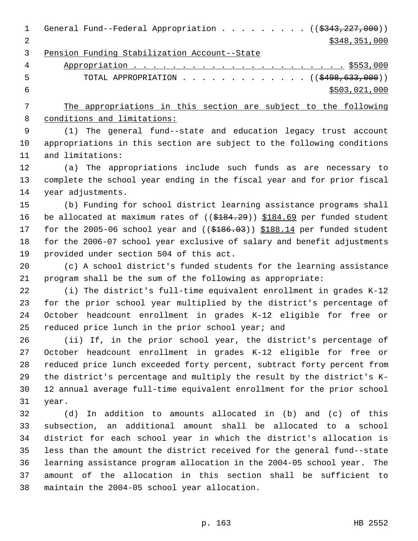| $\mathbf 1$ | General Fund--Federal Appropriation ( $(\frac{2343}{227},000)$ )                                                     |
|-------------|----------------------------------------------------------------------------------------------------------------------|
| 2           | \$348,351,000                                                                                                        |
| 3           | Pension Funding Stabilization Account--State                                                                         |
| 4           |                                                                                                                      |
| 5           | TOTAL APPROPRIATION $\ldots$ , ( $(\frac{2498,633,000}{s})$                                                          |
| 6           | \$503,021,000                                                                                                        |
| 7           | The appropriations in this section are subject to the following                                                      |
| 8           | conditions and limitations:                                                                                          |
| $\mathsf 9$ | (1) The general fund--state and education legacy trust account                                                       |
| 10          | appropriations in this section are subject to the following conditions                                               |
| 11          | and limitations:                                                                                                     |
| 12          | (a) The appropriations include such funds as are necessary to                                                        |
| 13          | complete the school year ending in the fiscal year and for prior fiscal                                              |
| 14          | year adjustments.                                                                                                    |
| 15          | (b) Funding for school district learning assistance programs shall                                                   |
| 16          | be allocated at maximum rates of $((\$184.29))$ \$184.69 per funded student                                          |
| 17          | for the 2005-06 school year and $($ $($ $\frac{2005}{1000})$ $\frac{10000}{100000}$ $\frac{100000}{1000000}$ student |
| 18          | for the 2006-07 school year exclusive of salary and benefit adjustments                                              |
| 19          | provided under section 504 of this act.                                                                              |
| 20          | (c) A school district's funded students for the learning assistance                                                  |
| 21          | program shall be the sum of the following as appropriate:                                                            |
| 22          | (i) The district's full-time equivalent enrollment in grades K-12                                                    |
| 23          | for the prior school year multiplied by the district's percentage of                                                 |
| 24          | October headcount enrollment in grades K-12 eligible for free or                                                     |
| 25          | reduced price lunch in the prior school year; and                                                                    |
| 26          | (ii) If, in the prior school year, the district's percentage of                                                      |
| 27          | October headcount enrollment in grades K-12 eligible for free or                                                     |
| 28          | reduced price lunch exceeded forty percent, subtract forty percent from                                              |
| 29          | the district's percentage and multiply the result by the district's K-                                               |
| 30          | 12 annual average full-time equivalent enrollment for the prior school                                               |
| 31          | year.                                                                                                                |
| 32          | (d) In addition to amounts allocated in (b) and (c) of this                                                          |
| 33          | subsection, an additional amount shall be allocated to a school                                                      |
| 34          | district for each school year in which the district's allocation is                                                  |

 learning assistance program allocation in the 2004-05 school year. The amount of the allocation in this section shall be sufficient to maintain the 2004-05 school year allocation.

less than the amount the district received for the general fund--state

p. 163 HB 2552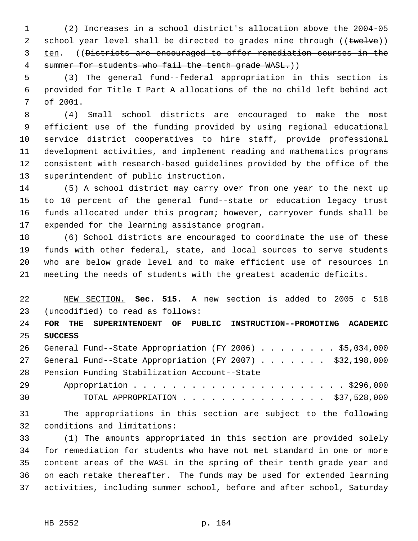(2) Increases in a school district's allocation above the 2004-05 2 school year level shall be directed to grades nine through ((twelve)) ten. ((Districts are encouraged to offer remediation courses in the 4 summer for students who fail the tenth grade WASL.))

 (3) The general fund--federal appropriation in this section is provided for Title I Part A allocations of the no child left behind act of 2001.

 (4) Small school districts are encouraged to make the most efficient use of the funding provided by using regional educational service district cooperatives to hire staff, provide professional development activities, and implement reading and mathematics programs consistent with research-based guidelines provided by the office of the superintendent of public instruction.

 (5) A school district may carry over from one year to the next up to 10 percent of the general fund--state or education legacy trust funds allocated under this program; however, carryover funds shall be expended for the learning assistance program.

 (6) School districts are encouraged to coordinate the use of these funds with other federal, state, and local sources to serve students who are below grade level and to make efficient use of resources in meeting the needs of students with the greatest academic deficits.

 NEW SECTION. **Sec. 515.** A new section is added to 2005 c 518 (uncodified) to read as follows:

 **FOR THE SUPERINTENDENT OF PUBLIC INSTRUCTION--PROMOTING ACADEMIC SUCCESS**

 General Fund--State Appropriation (FY 2006) . . . . . . . . \$5,034,000 27 General Fund--State Appropriation (FY 2007) . . . . . . . \$32,198,000 Pension Funding Stabilization Account--State

| 30 | TOTAL APPROPRIATION \$37,528,000 |  |  |  |  |  |  |  |  |  |
|----|----------------------------------|--|--|--|--|--|--|--|--|--|

 The appropriations in this section are subject to the following conditions and limitations:

 (1) The amounts appropriated in this section are provided solely for remediation for students who have not met standard in one or more content areas of the WASL in the spring of their tenth grade year and on each retake thereafter. The funds may be used for extended learning activities, including summer school, before and after school, Saturday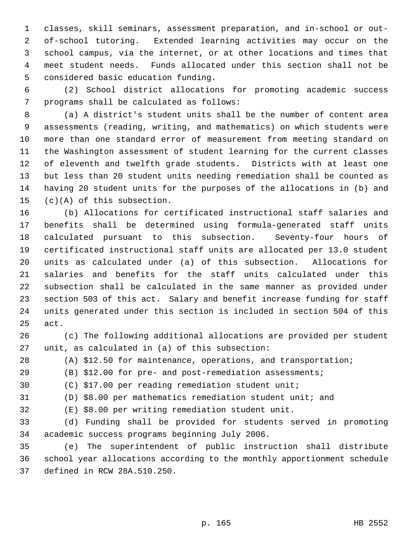classes, skill seminars, assessment preparation, and in-school or out- of-school tutoring. Extended learning activities may occur on the school campus, via the internet, or at other locations and times that meet student needs. Funds allocated under this section shall not be considered basic education funding.

 (2) School district allocations for promoting academic success programs shall be calculated as follows:

 (a) A district's student units shall be the number of content area assessments (reading, writing, and mathematics) on which students were more than one standard error of measurement from meeting standard on the Washington assessment of student learning for the current classes of eleventh and twelfth grade students. Districts with at least one but less than 20 student units needing remediation shall be counted as having 20 student units for the purposes of the allocations in (b) and (c)(A) of this subsection.

 (b) Allocations for certificated instructional staff salaries and benefits shall be determined using formula-generated staff units calculated pursuant to this subsection. Seventy-four hours of certificated instructional staff units are allocated per 13.0 student units as calculated under (a) of this subsection. Allocations for salaries and benefits for the staff units calculated under this subsection shall be calculated in the same manner as provided under section 503 of this act. Salary and benefit increase funding for staff units generated under this section is included in section 504 of this act.

 (c) The following additional allocations are provided per student unit, as calculated in (a) of this subsection:

(A) \$12.50 for maintenance, operations, and transportation;

(B) \$12.00 for pre- and post-remediation assessments;

(C) \$17.00 per reading remediation student unit;

(D) \$8.00 per mathematics remediation student unit; and

(E) \$8.00 per writing remediation student unit.

 (d) Funding shall be provided for students served in promoting academic success programs beginning July 2006.

 (e) The superintendent of public instruction shall distribute school year allocations according to the monthly apportionment schedule defined in RCW 28A.510.250.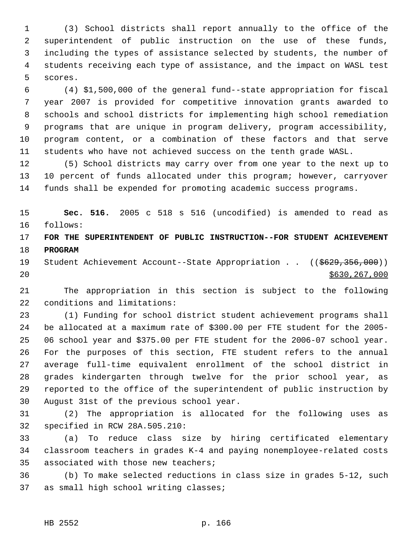(3) School districts shall report annually to the office of the superintendent of public instruction on the use of these funds, including the types of assistance selected by students, the number of students receiving each type of assistance, and the impact on WASL test scores.

 (4) \$1,500,000 of the general fund--state appropriation for fiscal year 2007 is provided for competitive innovation grants awarded to schools and school districts for implementing high school remediation programs that are unique in program delivery, program accessibility, program content, or a combination of these factors and that serve students who have not achieved success on the tenth grade WASL.

 (5) School districts may carry over from one year to the next up to 10 percent of funds allocated under this program; however, carryover funds shall be expended for promoting academic success programs.

 **Sec. 516.** 2005 c 518 s 516 (uncodified) is amended to read as follows:

 **FOR THE SUPERINTENDENT OF PUBLIC INSTRUCTION--FOR STUDENT ACHIEVEMENT PROGRAM**

19 Student Achievement Account--State Appropriation . . ((\$629,356,000)) \$630,267,000

 The appropriation in this section is subject to the following conditions and limitations:

 (1) Funding for school district student achievement programs shall be allocated at a maximum rate of \$300.00 per FTE student for the 2005- 06 school year and \$375.00 per FTE student for the 2006-07 school year. For the purposes of this section, FTE student refers to the annual average full-time equivalent enrollment of the school district in grades kindergarten through twelve for the prior school year, as reported to the office of the superintendent of public instruction by August 31st of the previous school year.

 (2) The appropriation is allocated for the following uses as specified in RCW 28A.505.210:

 (a) To reduce class size by hiring certificated elementary classroom teachers in grades K-4 and paying nonemployee-related costs associated with those new teachers;

 (b) To make selected reductions in class size in grades 5-12, such as small high school writing classes;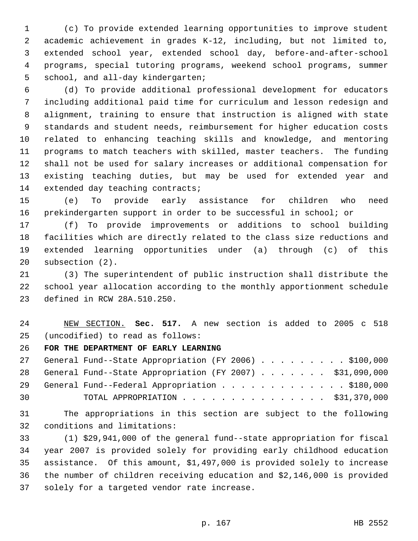(c) To provide extended learning opportunities to improve student academic achievement in grades K-12, including, but not limited to, extended school year, extended school day, before-and-after-school programs, special tutoring programs, weekend school programs, summer school, and all-day kindergarten;

 (d) To provide additional professional development for educators including additional paid time for curriculum and lesson redesign and alignment, training to ensure that instruction is aligned with state standards and student needs, reimbursement for higher education costs related to enhancing teaching skills and knowledge, and mentoring programs to match teachers with skilled, master teachers. The funding shall not be used for salary increases or additional compensation for existing teaching duties, but may be used for extended year and 14 extended day teaching contracts;

 (e) To provide early assistance for children who need prekindergarten support in order to be successful in school; or

 (f) To provide improvements or additions to school building facilities which are directly related to the class size reductions and extended learning opportunities under (a) through (c) of this subsection (2).

 (3) The superintendent of public instruction shall distribute the school year allocation according to the monthly apportionment schedule defined in RCW 28A.510.250.

## NEW SECTION. **Sec. 517.** A new section is added to 2005 c 518 (uncodified) to read as follows:

**FOR THE DEPARTMENT OF EARLY LEARNING**

|    | 27 General Fund--State Appropriation (FY 2006) \$100,000    |
|----|-------------------------------------------------------------|
|    | 28 General Fund--State Appropriation (FY 2007) \$31,090,000 |
|    | 29 General Fund--Federal Appropriation \$180,000            |
| 30 | TOTAL APPROPRIATION $\cdots$ , \$31,370,000                 |

 The appropriations in this section are subject to the following conditions and limitations:

 (1) \$29,941,000 of the general fund--state appropriation for fiscal year 2007 is provided solely for providing early childhood education assistance. Of this amount, \$1,497,000 is provided solely to increase the number of children receiving education and \$2,146,000 is provided solely for a targeted vendor rate increase.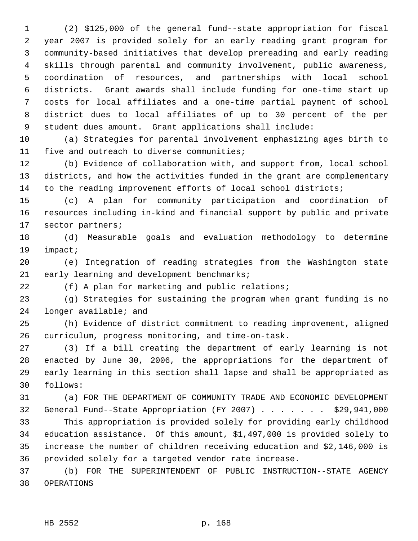(2) \$125,000 of the general fund--state appropriation for fiscal year 2007 is provided solely for an early reading grant program for community-based initiatives that develop prereading and early reading skills through parental and community involvement, public awareness, coordination of resources, and partnerships with local school districts. Grant awards shall include funding for one-time start up costs for local affiliates and a one-time partial payment of school district dues to local affiliates of up to 30 percent of the per student dues amount. Grant applications shall include:

 (a) Strategies for parental involvement emphasizing ages birth to five and outreach to diverse communities;

 (b) Evidence of collaboration with, and support from, local school districts, and how the activities funded in the grant are complementary to the reading improvement efforts of local school districts;

 (c) A plan for community participation and coordination of resources including in-kind and financial support by public and private sector partners;

 (d) Measurable goals and evaluation methodology to determine impact;

 (e) Integration of reading strategies from the Washington state 21 early learning and development benchmarks;

(f) A plan for marketing and public relations;

 (g) Strategies for sustaining the program when grant funding is no longer available; and

 (h) Evidence of district commitment to reading improvement, aligned curriculum, progress monitoring, and time-on-task.

 (3) If a bill creating the department of early learning is not enacted by June 30, 2006, the appropriations for the department of early learning in this section shall lapse and shall be appropriated as follows:

 (a) FOR THE DEPARTMENT OF COMMUNITY TRADE AND ECONOMIC DEVELOPMENT General Fund--State Appropriation (FY 2007) . . . . . . . \$29,941,000

 This appropriation is provided solely for providing early childhood education assistance. Of this amount, \$1,497,000 is provided solely to increase the number of children receiving education and \$2,146,000 is provided solely for a targeted vendor rate increase.

 (b) FOR THE SUPERINTENDENT OF PUBLIC INSTRUCTION--STATE AGENCY OPERATIONS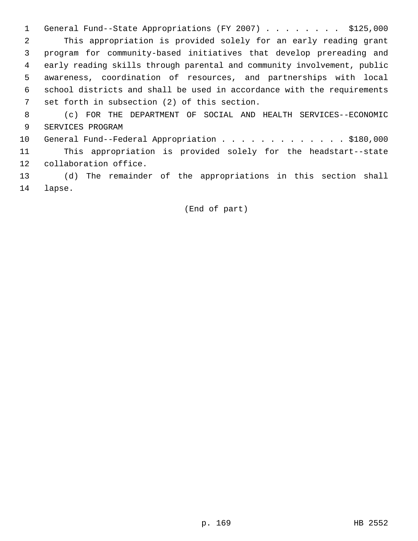1 General Fund--State Appropriations (FY 2007) . . . . . . . \$125,000 This appropriation is provided solely for an early reading grant program for community-based initiatives that develop prereading and early reading skills through parental and community involvement, public awareness, coordination of resources, and partnerships with local school districts and shall be used in accordance with the requirements set forth in subsection (2) of this section.

 (c) FOR THE DEPARTMENT OF SOCIAL AND HEALTH SERVICES--ECONOMIC SERVICES PROGRAM

10 General Fund--Federal Appropriation . . . . . . . . . . . . \$180,000 This appropriation is provided solely for the headstart--state collaboration office.

 (d) The remainder of the appropriations in this section shall lapse.

(End of part)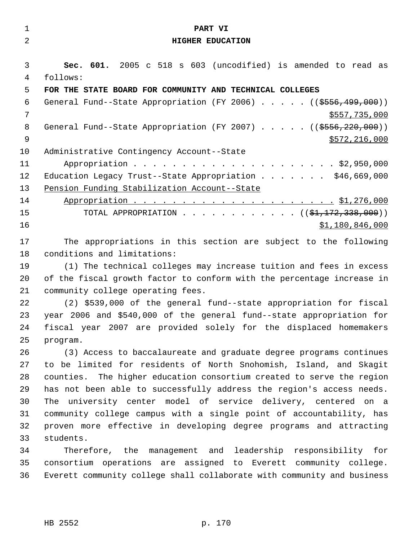| $\mathbf{1}$ | PART VI                                                                 |
|--------------|-------------------------------------------------------------------------|
| 2            | HIGHER EDUCATION                                                        |
|              |                                                                         |
| 3            | Sec. 601. 2005 c 518 s 603 (uncodified) is amended to read as           |
| 4            | follows:                                                                |
| 5            | FOR THE STATE BOARD FOR COMMUNITY AND TECHNICAL COLLEGES                |
| 6            | General Fund--State Appropriation (FY 2006) ((\$556,499,000))           |
| 7            | \$557,735,000                                                           |
| 8            | General Fund--State Appropriation (FY 2007) ((\$556,220,000))           |
| 9            | \$572,216,000                                                           |
| 10           | Administrative Contingency Account--State                               |
| 11           |                                                                         |
| 12           | Education Legacy Trust--State Appropriation \$46,669,000                |
| 13           | Pension Funding Stabilization Account--State                            |
| 14           |                                                                         |
| 15           | TOTAL APPROPRIATION $($ $($ \$1,172,338,000) $)$                        |
| 16           | \$1,180,846,000                                                         |
| 17           | The appropriations in this section are subject to the following         |
| 18           | conditions and limitations:                                             |
| 19           | (1) The technical colleges may increase tuition and fees in excess      |
| 20           | of the fiscal growth factor to conform with the percentage increase in  |
| 21           | community college operating fees.                                       |
| 22           | (2) \$539,000 of the general fund--state appropriation for fiscal       |
| 23           | year 2006 and \$540,000 of the general fund--state appropriation for    |
| 24           | fiscal year 2007 are provided solely for the displaced homemakers       |
| 25           | program.                                                                |
| 26           | (3) Access to baccalaureate and graduate degree programs continues      |
| 27           | to be limited for residents of North Snohomish, Island, and Skagit      |
| 28           | counties. The higher education consortium created to serve the region   |
| 29           | has not been able to successfully address the region's access needs.    |
| 30           | The university center model of service delivery, centered on a          |
| 31           | community college campus with a single point of accountability, has     |
| 32           | proven more effective in developing degree programs and attracting      |
| 33           | students.                                                               |
| 34           | Therefore, the management and leadership responsibility for             |
| 35           | consortium operations are assigned to Everett community college.        |
| 36           | Everett community college shall collaborate with community and business |
|              |                                                                         |
|              |                                                                         |
|              |                                                                         |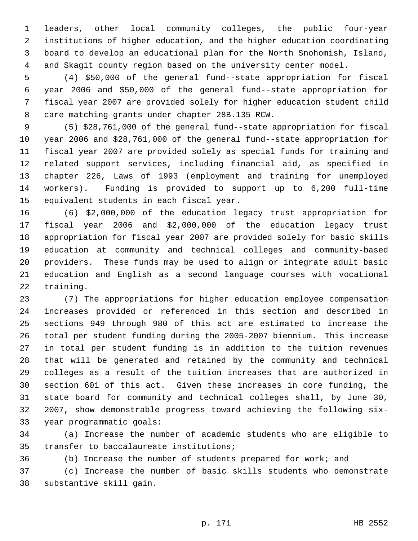leaders, other local community colleges, the public four-year institutions of higher education, and the higher education coordinating board to develop an educational plan for the North Snohomish, Island, and Skagit county region based on the university center model.

 (4) \$50,000 of the general fund--state appropriation for fiscal year 2006 and \$50,000 of the general fund--state appropriation for fiscal year 2007 are provided solely for higher education student child care matching grants under chapter 28B.135 RCW.

 (5) \$28,761,000 of the general fund--state appropriation for fiscal year 2006 and \$28,761,000 of the general fund--state appropriation for fiscal year 2007 are provided solely as special funds for training and related support services, including financial aid, as specified in chapter 226, Laws of 1993 (employment and training for unemployed workers). Funding is provided to support up to 6,200 full-time equivalent students in each fiscal year.

 (6) \$2,000,000 of the education legacy trust appropriation for fiscal year 2006 and \$2,000,000 of the education legacy trust appropriation for fiscal year 2007 are provided solely for basic skills education at community and technical colleges and community-based providers. These funds may be used to align or integrate adult basic education and English as a second language courses with vocational training.

 (7) The appropriations for higher education employee compensation increases provided or referenced in this section and described in sections 949 through 980 of this act are estimated to increase the total per student funding during the 2005-2007 biennium. This increase in total per student funding is in addition to the tuition revenues that will be generated and retained by the community and technical colleges as a result of the tuition increases that are authorized in section 601 of this act. Given these increases in core funding, the state board for community and technical colleges shall, by June 30, 2007, show demonstrable progress toward achieving the following six-year programmatic goals:

 (a) Increase the number of academic students who are eligible to transfer to baccalaureate institutions;

(b) Increase the number of students prepared for work; and

 (c) Increase the number of basic skills students who demonstrate substantive skill gain.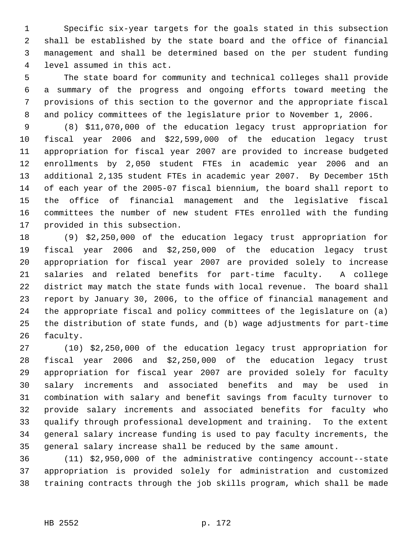Specific six-year targets for the goals stated in this subsection shall be established by the state board and the office of financial management and shall be determined based on the per student funding level assumed in this act.

 The state board for community and technical colleges shall provide a summary of the progress and ongoing efforts toward meeting the provisions of this section to the governor and the appropriate fiscal and policy committees of the legislature prior to November 1, 2006.

 (8) \$11,070,000 of the education legacy trust appropriation for fiscal year 2006 and \$22,599,000 of the education legacy trust appropriation for fiscal year 2007 are provided to increase budgeted enrollments by 2,050 student FTEs in academic year 2006 and an additional 2,135 student FTEs in academic year 2007. By December 15th of each year of the 2005-07 fiscal biennium, the board shall report to the office of financial management and the legislative fiscal committees the number of new student FTEs enrolled with the funding provided in this subsection.

 (9) \$2,250,000 of the education legacy trust appropriation for fiscal year 2006 and \$2,250,000 of the education legacy trust appropriation for fiscal year 2007 are provided solely to increase salaries and related benefits for part-time faculty. A college district may match the state funds with local revenue. The board shall report by January 30, 2006, to the office of financial management and the appropriate fiscal and policy committees of the legislature on (a) the distribution of state funds, and (b) wage adjustments for part-time faculty.

 (10) \$2,250,000 of the education legacy trust appropriation for fiscal year 2006 and \$2,250,000 of the education legacy trust appropriation for fiscal year 2007 are provided solely for faculty salary increments and associated benefits and may be used in combination with salary and benefit savings from faculty turnover to provide salary increments and associated benefits for faculty who qualify through professional development and training. To the extent general salary increase funding is used to pay faculty increments, the general salary increase shall be reduced by the same amount.

 (11) \$2,950,000 of the administrative contingency account--state appropriation is provided solely for administration and customized training contracts through the job skills program, which shall be made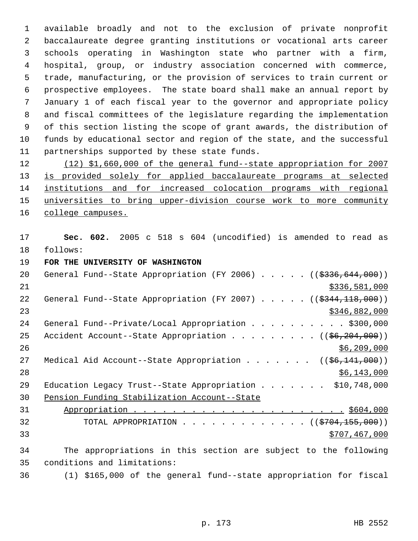available broadly and not to the exclusion of private nonprofit baccalaureate degree granting institutions or vocational arts career schools operating in Washington state who partner with a firm, hospital, group, or industry association concerned with commerce, trade, manufacturing, or the provision of services to train current or prospective employees. The state board shall make an annual report by January 1 of each fiscal year to the governor and appropriate policy and fiscal committees of the legislature regarding the implementation of this section listing the scope of grant awards, the distribution of funds by educational sector and region of the state, and the successful partnerships supported by these state funds.

 (12) \$1,660,000 of the general fund--state appropriation for 2007 13 is provided solely for applied baccalaureate programs at selected institutions and for increased colocation programs with regional universities to bring upper-division course work to more community 16 college campuses.

 **Sec. 602.** 2005 c 518 s 604 (uncodified) is amended to read as follows:

**FOR THE UNIVERSITY OF WASHINGTON** 

| 20 | General Fund--State Appropriation (FY 2006) ((\$336,644,000))                 |
|----|-------------------------------------------------------------------------------|
| 21 | \$336,581,000                                                                 |
| 22 | General Fund--State Appropriation (FY 2007) $($ $($ $\frac{2344}{118},000)$ ) |
| 23 | \$346,882,000                                                                 |
| 24 | General Fund--Private/Local Appropriation \$300,000                           |
| 25 | Accident Account--State Appropriation ( $(\frac{26}{204}, 204)$ )             |
| 26 | \$6,209,000                                                                   |
| 27 | Medical Aid Account--State Appropriation ( $(\frac{66}{141}, 000)$ )          |
| 28 | \$6,143,000                                                                   |
| 29 | Education Legacy Trust--State Appropriation \$10,748,000                      |
| 30 | Pension Funding Stabilization Account--State                                  |
| 31 |                                                                               |
| 32 | TOTAL APPROPRIATION ( $(\frac{2704}{155},000)$ )                              |
| 33 | \$707,467,000                                                                 |
| 34 | The appropriations in this section are subject to the following               |
| 35 | conditions and limitations:                                                   |
| 36 | (1) \$165,000 of the general fund--state appropriation for fiscal             |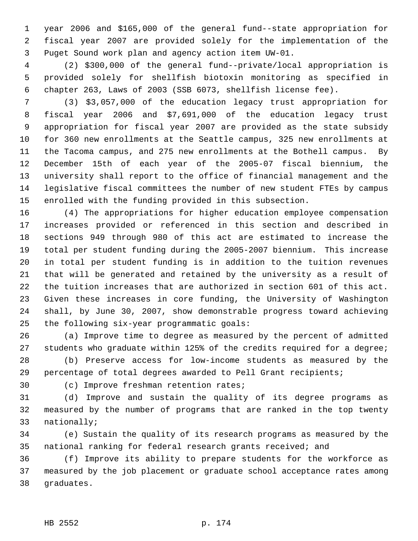year 2006 and \$165,000 of the general fund--state appropriation for fiscal year 2007 are provided solely for the implementation of the Puget Sound work plan and agency action item UW-01.

 (2) \$300,000 of the general fund--private/local appropriation is provided solely for shellfish biotoxin monitoring as specified in chapter 263, Laws of 2003 (SSB 6073, shellfish license fee).

 (3) \$3,057,000 of the education legacy trust appropriation for fiscal year 2006 and \$7,691,000 of the education legacy trust appropriation for fiscal year 2007 are provided as the state subsidy for 360 new enrollments at the Seattle campus, 325 new enrollments at the Tacoma campus, and 275 new enrollments at the Bothell campus. By December 15th of each year of the 2005-07 fiscal biennium, the university shall report to the office of financial management and the legislative fiscal committees the number of new student FTEs by campus enrolled with the funding provided in this subsection.

 (4) The appropriations for higher education employee compensation increases provided or referenced in this section and described in sections 949 through 980 of this act are estimated to increase the total per student funding during the 2005-2007 biennium. This increase in total per student funding is in addition to the tuition revenues that will be generated and retained by the university as a result of the tuition increases that are authorized in section 601 of this act. Given these increases in core funding, the University of Washington shall, by June 30, 2007, show demonstrable progress toward achieving the following six-year programmatic goals:

 (a) Improve time to degree as measured by the percent of admitted students who graduate within 125% of the credits required for a degree; (b) Preserve access for low-income students as measured by the

percentage of total degrees awarded to Pell Grant recipients;

(c) Improve freshman retention rates;

 (d) Improve and sustain the quality of its degree programs as measured by the number of programs that are ranked in the top twenty nationally;

 (e) Sustain the quality of its research programs as measured by the national ranking for federal research grants received; and

 (f) Improve its ability to prepare students for the workforce as measured by the job placement or graduate school acceptance rates among graduates.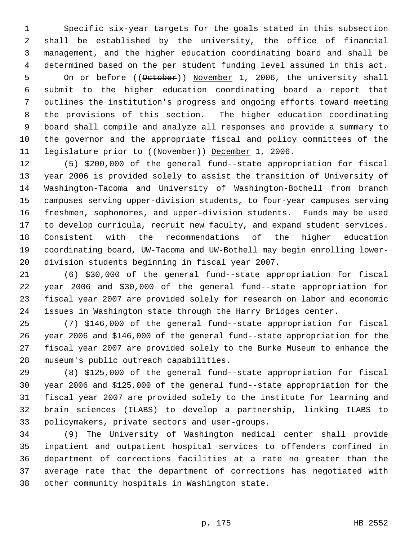Specific six-year targets for the goals stated in this subsection shall be established by the university, the office of financial management, and the higher education coordinating board and shall be determined based on the per student funding level assumed in this act. 5 On or before ((October)) November 1, 2006, the university shall submit to the higher education coordinating board a report that outlines the institution's progress and ongoing efforts toward meeting the provisions of this section. The higher education coordinating board shall compile and analyze all responses and provide a summary to the governor and the appropriate fiscal and policy committees of the 11 legislature prior to ((November)) December 1, 2006.

 (5) \$200,000 of the general fund--state appropriation for fiscal year 2006 is provided solely to assist the transition of University of Washington-Tacoma and University of Washington-Bothell from branch campuses serving upper-division students, to four-year campuses serving freshmen, sophomores, and upper-division students. Funds may be used to develop curricula, recruit new faculty, and expand student services. Consistent with the recommendations of the higher education coordinating board, UW-Tacoma and UW-Bothell may begin enrolling lower-division students beginning in fiscal year 2007.

 (6) \$30,000 of the general fund--state appropriation for fiscal year 2006 and \$30,000 of the general fund--state appropriation for fiscal year 2007 are provided solely for research on labor and economic issues in Washington state through the Harry Bridges center.

 (7) \$146,000 of the general fund--state appropriation for fiscal year 2006 and \$146,000 of the general fund--state appropriation for the fiscal year 2007 are provided solely to the Burke Museum to enhance the museum's public outreach capabilities.

 (8) \$125,000 of the general fund--state appropriation for fiscal year 2006 and \$125,000 of the general fund--state appropriation for the fiscal year 2007 are provided solely to the institute for learning and brain sciences (ILABS) to develop a partnership, linking ILABS to policymakers, private sectors and user-groups.

 (9) The University of Washington medical center shall provide inpatient and outpatient hospital services to offenders confined in department of corrections facilities at a rate no greater than the average rate that the department of corrections has negotiated with other community hospitals in Washington state.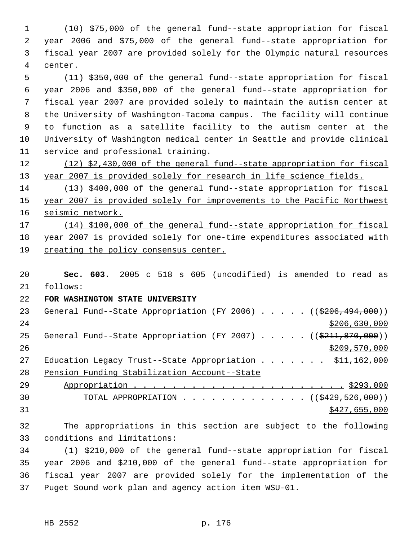(10) \$75,000 of the general fund--state appropriation for fiscal year 2006 and \$75,000 of the general fund--state appropriation for fiscal year 2007 are provided solely for the Olympic natural resources center.

 (11) \$350,000 of the general fund--state appropriation for fiscal year 2006 and \$350,000 of the general fund--state appropriation for fiscal year 2007 are provided solely to maintain the autism center at the University of Washington-Tacoma campus. The facility will continue to function as a satellite facility to the autism center at the University of Washington medical center in Seattle and provide clinical service and professional training.

 (12) \$2,430,000 of the general fund--state appropriation for fiscal 13 year 2007 is provided solely for research in life science fields.

 (13) \$400,000 of the general fund--state appropriation for fiscal year 2007 is provided solely for improvements to the Pacific Northwest 16 seismic network.

 (14) \$100,000 of the general fund--state appropriation for fiscal year 2007 is provided solely for one-time expenditures associated with creating the policy consensus center.

 **Sec. 603.** 2005 c 518 s 605 (uncodified) is amended to read as follows:

**FOR WASHINGTON STATE UNIVERSITY** 

23 General Fund--State Appropriation (FY 2006) . . . . . ((\$206,494,000)) \$206,630,000 25 General Fund--State Appropriation (FY 2007) . . . . . ((\$211,870,000))  $\frac{$209,570,000}{2}$ 27 Education Legacy Trust--State Appropriation . . . . . . \$11,162,000 Pension Funding Stabilization Account--State Appropriation . . . . . . . . . . . . . . . . . . . . . . \$293,000 30 TOTAL APPROPRIATION . . . . . . . . . . . . ((\$429,526,000))

\$427,655,000

 The appropriations in this section are subject to the following conditions and limitations:

 (1) \$210,000 of the general fund--state appropriation for fiscal year 2006 and \$210,000 of the general fund--state appropriation for fiscal year 2007 are provided solely for the implementation of the Puget Sound work plan and agency action item WSU-01.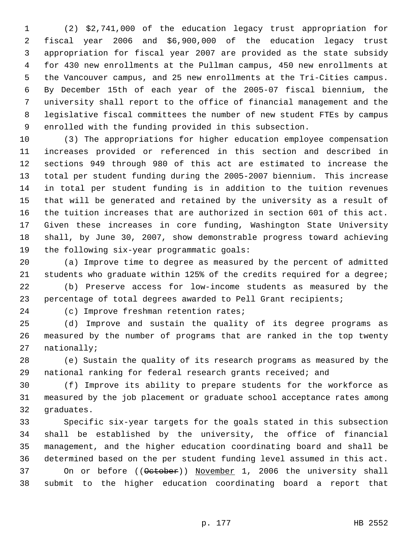(2) \$2,741,000 of the education legacy trust appropriation for fiscal year 2006 and \$6,900,000 of the education legacy trust appropriation for fiscal year 2007 are provided as the state subsidy for 430 new enrollments at the Pullman campus, 450 new enrollments at the Vancouver campus, and 25 new enrollments at the Tri-Cities campus. By December 15th of each year of the 2005-07 fiscal biennium, the university shall report to the office of financial management and the legislative fiscal committees the number of new student FTEs by campus enrolled with the funding provided in this subsection.

 (3) The appropriations for higher education employee compensation increases provided or referenced in this section and described in sections 949 through 980 of this act are estimated to increase the total per student funding during the 2005-2007 biennium. This increase in total per student funding is in addition to the tuition revenues that will be generated and retained by the university as a result of the tuition increases that are authorized in section 601 of this act. Given these increases in core funding, Washington State University shall, by June 30, 2007, show demonstrable progress toward achieving the following six-year programmatic goals:

 (a) Improve time to degree as measured by the percent of admitted students who graduate within 125% of the credits required for a degree;

 (b) Preserve access for low-income students as measured by the percentage of total degrees awarded to Pell Grant recipients;

(c) Improve freshman retention rates;

 (d) Improve and sustain the quality of its degree programs as measured by the number of programs that are ranked in the top twenty nationally;

 (e) Sustain the quality of its research programs as measured by the national ranking for federal research grants received; and

 (f) Improve its ability to prepare students for the workforce as measured by the job placement or graduate school acceptance rates among graduates.

 Specific six-year targets for the goals stated in this subsection shall be established by the university, the office of financial management, and the higher education coordinating board and shall be determined based on the per student funding level assumed in this act. 37 On or before ((October)) November 1, 2006 the university shall submit to the higher education coordinating board a report that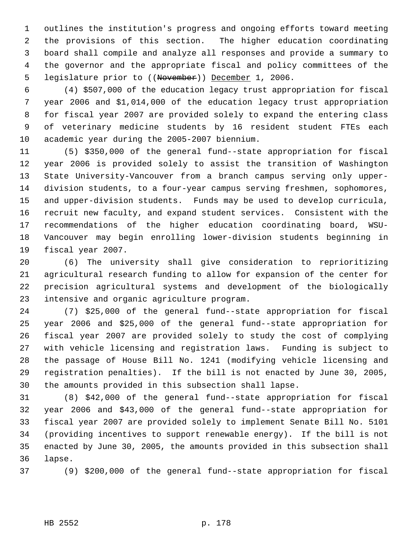outlines the institution's progress and ongoing efforts toward meeting the provisions of this section. The higher education coordinating board shall compile and analyze all responses and provide a summary to the governor and the appropriate fiscal and policy committees of the 5 legislature prior to ((November)) December 1, 2006.

 (4) \$507,000 of the education legacy trust appropriation for fiscal year 2006 and \$1,014,000 of the education legacy trust appropriation for fiscal year 2007 are provided solely to expand the entering class of veterinary medicine students by 16 resident student FTEs each academic year during the 2005-2007 biennium.

 (5) \$350,000 of the general fund--state appropriation for fiscal year 2006 is provided solely to assist the transition of Washington State University-Vancouver from a branch campus serving only upper- division students, to a four-year campus serving freshmen, sophomores, and upper-division students. Funds may be used to develop curricula, recruit new faculty, and expand student services. Consistent with the recommendations of the higher education coordinating board, WSU- Vancouver may begin enrolling lower-division students beginning in fiscal year 2007.

 (6) The university shall give consideration to reprioritizing agricultural research funding to allow for expansion of the center for precision agricultural systems and development of the biologically intensive and organic agriculture program.

 (7) \$25,000 of the general fund--state appropriation for fiscal year 2006 and \$25,000 of the general fund--state appropriation for fiscal year 2007 are provided solely to study the cost of complying with vehicle licensing and registration laws. Funding is subject to the passage of House Bill No. 1241 (modifying vehicle licensing and registration penalties). If the bill is not enacted by June 30, 2005, the amounts provided in this subsection shall lapse.

 (8) \$42,000 of the general fund--state appropriation for fiscal year 2006 and \$43,000 of the general fund--state appropriation for fiscal year 2007 are provided solely to implement Senate Bill No. 5101 (providing incentives to support renewable energy). If the bill is not enacted by June 30, 2005, the amounts provided in this subsection shall lapse.

(9) \$200,000 of the general fund--state appropriation for fiscal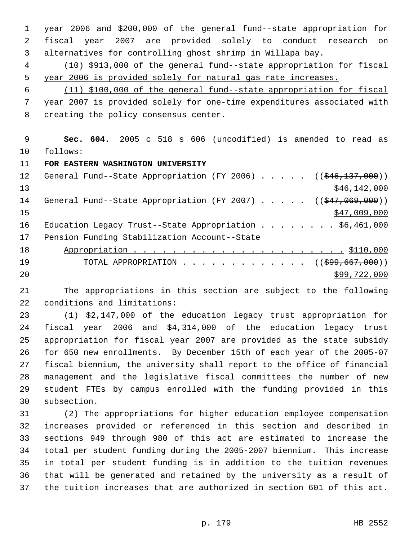year 2006 and \$200,000 of the general fund--state appropriation for fiscal year 2007 are provided solely to conduct research on alternatives for controlling ghost shrimp in Willapa bay.

 (10) \$913,000 of the general fund--state appropriation for fiscal year 2006 is provided solely for natural gas rate increases.

 (11) \$100,000 of the general fund--state appropriation for fiscal year 2007 is provided solely for one-time expenditures associated with creating the policy consensus center.

 **Sec. 604.** 2005 c 518 s 606 (uncodified) is amended to read as follows:

**FOR EASTERN WASHINGTON UNIVERSITY** 

|    | 12 General Fund--State Appropriation (FY 2006) ((\$46,137,000))         |
|----|-------------------------------------------------------------------------|
| 13 | \$46, 142, 000                                                          |
| 14 | General Fund--State Appropriation (FY 2007) $($ $($ $\frac{207}{100})$  |
| 15 | \$47,009,000                                                            |
| 16 | Education Legacy Trust--State Appropriation \$6,461,000                 |
| 17 | Pension Funding Stabilization Account--State                            |
| 18 |                                                                         |
| 19 | TOTAL APPROPRIATION $\ldots$ , ( $(\frac{299}{667}, \frac{667}{600})$ ) |
| 20 | \$99,722,000                                                            |

 The appropriations in this section are subject to the following conditions and limitations:

 (1) \$2,147,000 of the education legacy trust appropriation for fiscal year 2006 and \$4,314,000 of the education legacy trust appropriation for fiscal year 2007 are provided as the state subsidy for 650 new enrollments. By December 15th of each year of the 2005-07 fiscal biennium, the university shall report to the office of financial management and the legislative fiscal committees the number of new student FTEs by campus enrolled with the funding provided in this subsection.

 (2) The appropriations for higher education employee compensation increases provided or referenced in this section and described in sections 949 through 980 of this act are estimated to increase the total per student funding during the 2005-2007 biennium. This increase in total per student funding is in addition to the tuition revenues that will be generated and retained by the university as a result of the tuition increases that are authorized in section 601 of this act.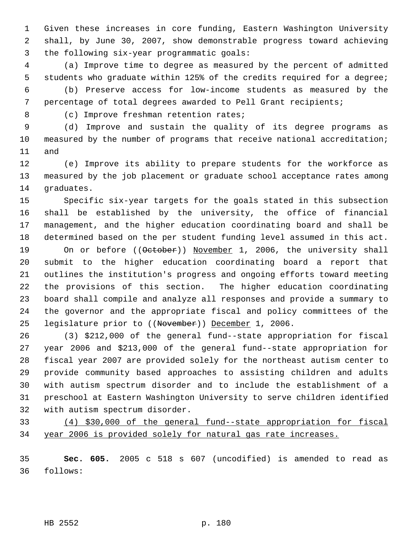Given these increases in core funding, Eastern Washington University shall, by June 30, 2007, show demonstrable progress toward achieving the following six-year programmatic goals:

 (a) Improve time to degree as measured by the percent of admitted students who graduate within 125% of the credits required for a degree;

 (b) Preserve access for low-income students as measured by the percentage of total degrees awarded to Pell Grant recipients;

(c) Improve freshman retention rates;

 (d) Improve and sustain the quality of its degree programs as measured by the number of programs that receive national accreditation; and

 (e) Improve its ability to prepare students for the workforce as measured by the job placement or graduate school acceptance rates among graduates.

 Specific six-year targets for the goals stated in this subsection shall be established by the university, the office of financial management, and the higher education coordinating board and shall be determined based on the per student funding level assumed in this act.

19 On or before ((October)) November 1, 2006, the university shall submit to the higher education coordinating board a report that outlines the institution's progress and ongoing efforts toward meeting the provisions of this section. The higher education coordinating board shall compile and analyze all responses and provide a summary to the governor and the appropriate fiscal and policy committees of the 25 legislature prior to ((November)) December 1, 2006.

 (3) \$212,000 of the general fund--state appropriation for fiscal year 2006 and \$213,000 of the general fund--state appropriation for fiscal year 2007 are provided solely for the northeast autism center to provide community based approaches to assisting children and adults with autism spectrum disorder and to include the establishment of a preschool at Eastern Washington University to serve children identified with autism spectrum disorder.

 (4) \$30,000 of the general fund--state appropriation for fiscal year 2006 is provided solely for natural gas rate increases.

 **Sec. 605.** 2005 c 518 s 607 (uncodified) is amended to read as follows:

HB 2552 p. 180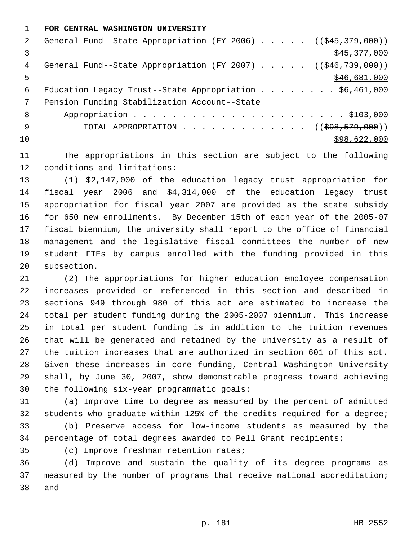**FOR CENTRAL WASHINGTON UNIVERSITY** 

| 2 | General Fund--State Appropriation (FY 2006) ((\$45,379,000))                 |
|---|------------------------------------------------------------------------------|
|   | \$45,377,000                                                                 |
| 4 | General Fund--State Appropriation (FY 2007) $($ $($ $\frac{646}{739},000)$ ) |
| 5 | \$46,681,000                                                                 |
| 6 | Education Legacy Trust--State Appropriation \$6,461,000                      |
|   | Pension Funding Stabilization Account--State                                 |
| 8 |                                                                              |
| 9 | TOTAL APPROPRIATION $\ldots$ , ( $(\frac{698}{779}, \frac{600}{10})$ )       |
|   |                                                                              |

\$98,622,000

 The appropriations in this section are subject to the following conditions and limitations:

 (1) \$2,147,000 of the education legacy trust appropriation for fiscal year 2006 and \$4,314,000 of the education legacy trust appropriation for fiscal year 2007 are provided as the state subsidy for 650 new enrollments. By December 15th of each year of the 2005-07 fiscal biennium, the university shall report to the office of financial management and the legislative fiscal committees the number of new student FTEs by campus enrolled with the funding provided in this subsection.

 (2) The appropriations for higher education employee compensation increases provided or referenced in this section and described in sections 949 through 980 of this act are estimated to increase the total per student funding during the 2005-2007 biennium. This increase in total per student funding is in addition to the tuition revenues that will be generated and retained by the university as a result of the tuition increases that are authorized in section 601 of this act. Given these increases in core funding, Central Washington University shall, by June 30, 2007, show demonstrable progress toward achieving the following six-year programmatic goals:

 (a) Improve time to degree as measured by the percent of admitted students who graduate within 125% of the credits required for a degree; (b) Preserve access for low-income students as measured by the

percentage of total degrees awarded to Pell Grant recipients;

(c) Improve freshman retention rates;

 (d) Improve and sustain the quality of its degree programs as measured by the number of programs that receive national accreditation; and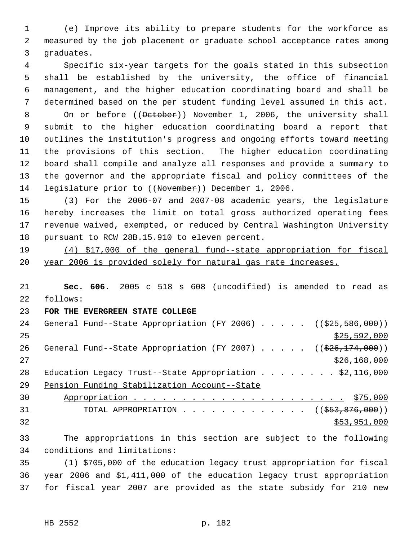(e) Improve its ability to prepare students for the workforce as measured by the job placement or graduate school acceptance rates among graduates.

 Specific six-year targets for the goals stated in this subsection shall be established by the university, the office of financial management, and the higher education coordinating board and shall be determined based on the per student funding level assumed in this act. 8 On or before ((October)) November 1, 2006, the university shall submit to the higher education coordinating board a report that outlines the institution's progress and ongoing efforts toward meeting the provisions of this section. The higher education coordinating board shall compile and analyze all responses and provide a summary to the governor and the appropriate fiscal and policy committees of the legislature prior to ((November)) December 1, 2006.

 (3) For the 2006-07 and 2007-08 academic years, the legislature hereby increases the limit on total gross authorized operating fees revenue waived, exempted, or reduced by Central Washington University pursuant to RCW 28B.15.910 to eleven percent.

 (4) \$17,000 of the general fund--state appropriation for fiscal year 2006 is provided solely for natural gas rate increases.

 **Sec. 606.** 2005 c 518 s 608 (uncodified) is amended to read as follows:

## **FOR THE EVERGREEN STATE COLLEGE**

24 General Fund--State Appropriation (FY 2006) . . . . . ((\$25,586,000))  $\frac{$25,592,000}{25}$ 26 General Fund--State Appropriation (FY 2007) . . . . . ((\$26,174,000))  $\frac{$26,168,000}{20}$ 28 Education Legacy Trust--State Appropriation . . . . . . . \$2,116,000 Pension Funding Stabilization Account--State Appropriation . . . . . . . . . . . . . . . . . . . . . . \$75,000

31 TOTAL APPROPRIATION . . . . . . . . . . . . ((<del>\$53,876,000</del>)) \$53,951,000

 The appropriations in this section are subject to the following conditions and limitations:

 (1) \$705,000 of the education legacy trust appropriation for fiscal year 2006 and \$1,411,000 of the education legacy trust appropriation for fiscal year 2007 are provided as the state subsidy for 210 new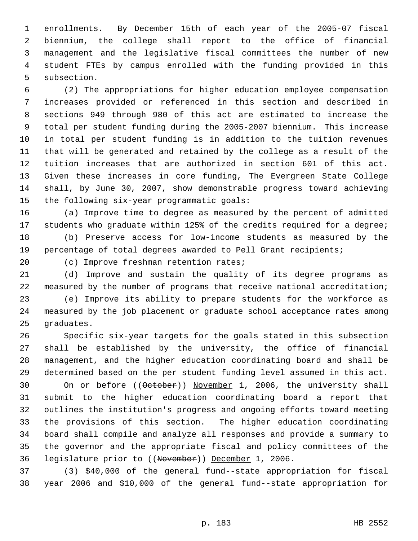enrollments. By December 15th of each year of the 2005-07 fiscal biennium, the college shall report to the office of financial management and the legislative fiscal committees the number of new student FTEs by campus enrolled with the funding provided in this subsection.

 (2) The appropriations for higher education employee compensation increases provided or referenced in this section and described in sections 949 through 980 of this act are estimated to increase the total per student funding during the 2005-2007 biennium. This increase in total per student funding is in addition to the tuition revenues that will be generated and retained by the college as a result of the tuition increases that are authorized in section 601 of this act. Given these increases in core funding, The Evergreen State College shall, by June 30, 2007, show demonstrable progress toward achieving the following six-year programmatic goals:

 (a) Improve time to degree as measured by the percent of admitted students who graduate within 125% of the credits required for a degree;

 (b) Preserve access for low-income students as measured by the percentage of total degrees awarded to Pell Grant recipients;

(c) Improve freshman retention rates;

 (d) Improve and sustain the quality of its degree programs as measured by the number of programs that receive national accreditation;

 (e) Improve its ability to prepare students for the workforce as measured by the job placement or graduate school acceptance rates among graduates.

 Specific six-year targets for the goals stated in this subsection shall be established by the university, the office of financial management, and the higher education coordinating board and shall be determined based on the per student funding level assumed in this act.

30 On or before ((October)) November 1, 2006, the university shall submit to the higher education coordinating board a report that outlines the institution's progress and ongoing efforts toward meeting the provisions of this section. The higher education coordinating board shall compile and analyze all responses and provide a summary to the governor and the appropriate fiscal and policy committees of the legislature prior to ((November)) December 1, 2006.

 (3) \$40,000 of the general fund--state appropriation for fiscal year 2006 and \$10,000 of the general fund--state appropriation for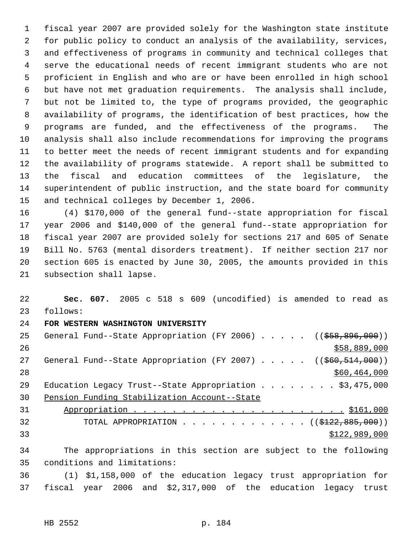fiscal year 2007 are provided solely for the Washington state institute for public policy to conduct an analysis of the availability, services, and effectiveness of programs in community and technical colleges that serve the educational needs of recent immigrant students who are not proficient in English and who are or have been enrolled in high school but have not met graduation requirements. The analysis shall include, but not be limited to, the type of programs provided, the geographic availability of programs, the identification of best practices, how the programs are funded, and the effectiveness of the programs. The analysis shall also include recommendations for improving the programs to better meet the needs of recent immigrant students and for expanding the availability of programs statewide. A report shall be submitted to the fiscal and education committees of the legislature, the superintendent of public instruction, and the state board for community and technical colleges by December 1, 2006.

 (4) \$170,000 of the general fund--state appropriation for fiscal year 2006 and \$140,000 of the general fund--state appropriation for fiscal year 2007 are provided solely for sections 217 and 605 of Senate Bill No. 5763 (mental disorders treatment). If neither section 217 nor section 605 is enacted by June 30, 2005, the amounts provided in this subsection shall lapse.

 **Sec. 607.** 2005 c 518 s 609 (uncodified) is amended to read as follows:

## **FOR WESTERN WASHINGTON UNIVERSITY**

25 General Fund--State Appropriation (FY 2006) . . . . . ((\$58,896,000))  $$58,889,000$ 27 General Fund--State Appropriation (FY 2007) . . . . . ((\$60,514,000)) \$60,464,000 29 Education Legacy Trust--State Appropriation . . . . . . . \$3,475,000 Pension Funding Stabilization Account--State Appropriation . . . . . . . . . . . . . . . . . . . . . . \$161,000 32 TOTAL APPROPRIATION . . . . . . . . . . . . ((\$122,885,000))  $$122,989,000$ 

 The appropriations in this section are subject to the following conditions and limitations:

 (1) \$1,158,000 of the education legacy trust appropriation for fiscal year 2006 and \$2,317,000 of the education legacy trust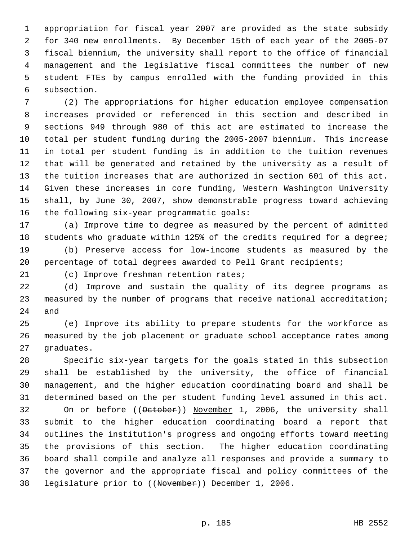appropriation for fiscal year 2007 are provided as the state subsidy for 340 new enrollments. By December 15th of each year of the 2005-07 fiscal biennium, the university shall report to the office of financial management and the legislative fiscal committees the number of new student FTEs by campus enrolled with the funding provided in this subsection.

 (2) The appropriations for higher education employee compensation increases provided or referenced in this section and described in sections 949 through 980 of this act are estimated to increase the total per student funding during the 2005-2007 biennium. This increase in total per student funding is in addition to the tuition revenues that will be generated and retained by the university as a result of the tuition increases that are authorized in section 601 of this act. Given these increases in core funding, Western Washington University shall, by June 30, 2007, show demonstrable progress toward achieving the following six-year programmatic goals:

 (a) Improve time to degree as measured by the percent of admitted students who graduate within 125% of the credits required for a degree;

 (b) Preserve access for low-income students as measured by the percentage of total degrees awarded to Pell Grant recipients;

(c) Improve freshman retention rates;

 (d) Improve and sustain the quality of its degree programs as measured by the number of programs that receive national accreditation; and

 (e) Improve its ability to prepare students for the workforce as measured by the job placement or graduate school acceptance rates among graduates.

 Specific six-year targets for the goals stated in this subsection shall be established by the university, the office of financial management, and the higher education coordinating board and shall be determined based on the per student funding level assumed in this act. 32 On or before ((October)) November 1, 2006, the university shall submit to the higher education coordinating board a report that outlines the institution's progress and ongoing efforts toward meeting the provisions of this section. The higher education coordinating board shall compile and analyze all responses and provide a summary to the governor and the appropriate fiscal and policy committees of the legislature prior to ((November)) December 1, 2006.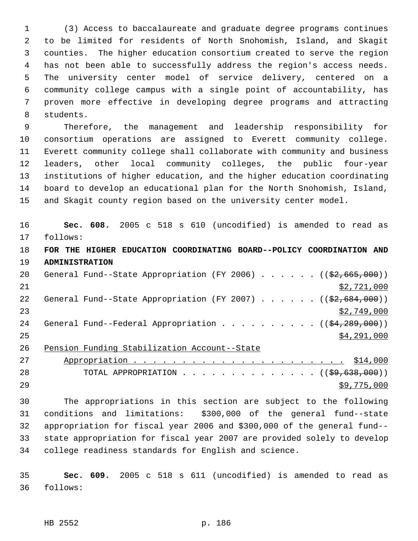(3) Access to baccalaureate and graduate degree programs continues to be limited for residents of North Snohomish, Island, and Skagit counties. The higher education consortium created to serve the region has not been able to successfully address the region's access needs. The university center model of service delivery, centered on a community college campus with a single point of accountability, has proven more effective in developing degree programs and attracting students.

 Therefore, the management and leadership responsibility for consortium operations are assigned to Everett community college. Everett community college shall collaborate with community and business leaders, other local community colleges, the public four-year institutions of higher education, and the higher education coordinating board to develop an educational plan for the North Snohomish, Island, and Skagit county region based on the university center model.

 **Sec. 608.** 2005 c 518 s 610 (uncodified) is amended to read as follows:

 **FOR THE HIGHER EDUCATION COORDINATING BOARD--POLICY COORDINATION AND ADMINISTRATION** 

| 20  |  |                                                 |  |  |  |  | General Fund--State Appropriation (FY 2006) ( $(\frac{2}{52}, 665, 000)$ ) |
|-----|--|-------------------------------------------------|--|--|--|--|----------------------------------------------------------------------------|
| -21 |  |                                                 |  |  |  |  | \$2,721,000                                                                |
| 22  |  |                                                 |  |  |  |  | General Fund--State Appropriation (FY 2007) $($ $($ $\frac{2097}{100})$    |
| 23  |  |                                                 |  |  |  |  | \$2,749,000                                                                |
| 24  |  |                                                 |  |  |  |  | General Fund--Federal Appropriation ( $(\frac{24}{289}, 289, 000)$ )       |
| 25  |  |                                                 |  |  |  |  | \$4,291,000                                                                |
|     |  | 00 Densieu Dundina 01-billiaiten Baarlust 01-1- |  |  |  |  |                                                                            |

Pension Funding Stabilization Account--State

| 27 |                                                                |
|----|----------------------------------------------------------------|
| 28 | TOTAL APPROPRIATION $($ $($ $\frac{29}{638}, \frac{638}{600})$ |
| 29 | \$9,775,000                                                    |

 The appropriations in this section are subject to the following conditions and limitations: \$300,000 of the general fund--state appropriation for fiscal year 2006 and \$300,000 of the general fund-- state appropriation for fiscal year 2007 are provided solely to develop college readiness standards for English and science.

 **Sec. 609.** 2005 c 518 s 611 (uncodified) is amended to read as follows:

HB 2552 p. 186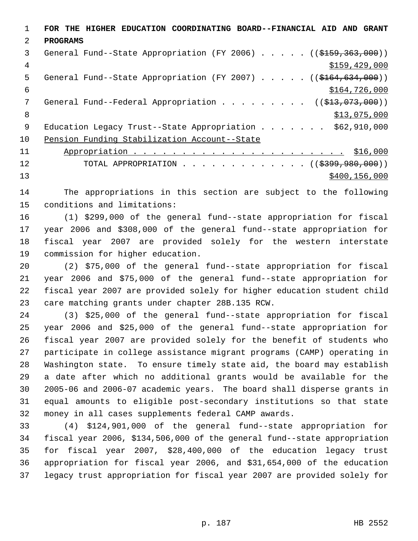**FOR THE HIGHER EDUCATION COORDINATING BOARD--FINANCIAL AID AND GRANT PROGRAMS**  3 General Fund--State Appropriation (FY 2006) . . . . . ((\$159,363,000))  $\frac{4}{3159}$ , 429, 000 5 General Fund--State Appropriation (FY 2007) . . . . . ((\$164,634,000))  $$164,726,000$ 7 General Fund--Federal Appropriation . . . . . . . . ((\$13,073,000)) 8  $\frac{$13,075,000}{ }$ 9 Education Legacy Trust--State Appropriation . . . . . . \$62,910,000 Pension Funding Stabilization Account--State Appropriation . . . . . . . . . . . . . . . . . . . . . . \$16,000 12 TOTAL APPROPRIATION . . . . . . . . . . . . ((\$399,980,000)) 13 \$400,156,000

 The appropriations in this section are subject to the following conditions and limitations:

 (1) \$299,000 of the general fund--state appropriation for fiscal year 2006 and \$308,000 of the general fund--state appropriation for fiscal year 2007 are provided solely for the western interstate commission for higher education.

 (2) \$75,000 of the general fund--state appropriation for fiscal year 2006 and \$75,000 of the general fund--state appropriation for fiscal year 2007 are provided solely for higher education student child care matching grants under chapter 28B.135 RCW.

 (3) \$25,000 of the general fund--state appropriation for fiscal year 2006 and \$25,000 of the general fund--state appropriation for fiscal year 2007 are provided solely for the benefit of students who participate in college assistance migrant programs (CAMP) operating in Washington state. To ensure timely state aid, the board may establish a date after which no additional grants would be available for the 2005-06 and 2006-07 academic years. The board shall disperse grants in equal amounts to eligible post-secondary institutions so that state money in all cases supplements federal CAMP awards.

 (4) \$124,901,000 of the general fund--state appropriation for fiscal year 2006, \$134,506,000 of the general fund--state appropriation for fiscal year 2007, \$28,400,000 of the education legacy trust appropriation for fiscal year 2006, and \$31,654,000 of the education legacy trust appropriation for fiscal year 2007 are provided solely for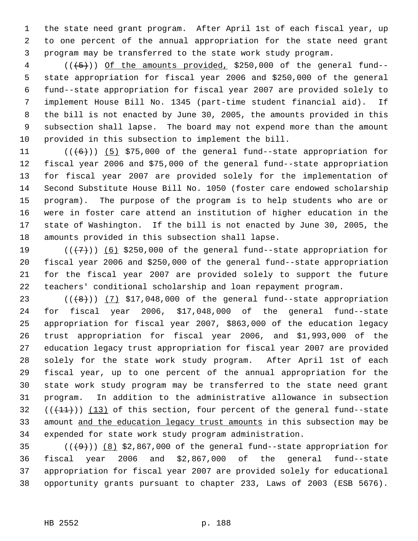the state need grant program. After April 1st of each fiscal year, up to one percent of the annual appropriation for the state need grant program may be transferred to the state work study program.

4 (( $(+5)$ )) Of the amounts provided, \$250,000 of the general fund-- state appropriation for fiscal year 2006 and \$250,000 of the general fund--state appropriation for fiscal year 2007 are provided solely to implement House Bill No. 1345 (part-time student financial aid). If the bill is not enacted by June 30, 2005, the amounts provided in this subsection shall lapse. The board may not expend more than the amount provided in this subsection to implement the bill.

 $((+6))$   $(5)$  \$75,000 of the general fund--state appropriation for fiscal year 2006 and \$75,000 of the general fund--state appropriation for fiscal year 2007 are provided solely for the implementation of Second Substitute House Bill No. 1050 (foster care endowed scholarship program). The purpose of the program is to help students who are or were in foster care attend an institution of higher education in the state of Washington. If the bill is not enacted by June 30, 2005, the amounts provided in this subsection shall lapse.

 $((+7))$  (6) \$250,000 of the general fund--state appropriation for fiscal year 2006 and \$250,000 of the general fund--state appropriation for the fiscal year 2007 are provided solely to support the future teachers' conditional scholarship and loan repayment program.

 $((+8))$   $(7)$  \$17,048,000 of the general fund--state appropriation for fiscal year 2006, \$17,048,000 of the general fund--state appropriation for fiscal year 2007, \$863,000 of the education legacy trust appropriation for fiscal year 2006, and \$1,993,000 of the education legacy trust appropriation for fiscal year 2007 are provided solely for the state work study program. After April 1st of each fiscal year, up to one percent of the annual appropriation for the state work study program may be transferred to the state need grant program. In addition to the administrative allowance in subsection  $((+11))$   $(13)$  of this section, four percent of the general fund--state 33 amount and the education legacy trust amounts in this subsection may be expended for state work study program administration.

 $((+9))$   $(8)$  \$2,867,000 of the general fund--state appropriation for fiscal year 2006 and \$2,867,000 of the general fund--state appropriation for fiscal year 2007 are provided solely for educational opportunity grants pursuant to chapter 233, Laws of 2003 (ESB 5676).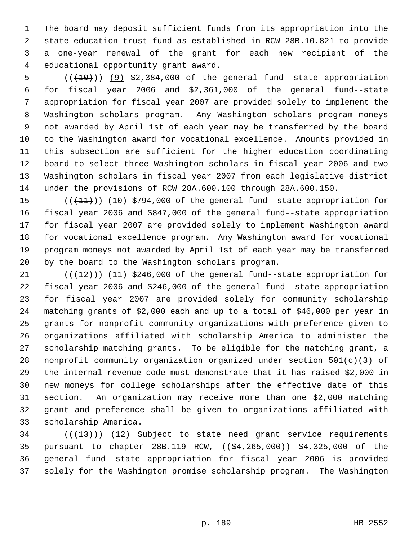The board may deposit sufficient funds from its appropriation into the state education trust fund as established in RCW 28B.10.821 to provide a one-year renewal of the grant for each new recipient of the educational opportunity grant award.

 ( $(\overline{+10})$ )  $(9)$  \$2,384,000 of the general fund--state appropriation for fiscal year 2006 and \$2,361,000 of the general fund--state appropriation for fiscal year 2007 are provided solely to implement the Washington scholars program. Any Washington scholars program moneys not awarded by April 1st of each year may be transferred by the board to the Washington award for vocational excellence. Amounts provided in this subsection are sufficient for the higher education coordinating board to select three Washington scholars in fiscal year 2006 and two Washington scholars in fiscal year 2007 from each legislative district under the provisions of RCW 28A.600.100 through 28A.600.150.

15 (( $(11)$ )) (10) \$794,000 of the general fund--state appropriation for fiscal year 2006 and \$847,000 of the general fund--state appropriation for fiscal year 2007 are provided solely to implement Washington award for vocational excellence program. Any Washington award for vocational program moneys not awarded by April 1st of each year may be transferred by the board to the Washington scholars program.

 $((+12))$  (11) \$246,000 of the general fund--state appropriation for fiscal year 2006 and \$246,000 of the general fund--state appropriation for fiscal year 2007 are provided solely for community scholarship matching grants of \$2,000 each and up to a total of \$46,000 per year in grants for nonprofit community organizations with preference given to organizations affiliated with scholarship America to administer the scholarship matching grants. To be eligible for the matching grant, a nonprofit community organization organized under section 501(c)(3) of the internal revenue code must demonstrate that it has raised \$2,000 in new moneys for college scholarships after the effective date of this section. An organization may receive more than one \$2,000 matching grant and preference shall be given to organizations affiliated with scholarship America.

 (( $(13)$ )) (12) Subject to state need grant service requirements 35 pursuant to chapter 28B.119 RCW, ((\$4,265,000)) \$4,325,000 of the general fund--state appropriation for fiscal year 2006 is provided solely for the Washington promise scholarship program. The Washington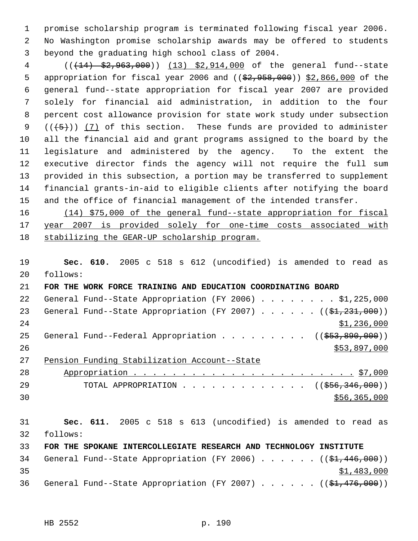promise scholarship program is terminated following fiscal year 2006. No Washington promise scholarship awards may be offered to students beyond the graduating high school class of 2004.

4 (( $(14)$  \$2,963,000)) (13) \$2,914,000 of the general fund--state 5 appropriation for fiscal year 2006 and ((\$2,958,000)) \$2,866,000 of the general fund--state appropriation for fiscal year 2007 are provided solely for financial aid administration, in addition to the four percent cost allowance provision for state work study under subsection  $((+5+))$  (7) of this section. These funds are provided to administer all the financial aid and grant programs assigned to the board by the legislature and administered by the agency. To the extent the executive director finds the agency will not require the full sum provided in this subsection, a portion may be transferred to supplement financial grants-in-aid to eligible clients after notifying the board and the office of financial management of the intended transfer.

 (14) \$75,000 of the general fund--state appropriation for fiscal year 2007 is provided solely for one-time costs associated with 18 stabilizing the GEAR-UP scholarship program.

 **Sec. 610.** 2005 c 518 s 612 (uncodified) is amended to read as follows:

 **FOR THE WORK FORCE TRAINING AND EDUCATION COORDINATING BOARD** 22 General Fund--State Appropriation (FY 2006) . . . . . . . . \$1,225,000 23 General Fund--State Appropriation (FY 2007) . . . . . . ((\$1,231,000)) \$1,236,000 25 General Fund--Federal Appropriation . . . . . . . . ((\$53,890,000))  $\frac{$53,897,000}{20}$  Pension Funding Stabilization Account--State Appropriation . . . . . . . . . . . . . . . . . . . . . . . \$7,000 29 TOTAL APPROPRIATION . . . . . . . . . . . . . ((\$56,346,000))  $\frac{$56,365,000}{556,365,000}$ 

 **Sec. 611.** 2005 c 518 s 613 (uncodified) is amended to read as follows: **FOR THE SPOKANE INTERCOLLEGIATE RESEARCH AND TECHNOLOGY INSTITUTE** General Fund-Ghabe Appropriation (FY 2006) . . . . . ((\$1,446,000))

|      |  |  |  |  |  | 34  General Fund--State Appropriation (FY 2006) (( <del>\$1,446,000</del> )) |
|------|--|--|--|--|--|------------------------------------------------------------------------------|
| 35   |  |  |  |  |  | \$1,483,000                                                                  |
| 36 - |  |  |  |  |  | General Fund--State Appropriation (FY 2007) ((\$ <del>1,476,000</del> ))     |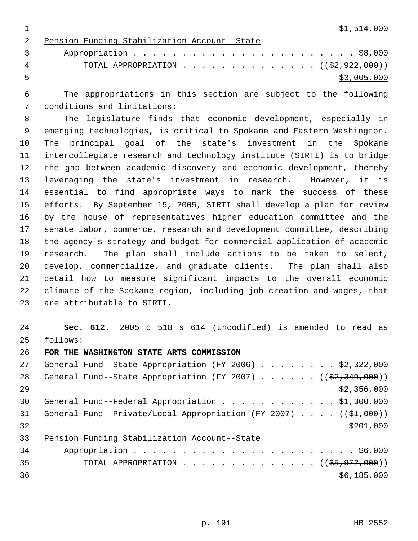Pension Funding Stabilization Account--State Appropriation . . . . . . . . . . . . . . . . . . . . . . . \$8,000 4 TOTAL APPROPRIATION . . . . . . . . . . . . . ((\$2,922,000))  $5 \times 3,005,000$ 

 The appropriations in this section are subject to the following conditions and limitations:

 The legislature finds that economic development, especially in emerging technologies, is critical to Spokane and Eastern Washington. The principal goal of the state's investment in the Spokane intercollegiate research and technology institute (SIRTI) is to bridge the gap between academic discovery and economic development, thereby leveraging the state's investment in research. However, it is essential to find appropriate ways to mark the success of these efforts. By September 15, 2005, SIRTI shall develop a plan for review by the house of representatives higher education committee and the senate labor, commerce, research and development committee, describing the agency's strategy and budget for commercial application of academic research. The plan shall include actions to be taken to select, develop, commercialize, and graduate clients. The plan shall also detail how to measure significant impacts to the overall economic climate of the Spokane region, including job creation and wages, that are attributable to SIRTI.

 **Sec. 612.** 2005 c 518 s 614 (uncodified) is amended to read as follows:

**FOR THE WASHINGTON STATE ARTS COMMISSION**

| 27 | General Fund--State Appropriation (FY 2006) \$2,322,000                |
|----|------------------------------------------------------------------------|
| 28 | General Fund--State Appropriation (FY 2007) $($ $(\frac{27.349}{100})$ |
| 29 | \$2,356,000                                                            |
| 30 | General Fund--Federal Appropriation \$1,300,000                        |
| 31 | General Fund--Private/Local Appropriation (FY 2007) $($ $($ \$1,000))  |
| 32 | \$201,000                                                              |
| 33 | Pension Funding Stabilization Account--State                           |

| 34 |                                                                      |
|----|----------------------------------------------------------------------|
| 35 | TOTAL APPROPRIATION ( $(\frac{\text{S5}}, \frac{972}{\text{S00}})$ ) |
| 36 | \$6,185,000                                                          |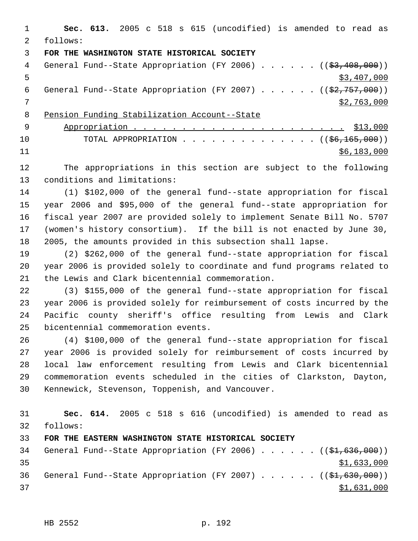**Sec. 613.** 2005 c 518 s 615 (uncodified) is amended to read as follows: **FOR THE WASHINGTON STATE HISTORICAL SOCIETY** 4 General Fund--State Appropriation (FY 2006) . . . . . . ((\$3,408,000))  $\frac{1}{5}$  5 6 General Fund--State Appropriation (FY 2007) . . . . .  $($   $($ \$2,757,000)) \$2,763,000 Pension Funding Stabilization Account--State Appropriation . . . . . . . . . . . . . . . . . . . . . . \$13,000 10 TOTAL APPROPRIATION . . . . . . . . . . . . . ((<del>\$6,165,000</del>)) \$6,183,000 The appropriations in this section are subject to the following

conditions and limitations:

 (1) \$102,000 of the general fund--state appropriation for fiscal year 2006 and \$95,000 of the general fund--state appropriation for fiscal year 2007 are provided solely to implement Senate Bill No. 5707 (women's history consortium). If the bill is not enacted by June 30, 2005, the amounts provided in this subsection shall lapse.

 (2) \$262,000 of the general fund--state appropriation for fiscal year 2006 is provided solely to coordinate and fund programs related to the Lewis and Clark bicentennial commemoration.

 (3) \$155,000 of the general fund--state appropriation for fiscal year 2006 is provided solely for reimbursement of costs incurred by the Pacific county sheriff's office resulting from Lewis and Clark bicentennial commemoration events.

 (4) \$100,000 of the general fund--state appropriation for fiscal year 2006 is provided solely for reimbursement of costs incurred by local law enforcement resulting from Lewis and Clark bicentennial commemoration events scheduled in the cities of Clarkston, Dayton, Kennewick, Stevenson, Toppenish, and Vancouver.

 **Sec. 614.** 2005 c 518 s 616 (uncodified) is amended to read as follows: **FOR THE EASTERN WASHINGTON STATE HISTORICAL SOCIETY** 34 General Fund--State Appropriation (FY 2006) . . . . . . ((\$1,636,000)) \$1,633,000

36 General Fund--State Appropriation (FY 2007)  $\ldots$  . . . . (( $\frac{1}{2}$ , 630,000)) 37 \$1,631,000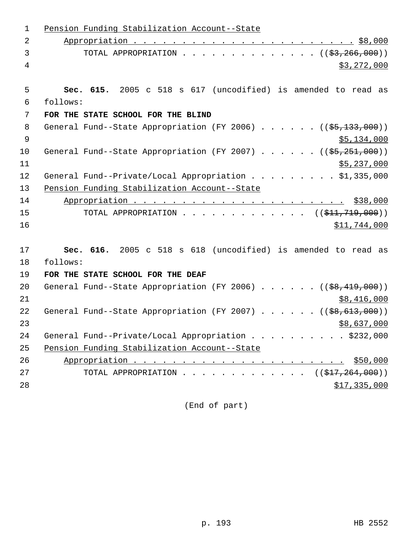| $\mathbf{1}$ | Pension Funding Stabilization Account--State                           |
|--------------|------------------------------------------------------------------------|
| 2            |                                                                        |
| 3            | TOTAL APPROPRIATION ( $(\frac{2}{3}, \frac{266}{100})$ )               |
| 4            | \$3,272,000                                                            |
|              |                                                                        |
| 5            | Sec. 615. 2005 c 518 s 617 (uncodified) is amended to read as          |
| 6            | follows:                                                               |
| 7            | FOR THE STATE SCHOOL FOR THE BLIND                                     |
| 8            | General Fund--State Appropriation (FY 2006) $($ $($ \$5,133,000))      |
| $\mathsf 9$  | \$5,134,000                                                            |
| 10           | General Fund--State Appropriation (FY 2007) $($ $($ \$5,251,000))      |
| 11           | \$5,237,000                                                            |
| 12           | General Fund--Private/Local Appropriation \$1,335,000                  |
| 13           | Pension Funding Stabilization Account--State                           |
| 14           |                                                                        |
| 15           | TOTAL APPROPRIATION ( $(\frac{11}{719},000)$ )                         |
| 16           | \$11,744,000                                                           |
|              |                                                                        |
| 17           | Sec. 616. 2005 c 518 s 618 (uncodified) is amended to read as          |
| 18           | follows:                                                               |
| 19           | FOR THE STATE SCHOOL FOR THE DEAF                                      |
| 20           | General Fund--State Appropriation (FY 2006) ( $(\frac{28}{19}, 000)$ ) |
| 21           | \$8,416,000                                                            |
| 22           | General Fund--State Appropriation (FY 2007) $($ $($ \$8,613,000))      |
| 23           | \$8,637,000                                                            |
| 24           | General Fund--Private/Local Appropriation \$232,000                    |
| 25           | Pension Funding Stabilization Account--State                           |
| 26           |                                                                        |
| 27           | TOTAL APPROPRIATION ( $(\frac{17}{217}, 264, 000)$ )                   |
| 28           | \$17,335,000                                                           |
|              |                                                                        |

(End of part)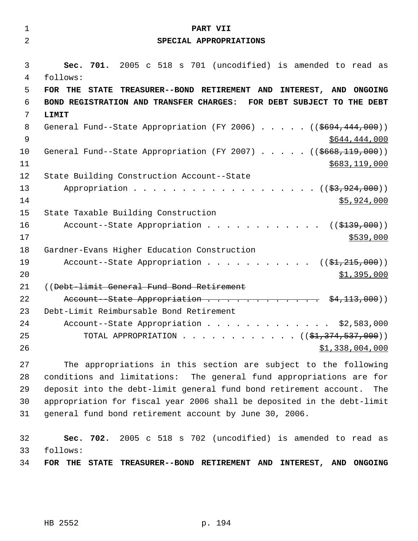| 1<br>$\overline{2}$ | PART VII                                                                  |
|---------------------|---------------------------------------------------------------------------|
|                     | SPECIAL APPROPRIATIONS                                                    |
| 3                   | 701. 2005 c 518 s 701 (uncodified) is amended to read as<br>Sec.          |
| 4                   | follows:                                                                  |
| 5                   | FOR THE<br>STATE TREASURER--BOND RETIREMENT AND INTEREST, AND ONGOING     |
| 6                   | BOND REGISTRATION AND TRANSFER CHARGES: FOR DEBT SUBJECT TO THE DEBT      |
| 7                   | LIMIT                                                                     |
| 8                   | General Fund--State Appropriation (FY 2006) $($ $($ $$694, 444, 000)$ )   |
| $\mathsf 9$         | \$644,444,000                                                             |
| 10                  | General Fund--State Appropriation (FY 2007) $($ $($ $$668,119,000)$ )     |
| 11                  | \$683,119,000                                                             |
| 12                  | State Building Construction Account--State                                |
| 13                  | Appropriation $($ $(\frac{27}{27})$                                       |
| 14                  | \$5,924,000                                                               |
| 15                  | State Taxable Building Construction                                       |
| 16                  | Account--State Appropriation ( $(\frac{2139}{100})$ )                     |
| 17                  | \$539,000                                                                 |
| 18                  | Gardner-Evans Higher Education Construction                               |
| 19                  | Account--State Appropriation $($ \$1,215,000))                            |
| 20                  | \$1,395,000                                                               |
| 21                  | ((Debt-limit General Fund Bond Retirement                                 |
| 22                  | Account--State Appropriation \$4,113,000))                                |
| 23                  | Debt-Limit Reimbursable Bond Retirement                                   |
| 24                  | Account--State Appropriation \$2,583,000                                  |
| 25                  | TOTAL APPROPRIATION ( $(\frac{1}{2}, \frac{374}{537}, \frac{537}{900})$ ) |
| 26                  | \$1,338,004,000                                                           |
|                     |                                                                           |

 The appropriations in this section are subject to the following conditions and limitations: The general fund appropriations are for deposit into the debt-limit general fund bond retirement account. The appropriation for fiscal year 2006 shall be deposited in the debt-limit general fund bond retirement account by June 30, 2006.

 **Sec. 702.** 2005 c 518 s 702 (uncodified) is amended to read as follows: **FOR THE STATE TREASURER--BOND RETIREMENT AND INTEREST, AND ONGOING**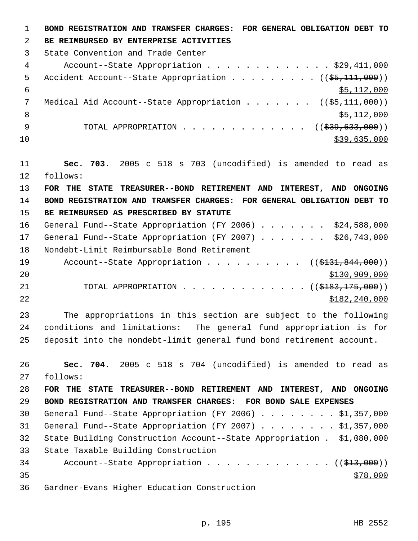**BOND REGISTRATION AND TRANSFER CHARGES: FOR GENERAL OBLIGATION DEBT TO BE REIMBURSED BY ENTERPRISE ACTIVITIES**  State Convention and Trade Center Account--State Appropriation . . . . . . . . . . . . . \$29,411,000 5 Accident Account--State Appropriation . . . . . . . . ((\$5,111,000))  $\frac{$5,112,000}{5}$ 7 Medical Aid Account--State Appropriation . . . . . . ((\$5,111,000))  $\frac{112,000}{ }$ 9 TOTAL APPROPRIATION . . . . . . . . . . . . ((<del>\$39,633,000</del>)) \$39,635,000 **Sec. 703.** 2005 c 518 s 703 (uncodified) is amended to read as follows: **FOR THE STATE TREASURER--BOND RETIREMENT AND INTEREST, AND ONGOING BOND REGISTRATION AND TRANSFER CHARGES: FOR GENERAL OBLIGATION DEBT TO BE REIMBURSED AS PRESCRIBED BY STATUTE**  General Fund--State Appropriation (FY 2006) . . . . . . . \$24,588,000 General Fund--State Appropriation (FY 2007) . . . . . . . \$26,743,000 Nondebt-Limit Reimbursable Bond Retirement 19 Account--State Appropriation . . . . . . . . . ((\$131,844,000)) \$130,909,000 21 TOTAL APPROPRIATION . . . . . . . . . . . . ((\$<del>183,175,000</del>)) \$182,240,000

 The appropriations in this section are subject to the following conditions and limitations: The general fund appropriation is for deposit into the nondebt-limit general fund bond retirement account.

 **Sec. 704.** 2005 c 518 s 704 (uncodified) is amended to read as follows: **FOR THE STATE TREASURER--BOND RETIREMENT AND INTEREST, AND ONGOING BOND REGISTRATION AND TRANSFER CHARGES: FOR BOND SALE EXPENSES**  General Fund--State Appropriation (FY 2006) . . . . . . . . \$1,357,000 General Fund--State Appropriation (FY 2007) . . . . . . . . \$1,357,000 State Building Construction Account--State Appropriation . \$1,080,000 State Taxable Building Construction 34 Account--State Appropriation . . . . . . . . . . . . ((\$13,000)) Gardner-Evans Higher Education Construction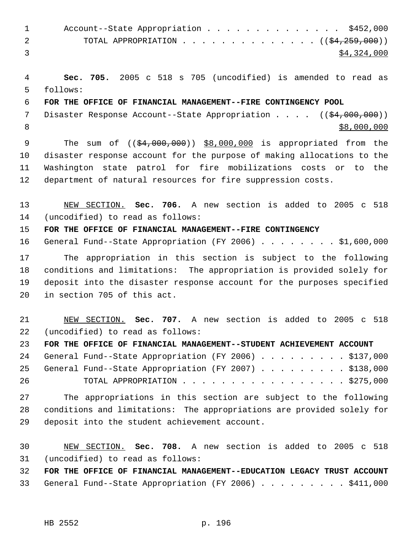| Account--State Appropriation \$452,000                                              |
|-------------------------------------------------------------------------------------|
| TOTAL APPROPRIATION $($ $($ $\frac{259}{129})$<br>$\overline{2}$ and $\overline{2}$ |
| \$4,324,000                                                                         |

 **Sec. 705.** 2005 c 518 s 705 (uncodified) is amended to read as follows:

## **FOR THE OFFICE OF FINANCIAL MANAGEMENT--FIRE CONTINGENCY POOL**

7 Disaster Response Account--State Appropriation . . . . ((\$4,000,000))  $$8,000,000$ 

9 The sum of ((\$4,000,000)) \$8,000,000 is appropriated from the disaster response account for the purpose of making allocations to the Washington state patrol for fire mobilizations costs or to the department of natural resources for fire suppression costs.

## NEW SECTION. **Sec. 706.** A new section is added to 2005 c 518 (uncodified) to read as follows:

**FOR THE OFFICE OF FINANCIAL MANAGEMENT--FIRE CONTINGENCY**

General Fund--State Appropriation (FY 2006) . . . . . . . . \$1,600,000

 The appropriation in this section is subject to the following conditions and limitations: The appropriation is provided solely for deposit into the disaster response account for the purposes specified in section 705 of this act.

 NEW SECTION. **Sec. 707.** A new section is added to 2005 c 518 (uncodified) to read as follows:

**FOR THE OFFICE OF FINANCIAL MANAGEMENT--STUDENT ACHIEVEMENT ACCOUNT**

|    |  | 24 General Fund--State Appropriation (FY 2006) \$137,000 |  |  |  |  |  |  |
|----|--|----------------------------------------------------------|--|--|--|--|--|--|
|    |  | 25 General Fund--State Appropriation (FY 2007) \$138,000 |  |  |  |  |  |  |
| 26 |  | TOTAL APPROPRIATION \$275,000                            |  |  |  |  |  |  |

 The appropriations in this section are subject to the following conditions and limitations: The appropriations are provided solely for deposit into the student achievement account.

 NEW SECTION. **Sec. 708.** A new section is added to 2005 c 518 (uncodified) to read as follows:

 **FOR THE OFFICE OF FINANCIAL MANAGEMENT--EDUCATION LEGACY TRUST ACCOUNT** 33 General Fund--State Appropriation (FY 2006) . . . . . . . . \$411,000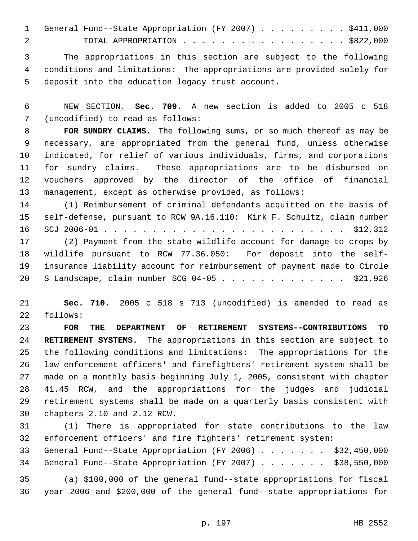|  |  |  |  |  |  |  |  |  |  | 1 General Fund--State Appropriation (FY 2007) \$411,000 |
|--|--|--|--|--|--|--|--|--|--|---------------------------------------------------------|
|  |  |  |  |  |  |  |  |  |  | TOTAL APPROPRIATION \$822,000                           |

 The appropriations in this section are subject to the following conditions and limitations: The appropriations are provided solely for deposit into the education legacy trust account.

 NEW SECTION. **Sec. 709.** A new section is added to 2005 c 518 (uncodified) to read as follows:

 **FOR SUNDRY CLAIMS.** The following sums, or so much thereof as may be necessary, are appropriated from the general fund, unless otherwise indicated, for relief of various individuals, firms, and corporations for sundry claims. These appropriations are to be disbursed on vouchers approved by the director of the office of financial management, except as otherwise provided, as follows:

 (1) Reimbursement of criminal defendants acquitted on the basis of self-defense, pursuant to RCW 9A.16.110: Kirk F. Schultz, claim number SCJ 2006-01 . . . . . . . . . . . . . . . . . . . . . . . . . \$12,312

 (2) Payment from the state wildlife account for damage to crops by wildlife pursuant to RCW 77.36.050: For deposit into the self- insurance liability account for reimbursement of payment made to Circle S Landscape, claim number SCG 04-05 . . . . . . . . . . . . . \$21,926

 **Sec. 710.** 2005 c 518 s 713 (uncodified) is amended to read as follows:

 **FOR THE DEPARTMENT OF RETIREMENT SYSTEMS--CONTRIBUTIONS TO RETIREMENT SYSTEMS.** The appropriations in this section are subject to the following conditions and limitations: The appropriations for the law enforcement officers' and firefighters' retirement system shall be made on a monthly basis beginning July 1, 2005, consistent with chapter 41.45 RCW, and the appropriations for the judges and judicial retirement systems shall be made on a quarterly basis consistent with chapters 2.10 and 2.12 RCW.

 (1) There is appropriated for state contributions to the law enforcement officers' and fire fighters' retirement system: General Fund--State Appropriation (FY 2006) . . . . . . . \$32,450,000

General Fund--State Appropriation (FY 2007) . . . . . . . \$38,550,000

 (a) \$100,000 of the general fund--state appropriations for fiscal year 2006 and \$200,000 of the general fund--state appropriations for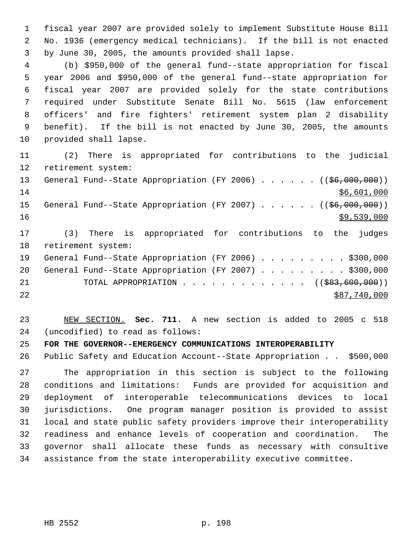fiscal year 2007 are provided solely to implement Substitute House Bill No. 1936 (emergency medical technicians). If the bill is not enacted by June 30, 2005, the amounts provided shall lapse.

 (b) \$950,000 of the general fund--state appropriation for fiscal year 2006 and \$950,000 of the general fund--state appropriation for fiscal year 2007 are provided solely for the state contributions required under Substitute Senate Bill No. 5615 (law enforcement officers' and fire fighters' retirement system plan 2 disability benefit). If the bill is not enacted by June 30, 2005, the amounts provided shall lapse.

 (2) There is appropriated for contributions to the judicial retirement system: 13 General Fund--State Appropriation (FY 2006) . . . . . . ((\$6,000,000)) \$6,601,000 15 General Fund--State Appropriation (FY 2007) . . . . . . ((\$6,000,000))  $\frac{$9,539,000}{ }$  (3) There is appropriated for contributions to the judges retirement system: General Fund--State Appropriation (FY 2006) . . . . . . . . . \$300,000 20 General Fund--State Appropriation (FY 2007) . . . . . . . . . \$300,000 21 TOTAL APPROPRIATION . . . . . . . . . . . . . ((\$83,600,000)) \$87,740,000

 NEW SECTION. **Sec. 711.** A new section is added to 2005 c 518 (uncodified) to read as follows:

**FOR THE GOVERNOR--EMERGENCY COMMUNICATIONS INTEROPERABILITY**

Public Safety and Education Account--State Appropriation . . \$500,000

 The appropriation in this section is subject to the following conditions and limitations: Funds are provided for acquisition and deployment of interoperable telecommunications devices to local jurisdictions. One program manager position is provided to assist local and state public safety providers improve their interoperability readiness and enhance levels of cooperation and coordination. The governor shall allocate these funds as necessary with consultive assistance from the state interoperability executive committee.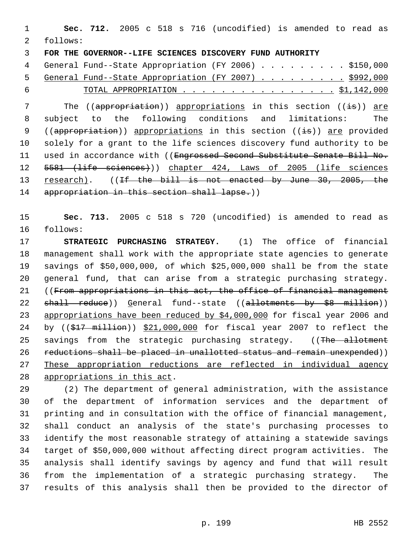**Sec. 712.** 2005 c 518 s 716 (uncodified) is amended to read as follows: **FOR THE GOVERNOR--LIFE SCIENCES DISCOVERY FUND AUTHORITY** 

4 General Fund--State Appropriation (FY 2006) . . . . . . . . \$150,000 5 General Fund--State Appropriation (FY 2007) . . . . . . . . \$992,000 6 TOTAL APPROPRIATION . . . . . . . . . . . . . . . . \$1,142,000

7 The ((appropriation)) appropriations in this section ((is)) are subject to the following conditions and limitations: The 9 ((appropriation)) appropriations in this section ( $(i\pm s)$ ) are provided solely for a grant to the life sciences discovery fund authority to be 11 used in accordance with ((Engrossed Second Substitute Senate Bill No. 12 5581 (life sciences))) chapter 424, Laws of 2005 (life sciences 13 research). ((If the bill is not enacted by June 30, 2005, the 14 appropriation in this section shall lapse.))

 **Sec. 713.** 2005 c 518 s 720 (uncodified) is amended to read as follows:

 **STRATEGIC PURCHASING STRATEGY.** (1) The office of financial management shall work with the appropriate state agencies to generate savings of \$50,000,000, of which \$25,000,000 shall be from the state general fund, that can arise from a strategic purchasing strategy. ((From appropriations in this act, the office of financial management 22 shall reduce)) General fund--state ((allotments by \$8 million)) 23 appropriations have been reduced by \$4,000,000 for fiscal year 2006 and 24 by ((\$17 million)) \$21,000,000 for fiscal year 2007 to reflect the 25 savings from the strategic purchasing strategy. ((The allotment 26 reductions shall be placed in unallotted status and remain unexpended)) These appropriation reductions are reflected in individual agency appropriations in this act.

 (2) The department of general administration, with the assistance of the department of information services and the department of printing and in consultation with the office of financial management, shall conduct an analysis of the state's purchasing processes to identify the most reasonable strategy of attaining a statewide savings target of \$50,000,000 without affecting direct program activities. The analysis shall identify savings by agency and fund that will result from the implementation of a strategic purchasing strategy. The results of this analysis shall then be provided to the director of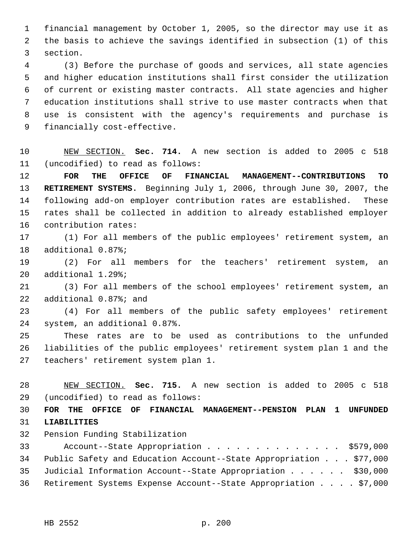financial management by October 1, 2005, so the director may use it as the basis to achieve the savings identified in subsection (1) of this section.

 (3) Before the purchase of goods and services, all state agencies and higher education institutions shall first consider the utilization of current or existing master contracts. All state agencies and higher education institutions shall strive to use master contracts when that use is consistent with the agency's requirements and purchase is financially cost-effective.

 NEW SECTION. **Sec. 714.** A new section is added to 2005 c 518 (uncodified) to read as follows:

 **FOR THE OFFICE OF FINANCIAL MANAGEMENT--CONTRIBUTIONS TO RETIREMENT SYSTEMS.** Beginning July 1, 2006, through June 30, 2007, the following add-on employer contribution rates are established. These rates shall be collected in addition to already established employer contribution rates:

 (1) For all members of the public employees' retirement system, an additional 0.87%;

 (2) For all members for the teachers' retirement system, an additional 1.29%;

 (3) For all members of the school employees' retirement system, an additional 0.87%; and

 (4) For all members of the public safety employees' retirement system, an additional 0.87%.

 These rates are to be used as contributions to the unfunded liabilities of the public employees' retirement system plan 1 and the teachers' retirement system plan 1.

 NEW SECTION. **Sec. 715.** A new section is added to 2005 c 518 (uncodified) to read as follows:

 **FOR THE OFFICE OF FINANCIAL MANAGEMENT--PENSION PLAN 1 UNFUNDED LIABILITIES**

Pension Funding Stabilization

 Account--State Appropriation . . . . . . . . . . . . . . \$579,000 Public Safety and Education Account--State Appropriation . . . \$77,000 Judicial Information Account--State Appropriation . . . . . . \$30,000 Retirement Systems Expense Account--State Appropriation . . . . \$7,000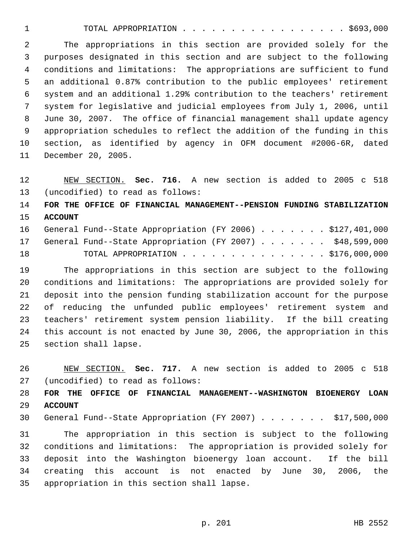TOTAL APPROPRIATION . . . . . . . . . . . . . . . . . \$693,000

 The appropriations in this section are provided solely for the purposes designated in this section and are subject to the following conditions and limitations: The appropriations are sufficient to fund an additional 0.87% contribution to the public employees' retirement system and an additional 1.29% contribution to the teachers' retirement system for legislative and judicial employees from July 1, 2006, until June 30, 2007. The office of financial management shall update agency appropriation schedules to reflect the addition of the funding in this section, as identified by agency in OFM document #2006-6R, dated December 20, 2005.

 NEW SECTION. **Sec. 716.** A new section is added to 2005 c 518 (uncodified) to read as follows:

 **FOR THE OFFICE OF FINANCIAL MANAGEMENT--PENSION FUNDING STABILIZATION ACCOUNT**

|    |  | 16 General Fund--State Appropriation (FY 2006) \$127,401,000 |  |  |  |  |  |
|----|--|--------------------------------------------------------------|--|--|--|--|--|
|    |  | 17 General Fund--State Appropriation (FY 2007) \$48,599,000  |  |  |  |  |  |
| 18 |  | TOTAL APPROPRIATION \$176,000,000                            |  |  |  |  |  |

 The appropriations in this section are subject to the following conditions and limitations: The appropriations are provided solely for deposit into the pension funding stabilization account for the purpose of reducing the unfunded public employees' retirement system and teachers' retirement system pension liability. If the bill creating this account is not enacted by June 30, 2006, the appropriation in this section shall lapse.

 NEW SECTION. **Sec. 717.** A new section is added to 2005 c 518 (uncodified) to read as follows:

 **FOR THE OFFICE OF FINANCIAL MANAGEMENT--WASHINGTON BIOENERGY LOAN ACCOUNT**

General Fund--State Appropriation (FY 2007) . . . . . . . \$17,500,000

 The appropriation in this section is subject to the following conditions and limitations: The appropriation is provided solely for deposit into the Washington bioenergy loan account. If the bill creating this account is not enacted by June 30, 2006, the appropriation in this section shall lapse.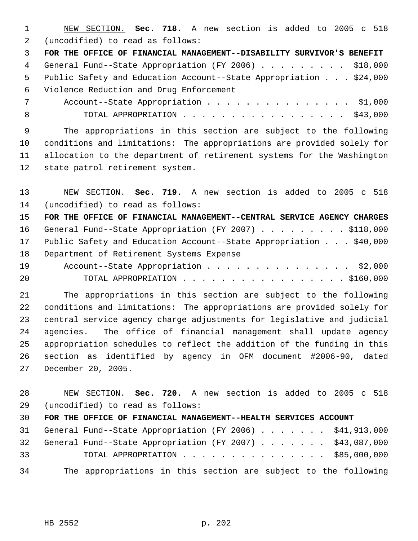NEW SECTION. **Sec. 718.** A new section is added to 2005 c 518 (uncodified) to read as follows:

 **FOR THE OFFICE OF FINANCIAL MANAGEMENT--DISABILITY SURVIVOR'S BENEFIT** 4 General Fund--State Appropriation (FY 2006) . . . . . . . . . \$18,000 Public Safety and Education Account--State Appropriation . . . \$24,000 Violence Reduction and Drug Enforcement

7 Account--State Appropriation . . . . . . . . . . . . . . \$1,000 8 TOTAL APPROPRIATION . . . . . . . . . . . . . . . . \$43,000

 The appropriations in this section are subject to the following conditions and limitations: The appropriations are provided solely for allocation to the department of retirement systems for the Washington state patrol retirement system.

 NEW SECTION. **Sec. 719.** A new section is added to 2005 c 518 (uncodified) to read as follows:

 **FOR THE OFFICE OF FINANCIAL MANAGEMENT--CENTRAL SERVICE AGENCY CHARGES** 16 General Fund--State Appropriation (FY 2007) . . . . . . . . \$118,000 Public Safety and Education Account--State Appropriation . . . \$40,000 Department of Retirement Systems Expense 19 Account--State Appropriation . . . . . . . . . . . . . . \$2,000

TOTAL APPROPRIATION . . . . . . . . . . . . . . . . . \$160,000

 The appropriations in this section are subject to the following conditions and limitations: The appropriations are provided solely for central service agency charge adjustments for legislative and judicial agencies. The office of financial management shall update agency appropriation schedules to reflect the addition of the funding in this section as identified by agency in OFM document #2006-90, dated December 20, 2005.

 NEW SECTION. **Sec. 720.** A new section is added to 2005 c 518 (uncodified) to read as follows:

**FOR THE OFFICE OF FINANCIAL MANAGEMENT--HEALTH SERVICES ACCOUNT**

 General Fund--State Appropriation (FY 2006) . . . . . . . \$41,913,000 General Fund--State Appropriation (FY 2007) . . . . . . . \$43,087,000 TOTAL APPROPRIATION . . . . . . . . . . . . . . . \$85,000,000 The appropriations in this section are subject to the following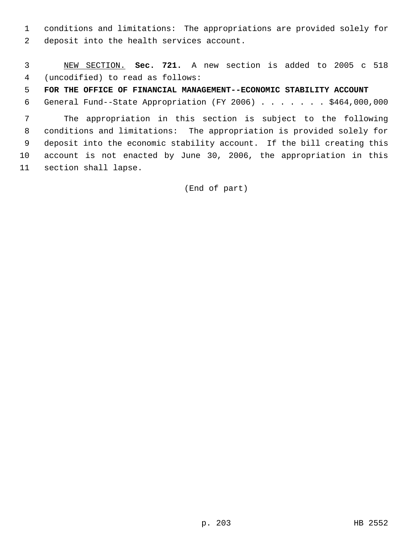conditions and limitations: The appropriations are provided solely for deposit into the health services account.

 NEW SECTION. **Sec. 721.** A new section is added to 2005 c 518 (uncodified) to read as follows:

**FOR THE OFFICE OF FINANCIAL MANAGEMENT--ECONOMIC STABILITY ACCOUNT**

General Fund--State Appropriation (FY 2006) . . . . . . . \$464,000,000

 The appropriation in this section is subject to the following conditions and limitations: The appropriation is provided solely for deposit into the economic stability account. If the bill creating this account is not enacted by June 30, 2006, the appropriation in this section shall lapse.

(End of part)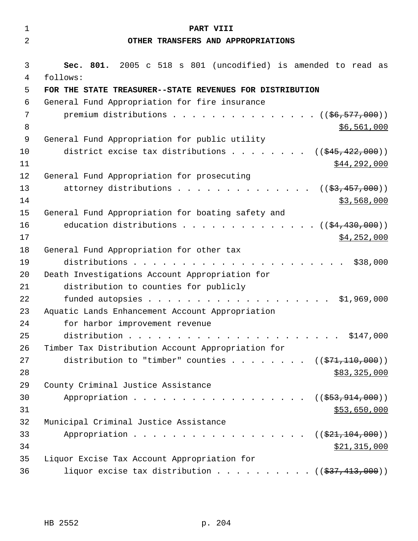| $\mathbf{1}$   | PART VIII                                                            |
|----------------|----------------------------------------------------------------------|
| $\overline{2}$ | OTHER TRANSFERS AND APPROPRIATIONS                                   |
|                |                                                                      |
| 3              | Sec. 801. 2005 c 518 s 801 (uncodified) is amended to read as        |
| 4<br>5         | follows:<br>FOR THE STATE TREASURER--STATE REVENUES FOR DISTRIBUTION |
| 6              | General Fund Appropriation for fire insurance                        |
| 7              | premium distributions $($ $($ $\frac{6}{6}$ , $\frac{577}{600})$     |
| 8              | \$6,561,000                                                          |
| 9              | General Fund Appropriation for public utility                        |
| 10             | district excise tax distributions<br>$((\frac{1545}{122},000))$      |
| 11             | \$44,292,000                                                         |
| 12             | General Fund Appropriation for prosecuting                           |
| 13             | attorney distributions<br>$((\frac{2}{53}, \frac{457}{1000}))$       |
| 14             | \$3,568,000                                                          |
| 15             | General Fund Appropriation for boating safety and                    |
| 16             | education distributions $($ $($ $$4,430,000)$ $)$                    |
| 17             | \$4,252,000                                                          |
| 18             | General Fund Appropriation for other tax                             |
| 19             | \$38,000<br>distributions                                            |
| 20             | Death Investigations Account Appropriation for                       |
| 21             | distribution to counties for publicly                                |
| 22             | \$1,969,000                                                          |
| 23             | Aquatic Lands Enhancement Account Appropriation                      |
| 24             | for harbor improvement revenue                                       |
| 25             | distribution<br>. \$147,000                                          |
| 26             | Timber Tax Distribution Account Appropriation for                    |
| 27             | distribution to "timber" counties ( $(\frac{271}{10000})$ )          |
| 28<br>29       | \$83,325,000<br>County Criminal Justice Assistance                   |
| 30             | Appropriation<br>((\$553,914,000))                                   |
| 31             | \$53,650,000                                                         |
| 32             | Municipal Criminal Justice Assistance                                |
| 33             | Appropriation<br>((\$21,104,000))                                    |
| 34             | <u>\$21,315,000</u>                                                  |
| 35             | Liquor Excise Tax Account Appropriation for                          |
| 36             | liquor excise tax distribution $($ $($ \$37,413,000) $)$             |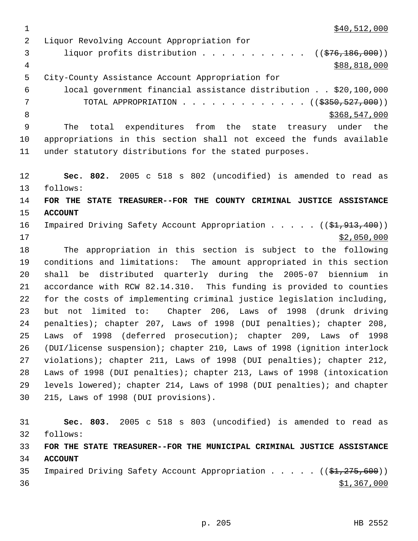$\frac{1}{340,512,000}$ 

 Liquor Revolving Account Appropriation for 3 liquor profits distribution . . . . . . . . . . ((\$76,186,000))  $\frac{4}{388,818,000}$  City-County Assistance Account Appropriation for local government financial assistance distribution . . \$20,100,000 7 TOTAL APPROPRIATION . . . . . . . . . . . . ((\$350,527,000)) 8 \$368,547,000 \$368,547,000 The total expenditures from the state treasury under the appropriations in this section shall not exceed the funds available under statutory distributions for the stated purposes. **Sec. 802.** 2005 c 518 s 802 (uncodified) is amended to read as follows: **FOR THE STATE TREASURER--FOR THE COUNTY CRIMINAL JUSTICE ASSISTANCE ACCOUNT**  16 Impaired Driving Safety Account Appropriation . . . . ((\$1,913,400)) \$2,050,000 The appropriation in this section is subject to the following conditions and limitations: The amount appropriated in this section shall be distributed quarterly during the 2005-07 biennium in accordance with RCW 82.14.310. This funding is provided to counties for the costs of implementing criminal justice legislation including, but not limited to: Chapter 206, Laws of 1998 (drunk driving penalties); chapter 207, Laws of 1998 (DUI penalties); chapter 208, Laws of 1998 (deferred prosecution); chapter 209, Laws of 1998 (DUI/license suspension); chapter 210, Laws of 1998 (ignition interlock violations); chapter 211, Laws of 1998 (DUI penalties); chapter 212, Laws of 1998 (DUI penalties); chapter 213, Laws of 1998 (intoxication levels lowered); chapter 214, Laws of 1998 (DUI penalties); and chapter 215, Laws of 1998 (DUI provisions). **Sec. 803.** 2005 c 518 s 803 (uncodified) is amended to read as follows: **FOR THE STATE TREASURER--FOR THE MUNICIPAL CRIMINAL JUSTICE ASSISTANCE ACCOUNT** 

35 Impaired Driving Safety Account Appropriation . . . . ((\$1,275,600))  $\frac{$1,367,000}{9}$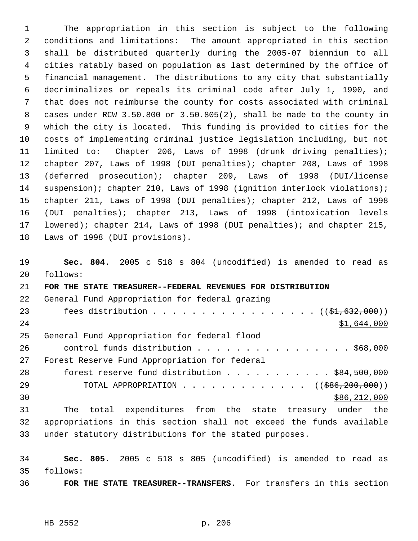The appropriation in this section is subject to the following conditions and limitations: The amount appropriated in this section shall be distributed quarterly during the 2005-07 biennium to all cities ratably based on population as last determined by the office of financial management. The distributions to any city that substantially decriminalizes or repeals its criminal code after July 1, 1990, and that does not reimburse the county for costs associated with criminal cases under RCW 3.50.800 or 3.50.805(2), shall be made to the county in which the city is located. This funding is provided to cities for the costs of implementing criminal justice legislation including, but not limited to: Chapter 206, Laws of 1998 (drunk driving penalties); chapter 207, Laws of 1998 (DUI penalties); chapter 208, Laws of 1998 (deferred prosecution); chapter 209, Laws of 1998 (DUI/license 14 suspension); chapter 210, Laws of 1998 (ignition interlock violations); chapter 211, Laws of 1998 (DUI penalties); chapter 212, Laws of 1998 (DUI penalties); chapter 213, Laws of 1998 (intoxication levels lowered); chapter 214, Laws of 1998 (DUI penalties); and chapter 215, Laws of 1998 (DUI provisions).

 **Sec. 804.** 2005 c 518 s 804 (uncodified) is amended to read as follows: **FOR THE STATE TREASURER--FEDERAL REVENUES FOR DISTRIBUTION** General Fund Appropriation for federal grazing 23 fees distribution . . . . . . . . . . . . . . . . ((\$1,632,000)) 24 \$1,644,000 General Fund Appropriation for federal flood control funds distribution . . . . . . . . . . . . . . . . \$68,000 Forest Reserve Fund Appropriation for federal forest reserve fund distribution . . . . . . . . . . . \$84,500,000 29 TOTAL APPROPRIATION . . . . . . . . . . . . . ((\$86,200,000))  $30 \,$  \$86,212,000 The total expenditures from the state treasury under the appropriations in this section shall not exceed the funds available under statutory distributions for the stated purposes.

 **Sec. 805.** 2005 c 518 s 805 (uncodified) is amended to read as follows:

**FOR THE STATE TREASURER--TRANSFERS.** For transfers in this section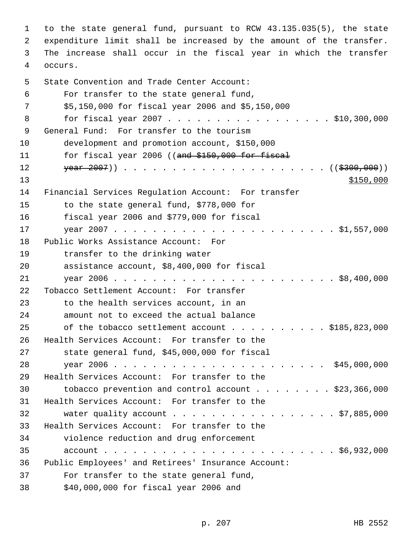to the state general fund, pursuant to RCW 43.135.035(5), the state expenditure limit shall be increased by the amount of the transfer. The increase shall occur in the fiscal year in which the transfer occurs. State Convention and Trade Center Account: For transfer to the state general fund, \$5,150,000 for fiscal year 2006 and \$5,150,000 8 for fiscal year 2007 . . . . . . . . . . . . . . . . \$10,300,000 General Fund: For transfer to the tourism development and promotion account, \$150,000 11 for fiscal year 2006 ((and \$150,000 for fiscal year 2007)) . . . . . . . . . . . . . . . . . . . . . ((\$300,000))  $\frac{$150,000}{ }$  Financial Services Regulation Account: For transfer to the state general fund, \$778,000 for fiscal year 2006 and \$779,000 for fiscal year 2007 . . . . . . . . . . . . . . . . . . . . . . . \$1,557,000 Public Works Assistance Account: For transfer to the drinking water assistance account, \$8,400,000 for fiscal year 2006 . . . . . . . . . . . . . . . . . . . . . . . \$8,400,000 Tobacco Settlement Account: For transfer to the health services account, in an amount not to exceed the actual balance 25 of the tobacco settlement account . . . . . . . . . \$185,823,000 Health Services Account: For transfer to the state general fund, \$45,000,000 for fiscal year 2006 . . . . . . . . . . . . . . . . . . . . . . \$45,000,000 Health Services Account: For transfer to the tobacco prevention and control account . . . . . . . . \$23,366,000 Health Services Account: For transfer to the 32 water quality account . . . . . . . . . . . . . . . . \$7,885,000 Health Services Account: For transfer to the violence reduction and drug enforcement account . . . . . . . . . . . . . . . . . . . . . . . . \$6,932,000 Public Employees' and Retirees' Insurance Account: For transfer to the state general fund, \$40,000,000 for fiscal year 2006 and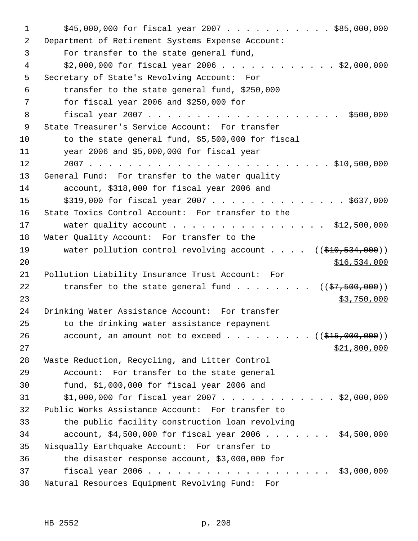| 1  | $$45,000,000$ for fiscal year 2007 \$85,000,000                                      |
|----|--------------------------------------------------------------------------------------|
| 2  | Department of Retirement Systems Expense Account:                                    |
| 3  | For transfer to the state general fund,                                              |
| 4  | $$2,000,000$ for fiscal year 2006 \$2,000,000                                        |
| 5  | Secretary of State's Revolving Account: For                                          |
| 6  | transfer to the state general fund, \$250,000                                        |
| 7  | for fiscal year 2006 and $$250,000$ for                                              |
| 8  | \$500,000                                                                            |
| 9  | State Treasurer's Service Account: For transfer                                      |
| 10 | to the state general fund, \$5,500,000 for fiscal                                    |
| 11 | year 2006 and \$5,000,000 for fiscal year                                            |
| 12 |                                                                                      |
| 13 | General Fund: For transfer to the water quality                                      |
| 14 | account, \$318,000 for fiscal year 2006 and                                          |
| 15 | $$319,000$ for fiscal year 2007 \$637,000                                            |
| 16 | State Toxics Control Account: For transfer to the                                    |
| 17 | water quality account \$12,500,000                                                   |
| 18 | Water Quality Account: For transfer to the                                           |
| 19 | water pollution control revolving account $($ $($ $\frac{210}{534}, \frac{000}{10})$ |
| 20 | <u>\$16,534,000</u>                                                                  |
| 21 | Pollution Liability Insurance Trust Account: For                                     |
| 22 | transfer to the state general fund $($ $($ \$7,500,000) $)$                          |
| 23 | \$3,750,000                                                                          |
| 24 | Drinking Water Assistance Account: For transfer                                      |
| 25 | to the drinking water assistance repayment                                           |
| 26 | account, an amount not to exceed $($ $($ $\frac{15}{615},000,000) )$                 |
| 27 | \$21,800,000                                                                         |
| 28 | Waste Reduction, Recycling, and Litter Control                                       |
| 29 | Account: For transfer to the state general                                           |
| 30 | fund, $$1,000,000$ for fiscal year 2006 and                                          |
| 31 | $$1,000,000$ for fiscal year 2007 \$2,000,000                                        |
| 32 | Public Works Assistance Account: For transfer to                                     |
| 33 | the public facility construction loan revolving                                      |
| 34 | account, $$4,500,000$ for fiscal year 2006 $$4,500,000$                              |
| 35 | Nisqually Earthquake Account: For transfer to                                        |
| 36 | the disaster response account, \$3,000,000 for                                       |
| 37 |                                                                                      |
| 38 | Natural Resources Equipment Revolving Fund: For                                      |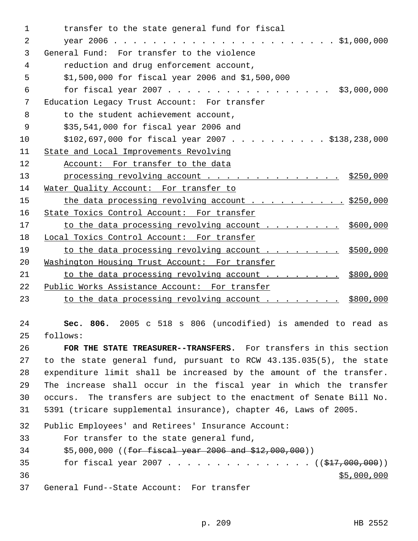transfer to the state general fund for fiscal year 2006 . . . . . . . . . . . . . . . . . . . . . . . \$1,000,000 General Fund: For transfer to the violence reduction and drug enforcement account, \$1,500,000 for fiscal year 2006 and \$1,500,000 for fiscal year 2007 . . . . . . . . . . . . . . . . . \$3,000,000 Education Legacy Trust Account: For transfer 8 to the student achievement account, \$35,541,000 for fiscal year 2006 and \$102,697,000 for fiscal year 2007 . . . . . . . . . . \$138,238,000 State and Local Improvements Revolving 12 Account: For transfer to the data 13 processing revolving account . . . . . . . . . . . . . . \$250,000 Water Quality Account: For transfer to 15 the data processing revolving account . . . . . . . . . . \$250,000 16 State Toxics Control Account: For transfer 17 to the data processing revolving account . . . . . . . . \$600,000 Local Toxics Control Account: For transfer 19 to the data processing revolving account . . . . . . . \$500,000 20 Washington Housing Trust Account: For transfer 21 to the data processing revolving account . . . . . . . \$800,000 Public Works Assistance Account: For transfer 23 to the data processing revolving account . . . . . . . . \$800,000

 **Sec. 806.** 2005 c 518 s 806 (uncodified) is amended to read as follows:

 **FOR THE STATE TREASURER--TRANSFERS.** For transfers in this section to the state general fund, pursuant to RCW 43.135.035(5), the state expenditure limit shall be increased by the amount of the transfer. The increase shall occur in the fiscal year in which the transfer occurs. The transfers are subject to the enactment of Senate Bill No. 5391 (tricare supplemental insurance), chapter 46, Laws of 2005.

Public Employees' and Retirees' Insurance Account:

For transfer to the state general fund,

\$5,000,000 ((for fiscal year 2006 and \$12,000,000))

35 for fiscal year 2007 . . . . . . . . . . . . . . ((\$17,000,000))  $$5,000,000$ 

General Fund--State Account: For transfer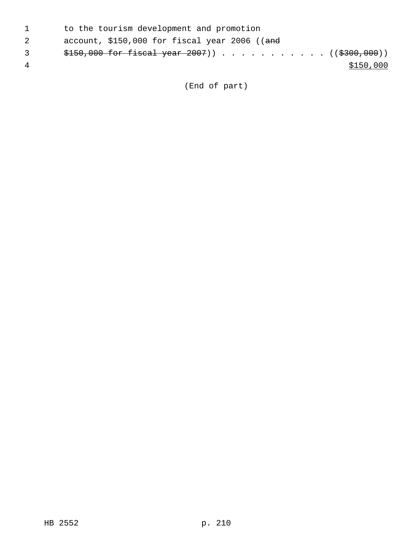|              | to the tourism development and promotion       |
|--------------|------------------------------------------------|
|              | account, $$150,000$ for fiscal year 2006 ((and |
| $\mathbf{3}$ |                                                |
|              | \$150,000                                      |
|              |                                                |

(End of part)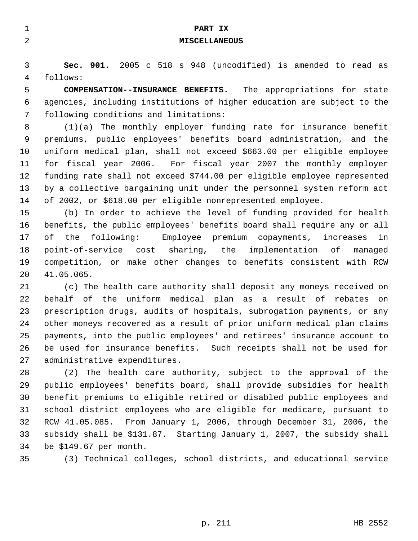| $\mathbf 1$ | PART IX                                                                  |
|-------------|--------------------------------------------------------------------------|
| 2           | <b>MISCELLANEOUS</b>                                                     |
|             |                                                                          |
| 3           | Sec. 901. 2005 c 518 s 948 (uncodified) is amended to read as            |
| 4           | follows:                                                                 |
| 5           | <b>COMPENSATION--INSURANCE BENEFITS.</b> The appropriations for state    |
| 6           | agencies, including institutions of higher education are subject to the  |
| 7           | following conditions and limitations:                                    |
| 8           | $(1)(a)$ The monthly employer funding rate for insurance benefit         |
| 9           | premiums, public employees' benefits board administration, and the       |
| 10          | uniform medical plan, shall not exceed \$663.00 per eligible employee    |
| 11          | for fiscal year 2006. For fiscal year 2007 the monthly employer          |
| 12          | funding rate shall not exceed \$744.00 per eligible employee represented |
| 13          | by a collective bargaining unit under the personnel system reform act    |
| 14          | of 2002, or \$618.00 per eligible nonrepresented employee.               |
| 15          | (b) In order to achieve the level of funding provided for health         |
| 16          | benefits, the public employees' benefits board shall require any or all  |
| 17          | the following:<br>Employee premium copayments, increases<br>оf<br>in.    |
| 18          | point-of-service cost sharing, the implementation of<br>managed          |
| 19          | competition, or make other changes to benefits consistent with RCW       |
| 20          | 41.05.065.                                                               |
| 21          | (c) The health care authority shall deposit any moneys received on       |
| 22          | behalf of the uniform medical plan as a result of rebates on             |
| 23          | prescription drugs, audits of hospitals, subrogation payments, or any    |
| 24          | other moneys recovered as a result of prior uniform medical plan claims  |
| 25          | payments, into the public employees' and retirees' insurance account to  |
| 26          | be used for insurance benefits. Such receipts shall not be used for      |

 (2) The health care authority, subject to the approval of the public employees' benefits board, shall provide subsidies for health benefit premiums to eligible retired or disabled public employees and school district employees who are eligible for medicare, pursuant to RCW 41.05.085. From January 1, 2006, through December 31, 2006, the subsidy shall be \$131.87. Starting January 1, 2007, the subsidy shall be \$149.67 per month.

administrative expenditures.

(3) Technical colleges, school districts, and educational service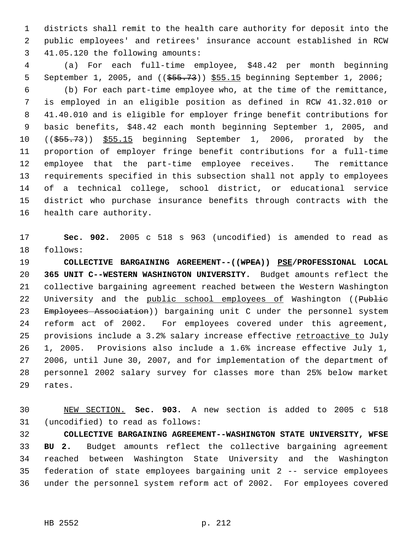districts shall remit to the health care authority for deposit into the public employees' and retirees' insurance account established in RCW 41.05.120 the following amounts:

 (a) For each full-time employee, \$48.42 per month beginning 5 September 1, 2005, and (( $\frac{2005}{1000}$ ,  $\frac{555.15}{1000}$  beginning September 1, 2006; (b) For each part-time employee who, at the time of the remittance, is employed in an eligible position as defined in RCW 41.32.010 or 41.40.010 and is eligible for employer fringe benefit contributions for basic benefits, \$48.42 each month beginning September 1, 2005, and ((\$55.73)) \$55.15 beginning September 1, 2006, prorated by the proportion of employer fringe benefit contributions for a full-time employee that the part-time employee receives. The remittance requirements specified in this subsection shall not apply to employees of a technical college, school district, or educational service district who purchase insurance benefits through contracts with the health care authority.

 **Sec. 902.** 2005 c 518 s 963 (uncodified) is amended to read as follows:

 **COLLECTIVE BARGAINING AGREEMENT--((WPEA)) PSE/PROFESSIONAL LOCAL 365 UNIT C--WESTERN WASHINGTON UNIVERSITY.** Budget amounts reflect the collective bargaining agreement reached between the Western Washington 22 University and the public school employees of Washington ((Public 23 Employees Association)) bargaining unit C under the personnel system reform act of 2002. For employees covered under this agreement, 25 provisions include a 3.2% salary increase effective retroactive to July 1, 2005. Provisions also include a 1.6% increase effective July 1, 2006, until June 30, 2007, and for implementation of the department of personnel 2002 salary survey for classes more than 25% below market rates.

 NEW SECTION. **Sec. 903.** A new section is added to 2005 c 518 (uncodified) to read as follows:

 **COLLECTIVE BARGAINING AGREEMENT--WASHINGTON STATE UNIVERSITY, WFSE BU 2.** Budget amounts reflect the collective bargaining agreement reached between Washington State University and the Washington federation of state employees bargaining unit 2 -- service employees under the personnel system reform act of 2002. For employees covered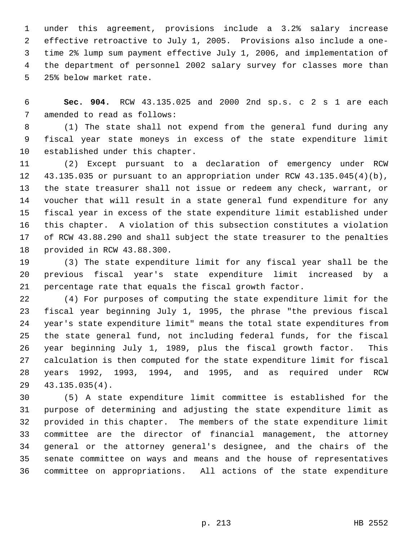under this agreement, provisions include a 3.2% salary increase effective retroactive to July 1, 2005. Provisions also include a one- time 2% lump sum payment effective July 1, 2006, and implementation of the department of personnel 2002 salary survey for classes more than 25% below market rate.

 **Sec. 904.** RCW 43.135.025 and 2000 2nd sp.s. c 2 s 1 are each amended to read as follows:

 (1) The state shall not expend from the general fund during any fiscal year state moneys in excess of the state expenditure limit established under this chapter.

 (2) Except pursuant to a declaration of emergency under RCW 43.135.035 or pursuant to an appropriation under RCW 43.135.045(4)(b), the state treasurer shall not issue or redeem any check, warrant, or voucher that will result in a state general fund expenditure for any fiscal year in excess of the state expenditure limit established under this chapter. A violation of this subsection constitutes a violation of RCW 43.88.290 and shall subject the state treasurer to the penalties provided in RCW 43.88.300.

 (3) The state expenditure limit for any fiscal year shall be the previous fiscal year's state expenditure limit increased by a percentage rate that equals the fiscal growth factor.

 (4) For purposes of computing the state expenditure limit for the fiscal year beginning July 1, 1995, the phrase "the previous fiscal year's state expenditure limit" means the total state expenditures from the state general fund, not including federal funds, for the fiscal year beginning July 1, 1989, plus the fiscal growth factor. This calculation is then computed for the state expenditure limit for fiscal years 1992, 1993, 1994, and 1995, and as required under RCW 43.135.035(4).

 (5) A state expenditure limit committee is established for the purpose of determining and adjusting the state expenditure limit as provided in this chapter. The members of the state expenditure limit committee are the director of financial management, the attorney general or the attorney general's designee, and the chairs of the senate committee on ways and means and the house of representatives committee on appropriations. All actions of the state expenditure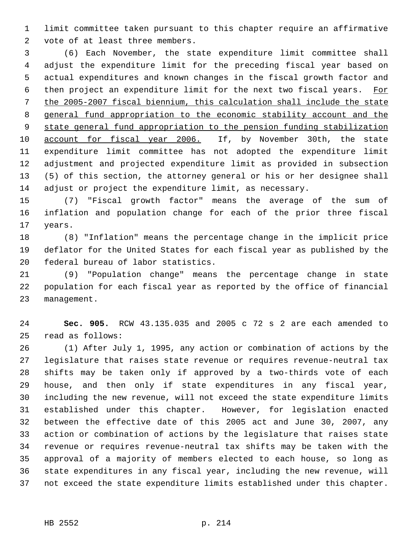limit committee taken pursuant to this chapter require an affirmative vote of at least three members.

 (6) Each November, the state expenditure limit committee shall adjust the expenditure limit for the preceding fiscal year based on actual expenditures and known changes in the fiscal growth factor and 6 then project an expenditure limit for the next two fiscal years. For the 2005-2007 fiscal biennium, this calculation shall include the state general fund appropriation to the economic stability account and the state general fund appropriation to the pension funding stabilization account for fiscal year 2006. If, by November 30th, the state expenditure limit committee has not adopted the expenditure limit adjustment and projected expenditure limit as provided in subsection (5) of this section, the attorney general or his or her designee shall adjust or project the expenditure limit, as necessary.

 (7) "Fiscal growth factor" means the average of the sum of inflation and population change for each of the prior three fiscal years.

 (8) "Inflation" means the percentage change in the implicit price deflator for the United States for each fiscal year as published by the federal bureau of labor statistics.

 (9) "Population change" means the percentage change in state population for each fiscal year as reported by the office of financial management.

 **Sec. 905.** RCW 43.135.035 and 2005 c 72 s 2 are each amended to read as follows:

 (1) After July 1, 1995, any action or combination of actions by the legislature that raises state revenue or requires revenue-neutral tax shifts may be taken only if approved by a two-thirds vote of each house, and then only if state expenditures in any fiscal year, including the new revenue, will not exceed the state expenditure limits established under this chapter. However, for legislation enacted between the effective date of this 2005 act and June 30, 2007, any action or combination of actions by the legislature that raises state revenue or requires revenue-neutral tax shifts may be taken with the approval of a majority of members elected to each house, so long as state expenditures in any fiscal year, including the new revenue, will not exceed the state expenditure limits established under this chapter.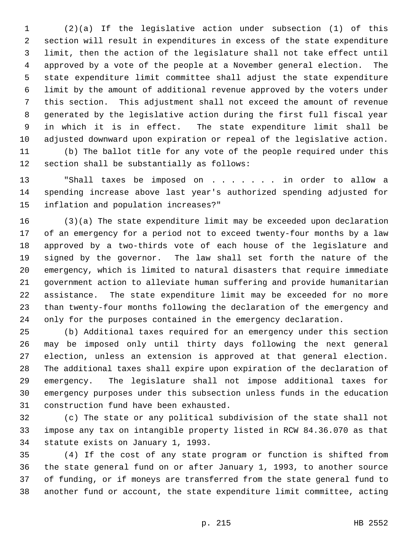(2)(a) If the legislative action under subsection (1) of this section will result in expenditures in excess of the state expenditure limit, then the action of the legislature shall not take effect until approved by a vote of the people at a November general election. The state expenditure limit committee shall adjust the state expenditure limit by the amount of additional revenue approved by the voters under this section. This adjustment shall not exceed the amount of revenue generated by the legislative action during the first full fiscal year in which it is in effect. The state expenditure limit shall be adjusted downward upon expiration or repeal of the legislative action.

 (b) The ballot title for any vote of the people required under this section shall be substantially as follows:

 "Shall taxes be imposed on . . . . . . . in order to allow a spending increase above last year's authorized spending adjusted for inflation and population increases?"

 (3)(a) The state expenditure limit may be exceeded upon declaration of an emergency for a period not to exceed twenty-four months by a law approved by a two-thirds vote of each house of the legislature and signed by the governor. The law shall set forth the nature of the emergency, which is limited to natural disasters that require immediate government action to alleviate human suffering and provide humanitarian assistance. The state expenditure limit may be exceeded for no more than twenty-four months following the declaration of the emergency and only for the purposes contained in the emergency declaration.

 (b) Additional taxes required for an emergency under this section may be imposed only until thirty days following the next general election, unless an extension is approved at that general election. The additional taxes shall expire upon expiration of the declaration of emergency. The legislature shall not impose additional taxes for emergency purposes under this subsection unless funds in the education construction fund have been exhausted.

 (c) The state or any political subdivision of the state shall not impose any tax on intangible property listed in RCW 84.36.070 as that statute exists on January 1, 1993.

 (4) If the cost of any state program or function is shifted from the state general fund on or after January 1, 1993, to another source of funding, or if moneys are transferred from the state general fund to another fund or account, the state expenditure limit committee, acting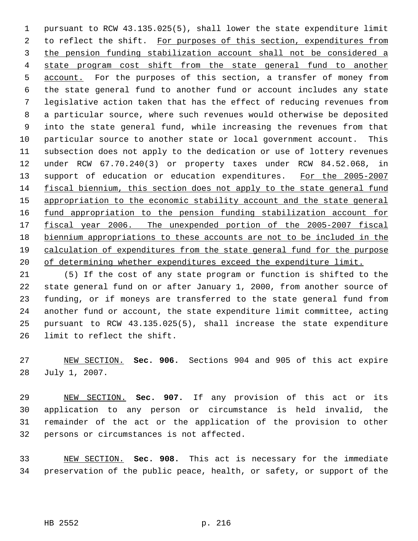pursuant to RCW 43.135.025(5), shall lower the state expenditure limit 2 to reflect the shift. For purposes of this section, expenditures from the pension funding stabilization account shall not be considered a state program cost shift from the state general fund to another 5 account. For the purposes of this section, a transfer of money from the state general fund to another fund or account includes any state legislative action taken that has the effect of reducing revenues from a particular source, where such revenues would otherwise be deposited into the state general fund, while increasing the revenues from that particular source to another state or local government account. This subsection does not apply to the dedication or use of lottery revenues under RCW 67.70.240(3) or property taxes under RCW 84.52.068, in 13 support of education or education expenditures. For the 2005-2007 fiscal biennium, this section does not apply to the state general fund 15 appropriation to the economic stability account and the state general fund appropriation to the pension funding stabilization account for 17 fiscal year 2006. The unexpended portion of the 2005-2007 fiscal biennium appropriations to these accounts are not to be included in the calculation of expenditures from the state general fund for the purpose 20 of determining whether expenditures exceed the expenditure limit.

 (5) If the cost of any state program or function is shifted to the state general fund on or after January 1, 2000, from another source of funding, or if moneys are transferred to the state general fund from another fund or account, the state expenditure limit committee, acting pursuant to RCW 43.135.025(5), shall increase the state expenditure limit to reflect the shift.

 NEW SECTION. **Sec. 906.** Sections 904 and 905 of this act expire July 1, 2007.

 NEW SECTION. **Sec. 907.** If any provision of this act or its application to any person or circumstance is held invalid, the remainder of the act or the application of the provision to other persons or circumstances is not affected.

 NEW SECTION. **Sec. 908.** This act is necessary for the immediate preservation of the public peace, health, or safety, or support of the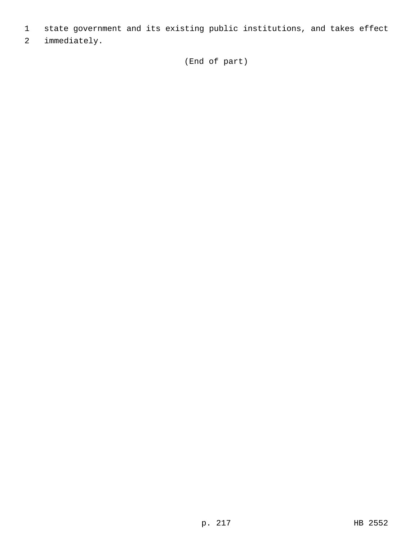- 1 state government and its existing public institutions, and takes effect
- 2 immediately.

(End of part)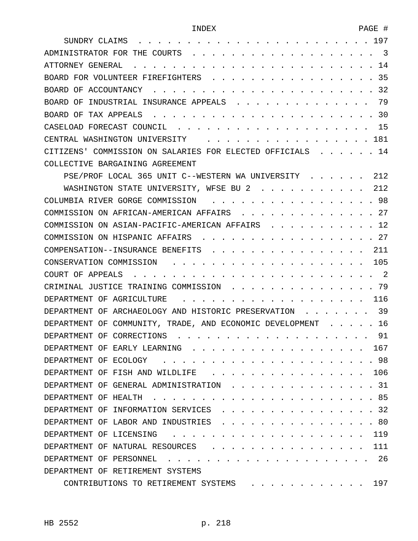| 197<br>SUNDRY CLAIMS                                                 |
|----------------------------------------------------------------------|
| 3<br>ADMINISTRATOR FOR THE COURTS                                    |
| 14<br>ATTORNEY GENERAL                                               |
| 35<br>BOARD FOR VOLUNTEER FIREFIGHTERS                               |
| 32<br>BOARD OF ACCOUNTANCY                                           |
| 79<br><b>BOARD</b><br>- OF<br>INDUSTRIAL INSURANCE APPEALS           |
| 30<br>BOARD OF<br>TAX APPEALS                                        |
| 15<br>CASELOAD FORECAST COUNCIL                                      |
| 181<br>CENTRAL WASHINGTON UNIVERSITY                                 |
| 14<br>CITIZENS' COMMISSION ON SALARIES FOR ELECTED OFFICIALS         |
| COLLECTIVE BARGAINING AGREEMENT                                      |
| 212<br>PSE/PROF LOCAL 365 UNIT C--WESTERN WA UNIVERSITY              |
| 2.12<br>WASHINGTON STATE UNIVERSITY, WFSE BU 2                       |
| 98<br>COLUMBIA RIVER GORGE COMMISSION                                |
| 27<br>COMMISSION ON AFRICAN-AMERICAN AFFAIRS                         |
| 12<br>COMMISSION ON ASIAN-PACIFIC-AMERICAN AFFAIRS                   |
| 27<br>COMMISSION ON HISPANIC AFFAIRS                                 |
| 211<br>COMPENSATION--INSURANCE BENEFITS                              |
| 105<br>CONSERVATION COMMISSION                                       |
| 2<br>COURT OF<br>APPEALS                                             |
| 79<br>CRIMINAL JUSTICE TRAINING COMMISSION                           |
| 116<br>DEPARTMENT OF AGRICULTURE                                     |
| 39<br>DEPARTMENT<br>OF ARCHAEOLOGY AND HISTORIC PRESERVATION         |
| 16<br>COMMUNITY, TRADE, AND ECONOMIC DEVELOPMENT<br>DEPARTMENT<br>ΟF |
| 91<br>DEPARTMENT OF CORRECTIONS                                      |
| 167<br>DEPARTMENT OF EARLY LEARNING                                  |
| 98<br>DEPARTMENT OF ECOLOGY                                          |
| 106<br>DEPARTMENT OF FISH AND WILDLIFE                               |
| . 31<br>DEPARTMENT OF GENERAL ADMINISTRATION                         |
| . 85<br>DEPARTMENT OF HEALTH                                         |
| 32<br>DEPARTMENT OF INFORMATION SERVICES                             |
| .80<br>DEPARTMENT OF LABOR AND INDUSTRIES                            |
| 119<br>DEPARTMENT OF LICENSING                                       |
| 111<br>DEPARTMENT OF NATURAL RESOURCES                               |
| 26<br>DEPARTMENT OF PERSONNEL                                        |
| DEPARTMENT OF RETIREMENT SYSTEMS                                     |
| . 197<br>CONTRIBUTIONS TO RETIREMENT SYSTEMS                         |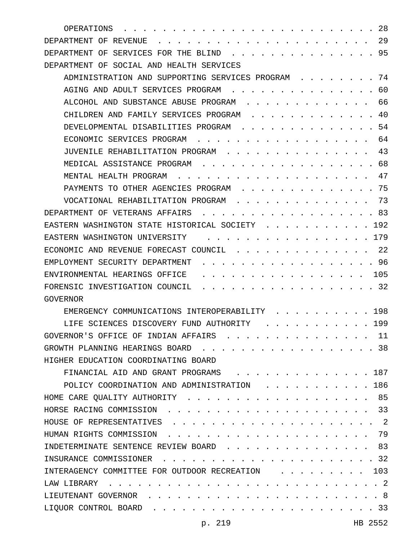| 28<br>OPERATIONS                                                                                  |
|---------------------------------------------------------------------------------------------------|
| 29<br>DEPARTMENT OF REVENUE                                                                       |
| 95<br>DEPARTMENT OF<br>SERVICES FOR THE BLIND                                                     |
| DEPARTMENT OF<br>SOCIAL AND HEALTH SERVICES                                                       |
| ADMINISTRATION AND SUPPORTING SERVICES PROGRAM<br>74                                              |
| AGING AND ADULT SERVICES PROGRAM<br>60                                                            |
| 66<br>ALCOHOL AND SUBSTANCE ABUSE PROGRAM                                                         |
| 40<br>CHILDREN AND FAMILY SERVICES PROGRAM                                                        |
| 54<br>DEVELOPMENTAL DISABILITIES PROGRAM                                                          |
| 64<br>ECONOMIC SERVICES PROGRAM                                                                   |
| 43<br>JUVENILE REHABILITATION PROGRAM                                                             |
| 68<br>MEDICAL ASSISTANCE PROGRAM                                                                  |
| 47<br>MENTAL HEALTH PROGRAM                                                                       |
| 75<br>PAYMENTS TO OTHER AGENCIES PROGRAM                                                          |
| 73<br>VOCATIONAL REHABILITATION PROGRAM                                                           |
| 83<br>DEPARTMENT OF VETERANS AFFAIRS                                                              |
| 192<br>EASTERN WASHINGTON STATE HISTORICAL SOCIETY                                                |
| 179<br>EASTERN WASHINGTON UNIVERSITY                                                              |
| 22<br>ECONOMIC AND REVENUE FORECAST COUNCIL                                                       |
| 96<br>EMPLOYMENT SECURITY DEPARTMENT                                                              |
| 105<br>ENVIRONMENTAL HEARINGS OFFICE                                                              |
| 32<br>FORENSIC INVESTIGATION COUNCIL                                                              |
| GOVERNOR                                                                                          |
| 198<br>EMERGENCY COMMUNICATIONS INTEROPERABILITY                                                  |
| 199<br>LIFE SCIENCES DISCOVERY FUND AUTHORITY                                                     |
| GOVERNOR'S OFFICE OF INDIAN AFFAIRS<br>11                                                         |
| GROWTH PLANNING HEARINGS BOARD<br>. 38                                                            |
| HIGHER EDUCATION COORDINATING BOARD                                                               |
| FINANCIAL AID AND GRANT PROGRAMS<br>. 187                                                         |
| POLICY COORDINATION AND ADMINISTRATION<br>. . 186                                                 |
| 85<br>HOME CARE QUALITY AUTHORITY                                                                 |
| HORSE RACING COMMISSION<br>33<br>$\mathbf{1}$ $\mathbf{1}$ $\mathbf{1}$ $\mathbf{1}$ $\mathbf{1}$ |
| . 2<br>HOUSE OF REPRESENTATIVES                                                                   |
| HUMAN RIGHTS COMMISSION<br>79                                                                     |
| INDETERMINATE SENTENCE REVIEW BOARD<br>. 83                                                       |
| INSURANCE COMMISSIONER<br>. 32<br>$\cdots$<br>$\sim$ $\sim$ $\sim$ $\sim$                         |
| INTERAGENCY COMMITTEE FOR OUTDOOR RECREATION<br>103                                               |
| LAW LIBRARY<br>. . 2                                                                              |
| LIEUTENANT GOVERNOR<br>. 8                                                                        |
| LIQUOR CONTROL BOARD<br>. 33                                                                      |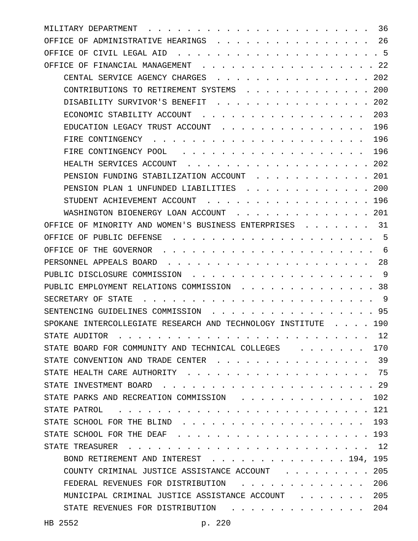| 36<br>MILITARY DEPARTMENT                                                                                                                                                                                                                                                   |
|-----------------------------------------------------------------------------------------------------------------------------------------------------------------------------------------------------------------------------------------------------------------------------|
| 26<br>ADMINISTRATIVE HEARINGS<br><b>OFFICE</b><br>OF                                                                                                                                                                                                                        |
| - 5<br>OFFICE OF<br>CIVIL LEGAL AID                                                                                                                                                                                                                                         |
| 22<br>OFFICE OF<br>FINANCIAL MANAGEMENT                                                                                                                                                                                                                                     |
| CENTAL SERVICE AGENCY CHARGES<br>202                                                                                                                                                                                                                                        |
| 200<br>CONTRIBUTIONS TO RETIREMENT SYSTEMS                                                                                                                                                                                                                                  |
| 202<br>DISABILITY SURVIVOR'S BENEFIT                                                                                                                                                                                                                                        |
| 203<br>ECONOMIC STABILITY ACCOUNT                                                                                                                                                                                                                                           |
| 196<br>EDUCATION LEGACY TRUST ACCOUNT                                                                                                                                                                                                                                       |
| 196<br>FIRE CONTINGENCY                                                                                                                                                                                                                                                     |
| 196<br>FIRE CONTINGENCY POOL                                                                                                                                                                                                                                                |
| 202<br>HEALTH SERVICES ACCOUNT                                                                                                                                                                                                                                              |
| PENSION FUNDING STABILIZATION ACCOUNT<br>201                                                                                                                                                                                                                                |
| 200<br>PENSION PLAN 1 UNFUNDED LIABILITIES                                                                                                                                                                                                                                  |
| STUDENT ACHIEVEMENT ACCOUNT<br>196                                                                                                                                                                                                                                          |
| WASHINGTON BIOENERGY LOAN ACCOUNT<br>201                                                                                                                                                                                                                                    |
| OFFICE OF MINORITY AND WOMEN'S BUSINESS ENTERPRISES<br>31                                                                                                                                                                                                                   |
| 5<br>PUBLIC DEFENSE<br>OFFICE OF                                                                                                                                                                                                                                            |
| THE GOVERNOR<br>OFFICE OF<br>6                                                                                                                                                                                                                                              |
| PERSONNEL APPEALS BOARD<br>28                                                                                                                                                                                                                                               |
| PUBLIC DISCLOSURE COMMISSION<br>-9                                                                                                                                                                                                                                          |
| PUBLIC EMPLOYMENT RELATIONS COMMISSION<br>38                                                                                                                                                                                                                                |
| SECRETARY OF<br>-9<br>STATE                                                                                                                                                                                                                                                 |
| SENTENCING GUIDELINES<br>COMMISSION<br>95                                                                                                                                                                                                                                   |
| SPOKANE INTERCOLLEGIATE RESEARCH AND TECHNOLOGY INSTITUTE<br>190                                                                                                                                                                                                            |
| 12<br>STATE AUDITOR                                                                                                                                                                                                                                                         |
| STATE BOARD FOR COMMUNITY AND TECHNICAL COLLEGES<br>170<br>$\mathbf{r}$ , $\mathbf{r}$ , $\mathbf{r}$ , $\mathbf{r}$                                                                                                                                                        |
| STATE CONVENTION AND TRADE CENTER<br>. 39                                                                                                                                                                                                                                   |
| . 75<br>STATE HEALTH CARE AUTHORITY                                                                                                                                                                                                                                         |
| STATE INVESTMENT BOARD<br>. 29                                                                                                                                                                                                                                              |
| STATE PARKS AND RECREATION COMMISSION<br>. 102                                                                                                                                                                                                                              |
| STATE PATROL<br>. 121<br>$\frac{1}{2}$<br>$\mathbf{r}$ . The set of the set of the set of the set of the set of the set of the set of the set of the set of the set of the set of the set of the set of the set of the set of the set of the set of the set of the set of t |
| STATE SCHOOL FOR THE BLIND<br>193<br>$\cdots$                                                                                                                                                                                                                               |
| STATE SCHOOL FOR THE DEAF<br>$\cdots$ 193<br>$\sim$<br>$\sim$ $\sim$ $\sim$ $\sim$                                                                                                                                                                                          |
| . 12<br>STATE TREASURER<br>$\mathbf{L}$<br>$\mathbf{r}$ and $\mathbf{r}$                                                                                                                                                                                                    |
| BOND RETIREMENT AND INTEREST 194, 195                                                                                                                                                                                                                                       |
| COUNTY CRIMINAL JUSTICE ASSISTANCE ACCOUNT<br>205                                                                                                                                                                                                                           |
| 206<br>FEDERAL REVENUES FOR DISTRIBUTION                                                                                                                                                                                                                                    |
| MUNICIPAL CRIMINAL JUSTICE ASSISTANCE ACCOUNT<br>205                                                                                                                                                                                                                        |
| 204<br>STATE REVENUES FOR DISTRIBUTION                                                                                                                                                                                                                                      |